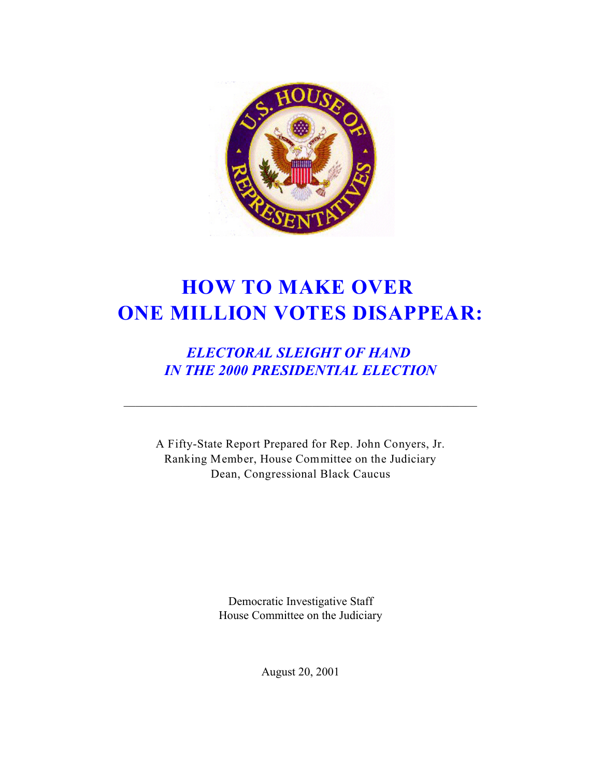

# **HOW TO MAKE OVER ONE MILLION VOTES DISAPPEAR:**

*ELECTORAL SLEIGHT OF HAND IN THE 2000 PRESIDENTIAL ELECTION*

A Fifty-State Report Prepared for Rep. John Conyers, Jr. Ranking Member, House Committee on the Judiciary Dean, Congressional Black Caucus

> Democratic Investigative Staff House Committee on the Judiciary

> > August 20, 2001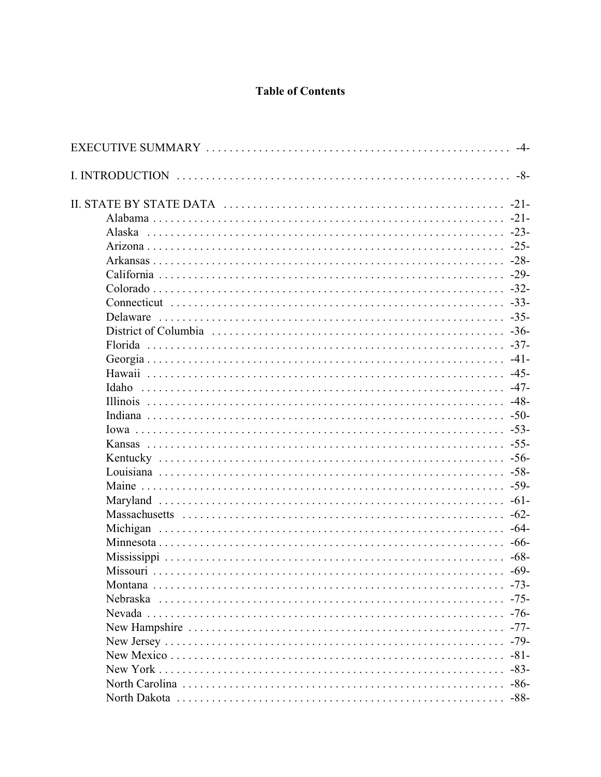## **Table of Contents**

|          | -4-    |
|----------|--------|
|          | $-8-$  |
|          | $-21-$ |
|          |        |
|          |        |
|          |        |
|          |        |
|          |        |
|          |        |
|          |        |
| Delaware |        |
|          |        |
|          |        |
|          |        |
|          |        |
| Idaho    |        |
|          |        |
|          |        |
|          |        |
|          |        |
|          |        |
|          |        |
|          |        |
|          |        |
|          |        |
| Michigan | $-64-$ |
|          |        |
|          |        |
|          |        |
|          | $-73-$ |
|          | $-75-$ |
|          |        |
|          | $-77-$ |
|          | $-79-$ |
|          |        |
|          | $-83-$ |
|          |        |
|          |        |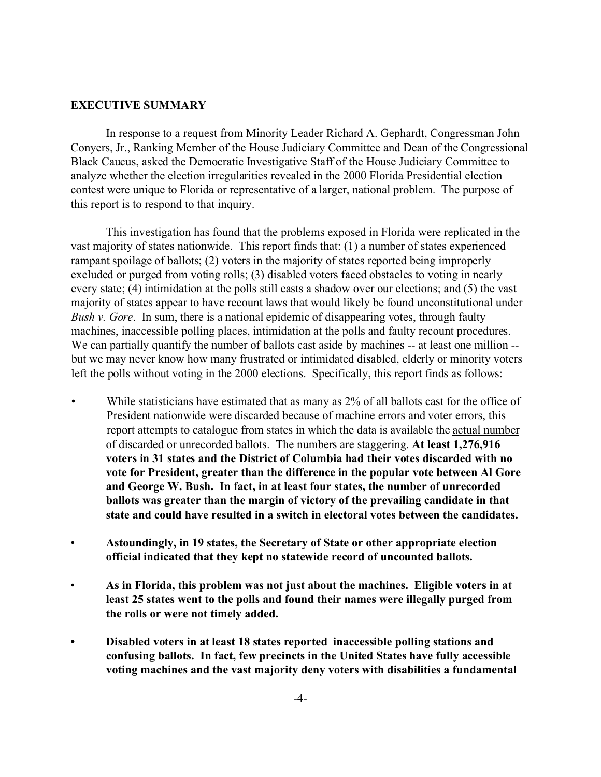#### **EXECUTIVE SUMMARY**

In response to a request from Minority Leader Richard A. Gephardt, Congressman John Conyers, Jr., Ranking Member of the House Judiciary Committee and Dean of the Congressional Black Caucus, asked the Democratic Investigative Staff of the House Judiciary Committee to analyze whether the election irregularities revealed in the 2000 Florida Presidential election contest were unique to Florida or representative of a larger, national problem. The purpose of this report is to respond to that inquiry.

This investigation has found that the problems exposed in Florida were replicated in the vast majority of states nationwide. This report finds that: (1) a number of states experienced rampant spoilage of ballots; (2) voters in the majority of states reported being improperly excluded or purged from voting rolls; (3) disabled voters faced obstacles to voting in nearly every state; (4) intimidation at the polls still casts a shadow over our elections; and (5) the vast majority of states appear to have recount laws that would likely be found unconstitutional under *Bush v. Gore*. In sum, there is a national epidemic of disappearing votes, through faulty machines, inaccessible polling places, intimidation at the polls and faulty recount procedures. We can partially quantify the number of ballots cast aside by machines -- at least one million -but we may never know how many frustrated or intimidated disabled, elderly or minority voters left the polls without voting in the 2000 elections. Specifically, this report finds as follows:

- While statisticians have estimated that as many as 2% of all ballots cast for the office of President nationwide were discarded because of machine errors and voter errors, this report attempts to catalogue from states in which the data is available the actual number of discarded or unrecorded ballots. The numbers are staggering. **At least 1,276,916 voters in 31 states and the District of Columbia had their votes discarded with no vote for President, greater than the difference in the popular vote between Al Gore and George W. Bush. In fact, in at least four states, the number of unrecorded ballots was greater than the margin of victory of the prevailing candidate in that state and could have resulted in a switch in electoral votes between the candidates.**
- **Astoundingly, in 19 states, the Secretary of State or other appropriate election official indicated that they kept no statewide record of uncounted ballots.**
- **As in Florida, this problem was not just about the machines. Eligible voters in at least 25 states went to the polls and found their names were illegally purged from the rolls or were not timely added.**
- **• Disabled voters in at least 18 states reported inaccessible polling stations and confusing ballots. In fact, few precincts in the United States have fully accessible voting machines and the vast majority deny voters with disabilities a fundamental**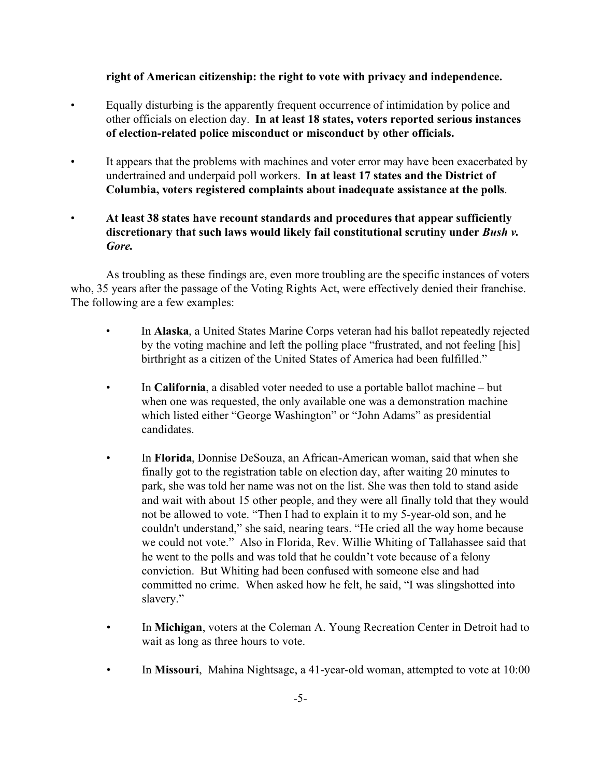## **right of American citizenship: the right to vote with privacy and independence.**

- Equally disturbing is the apparently frequent occurrence of intimidation by police and other officials on election day. **In at least 18 states, voters reported serious instances of election-related police misconduct or misconduct by other officials.**
- It appears that the problems with machines and voter error may have been exacerbated by undertrained and underpaid poll workers. **In at least 17 states and the District of Columbia, voters registered complaints about inadequate assistance at the polls**.
- **At least 38 states have recount standards and procedures that appear sufficiently discretionary that such laws would likely fail constitutional scrutiny under** *Bush v. Gore.*

As troubling as these findings are, even more troubling are the specific instances of voters who, 35 years after the passage of the Voting Rights Act, were effectively denied their franchise. The following are a few examples:

- In **Alaska**, a United States Marine Corps veteran had his ballot repeatedly rejected by the voting machine and left the polling place "frustrated, and not feeling [his] birthright as a citizen of the United States of America had been fulfilled."
- In **California**, a disabled voter needed to use a portable ballot machine but when one was requested, the only available one was a demonstration machine which listed either "George Washington" or "John Adams" as presidential candidates.
- In **Florida**, Donnise DeSouza, an African-American woman, said that when she finally got to the registration table on election day, after waiting 20 minutes to park, she was told her name was not on the list. She was then told to stand aside and wait with about 15 other people, and they were all finally told that they would not be allowed to vote. "Then I had to explain it to my 5-year-old son, and he couldn't understand," she said, nearing tears. "He cried all the way home because we could not vote." Also in Florida, Rev. Willie Whiting of Tallahassee said that he went to the polls and was told that he couldn't vote because of a felony conviction. But Whiting had been confused with someone else and had committed no crime. When asked how he felt, he said, "I was slingshotted into slavery."
- In **Michigan**, voters at the Coleman A. Young Recreation Center in Detroit had to wait as long as three hours to vote.
- In **Missouri**, Mahina Nightsage, a 41-year-old woman, attempted to vote at 10:00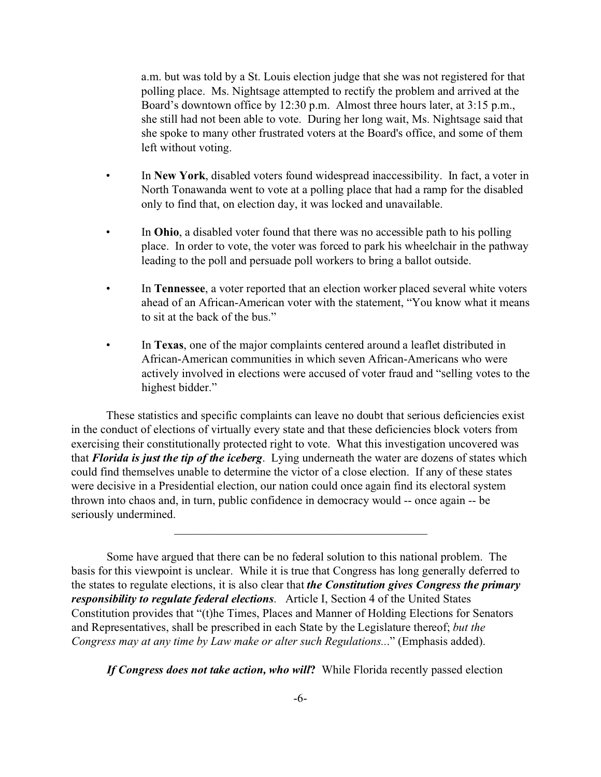a.m. but was told by a St. Louis election judge that she was not registered for that polling place. Ms. Nightsage attempted to rectify the problem and arrived at the Board's downtown office by 12:30 p.m. Almost three hours later, at 3:15 p.m., she still had not been able to vote. During her long wait, Ms. Nightsage said that she spoke to many other frustrated voters at the Board's office, and some of them left without voting.

- In **New York**, disabled voters found widespread inaccessibility. In fact, a voter in North Tonawanda went to vote at a polling place that had a ramp for the disabled only to find that, on election day, it was locked and unavailable.
- In **Ohio**, a disabled voter found that there was no accessible path to his polling place. In order to vote, the voter was forced to park his wheelchair in the pathway leading to the poll and persuade poll workers to bring a ballot outside.
- In **Tennessee**, a voter reported that an election worker placed several white voters ahead of an African-American voter with the statement, "You know what it means to sit at the back of the bus."
- In **Texas**, one of the major complaints centered around a leaflet distributed in African-American communities in which seven African-Americans who were actively involved in elections were accused of voter fraud and "selling votes to the highest bidder."

These statistics and specific complaints can leave no doubt that serious deficiencies exist in the conduct of elections of virtually every state and that these deficiencies block voters from exercising their constitutionally protected right to vote. What this investigation uncovered was that *Florida is just the tip of the iceberg*. Lying underneath the water are dozens of states which could find themselves unable to determine the victor of a close election. If any of these states were decisive in a Presidential election, our nation could once again find its electoral system thrown into chaos and, in turn, public confidence in democracy would -- once again -- be seriously undermined.

 $\mathcal{L}_\mathcal{L}$  , and the set of the set of the set of the set of the set of the set of the set of the set of the set of the set of the set of the set of the set of the set of the set of the set of the set of the set of th

Some have argued that there can be no federal solution to this national problem. The basis for this viewpoint is unclear. While it is true that Congress has long generally deferred to the states to regulate elections, it is also clear that *the Constitution gives Congress the primary responsibility to regulate federal elections*. Article I, Section 4 of the United States Constitution provides that "(t)he Times, Places and Manner of Holding Elections for Senators and Representatives, shall be prescribed in each State by the Legislature thereof; *but the Congress may at any time by Law make or alter such Regulations..*." (Emphasis added).

*If Congress does not take action, who will***?** While Florida recently passed election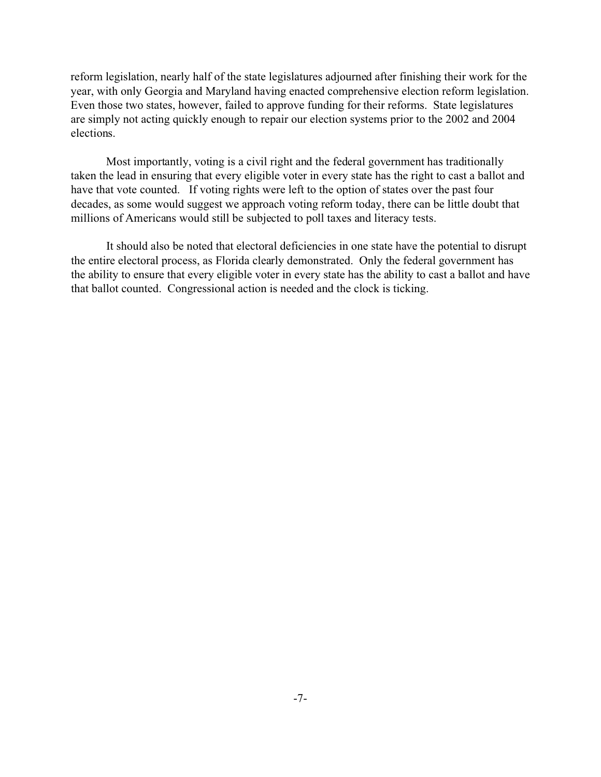reform legislation, nearly half of the state legislatures adjourned after finishing their work for the year, with only Georgia and Maryland having enacted comprehensive election reform legislation. Even those two states, however, failed to approve funding for their reforms. State legislatures are simply not acting quickly enough to repair our election systems prior to the 2002 and 2004 elections.

Most importantly, voting is a civil right and the federal government has traditionally taken the lead in ensuring that every eligible voter in every state has the right to cast a ballot and have that vote counted. If voting rights were left to the option of states over the past four decades, as some would suggest we approach voting reform today, there can be little doubt that millions of Americans would still be subjected to poll taxes and literacy tests.

It should also be noted that electoral deficiencies in one state have the potential to disrupt the entire electoral process, as Florida clearly demonstrated. Only the federal government has the ability to ensure that every eligible voter in every state has the ability to cast a ballot and have that ballot counted. Congressional action is needed and the clock is ticking.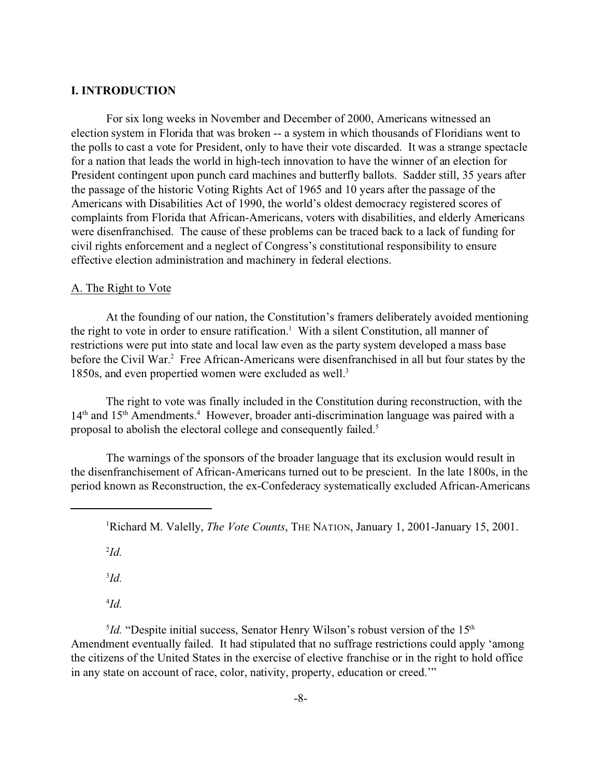#### **I. INTRODUCTION**

For six long weeks in November and December of 2000, Americans witnessed an election system in Florida that was broken -- a system in which thousands of Floridians went to the polls to cast a vote for President, only to have their vote discarded. It was a strange spectacle for a nation that leads the world in high-tech innovation to have the winner of an election for President contingent upon punch card machines and butterfly ballots. Sadder still, 35 years after the passage of the historic Voting Rights Act of 1965 and 10 years after the passage of the Americans with Disabilities Act of 1990, the world's oldest democracy registered scores of complaints from Florida that African-Americans, voters with disabilities, and elderly Americans were disenfranchised. The cause of these problems can be traced back to a lack of funding for civil rights enforcement and a neglect of Congress's constitutional responsibility to ensure effective election administration and machinery in federal elections.

#### A. The Right to Vote

At the founding of our nation, the Constitution's framers deliberately avoided mentioning the right to vote in order to ensure ratification.<sup>1</sup> With a silent Constitution, all manner of restrictions were put into state and local law even as the party system developed a mass base before the Civil War.<sup>2</sup> Free African-Americans were disenfranchised in all but four states by the 1850s, and even propertied women were excluded as well.<sup>3</sup>

The right to vote was finally included in the Constitution during reconstruction, with the 14<sup>th</sup> and 15<sup>th</sup> Amendments.<sup>4</sup> However, broader anti-discrimination language was paired with a proposal to abolish the electoral college and consequently failed.<sup>5</sup>

The warnings of the sponsors of the broader language that its exclusion would result in the disenfranchisement of African-Americans turned out to be prescient. In the late 1800s, in the period known as Reconstruction, the ex-Confederacy systematically excluded African-Americans

2 *Id.*

3 *Id.*

4 *Id.*

<sup>5</sup>*Id.* "Despite initial success, Senator Henry Wilson's robust version of the 15<sup>th</sup> Amendment eventually failed. It had stipulated that no suffrage restrictions could apply 'among the citizens of the United States in the exercise of elective franchise or in the right to hold office in any state on account of race, color, nativity, property, education or creed.'"

<sup>1</sup>Richard M. Valelly, *The Vote Counts*, THE NATION, January 1, 2001-January 15, 2001.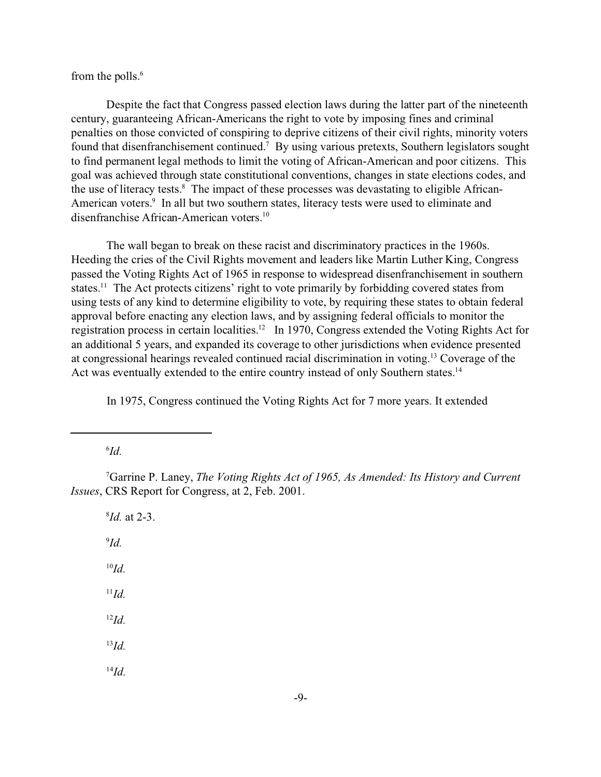from the polls.<sup>6</sup>

Despite the fact that Congress passed election laws during the latter part of the nineteenth century, guaranteeing African-Americans the right to vote by imposing fines and criminal penalties on those convicted of conspiring to deprive citizens of their civil rights, minority voters found that disenfranchisement continued.<sup>7</sup> By using various pretexts, Southern legislators sought to find permanent legal methods to limit the voting of African-American and poor citizens. This goal was achieved through state constitutional conventions, changes in state elections codes, and the use of literacy tests.<sup>8</sup> The impact of these processes was devastating to eligible African-American voters.<sup>9</sup> In all but two southern states, literacy tests were used to eliminate and disenfranchise African-American voters.<sup>10</sup>

The wall began to break on these racist and discriminatory practices in the 1960s. Heeding the cries of the Civil Rights movement and leaders like Martin Luther King, Congress passed the Voting Rights Act of 1965 in response to widespread disenfranchisement in southern states.<sup>11</sup> The Act protects citizens' right to vote primarily by forbidding covered states from using tests of any kind to determine eligibility to vote, by requiring these states to obtain federal approval before enacting any election laws, and by assigning federal officials to monitor the registration process in certain localities.<sup>12</sup> In 1970, Congress extended the Voting Rights Act for an additional 5 years, and expanded its coverage to other jurisdictions when evidence presented at congressional hearings revealed continued racial discrimination in voting.<sup>13</sup> Coverage of the Act was eventually extended to the entire country instead of only Southern states.<sup>14</sup>

In 1975, Congress continued the Voting Rights Act for 7 more years. It extended

6 *Id.*

<sup>7</sup>Garrine P. Laney, *The Voting Rights Act of 1965, As Amended: Its History and Current Issues*, CRS Report for Congress, at 2, Feb. 2001.

8 *Id.* at 2-3. 9 *Id.* <sup>10</sup>*Id.* <sup>11</sup>*Id.* <sup>12</sup>*Id.* <sup>13</sup>*Id.* <sup>14</sup>*Id.*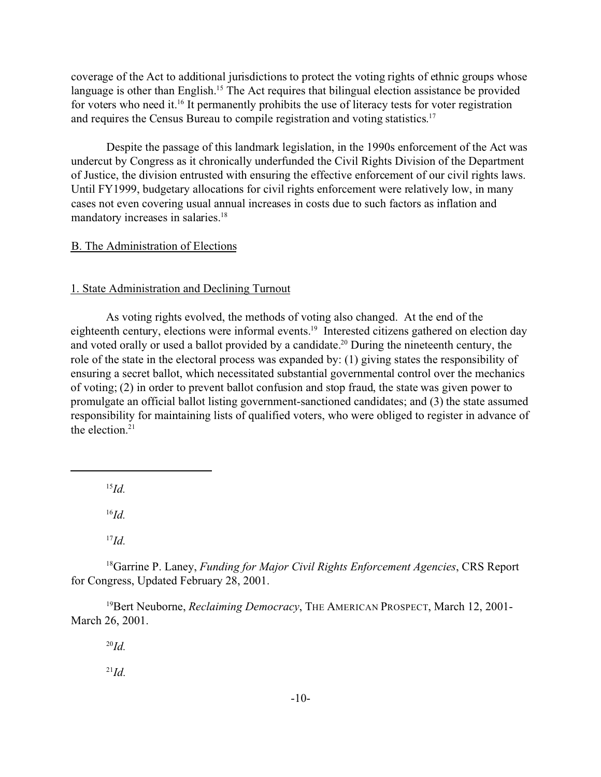coverage of the Act to additional jurisdictions to protect the voting rights of ethnic groups whose language is other than English.<sup>15</sup> The Act requires that bilingual election assistance be provided for voters who need it.<sup>16</sup> It permanently prohibits the use of literacy tests for voter registration and requires the Census Bureau to compile registration and voting statistics. 17

Despite the passage of this landmark legislation, in the 1990s enforcement of the Act was undercut by Congress as it chronically underfunded the Civil Rights Division of the Department of Justice, the division entrusted with ensuring the effective enforcement of our civil rights laws. Until FY1999, budgetary allocations for civil rights enforcement were relatively low, in many cases not even covering usual annual increases in costs due to such factors as inflation and mandatory increases in salaries.<sup>18</sup>

#### B. The Administration of Elections

#### 1. State Administration and Declining Turnout

As voting rights evolved, the methods of voting also changed. At the end of the eighteenth century, elections were informal events.<sup>19</sup> Interested citizens gathered on election day and voted orally or used a ballot provided by a candidate.<sup>20</sup> During the nineteenth century, the role of the state in the electoral process was expanded by: (1) giving states the responsibility of ensuring a secret ballot, which necessitated substantial governmental control over the mechanics of voting; (2) in order to prevent ballot confusion and stop fraud, the state was given power to promulgate an official ballot listing government-sanctioned candidates; and (3) the state assumed responsibility for maintaining lists of qualified voters, who were obliged to register in advance of the election. $21$ 

<sup>15</sup>*Id.*

<sup>16</sup>*Id.*

<sup>18</sup>Garrine P. Laney, *Funding for Major Civil Rights Enforcement Agencies*, CRS Report for Congress, Updated February 28, 2001.

<sup>19</sup>Bert Neuborne, *Reclaiming Democracy*, THE AMERICAN PROSPECT, March 12, 2001-March 26, 2001.

<sup>20</sup>*Id.*

 $^{21}Id.$ 

<sup>17</sup>*Id.*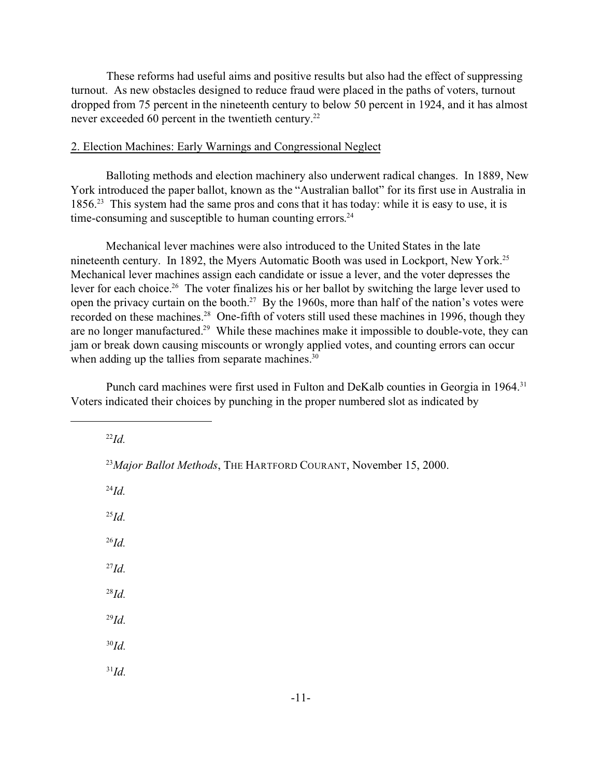These reforms had useful aims and positive results but also had the effect of suppressing turnout. As new obstacles designed to reduce fraud were placed in the paths of voters, turnout dropped from 75 percent in the nineteenth century to below 50 percent in 1924, and it has almost never exceeded 60 percent in the twentieth century.<sup>22</sup>

#### 2. Election Machines: Early Warnings and Congressional Neglect

Balloting methods and election machinery also underwent radical changes. In 1889, New York introduced the paper ballot, known as the "Australian ballot" for its first use in Australia in 1856.<sup>23</sup> This system had the same pros and cons that it has today: while it is easy to use, it is time-consuming and susceptible to human counting errors.<sup>24</sup>

Mechanical lever machines were also introduced to the United States in the late nineteenth century. In 1892, the Myers Automatic Booth was used in Lockport, New York.<sup>25</sup> Mechanical lever machines assign each candidate or issue a lever, and the voter depresses the lever for each choice.<sup>26</sup> The voter finalizes his or her ballot by switching the large lever used to open the privacy curtain on the booth.<sup>27</sup> By the 1960s, more than half of the nation's votes were recorded on these machines.<sup>28</sup> One-fifth of voters still used these machines in 1996, though they are no longer manufactured.<sup>29</sup> While these machines make it impossible to double-vote, they can jam or break down causing miscounts or wrongly applied votes, and counting errors can occur when adding up the tallies from separate machines.<sup>30</sup>

Punch card machines were first used in Fulton and DeKalb counties in Georgia in 1964.<sup>31</sup> Voters indicated their choices by punching in the proper numbered slot as indicated by

<sup>22</sup>*Id.*

<sup>24</sup>*Id.*

<sup>25</sup>*Id.*

<sup>26</sup>*Id.*

<sup>27</sup>*Id.*

<sup>28</sup>*Id.*

<sup>29</sup>*Id.*

<sup>30</sup>*Id.*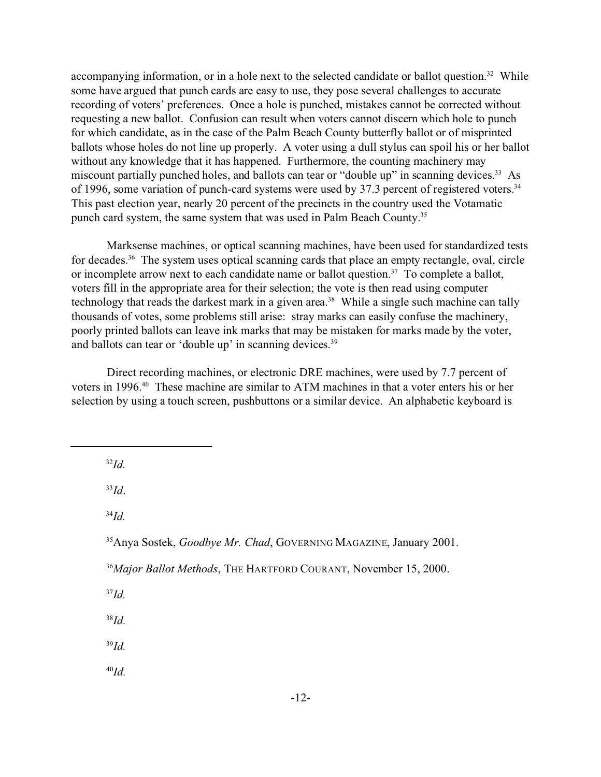accompanying information, or in a hole next to the selected candidate or ballot question.<sup>32</sup> While some have argued that punch cards are easy to use, they pose several challenges to accurate recording of voters' preferences. Once a hole is punched, mistakes cannot be corrected without requesting a new ballot. Confusion can result when voters cannot discern which hole to punch for which candidate, as in the case of the Palm Beach County butterfly ballot or of misprinted ballots whose holes do not line up properly. A voter using a dull stylus can spoil his or her ballot without any knowledge that it has happened. Furthermore, the counting machinery may miscount partially punched holes, and ballots can tear or "double up" in scanning devices.<sup>33</sup> As of 1996, some variation of punch-card systems were used by 37.3 percent of registered voters.<sup>34</sup> This past election year, nearly 20 percent of the precincts in the country used the Votamatic punch card system, the same system that was used in Palm Beach County.<sup>35</sup>

Marksense machines, or optical scanning machines, have been used for standardized tests for decades.<sup>36</sup> The system uses optical scanning cards that place an empty rectangle, oval, circle or incomplete arrow next to each candidate name or ballot question.<sup>37</sup> To complete a ballot, voters fill in the appropriate area for their selection; the vote is then read using computer technology that reads the darkest mark in a given area.<sup>38</sup> While a single such machine can tally thousands of votes, some problems still arise: stray marks can easily confuse the machinery, poorly printed ballots can leave ink marks that may be mistaken for marks made by the voter, and ballots can tear or 'double up' in scanning devices.<sup>39</sup>

Direct recording machines, or electronic DRE machines, were used by 7.7 percent of voters in 1996.<sup>40</sup> These machine are similar to ATM machines in that a voter enters his or her selection by using a touch screen, pushbuttons or a similar device. An alphabetic keyboard is

<sup>32</sup>*Id.*

<sup>33</sup>*Id*.

<sup>34</sup>*Id.*

<sup>37</sup>*Id.*

<sup>38</sup>*Id.*

<sup>39</sup>*Id.*

<sup>35</sup>Anya Sostek, *Goodbye Mr. Chad*, GOVERNING MAGAZINE, January 2001.

<sup>36</sup>*Major Ballot Methods*, THE HARTFORD COURANT, November 15, 2000.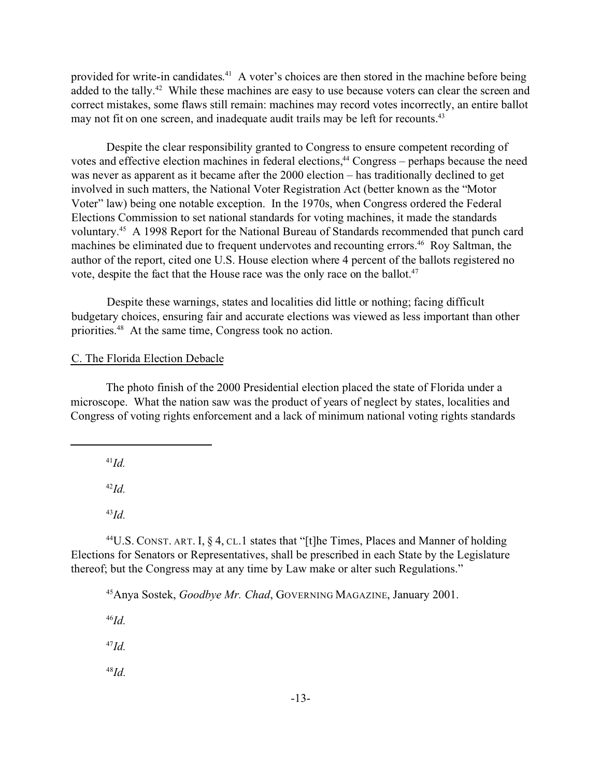provided for write-in candidates.<sup>41</sup> A voter's choices are then stored in the machine before being added to the tally.<sup>42</sup> While these machines are easy to use because voters can clear the screen and correct mistakes, some flaws still remain: machines may record votes incorrectly, an entire ballot may not fit on one screen, and inadequate audit trails may be left for recounts.<sup>43</sup>

Despite the clear responsibility granted to Congress to ensure competent recording of votes and effective election machines in federal elections,<sup>44</sup> Congress – perhaps because the need was never as apparent as it became after the 2000 election – has traditionally declined to get involved in such matters, the National Voter Registration Act (better known as the "Motor Voter" law) being one notable exception. In the 1970s, when Congress ordered the Federal Elections Commission to set national standards for voting machines, it made the standards voluntary.<sup>45</sup> A 1998 Report for the National Bureau of Standards recommended that punch card machines be eliminated due to frequent undervotes and recounting errors.<sup>46</sup> Roy Saltman, the author of the report, cited one U.S. House election where 4 percent of the ballots registered no vote, despite the fact that the House race was the only race on the ballot.<sup>47</sup>

Despite these warnings, states and localities did little or nothing; facing difficult budgetary choices, ensuring fair and accurate elections was viewed as less important than other priorities.<sup>48</sup> At the same time, Congress took no action.

#### C. The Florida Election Debacle

The photo finish of the 2000 Presidential election placed the state of Florida under a microscope. What the nation saw was the product of years of neglect by states, localities and Congress of voting rights enforcement and a lack of minimum national voting rights standards

<sup>41</sup>*Id.*

<sup>42</sup>*Id.*

<sup>43</sup>*Id.*

<sup>44</sup>U.S. CONST. ART. I,  $\S$  4, CL.1 states that "[t]he Times, Places and Manner of holding Elections for Senators or Representatives, shall be prescribed in each State by the Legislature thereof; but the Congress may at any time by Law make or alter such Regulations."

<sup>45</sup>Anya Sostek, *Goodbye Mr. Chad*, GOVERNING MAGAZINE, January 2001.

<sup>46</sup>*Id.*

<sup>47</sup>*Id.*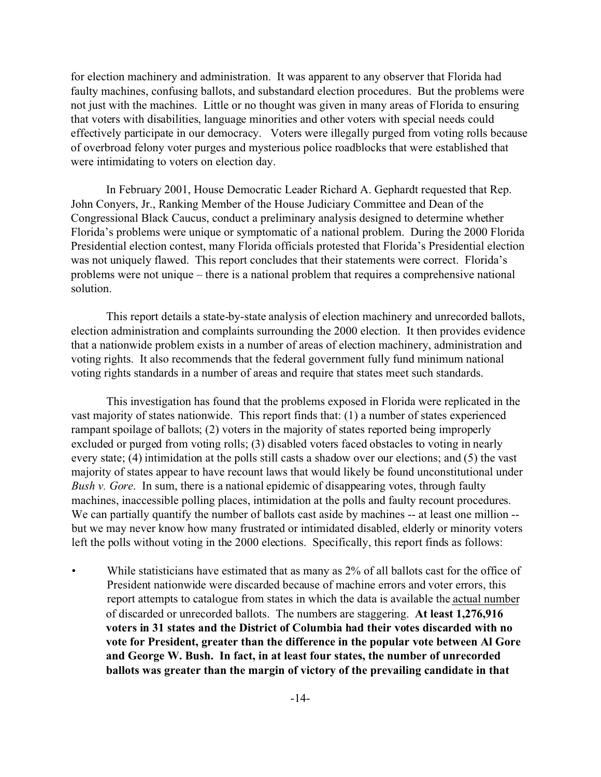for election machinery and administration. It was apparent to any observer that Florida had faulty machines, confusing ballots, and substandard election procedures. But the problems were not just with the machines. Little or no thought was given in many areas of Florida to ensuring that voters with disabilities, language minorities and other voters with special needs could effectively participate in our democracy. Voters were illegally purged from voting rolls because of overbroad felony voter purges and mysterious police roadblocks that were established that were intimidating to voters on election day.

In February 2001, House Democratic Leader Richard A. Gephardt requested that Rep. John Conyers, Jr., Ranking Member of the House Judiciary Committee and Dean of the Congressional Black Caucus, conduct a preliminary analysis designed to determine whether Florida's problems were unique or symptomatic of a national problem. During the 2000 Florida Presidential election contest, many Florida officials protested that Florida's Presidential election was not uniquely flawed. This report concludes that their statements were correct. Florida's problems were not unique – there is a national problem that requires a comprehensive national solution.

This report details a state-by-state analysis of election machinery and unrecorded ballots, election administration and complaints surrounding the 2000 election. It then provides evidence that a nationwide problem exists in a number of areas of election machinery, administration and voting rights. It also recommends that the federal government fully fund minimum national voting rights standards in a number of areas and require that states meet such standards.

This investigation has found that the problems exposed in Florida were replicated in the vast majority of states nationwide. This report finds that: (1) a number of states experienced rampant spoilage of ballots; (2) voters in the majority of states reported being improperly excluded or purged from voting rolls; (3) disabled voters faced obstacles to voting in nearly every state; (4) intimidation at the polls still casts a shadow over our elections; and (5) the vast majority of states appear to have recount laws that would likely be found unconstitutional under *Bush v. Gore*. In sum, there is a national epidemic of disappearing votes, through faulty machines, inaccessible polling places, intimidation at the polls and faulty recount procedures. We can partially quantify the number of ballots cast aside by machines -- at least one million -but we may never know how many frustrated or intimidated disabled, elderly or minority voters left the polls without voting in the 2000 elections. Specifically, this report finds as follows:

While statisticians have estimated that as many as 2% of all ballots cast for the office of President nationwide were discarded because of machine errors and voter errors, this report attempts to catalogue from states in which the data is available the actual number of discarded or unrecorded ballots. The numbers are staggering. **At least 1,276,916 voters in 31 states and the District of Columbia had their votes discarded with no vote for President, greater than the difference in the popular vote between Al Gore and George W. Bush. In fact, in at least four states, the number of unrecorded ballots was greater than the margin of victory of the prevailing candidate in that**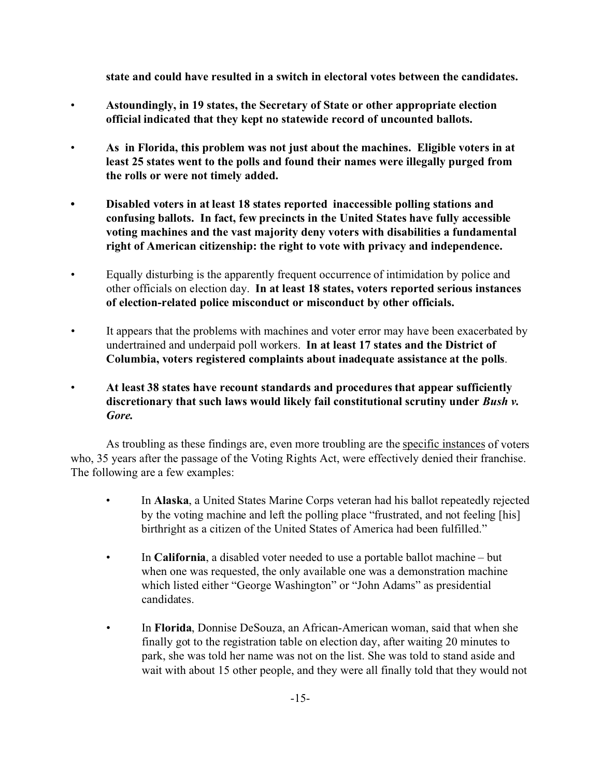**state and could have resulted in a switch in electoral votes between the candidates.** 

- **Astoundingly, in 19 states, the Secretary of State or other appropriate election official indicated that they kept no statewide record of uncounted ballots.**
- **As in Florida, this problem was not just about the machines. Eligible voters in at least 25 states went to the polls and found their names were illegally purged from the rolls or were not timely added.**
- **• Disabled voters in at least 18 states reported inaccessible polling stations and confusing ballots. In fact, few precincts in the United States have fully accessible voting machines and the vast majority deny voters with disabilities a fundamental right of American citizenship: the right to vote with privacy and independence.**
- Equally disturbing is the apparently frequent occurrence of intimidation by police and other officials on election day. **In at least 18 states, voters reported serious instances of election-related police misconduct or misconduct by other officials.**
- It appears that the problems with machines and voter error may have been exacerbated by undertrained and underpaid poll workers. **In at least 17 states and the District of Columbia, voters registered complaints about inadequate assistance at the polls**.
- **At least 38 states have recount standards and procedures that appear sufficiently discretionary that such laws would likely fail constitutional scrutiny under** *Bush v. Gore.*

As troubling as these findings are, even more troubling are the specific instances of voters who, 35 years after the passage of the Voting Rights Act, were effectively denied their franchise. The following are a few examples:

- In **Alaska**, a United States Marine Corps veteran had his ballot repeatedly rejected by the voting machine and left the polling place "frustrated, and not feeling [his] birthright as a citizen of the United States of America had been fulfilled."
- In **California**, a disabled voter needed to use a portable ballot machine but when one was requested, the only available one was a demonstration machine which listed either "George Washington" or "John Adams" as presidential candidates.
- In **Florida**, Donnise DeSouza, an African-American woman, said that when she finally got to the registration table on election day, after waiting 20 minutes to park, she was told her name was not on the list. She was told to stand aside and wait with about 15 other people, and they were all finally told that they would not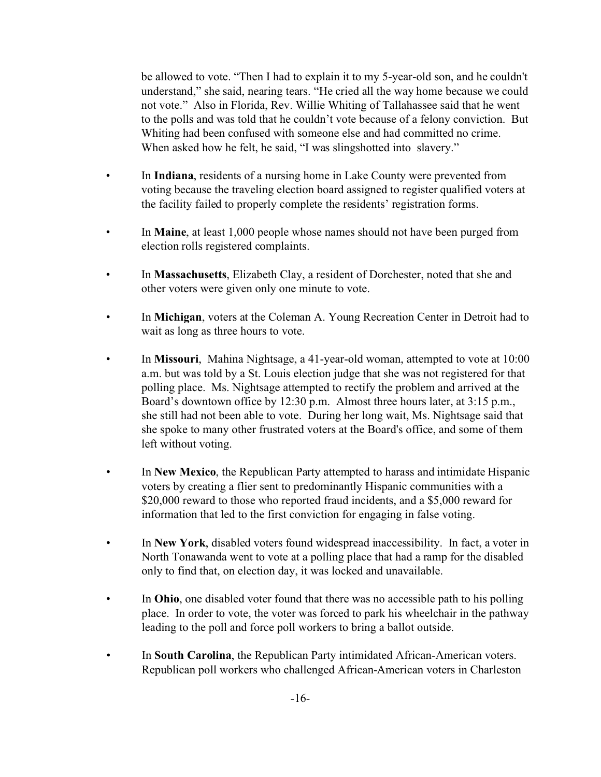be allowed to vote. "Then I had to explain it to my 5-year-old son, and he couldn't understand," she said, nearing tears. "He cried all the way home because we could not vote." Also in Florida, Rev. Willie Whiting of Tallahassee said that he went to the polls and was told that he couldn't vote because of a felony conviction. But Whiting had been confused with someone else and had committed no crime. When asked how he felt, he said, "I was slingshotted into slavery."

- In **Indiana**, residents of a nursing home in Lake County were prevented from voting because the traveling election board assigned to register qualified voters at the facility failed to properly complete the residents' registration forms.
- In **Maine**, at least 1,000 people whose names should not have been purged from election rolls registered complaints.
- In **Massachusetts**, Elizabeth Clay, a resident of Dorchester, noted that she and other voters were given only one minute to vote.
- In **Michigan**, voters at the Coleman A. Young Recreation Center in Detroit had to wait as long as three hours to vote.
- In **Missouri**, Mahina Nightsage, a 41-year-old woman, attempted to vote at 10:00 a.m. but was told by a St. Louis election judge that she was not registered for that polling place. Ms. Nightsage attempted to rectify the problem and arrived at the Board's downtown office by 12:30 p.m. Almost three hours later, at 3:15 p.m., she still had not been able to vote. During her long wait, Ms. Nightsage said that she spoke to many other frustrated voters at the Board's office, and some of them left without voting.
- In **New Mexico**, the Republican Party attempted to harass and intimidate Hispanic voters by creating a flier sent to predominantly Hispanic communities with a \$20,000 reward to those who reported fraud incidents, and a \$5,000 reward for information that led to the first conviction for engaging in false voting.
- In **New York**, disabled voters found widespread inaccessibility. In fact, a voter in North Tonawanda went to vote at a polling place that had a ramp for the disabled only to find that, on election day, it was locked and unavailable.
- In **Ohio**, one disabled voter found that there was no accessible path to his polling place. In order to vote, the voter was forced to park his wheelchair in the pathway leading to the poll and force poll workers to bring a ballot outside.
- In **South Carolina**, the Republican Party intimidated African-American voters. Republican poll workers who challenged African-American voters in Charleston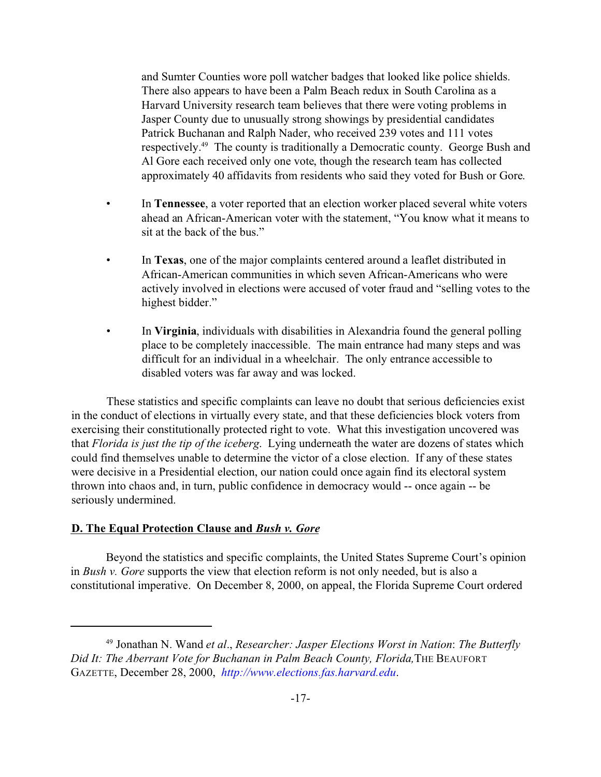and Sumter Counties wore poll watcher badges that looked like police shields. There also appears to have been a Palm Beach redux in South Carolina as a Harvard University research team believes that there were voting problems in Jasper County due to unusually strong showings by presidential candidates Patrick Buchanan and Ralph Nader, who received 239 votes and 111 votes respectively.<sup>49</sup> The county is traditionally a Democratic county. George Bush and Al Gore each received only one vote, though the research team has collected approximately 40 affidavits from residents who said they voted for Bush or Gore.

- In **Tennessee**, a voter reported that an election worker placed several white voters ahead an African-American voter with the statement, "You know what it means to sit at the back of the bus."
- In **Texas**, one of the major complaints centered around a leaflet distributed in African-American communities in which seven African-Americans who were actively involved in elections were accused of voter fraud and "selling votes to the highest bidder."
- In **Virginia**, individuals with disabilities in Alexandria found the general polling place to be completely inaccessible. The main entrance had many steps and was difficult for an individual in a wheelchair. The only entrance accessible to disabled voters was far away and was locked.

These statistics and specific complaints can leave no doubt that serious deficiencies exist in the conduct of elections in virtually every state, and that these deficiencies block voters from exercising their constitutionally protected right to vote. What this investigation uncovered was that *Florida is just the tip of the iceberg*. Lying underneath the water are dozens of states which could find themselves unable to determine the victor of a close election. If any of these states were decisive in a Presidential election, our nation could once again find its electoral system thrown into chaos and, in turn, public confidence in democracy would -- once again -- be seriously undermined.

## **D. The Equal Protection Clause and** *Bush v. Gore*

Beyond the statistics and specific complaints, the United States Supreme Court's opinion in *Bush v. Gore* supports the view that election reform is not only needed, but is also a constitutional imperative. On December 8, 2000, on appeal, the Florida Supreme Court ordered

<sup>49</sup> Jonathan N. Wand *et al*., *Researcher: Jasper Elections Worst in Nation*: *The Butterfly Did It: The Aberrant Vote for Buchanan in Palm Beach County, Florida,*THE BEAUFORT GAZETTE, December 28, 2000, *http://www.elections.fas.harvard.edu*.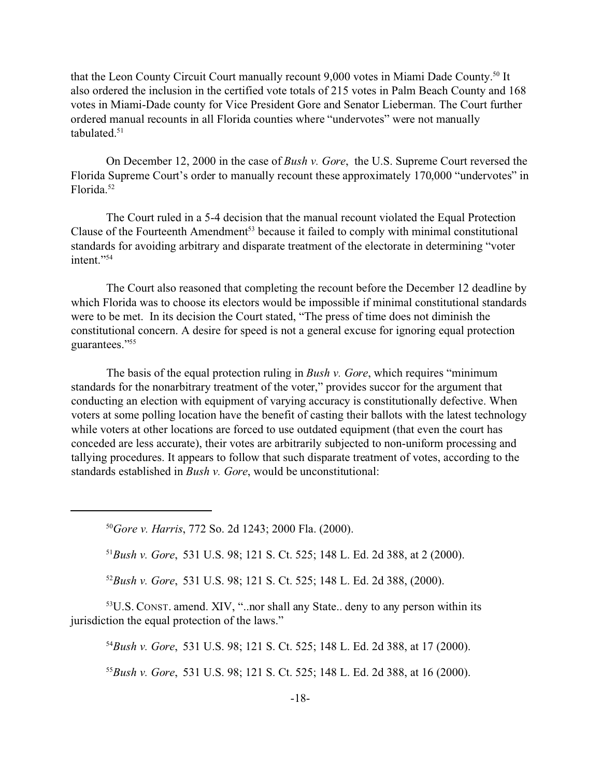that the Leon County Circuit Court manually recount 9,000 votes in Miami Dade County.<sup>50</sup> It also ordered the inclusion in the certified vote totals of 215 votes in Palm Beach County and 168 votes in Miami-Dade county for Vice President Gore and Senator Lieberman. The Court further ordered manual recounts in all Florida counties where "undervotes" were not manually tabulated.<sup>51</sup>

On December 12, 2000 in the case of *Bush v. Gore*, the U.S. Supreme Court reversed the Florida Supreme Court's order to manually recount these approximately 170,000 "undervotes" in Florida.<sup>52</sup>

The Court ruled in a 5-4 decision that the manual recount violated the Equal Protection Clause of the Fourteenth Amendment<sup>53</sup> because it failed to comply with minimal constitutional standards for avoiding arbitrary and disparate treatment of the electorate in determining "voter intent."<sup>54</sup>

The Court also reasoned that completing the recount before the December 12 deadline by which Florida was to choose its electors would be impossible if minimal constitutional standards were to be met. In its decision the Court stated, "The press of time does not diminish the constitutional concern. A desire for speed is not a general excuse for ignoring equal protection guarantees."<sup>55</sup>

The basis of the equal protection ruling in *Bush v. Gore*, which requires "minimum standards for the nonarbitrary treatment of the voter," provides succor for the argument that conducting an election with equipment of varying accuracy is constitutionally defective. When voters at some polling location have the benefit of casting their ballots with the latest technology while voters at other locations are forced to use outdated equipment (that even the court has conceded are less accurate), their votes are arbitrarily subjected to non-uniform processing and tallying procedures. It appears to follow that such disparate treatment of votes, according to the standards established in *Bush v. Gore*, would be unconstitutional:

<sup>50</sup>*Gore v. Harris*, 772 So. 2d 1243; 2000 Fla. (2000).

<sup>51</sup>*Bush v. Gore*, 531 U.S. 98; 121 S. Ct. 525; 148 L. Ed. 2d 388, at 2 (2000).

<sup>52</sup>*Bush v. Gore*, 531 U.S. 98; 121 S. Ct. 525; 148 L. Ed. 2d 388, (2000).

<sup>53</sup>U.S. CONST. amend. XIV, "..nor shall any State.. deny to any person within its jurisdiction the equal protection of the laws."

<sup>54</sup>*Bush v. Gore*, 531 U.S. 98; 121 S. Ct. 525; 148 L. Ed. 2d 388, at 17 (2000).

<sup>55</sup>*Bush v. Gore*, 531 U.S. 98; 121 S. Ct. 525; 148 L. Ed. 2d 388, at 16 (2000).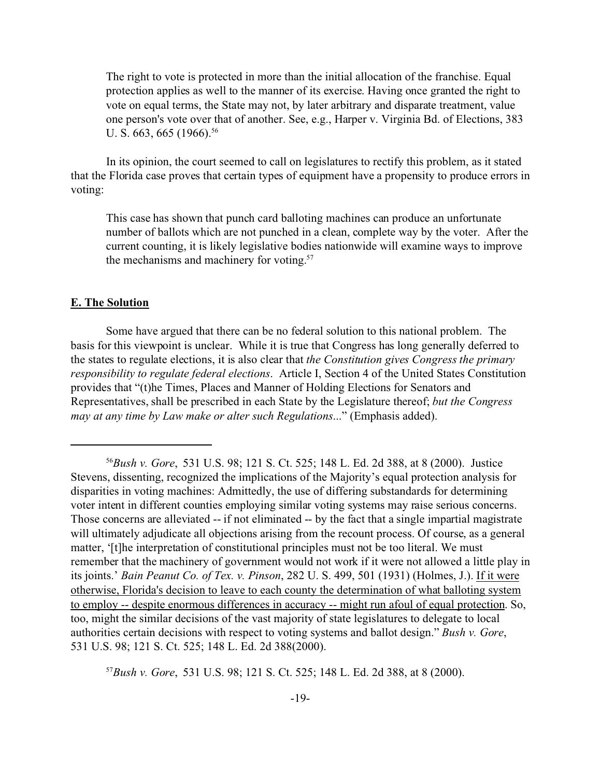The right to vote is protected in more than the initial allocation of the franchise. Equal protection applies as well to the manner of its exercise. Having once granted the right to vote on equal terms, the State may not, by later arbitrary and disparate treatment, value one person's vote over that of another. See, e.g., Harper v. Virginia Bd. of Elections, 383 U. S.  $663$ ,  $665$  (1966).<sup>56</sup>

In its opinion, the court seemed to call on legislatures to rectify this problem, as it stated that the Florida case proves that certain types of equipment have a propensity to produce errors in voting:

This case has shown that punch card balloting machines can produce an unfortunate number of ballots which are not punched in a clean, complete way by the voter. After the current counting, it is likely legislative bodies nationwide will examine ways to improve the mechanisms and machinery for voting.<sup>57</sup>

#### **E. The Solution**

Some have argued that there can be no federal solution to this national problem. The basis for this viewpoint is unclear. While it is true that Congress has long generally deferred to the states to regulate elections, it is also clear that *the Constitution gives Congress the primary responsibility to regulate federal elections*. Article I, Section 4 of the United States Constitution provides that "(t)he Times, Places and Manner of Holding Elections for Senators and Representatives, shall be prescribed in each State by the Legislature thereof; *but the Congress may at any time by Law make or alter such Regulations*..." (Emphasis added).

<sup>57</sup>*Bush v. Gore*, 531 U.S. 98; 121 S. Ct. 525; 148 L. Ed. 2d 388, at 8 (2000).

<sup>56</sup>*Bush v. Gore*, 531 U.S. 98; 121 S. Ct. 525; 148 L. Ed. 2d 388, at 8 (2000). Justice Stevens, dissenting, recognized the implications of the Majority's equal protection analysis for disparities in voting machines: Admittedly, the use of differing substandards for determining voter intent in different counties employing similar voting systems may raise serious concerns. Those concerns are alleviated -- if not eliminated -- by the fact that a single impartial magistrate will ultimately adjudicate all objections arising from the recount process. Of course, as a general matter, '[t]he interpretation of constitutional principles must not be too literal. We must remember that the machinery of government would not work if it were not allowed a little play in its joints.' *Bain Peanut Co. of Tex. v. Pinson*, 282 U. S. 499, 501 (1931) (Holmes, J.). If it were otherwise, Florida's decision to leave to each county the determination of what balloting system to employ -- despite enormous differences in accuracy -- might run afoul of equal protection. So, too, might the similar decisions of the vast majority of state legislatures to delegate to local authorities certain decisions with respect to voting systems and ballot design." *Bush v. Gore*, 531 U.S. 98; 121 S. Ct. 525; 148 L. Ed. 2d 388(2000).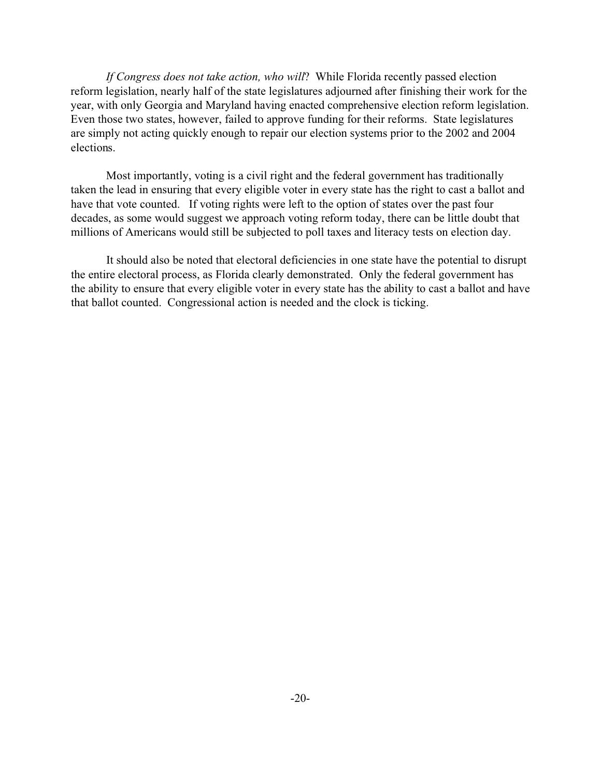*If Congress does not take action, who will*? While Florida recently passed election reform legislation, nearly half of the state legislatures adjourned after finishing their work for the year, with only Georgia and Maryland having enacted comprehensive election reform legislation. Even those two states, however, failed to approve funding for their reforms. State legislatures are simply not acting quickly enough to repair our election systems prior to the 2002 and 2004 elections.

Most importantly, voting is a civil right and the federal government has traditionally taken the lead in ensuring that every eligible voter in every state has the right to cast a ballot and have that vote counted. If voting rights were left to the option of states over the past four decades, as some would suggest we approach voting reform today, there can be little doubt that millions of Americans would still be subjected to poll taxes and literacy tests on election day.

It should also be noted that electoral deficiencies in one state have the potential to disrupt the entire electoral process, as Florida clearly demonstrated. Only the federal government has the ability to ensure that every eligible voter in every state has the ability to cast a ballot and have that ballot counted. Congressional action is needed and the clock is ticking.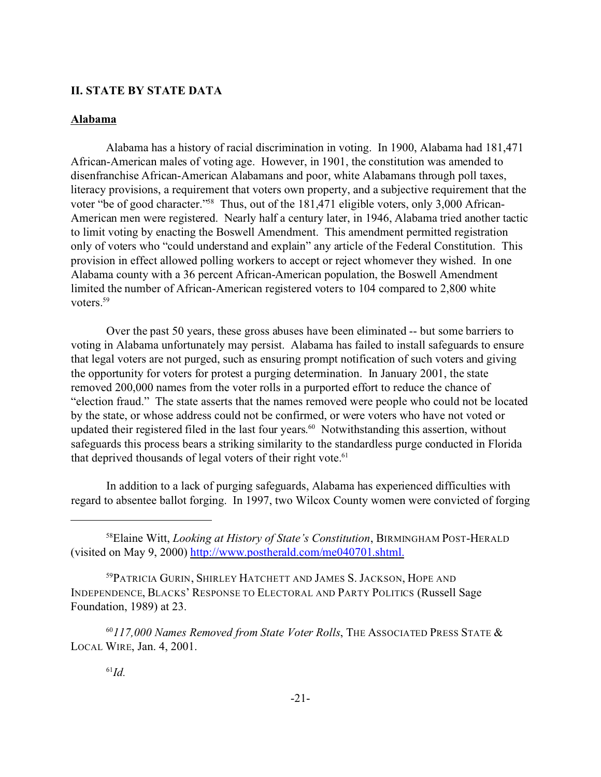## **II. STATE BY STATE DATA**

#### **Alabama**

Alabama has a history of racial discrimination in voting. In 1900, Alabama had 181,471 African-American males of voting age. However, in 1901, the constitution was amended to disenfranchise African-American Alabamans and poor, white Alabamans through poll taxes, literacy provisions, a requirement that voters own property, and a subjective requirement that the voter "be of good character."<sup>58</sup> Thus, out of the 181,471 eligible voters, only 3,000 African-American men were registered. Nearly half a century later, in 1946, Alabama tried another tactic to limit voting by enacting the Boswell Amendment. This amendment permitted registration only of voters who "could understand and explain" any article of the Federal Constitution. This provision in effect allowed polling workers to accept or reject whomever they wished. In one Alabama county with a 36 percent African-American population, the Boswell Amendment limited the number of African-American registered voters to 104 compared to 2,800 white voters.<sup>59</sup>

Over the past 50 years, these gross abuses have been eliminated -- but some barriers to voting in Alabama unfortunately may persist. Alabama has failed to install safeguards to ensure that legal voters are not purged, such as ensuring prompt notification of such voters and giving the opportunity for voters for protest a purging determination. In January 2001, the state removed 200,000 names from the voter rolls in a purported effort to reduce the chance of "election fraud." The state asserts that the names removed were people who could not be located by the state, or whose address could not be confirmed, or were voters who have not voted or updated their registered filed in the last four years. <sup>60</sup> Notwithstanding this assertion, without safeguards this process bears a striking similarity to the standardless purge conducted in Florida that deprived thousands of legal voters of their right vote.<sup>61</sup>

In addition to a lack of purging safeguards, Alabama has experienced difficulties with regard to absentee ballot forging. In 1997, two Wilcox County women were convicted of forging

<sup>60</sup>*117,000 Names Removed from State Voter Rolls*, THE ASSOCIATED PRESS STATE & LOCAL WIRE, Jan. 4, 2001.

<sup>58</sup>Elaine Witt, *Looking at History of State's Constitution*, BIRMINGHAM POST-HERALD (visited on May 9, 2000) http://www.postherald.com/me040701.shtml.

<sup>59</sup>PATRICIA GURIN, SHIRLEY HATCHETT AND JAMES S. JACKSON, HOPE AND INDEPENDENCE, BLACKS' RESPONSE TO ELECTORAL AND PARTY POLITICS (Russell Sage Foundation, 1989) at 23.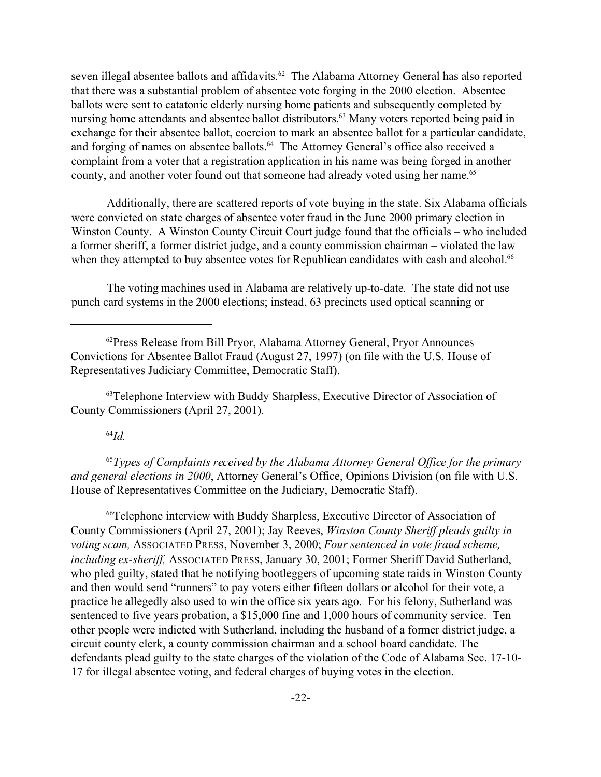seven illegal absentee ballots and affidavits.<sup>62</sup> The Alabama Attorney General has also reported that there was a substantial problem of absentee vote forging in the 2000 election. Absentee ballots were sent to catatonic elderly nursing home patients and subsequently completed by nursing home attendants and absentee ballot distributors.<sup>63</sup> Many voters reported being paid in exchange for their absentee ballot, coercion to mark an absentee ballot for a particular candidate, and forging of names on absentee ballots.<sup>64</sup> The Attorney General's office also received a complaint from a voter that a registration application in his name was being forged in another county, and another voter found out that someone had already voted using her name.<sup>65</sup>

Additionally, there are scattered reports of vote buying in the state. Six Alabama officials were convicted on state charges of absentee voter fraud in the June 2000 primary election in Winston County. A Winston County Circuit Court judge found that the officials – who included a former sheriff, a former district judge, and a county commission chairman – violated the law when they attempted to buy absentee votes for Republican candidates with cash and alcohol.<sup>66</sup>

The voting machines used in Alabama are relatively up-to-date. The state did not use punch card systems in the 2000 elections; instead, 63 precincts used optical scanning or

<sup>63</sup>Telephone Interview with Buddy Sharpless, Executive Director of Association of County Commissioners (April 27, 2001)*.*

## <sup>64</sup>*Id.*

<sup>65</sup>*Types of Complaints received by the Alabama Attorney General Office for the primary and general elections in 2000*, Attorney General's Office, Opinions Division (on file with U.S. House of Representatives Committee on the Judiciary, Democratic Staff).

<sup>66</sup>Telephone interview with Buddy Sharpless, Executive Director of Association of County Commissioners (April 27, 2001); Jay Reeves, *Winston County Sheriff pleads guilty in voting scam,* ASSOCIATED PRESS, November 3, 2000; *Four sentenced in vote fraud scheme, including ex-sheriff,* ASSOCIATED PRESS, January 30, 2001; Former Sheriff David Sutherland, who pled guilty, stated that he notifying bootleggers of upcoming state raids in Winston County and then would send "runners" to pay voters either fifteen dollars or alcohol for their vote, a practice he allegedly also used to win the office six years ago. For his felony, Sutherland was sentenced to five years probation, a \$15,000 fine and 1,000 hours of community service. Ten other people were indicted with Sutherland, including the husband of a former district judge, a circuit county clerk, a county commission chairman and a school board candidate. The defendants plead guilty to the state charges of the violation of the Code of Alabama Sec. 17-10- 17 for illegal absentee voting, and federal charges of buying votes in the election.

<sup>&</sup>lt;sup>62</sup> Press Release from Bill Pryor, Alabama Attorney General, Pryor Announces Convictions for Absentee Ballot Fraud (August 27, 1997) (on file with the U.S. House of Representatives Judiciary Committee, Democratic Staff).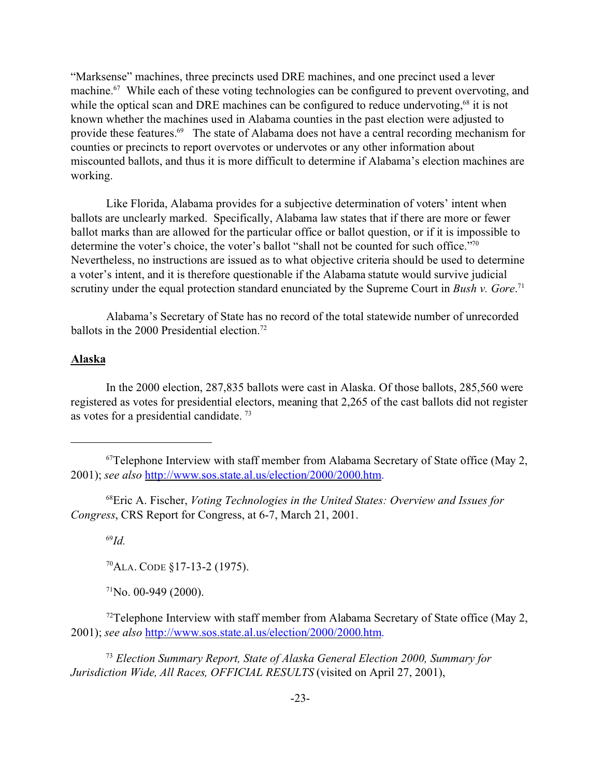"Marksense" machines, three precincts used DRE machines, and one precinct used a lever machine.<sup>67</sup> While each of these voting technologies can be configured to prevent overvoting, and while the optical scan and DRE machines can be configured to reduce undervoting,<sup>68</sup> it is not known whether the machines used in Alabama counties in the past election were adjusted to provide these features.<sup>69</sup> The state of Alabama does not have a central recording mechanism for counties or precincts to report overvotes or undervotes or any other information about miscounted ballots, and thus it is more difficult to determine if Alabama's election machines are working.

Like Florida, Alabama provides for a subjective determination of voters' intent when ballots are unclearly marked. Specifically, Alabama law states that if there are more or fewer ballot marks than are allowed for the particular office or ballot question, or if it is impossible to determine the voter's choice, the voter's ballot "shall not be counted for such office."70 Nevertheless, no instructions are issued as to what objective criteria should be used to determine a voter's intent, and it is therefore questionable if the Alabama statute would survive judicial scrutiny under the equal protection standard enunciated by the Supreme Court in *Bush v. Gore*. 71

Alabama's Secretary of State has no record of the total statewide number of unrecorded ballots in the 2000 Presidential election.<sup>72</sup>

#### **Alaska**

In the 2000 election, 287,835 ballots were cast in Alaska. Of those ballots, 285,560 were registered as votes for presidential electors, meaning that 2,265 of the cast ballots did not register as votes for a presidential candidate. 73

<sup>68</sup>Eric A. Fischer, *Voting Technologies in the United States: Overview and Issues for Congress*, CRS Report for Congress, at 6-7, March 21, 2001.

<sup>69</sup>*Id.*

<sup>70</sup>ALA. CODE §17-13-2 (1975).

 $71$ No. 00-949 (2000).

<sup>73</sup> *Election Summary Report, State of Alaska General Election 2000, Summary for Jurisdiction Wide, All Races, OFFICIAL RESULTS* (visited on April 27, 2001),

 $67$ Telephone Interview with staff member from Alabama Secretary of State office (May 2, 2001); *see also* http://www.sos.state.al.us/election/2000/2000.htm.

 $72$ Telephone Interview with staff member from Alabama Secretary of State office (May 2, 2001); *see also* http://www.sos.state.al.us/election/2000/2000.htm.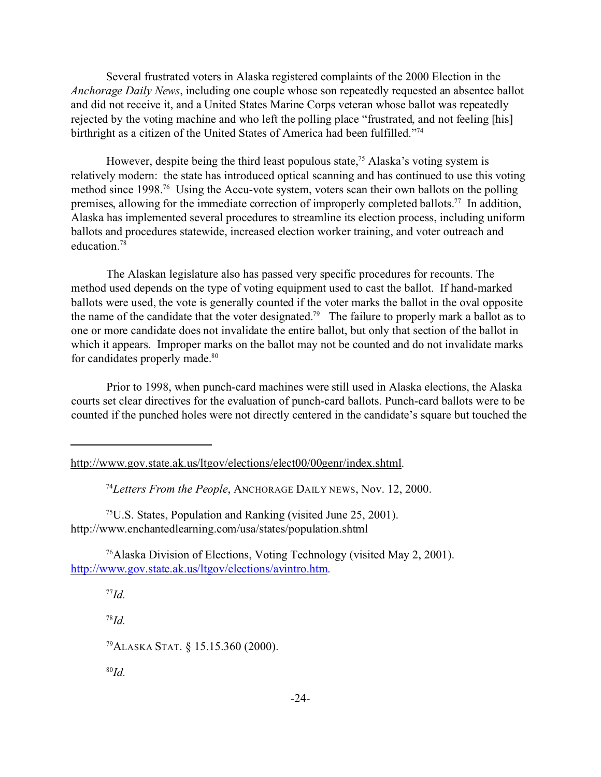Several frustrated voters in Alaska registered complaints of the 2000 Election in the *Anchorage Daily News*, including one couple whose son repeatedly requested an absentee ballot and did not receive it, and a United States Marine Corps veteran whose ballot was repeatedly rejected by the voting machine and who left the polling place "frustrated, and not feeling [his] birthright as a citizen of the United States of America had been fulfilled."<sup>74</sup>

However, despite being the third least populous state,<sup>75</sup> Alaska's voting system is relatively modern: the state has introduced optical scanning and has continued to use this voting method since 1998.<sup>76</sup> Using the Accu-vote system, voters scan their own ballots on the polling premises, allowing for the immediate correction of improperly completed ballots.<sup>77</sup> In addition, Alaska has implemented several procedures to streamline its election process, including uniform ballots and procedures statewide, increased election worker training, and voter outreach and education<sup>78</sup>

The Alaskan legislature also has passed very specific procedures for recounts. The method used depends on the type of voting equipment used to cast the ballot. If hand-marked ballots were used, the vote is generally counted if the voter marks the ballot in the oval opposite the name of the candidate that the voter designated.<sup>79</sup> The failure to properly mark a ballot as to one or more candidate does not invalidate the entire ballot, but only that section of the ballot in which it appears. Improper marks on the ballot may not be counted and do not invalidate marks for candidates properly made.<sup>80</sup>

Prior to 1998, when punch-card machines were still used in Alaska elections, the Alaska courts set clear directives for the evaluation of punch-card ballots. Punch-card ballots were to be counted if the punched holes were not directly centered in the candidate's square but touched the

<sup>74</sup>*Letters From the People*, ANCHORAGE DAILY NEWS, Nov. 12, 2000.

<sup>75</sup>U.S. States, Population and Ranking (visited June 25, 2001). http://www.enchantedlearning.com/usa/states/population.shtml

<sup>76</sup>Alaska Division of Elections, Voting Technology (visited May 2, 2001). http://www.gov.state.ak.us/ltgov/elections/avintro.htm.

<sup>77</sup>*Id.*

<sup>78</sup>*Id.*

<sup>79</sup>ALASKA STAT. § 15.15.360 (2000).

http://www.gov.state.ak.us/ltgov/elections/elect00/00genr/index.shtml.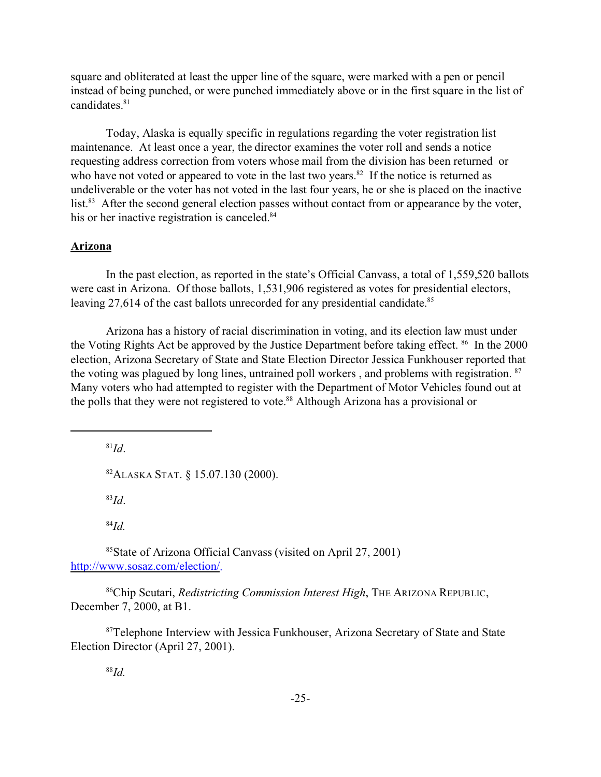square and obliterated at least the upper line of the square, were marked with a pen or pencil instead of being punched, or were punched immediately above or in the first square in the list of candidates.<sup>81</sup>

Today, Alaska is equally specific in regulations regarding the voter registration list maintenance. At least once a year, the director examines the voter roll and sends a notice requesting address correction from voters whose mail from the division has been returned or who have not voted or appeared to vote in the last two years. $82$  If the notice is returned as undeliverable or the voter has not voted in the last four years, he or she is placed on the inactive list.<sup>83</sup> After the second general election passes without contact from or appearance by the voter, his or her inactive registration is canceled.<sup>84</sup>

## **Arizona**

In the past election, as reported in the state's Official Canvass, a total of 1,559,520 ballots were cast in Arizona. Of those ballots, 1,531,906 registered as votes for presidential electors, leaving 27,614 of the cast ballots unrecorded for any presidential candidate.<sup>85</sup>

Arizona has a history of racial discrimination in voting, and its election law must under the Voting Rights Act be approved by the Justice Department before taking effect. <sup>86</sup> In the 2000 election, Arizona Secretary of State and State Election Director Jessica Funkhouser reported that the voting was plagued by long lines, untrained poll workers , and problems with registration. <sup>87</sup> Many voters who had attempted to register with the Department of Motor Vehicles found out at the polls that they were not registered to vote.<sup>88</sup> Although Arizona has a provisional or

<sup>81</sup>*Id*.

<sup>82</sup>ALASKA STAT. § 15.07.130 (2000).

<sup>83</sup>*Id*.

<sup>84</sup>*Id.*

<sup>85</sup>State of Arizona Official Canvass (visited on April 27, 2001) http://www.sosaz.com/election/.

<sup>86</sup>Chip Scutari, *Redistricting Commission Interest High*, THE ARIZONA REPUBLIC, December 7, 2000, at B1.

<sup>87</sup>Telephone Interview with Jessica Funkhouser, Arizona Secretary of State and State Election Director (April 27, 2001).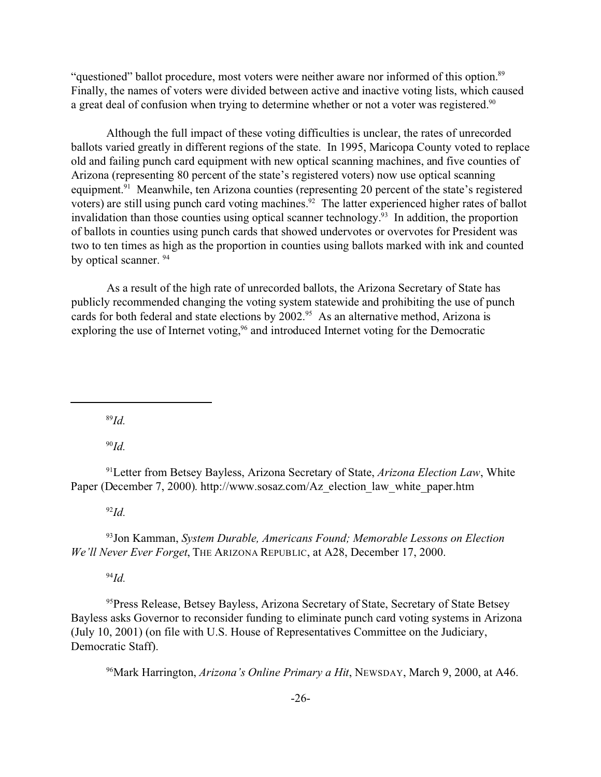"questioned" ballot procedure, most voters were neither aware nor informed of this option.<sup>89</sup> Finally, the names of voters were divided between active and inactive voting lists, which caused a great deal of confusion when trying to determine whether or not a voter was registered.<sup>90</sup>

Although the full impact of these voting difficulties is unclear, the rates of unrecorded ballots varied greatly in different regions of the state. In 1995, Maricopa County voted to replace old and failing punch card equipment with new optical scanning machines, and five counties of Arizona (representing 80 percent of the state's registered voters) now use optical scanning equipment.<sup>91</sup> Meanwhile, ten Arizona counties (representing 20 percent of the state's registered voters) are still using punch card voting machines.<sup>92</sup> The latter experienced higher rates of ballot invalidation than those counties using optical scanner technology.<sup>93</sup> In addition, the proportion of ballots in counties using punch cards that showed undervotes or overvotes for President was two to ten times as high as the proportion in counties using ballots marked with ink and counted by optical scanner.<sup>94</sup>

As a result of the high rate of unrecorded ballots, the Arizona Secretary of State has publicly recommended changing the voting system statewide and prohibiting the use of punch cards for both federal and state elections by 2002.<sup>95</sup> As an alternative method, Arizona is exploring the use of Internet voting,<sup>96</sup> and introduced Internet voting for the Democratic

<sup>89</sup>*Id.*

<sup>90</sup>*Id.*

<sup>91</sup>Letter from Betsey Bayless, Arizona Secretary of State, *Arizona Election Law*, White Paper (December 7, 2000). http://www.sosaz.com/Az\_election\_law\_white\_paper.htm

<sup>92</sup>*Id.*

<sup>93</sup>Jon Kamman, *System Durable, Americans Found; Memorable Lessons on Election We'll Never Ever Forget*, THE ARIZONA REPUBLIC, at A28, December 17, 2000.

<sup>94</sup>*Id.*

<sup>95</sup>Press Release, Betsey Bayless, Arizona Secretary of State, Secretary of State Betsey Bayless asks Governor to reconsider funding to eliminate punch card voting systems in Arizona (July 10, 2001) (on file with U.S. House of Representatives Committee on the Judiciary, Democratic Staff).

<sup>96</sup>Mark Harrington, *Arizona's Online Primary a Hit*, NEWSDAY, March 9, 2000, at A46.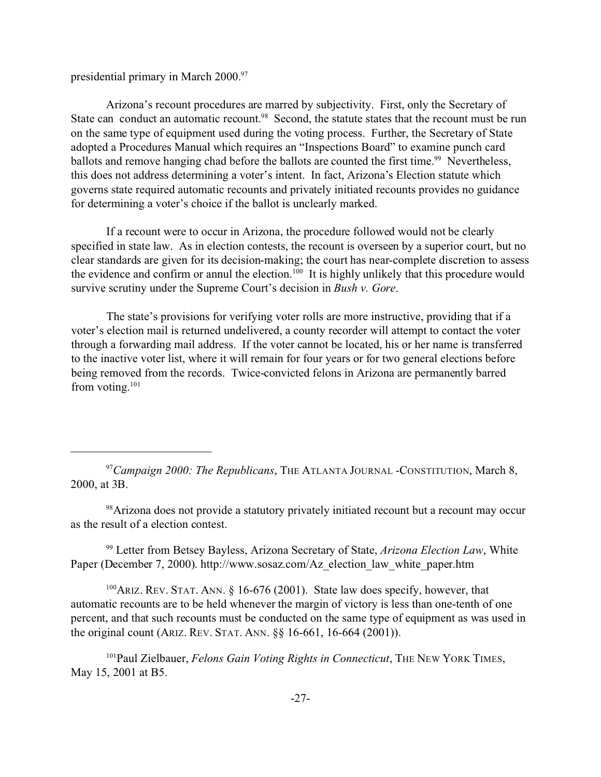presidential primary in March 2000.<sup>97</sup>

Arizona's recount procedures are marred by subjectivity. First, only the Secretary of State can conduct an automatic recount.<sup>98</sup> Second, the statute states that the recount must be run on the same type of equipment used during the voting process. Further, the Secretary of State adopted a Procedures Manual which requires an "Inspections Board" to examine punch card ballots and remove hanging chad before the ballots are counted the first time.<sup>99</sup> Nevertheless, this does not address determining a voter's intent. In fact, Arizona's Election statute which governs state required automatic recounts and privately initiated recounts provides no guidance for determining a voter's choice if the ballot is unclearly marked.

If a recount were to occur in Arizona, the procedure followed would not be clearly specified in state law. As in election contests, the recount is overseen by a superior court, but no clear standards are given for its decision-making; the court has near-complete discretion to assess the evidence and confirm or annul the election.<sup>100</sup> It is highly unlikely that this procedure would survive scrutiny under the Supreme Court's decision in *Bush v. Gore*.

The state's provisions for verifying voter rolls are more instructive, providing that if a voter's election mail is returned undelivered, a county recorder will attempt to contact the voter through a forwarding mail address. If the voter cannot be located, his or her name is transferred to the inactive voter list, where it will remain for four years or for two general elections before being removed from the records. Twice-convicted felons in Arizona are permanently barred from voting. $101$ 

<sup>97</sup>*Campaign 2000: The Republicans*, THE ATLANTA JOURNAL -CONSTITUTION, March 8, 2000, at 3B.

<sup>98</sup>Arizona does not provide a statutory privately initiated recount but a recount may occur as the result of a election contest.

<sup>99</sup> Letter from Betsey Bayless, Arizona Secretary of State, *Arizona Election Law*, White Paper (December 7, 2000). http://www.sosaz.com/Az\_election\_law\_white\_paper.htm

 $100$ ARIZ. REV. STAT. ANN. § 16-676 (2001). State law does specify, however, that automatic recounts are to be held whenever the margin of victory is less than one-tenth of one percent, and that such recounts must be conducted on the same type of equipment as was used in the original count (ARIZ. REV. STAT. ANN. §§ 16-661, 16-664 (2001)).

<sup>101</sup>Paul Zielbauer, *Felons Gain Voting Rights in Connecticut*, THE NEW YORK TIMES, May 15, 2001 at B5.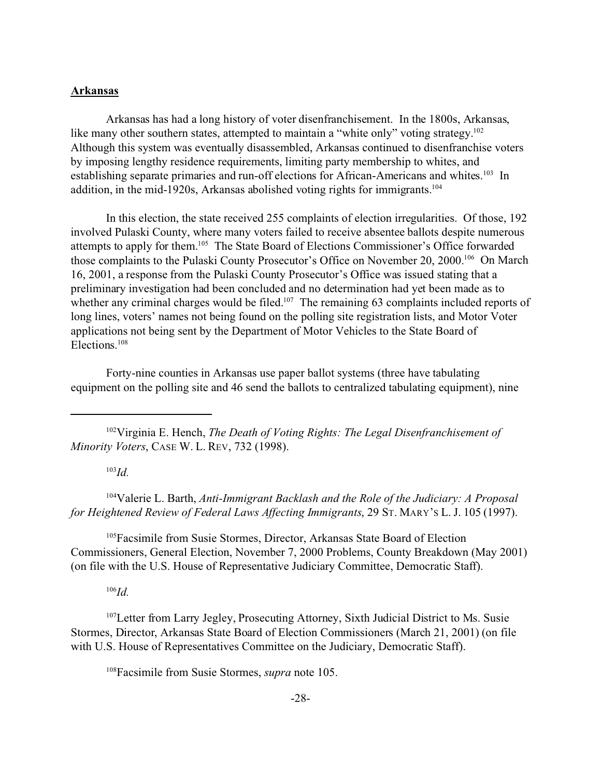#### **Arkansas**

Arkansas has had a long history of voter disenfranchisement. In the 1800s, Arkansas, like many other southern states, attempted to maintain a "white only" voting strategy.<sup>102</sup> Although this system was eventually disassembled, Arkansas continued to disenfranchise voters by imposing lengthy residence requirements, limiting party membership to whites, and establishing separate primaries and run-off elections for African-Americans and whites.<sup>103</sup> In addition, in the mid-1920s, Arkansas abolished voting rights for immigrants.<sup>104</sup>

In this election, the state received 255 complaints of election irregularities. Of those, 192 involved Pulaski County, where many voters failed to receive absentee ballots despite numerous attempts to apply for them.<sup>105</sup> The State Board of Elections Commissioner's Office forwarded those complaints to the Pulaski County Prosecutor's Office on November 20, 2000.<sup>106</sup> On March 16, 2001, a response from the Pulaski County Prosecutor's Office was issued stating that a preliminary investigation had been concluded and no determination had yet been made as to whether any criminal charges would be filed.<sup>107</sup> The remaining 63 complaints included reports of long lines, voters' names not being found on the polling site registration lists, and Motor Voter applications not being sent by the Department of Motor Vehicles to the State Board of Elections.<sup>108</sup>

Forty-nine counties in Arkansas use paper ballot systems (three have tabulating equipment on the polling site and 46 send the ballots to centralized tabulating equipment), nine

<sup>102</sup>Virginia E. Hench, *The Death of Voting Rights: The Legal Disenfranchisement of Minority Voters*, CASE W. L. REV, 732 (1998).

<sup>103</sup>*Id.*

<sup>104</sup>Valerie L. Barth, *Anti-Immigrant Backlash and the Role of the Judiciary: A Proposal for Heightened Review of Federal Laws Affecting Immigrants*, 29 ST. MARY'S L. J. 105 (1997).

<sup>105</sup>Facsimile from Susie Stormes, Director, Arkansas State Board of Election Commissioners, General Election, November 7, 2000 Problems, County Breakdown (May 2001) (on file with the U.S. House of Representative Judiciary Committee, Democratic Staff).

<sup>106</sup>*Id.*

<sup>107</sup>Letter from Larry Jegley, Prosecuting Attorney, Sixth Judicial District to Ms. Susie Stormes, Director, Arkansas State Board of Election Commissioners (March 21, 2001) (on file with U.S. House of Representatives Committee on the Judiciary, Democratic Staff).

<sup>108</sup>Facsimile from Susie Stormes, *supra* note 105.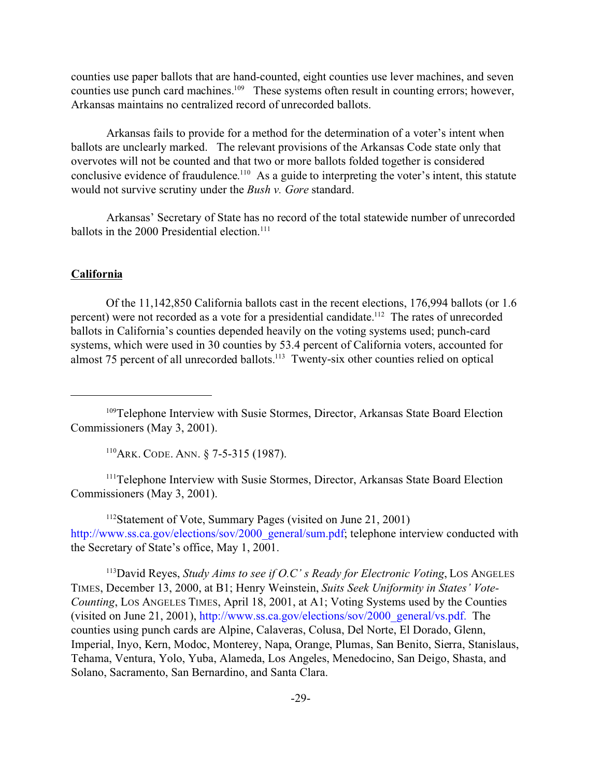counties use paper ballots that are hand-counted, eight counties use lever machines, and seven counties use punch card machines.<sup>109</sup> These systems often result in counting errors; however, Arkansas maintains no centralized record of unrecorded ballots.

Arkansas fails to provide for a method for the determination of a voter's intent when ballots are unclearly marked. The relevant provisions of the Arkansas Code state only that overvotes will not be counted and that two or more ballots folded together is considered conclusive evidence of fraudulence.<sup>110</sup> As a guide to interpreting the voter's intent, this statute would not survive scrutiny under the *Bush v. Gore* standard.

Arkansas' Secretary of State has no record of the total statewide number of unrecorded ballots in the 2000 Presidential election.<sup>111</sup>

## **California**

Of the 11,142,850 California ballots cast in the recent elections, 176,994 ballots (or 1.6 percent) were not recorded as a vote for a presidential candidate.<sup>112</sup> The rates of unrecorded ballots in California's counties depended heavily on the voting systems used; punch-card systems, which were used in 30 counties by 53.4 percent of California voters, accounted for almost 75 percent of all unrecorded ballots.<sup>113</sup> Twenty-six other counties relied on optical

<sup>110</sup>ARK. CODE. ANN. § 7-5-315 (1987).

<sup>111</sup>Telephone Interview with Susie Stormes, Director, Arkansas State Board Election Commissioners (May 3, 2001).

<sup>112</sup>Statement of Vote, Summary Pages (visited on June 21, 2001) http://www.ss.ca.gov/elections/sov/2000\_general/sum.pdf; telephone interview conducted with the Secretary of State's office, May 1, 2001.

<sup>113</sup>David Reyes, *Study Aims to see if O.C' s Ready for Electronic Voting*, LOS ANGELES TIMES, December 13, 2000, at B1; Henry Weinstein, *Suits Seek Uniformity in States' Vote-Counting*, LOS ANGELES TIMES, April 18, 2001, at A1; Voting Systems used by the Counties (visited on June 21, 2001), http://www.ss.ca.gov/elections/sov/2000\_general/vs.pdf. The counties using punch cards are Alpine, Calaveras, Colusa, Del Norte, El Dorado, Glenn, Imperial, Inyo, Kern, Modoc, Monterey, Napa, Orange, Plumas, San Benito, Sierra, Stanislaus, Tehama, Ventura, Yolo, Yuba, Alameda, Los Angeles, Menedocino, San Deigo, Shasta, and Solano, Sacramento, San Bernardino, and Santa Clara.

<sup>&</sup>lt;sup>109</sup>Telephone Interview with Susie Stormes, Director, Arkansas State Board Election Commissioners (May 3, 2001).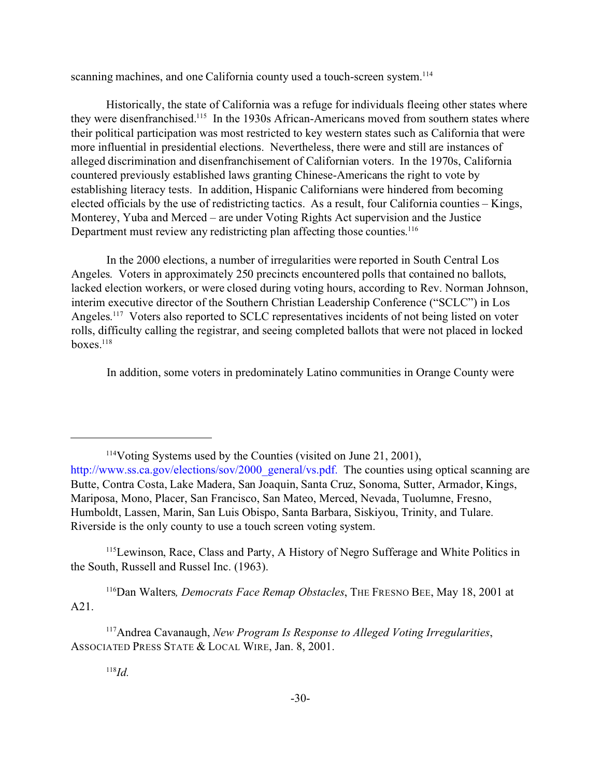scanning machines, and one California county used a touch-screen system.<sup>114</sup>

Historically, the state of California was a refuge for individuals fleeing other states where they were disenfranchised.<sup>115</sup> In the 1930s African-Americans moved from southern states where their political participation was most restricted to key western states such as California that were more influential in presidential elections. Nevertheless, there were and still are instances of alleged discrimination and disenfranchisement of Californian voters. In the 1970s, California countered previously established laws granting Chinese-Americans the right to vote by establishing literacy tests. In addition, Hispanic Californians were hindered from becoming elected officials by the use of redistricting tactics. As a result, four California counties – Kings, Monterey, Yuba and Merced – are under Voting Rights Act supervision and the Justice Department must review any redistricting plan affecting those counties.<sup>116</sup>

In the 2000 elections, a number of irregularities were reported in South Central Los Angeles. Voters in approximately 250 precincts encountered polls that contained no ballots, lacked election workers, or were closed during voting hours, according to Rev. Norman Johnson, interim executive director of the Southern Christian Leadership Conference ("SCLC") in Los Angeles.<sup>117</sup> Voters also reported to SCLC representatives incidents of not being listed on voter rolls, difficulty calling the registrar, and seeing completed ballots that were not placed in locked boxes. $118$ 

In addition, some voters in predominately Latino communities in Orange County were

<sup>115</sup>Lewinson, Race, Class and Party, A History of Negro Sufferage and White Politics in the South, Russell and Russel Inc. (1963).

<sup>116</sup>Dan Walters*, Democrats Face Remap Obstacles*, THE FRESNO BEE, May 18, 2001 at A21.

<sup>117</sup>Andrea Cavanaugh, *New Program Is Response to Alleged Voting Irregularities*, ASSOCIATED PRESS STATE & LOCAL WIRE, Jan. 8, 2001.

<sup>114</sup>Voting Systems used by the Counties (visited on June 21, 2001), http://www.ss.ca.gov/elections/sov/2000\_general/vs.pdf. The counties using optical scanning are Butte, Contra Costa, Lake Madera, San Joaquin, Santa Cruz, Sonoma, Sutter, Armador, Kings, Mariposa, Mono, Placer, San Francisco, San Mateo, Merced, Nevada, Tuolumne, Fresno, Humboldt, Lassen, Marin, San Luis Obispo, Santa Barbara, Siskiyou, Trinity, and Tulare. Riverside is the only county to use a touch screen voting system.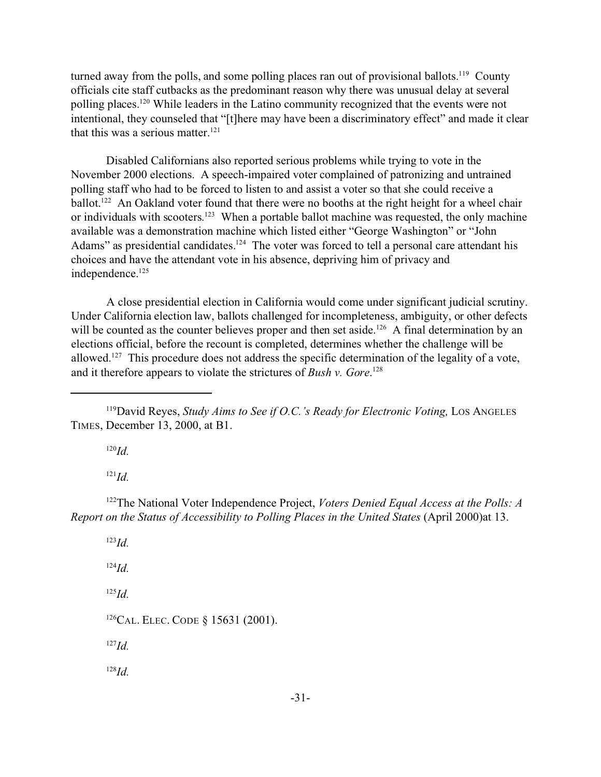turned away from the polls, and some polling places ran out of provisional ballots.<sup>119</sup> County officials cite staff cutbacks as the predominant reason why there was unusual delay at several polling places.<sup>120</sup> While leaders in the Latino community recognized that the events were not intentional, they counseled that "[t]here may have been a discriminatory effect" and made it clear that this was a serious matter. $121$ 

Disabled Californians also reported serious problems while trying to vote in the November 2000 elections. A speech-impaired voter complained of patronizing and untrained polling staff who had to be forced to listen to and assist a voter so that she could receive a ballot.<sup>122</sup> An Oakland voter found that there were no booths at the right height for a wheel chair or individuals with scooters.<sup>123</sup> When a portable ballot machine was requested, the only machine available was a demonstration machine which listed either "George Washington" or "John Adams" as presidential candidates.<sup>124</sup> The voter was forced to tell a personal care attendant his choices and have the attendant vote in his absence, depriving him of privacy and independence.<sup>125</sup>

A close presidential election in California would come under significant judicial scrutiny. Under California election law, ballots challenged for incompleteness, ambiguity, or other defects will be counted as the counter believes proper and then set aside.<sup>126</sup> A final determination by an elections official, before the recount is completed, determines whether the challenge will be allowed.<sup>127</sup> This procedure does not address the specific determination of the legality of a vote, and it therefore appears to violate the strictures of *Bush v. Gore*. 128

<sup>120</sup>*Id.*

<sup>121</sup>*Id.*

<sup>122</sup>The National Voter Independence Project, *Voters Denied Equal Access at the Polls: A Report on the Status of Accessibility to Polling Places in the United States* (April 2000)at 13.

<sup>123</sup>*Id.* <sup>124</sup>*Id.* <sup>125</sup>*Id.* <sup>126</sup>CAL. ELEC. CODE § 15631 (2001). <sup>127</sup>*Id.* <sup>128</sup>*Id.*

<sup>&</sup>lt;sup>119</sup>David Reyes, *Study Aims to See if O.C.'s Ready for Electronic Voting*, Los Angeles TIMES, December 13, 2000, at B1.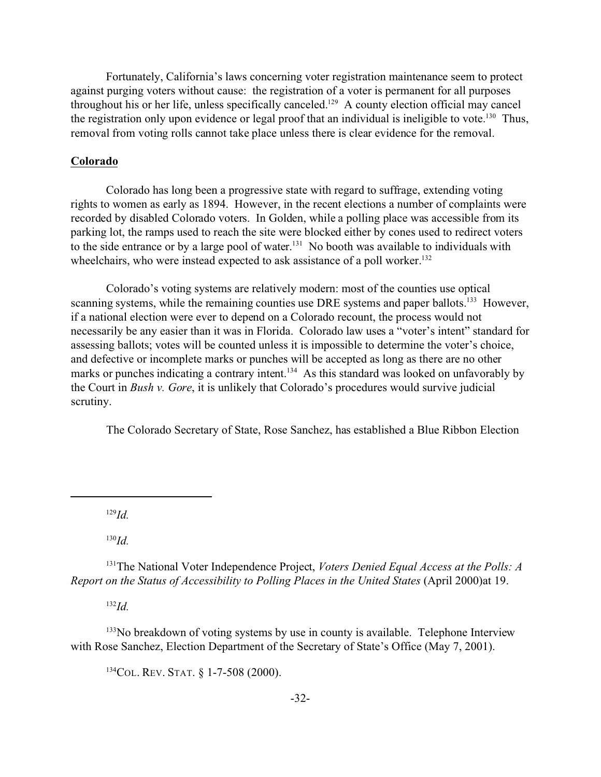Fortunately, California's laws concerning voter registration maintenance seem to protect against purging voters without cause: the registration of a voter is permanent for all purposes throughout his or her life, unless specifically canceled.<sup>129</sup> A county election official may cancel the registration only upon evidence or legal proof that an individual is ineligible to vote.<sup>130</sup> Thus, removal from voting rolls cannot take place unless there is clear evidence for the removal.

## **Colorado**

Colorado has long been a progressive state with regard to suffrage, extending voting rights to women as early as 1894. However, in the recent elections a number of complaints were recorded by disabled Colorado voters. In Golden, while a polling place was accessible from its parking lot, the ramps used to reach the site were blocked either by cones used to redirect voters to the side entrance or by a large pool of water.<sup>131</sup> No booth was available to individuals with wheelchairs, who were instead expected to ask assistance of a poll worker.<sup>132</sup>

Colorado's voting systems are relatively modern: most of the counties use optical scanning systems, while the remaining counties use DRE systems and paper ballots.<sup>133</sup> However, if a national election were ever to depend on a Colorado recount, the process would not necessarily be any easier than it was in Florida. Colorado law uses a "voter's intent" standard for assessing ballots; votes will be counted unless it is impossible to determine the voter's choice, and defective or incomplete marks or punches will be accepted as long as there are no other marks or punches indicating a contrary intent.<sup>134</sup> As this standard was looked on unfavorably by the Court in *Bush v. Gore*, it is unlikely that Colorado's procedures would survive judicial scrutiny.

The Colorado Secretary of State, Rose Sanchez, has established a Blue Ribbon Election

<sup>129</sup>*Id.*

<sup>130</sup>*Id.*

<sup>131</sup>The National Voter Independence Project, *Voters Denied Equal Access at the Polls: A Report on the Status of Accessibility to Polling Places in the United States* (April 2000)at 19.

<sup>132</sup>*Id.*

<sup>133</sup>No breakdown of voting systems by use in county is available. Telephone Interview with Rose Sanchez, Election Department of the Secretary of State's Office (May 7, 2001).

<sup>134</sup>COL. REV. STAT. § 1-7-508 (2000).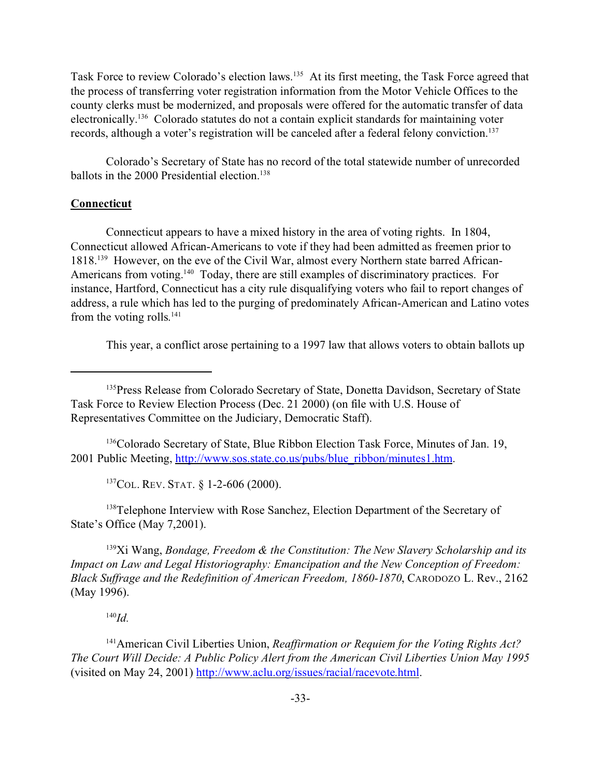Task Force to review Colorado's election laws.<sup>135</sup> At its first meeting, the Task Force agreed that the process of transferring voter registration information from the Motor Vehicle Offices to the county clerks must be modernized, and proposals were offered for the automatic transfer of data electronically.<sup>136</sup> Colorado statutes do not a contain explicit standards for maintaining voter records, although a voter's registration will be canceled after a federal felony conviction.<sup>137</sup>

Colorado's Secretary of State has no record of the total statewide number of unrecorded ballots in the 2000 Presidential election.<sup>138</sup>

## **Connecticut**

Connecticut appears to have a mixed history in the area of voting rights. In 1804, Connecticut allowed African-Americans to vote if they had been admitted as freemen prior to 1818.139 However, on the eve of the Civil War, almost every Northern state barred African-Americans from voting.<sup>140</sup> Today, there are still examples of discriminatory practices. For instance, Hartford, Connecticut has a city rule disqualifying voters who fail to report changes of address, a rule which has led to the purging of predominately African-American and Latino votes from the voting rolls.<sup>141</sup>

This year, a conflict arose pertaining to a 1997 law that allows voters to obtain ballots up

<sup>136</sup>Colorado Secretary of State, Blue Ribbon Election Task Force, Minutes of Jan. 19, 2001 Public Meeting, http://www.sos.state.co.us/pubs/blue\_ribbon/minutes1.htm.

<sup>137</sup>COL. REV. STAT. § 1-2-606 (2000).

<sup>138</sup>Telephone Interview with Rose Sanchez, Election Department of the Secretary of State's Office (May 7,2001).

<sup>139</sup>Xi Wang, *Bondage, Freedom & the Constitution: The New Slavery Scholarship and its Impact on Law and Legal Historiography: Emancipation and the New Conception of Freedom: Black Suffrage and the Redefinition of American Freedom, 1860-1870*, CARODOZO L. Rev., 2162 (May 1996).

<sup>140</sup>*Id.*

<sup>141</sup>American Civil Liberties Union, *Reaffirmation or Requiem for the Voting Rights Act? The Court Will Decide: A Public Policy Alert from the American Civil Liberties Union May 1995* (visited on May 24, 2001) http://www.aclu.org/issues/racial/racevote.html.

<sup>&</sup>lt;sup>135</sup>Press Release from Colorado Secretary of State, Donetta Davidson, Secretary of State Task Force to Review Election Process (Dec. 21 2000) (on file with U.S. House of Representatives Committee on the Judiciary, Democratic Staff).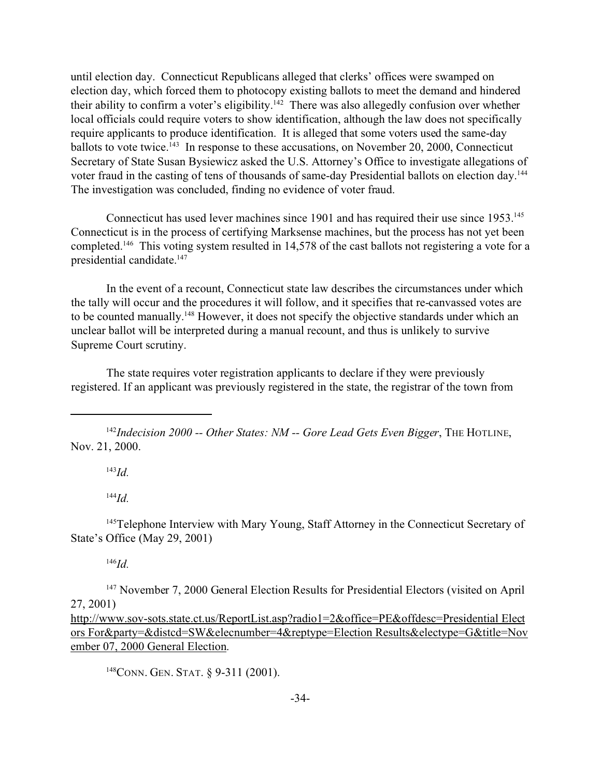until election day. Connecticut Republicans alleged that clerks' offices were swamped on election day, which forced them to photocopy existing ballots to meet the demand and hindered their ability to confirm a voter's eligibility.<sup>142</sup> There was also allegedly confusion over whether local officials could require voters to show identification, although the law does not specifically require applicants to produce identification. It is alleged that some voters used the same-day ballots to vote twice.<sup>143</sup> In response to these accusations, on November 20, 2000, Connecticut Secretary of State Susan Bysiewicz asked the U.S. Attorney's Office to investigate allegations of voter fraud in the casting of tens of thousands of same-day Presidential ballots on election day.<sup>144</sup> The investigation was concluded, finding no evidence of voter fraud.

Connecticut has used lever machines since 1901 and has required their use since 1953.<sup>145</sup> Connecticut is in the process of certifying Marksense machines, but the process has not yet been completed.<sup>146</sup> This voting system resulted in 14,578 of the cast ballots not registering a vote for a presidential candidate.<sup>147</sup>

In the event of a recount, Connecticut state law describes the circumstances under which the tally will occur and the procedures it will follow, and it specifies that re-canvassed votes are to be counted manually.<sup>148</sup> However, it does not specify the objective standards under which an unclear ballot will be interpreted during a manual recount, and thus is unlikely to survive Supreme Court scrutiny.

The state requires voter registration applicants to declare if they were previously registered. If an applicant was previously registered in the state, the registrar of the town from

<sup>142</sup>*Indecision 2000 -- Other States: NM -- Gore Lead Gets Even Bigger*, THE HOTLINE, Nov. 21, 2000.

<sup>143</sup>*Id.*

<sup>144</sup>*Id.*

<sup>145</sup>Telephone Interview with Mary Young, Staff Attorney in the Connecticut Secretary of State's Office (May 29, 2001)

<sup>146</sup>*Id.*

<sup>147</sup> November 7, 2000 General Election Results for Presidential Electors (visited on April 27, 2001)

http://www.sov-sots.state.ct.us/ReportList.asp?radio1=2&office=PE&offdesc=Presidential Elect ors For&party=&distcd=SW&elecnumber=4&reptype=Election Results&electype=G&title=Nov ember 07, 2000 General Election.

<sup>148</sup>CONN. GEN. STAT. § 9-311 (2001).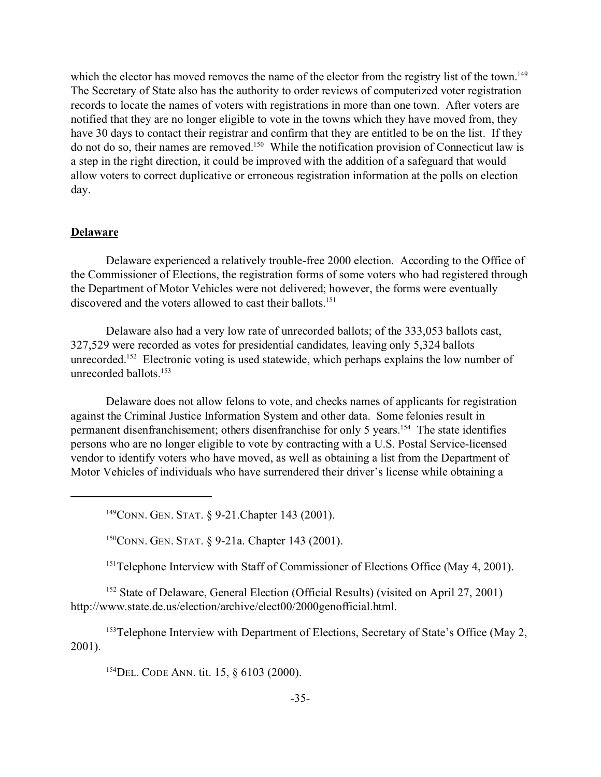which the elector has moved removes the name of the elector from the registry list of the town.<sup>149</sup> The Secretary of State also has the authority to order reviews of computerized voter registration records to locate the names of voters with registrations in more than one town. After voters are notified that they are no longer eligible to vote in the towns which they have moved from, they have 30 days to contact their registrar and confirm that they are entitled to be on the list. If they do not do so, their names are removed.<sup>150</sup> While the notification provision of Connecticut law is a step in the right direction, it could be improved with the addition of a safeguard that would allow voters to correct duplicative or erroneous registration information at the polls on election day.

#### **Delaware**

Delaware experienced a relatively trouble-free 2000 election. According to the Office of the Commissioner of Elections, the registration forms of some voters who had registered through the Department of Motor Vehicles were not delivered; however, the forms were eventually discovered and the voters allowed to cast their ballots.<sup>151</sup>

Delaware also had a very low rate of unrecorded ballots; of the 333,053 ballots cast, 327,529 were recorded as votes for presidential candidates, leaving only 5,324 ballots unrecorded.<sup>152</sup> Electronic voting is used statewide, which perhaps explains the low number of unrecorded ballots.<sup>153</sup>

Delaware does not allow felons to vote, and checks names of applicants for registration against the Criminal Justice Information System and other data. Some felonies result in permanent disenfranchisement; others disenfranchise for only 5 years.<sup>154</sup> The state identifies persons who are no longer eligible to vote by contracting with a U.S. Postal Service-licensed vendor to identify voters who have moved, as well as obtaining a list from the Department of Motor Vehicles of individuals who have surrendered their driver's license while obtaining a

<sup>149</sup>CONN. GEN. STAT. § 9-21.Chapter 143 (2001).

<sup>150</sup>CONN. GEN. STAT. § 9-21a. Chapter 143 (2001).

<sup>151</sup>Telephone Interview with Staff of Commissioner of Elections Office (May 4, 2001).

<sup>152</sup> State of Delaware, General Election (Official Results) (visited on April 27, 2001) http://www.state.de.us/election/archive/elect00/2000genofficial.html.

<sup>153</sup>Telephone Interview with Department of Elections, Secretary of State's Office (May 2, 2001).

<sup>154</sup>DEL. CODE ANN. tit. 15, § 6103 (2000).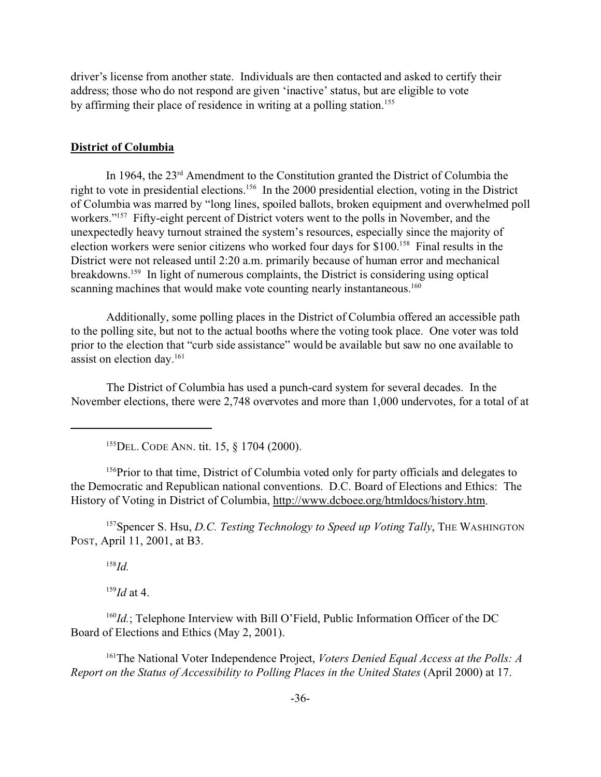driver's license from another state. Individuals are then contacted and asked to certify their address; those who do not respond are given 'inactive' status, but are eligible to vote by affirming their place of residence in writing at a polling station.<sup>155</sup>

#### **District of Columbia**

In 1964, the 23rd Amendment to the Constitution granted the District of Columbia the right to vote in presidential elections.<sup>156</sup> In the 2000 presidential election, voting in the District of Columbia was marred by "long lines, spoiled ballots, broken equipment and overwhelmed poll workers."<sup>157</sup> Fifty-eight percent of District voters went to the polls in November, and the unexpectedly heavy turnout strained the system's resources, especially since the majority of election workers were senior citizens who worked four days for \$100.<sup>158</sup> Final results in the District were not released until 2:20 a.m. primarily because of human error and mechanical breakdowns.<sup>159</sup> In light of numerous complaints, the District is considering using optical scanning machines that would make vote counting nearly instantaneous.<sup>160</sup>

Additionally, some polling places in the District of Columbia offered an accessible path to the polling site, but not to the actual booths where the voting took place. One voter was told prior to the election that "curb side assistance" would be available but saw no one available to assist on election day.<sup>161</sup>

The District of Columbia has used a punch-card system for several decades. In the November elections, there were 2,748 overvotes and more than 1,000 undervotes, for a total of at

<sup>155</sup>DEL. CODE ANN. tit. 15, § 1704 (2000).

<sup>156</sup>Prior to that time, District of Columbia voted only for party officials and delegates to the Democratic and Republican national conventions. D.C. Board of Elections and Ethics: The History of Voting in District of Columbia, http://www.dcboee.org/htmldocs/history.htm.

<sup>157</sup>Spencer S. Hsu, *D.C. Testing Technology to Speed up Voting Tally*, THE WASHINGTON POST, April 11, 2001, at B3.

<sup>158</sup>*Id.*

 $159$ *Id* at 4.

<sup>160</sup>*Id.*; Telephone Interview with Bill O'Field, Public Information Officer of the DC Board of Elections and Ethics (May 2, 2001).

<sup>161</sup>The National Voter Independence Project, *Voters Denied Equal Access at the Polls: A Report on the Status of Accessibility to Polling Places in the United States* (April 2000) at 17.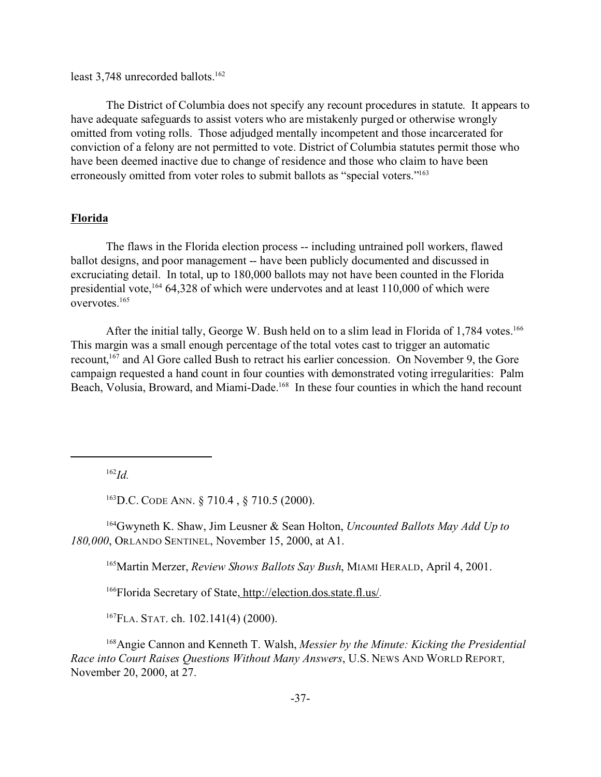least 3,748 unrecorded ballots.<sup>162</sup>

The District of Columbia does not specify any recount procedures in statute. It appears to have adequate safeguards to assist voters who are mistakenly purged or otherwise wrongly omitted from voting rolls. Those adjudged mentally incompetent and those incarcerated for conviction of a felony are not permitted to vote. District of Columbia statutes permit those who have been deemed inactive due to change of residence and those who claim to have been erroneously omitted from voter roles to submit ballots as "special voters."<sup>163</sup>

### **Florida**

The flaws in the Florida election process -- including untrained poll workers, flawed ballot designs, and poor management -- have been publicly documented and discussed in excruciating detail. In total, up to 180,000 ballots may not have been counted in the Florida presidential vote, $16464,328$  of which were undervotes and at least 110,000 of which were overvotes.<sup>165</sup>

After the initial tally, George W. Bush held on to a slim lead in Florida of 1,784 votes.<sup>166</sup> This margin was a small enough percentage of the total votes cast to trigger an automatic recount, <sup>167</sup> and Al Gore called Bush to retract his earlier concession. On November 9, the Gore campaign requested a hand count in four counties with demonstrated voting irregularities: Palm Beach, Volusia, Broward, and Miami-Dade.<sup>168</sup> In these four counties in which the hand recount

<sup>162</sup>*Id.*

<sup>163</sup>D.C. CODE ANN. § 710.4 , § 710.5 (2000).

<sup>164</sup>Gwyneth K. Shaw, Jim Leusner & Sean Holton, *Uncounted Ballots May Add Up to 180,000*, ORLANDO SENTINEL, November 15, 2000, at A1.

<sup>165</sup>Martin Merzer, *Review Shows Ballots Say Bush*, MIAMI HERALD, April 4, 2001.

<sup>166</sup>Florida Secretary of State, http://election.dos.state.fl.us/.

<sup>167</sup>FLA. STAT. ch. 102.141(4) (2000).

<sup>168</sup>Angie Cannon and Kenneth T. Walsh, *Messier by the Minute: Kicking the Presidential Race into Court Raises Questions Without Many Answers*, U.S. NEWS AND WORLD REPORT*,* November 20, 2000, at 27.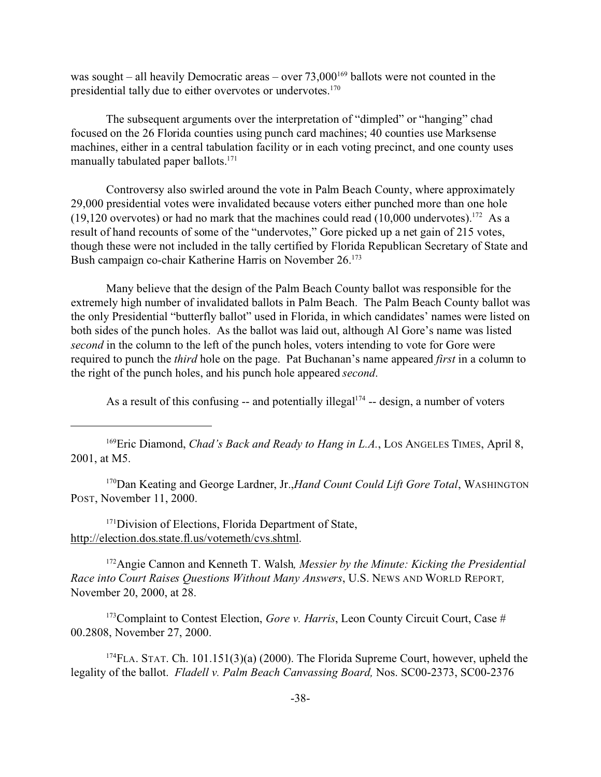was sought – all heavily Democratic areas – over  $73,000^{169}$  ballots were not counted in the presidential tally due to either overvotes or undervotes.<sup>170</sup>

The subsequent arguments over the interpretation of "dimpled" or "hanging" chad focused on the 26 Florida counties using punch card machines; 40 counties use Marksense machines, either in a central tabulation facility or in each voting precinct, and one county uses manually tabulated paper ballots.<sup>171</sup>

Controversy also swirled around the vote in Palm Beach County, where approximately 29,000 presidential votes were invalidated because voters either punched more than one hole (19,120 overvotes) or had no mark that the machines could read (10,000 undervotes).<sup>172</sup> As a result of hand recounts of some of the "undervotes," Gore picked up a net gain of 215 votes, though these were not included in the tally certified by Florida Republican Secretary of State and Bush campaign co-chair Katherine Harris on November 26.<sup>173</sup>

Many believe that the design of the Palm Beach County ballot was responsible for the extremely high number of invalidated ballots in Palm Beach. The Palm Beach County ballot was the only Presidential "butterfly ballot" used in Florida, in which candidates' names were listed on both sides of the punch holes. As the ballot was laid out, although Al Gore's name was listed *second* in the column to the left of the punch holes, voters intending to vote for Gore were required to punch the *third* hole on the page. Pat Buchanan's name appeared *first* in a column to the right of the punch holes, and his punch hole appeared *second*.

As a result of this confusing  $-$  and potentially illegal<sup> $174$ </sup>  $-$  design, a number of voters

<sup>169</sup>Eric Diamond, *Chad's Back and Ready to Hang in L.A.*, Los Angeles TIMES, April 8, 2001, at M5.

<sup>170</sup>Dan Keating and George Lardner, Jr.,*Hand Count Could Lift Gore Total*, WASHINGTON POST, November 11, 2000.

<sup>171</sup>Division of Elections, Florida Department of State, http://election.dos.state.fl.us/votemeth/cvs.shtml.

<sup>172</sup>Angie Cannon and Kenneth T. Walsh*, Messier by the Minute: Kicking the Presidential Race into Court Raises Questions Without Many Answers*, U.S. NEWS AND WORLD REPORT*,* November 20, 2000, at 28.

<sup>173</sup>Complaint to Contest Election, *Gore v. Harris*, Leon County Circuit Court, Case # 00.2808, November 27, 2000.

<sup>174</sup>FLA. STAT. Ch. 101.151(3)(a) (2000). The Florida Supreme Court, however, upheld the legality of the ballot. *Fladell v. Palm Beach Canvassing Board,* Nos. SC00-2373, SC00-2376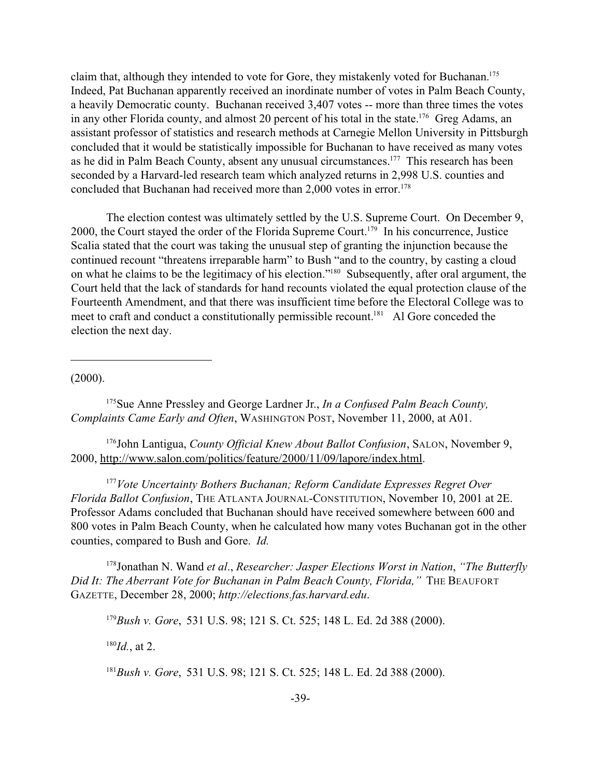claim that, although they intended to vote for Gore, they mistakenly voted for Buchanan.<sup>175</sup> Indeed, Pat Buchanan apparently received an inordinate number of votes in Palm Beach County, a heavily Democratic county. Buchanan received 3,407 votes -- more than three times the votes in any other Florida county, and almost 20 percent of his total in the state.<sup>176</sup> Greg Adams, an assistant professor of statistics and research methods at Carnegie Mellon University in Pittsburgh concluded that it would be statistically impossible for Buchanan to have received as many votes as he did in Palm Beach County, absent any unusual circumstances.<sup>177</sup> This research has been seconded by a Harvard-led research team which analyzed returns in 2,998 U.S. counties and concluded that Buchanan had received more than 2,000 votes in error.<sup>178</sup>

The election contest was ultimately settled by the U.S. Supreme Court. On December 9, 2000, the Court stayed the order of the Florida Supreme Court.<sup>179</sup> In his concurrence, Justice Scalia stated that the court was taking the unusual step of granting the injunction because the continued recount "threatens irreparable harm" to Bush "and to the country, by casting a cloud on what he claims to be the legitimacy of his election."<sup>180</sup> Subsequently, after oral argument, the Court held that the lack of standards for hand recounts violated the equal protection clause of the Fourteenth Amendment, and that there was insufficient time before the Electoral College was to meet to craft and conduct a constitutionally permissible recount.<sup>181</sup> Al Gore conceded the election the next day.

(2000).

<sup>175</sup>Sue Anne Pressley and George Lardner Jr., *In a Confused Palm Beach County, Complaints Came Early and Often*, WASHINGTON POST, November 11, 2000, at A01.

<sup>176</sup>John Lantigua, *County Official Knew About Ballot Confusion*, SALON, November 9, 2000, http://www.salon.com/politics/feature/2000/11/09/lapore/index.html.

<sup>177</sup>*Vote Uncertainty Bothers Buchanan; Reform Candidate Expresses Regret Over Florida Ballot Confusion*, THE ATLANTA JOURNAL-CONSTITUTION, November 10, 2001 at 2E. Professor Adams concluded that Buchanan should have received somewhere between 600 and 800 votes in Palm Beach County, when he calculated how many votes Buchanan got in the other counties, compared to Bush and Gore. *Id.*

<sup>178</sup>Jonathan N. Wand *et al*., *Researcher: Jasper Elections Worst in Nation*, *"The Butterfly Did It: The Aberrant Vote for Buchanan in Palm Beach County, Florida,"* THE BEAUFORT GAZETTE, December 28, 2000; *http://elections.fas.harvard.edu*.

<sup>179</sup>*Bush v. Gore*, 531 U.S. 98; 121 S. Ct. 525; 148 L. Ed. 2d 388 (2000).

<sup>180</sup>*Id.*, at 2.

<sup>181</sup>*Bush v. Gore*, 531 U.S. 98; 121 S. Ct. 525; 148 L. Ed. 2d 388 (2000).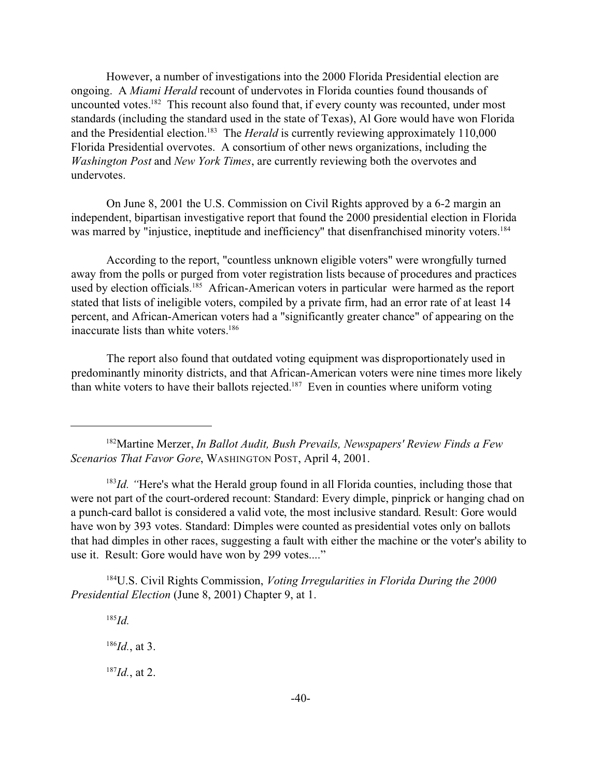However, a number of investigations into the 2000 Florida Presidential election are ongoing. A *Miami Herald* recount of undervotes in Florida counties found thousands of uncounted votes.<sup>182</sup> This recount also found that, if every county was recounted, under most standards (including the standard used in the state of Texas), Al Gore would have won Florida and the Presidential election.<sup>183</sup> The *Herald* is currently reviewing approximately 110,000 Florida Presidential overvotes. A consortium of other news organizations, including the *Washington Post* and *New York Times*, are currently reviewing both the overvotes and undervotes.

On June 8, 2001 the U.S. Commission on Civil Rights approved by a 6-2 margin an independent, bipartisan investigative report that found the 2000 presidential election in Florida was marred by "injustice, ineptitude and inefficiency" that disenfranchised minority voters.<sup>184</sup>

According to the report, "countless unknown eligible voters" were wrongfully turned away from the polls or purged from voter registration lists because of procedures and practices used by election officials.<sup>185</sup> African-American voters in particular were harmed as the report stated that lists of ineligible voters, compiled by a private firm, had an error rate of at least 14 percent, and African-American voters had a "significantly greater chance" of appearing on the inaccurate lists than white voters.<sup>186</sup>

The report also found that outdated voting equipment was disproportionately used in predominantly minority districts, and that African-American voters were nine times more likely than white voters to have their ballots rejected.<sup>187</sup> Even in counties where uniform voting

<sup>182</sup>Martine Merzer, *In Ballot Audit, Bush Prevails, Newspapers' Review Finds a Few Scenarios That Favor Gore*, WASHINGTON POST, April 4, 2001.

<sup>183</sup>Id. "Here's what the Herald group found in all Florida counties, including those that were not part of the court-ordered recount: Standard: Every dimple, pinprick or hanging chad on a punch-card ballot is considered a valid vote, the most inclusive standard. Result: Gore would have won by 393 votes. Standard: Dimples were counted as presidential votes only on ballots that had dimples in other races, suggesting a fault with either the machine or the voter's ability to use it. Result: Gore would have won by 299 votes...."

<sup>184</sup>U.S. Civil Rights Commission, *Voting Irregularities in Florida During the 2000 Presidential Election* (June 8, 2001) Chapter 9, at 1.

<sup>185</sup>*Id.*

<sup>186</sup>*Id.*, at 3.

<sup>187</sup>*Id.*, at 2.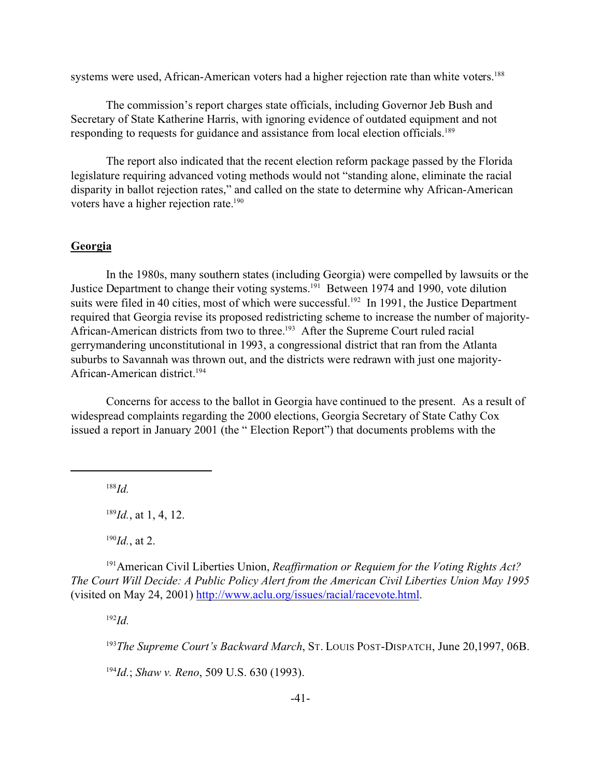systems were used, African-American voters had a higher rejection rate than white voters.<sup>188</sup>

The commission's report charges state officials, including Governor Jeb Bush and Secretary of State Katherine Harris, with ignoring evidence of outdated equipment and not responding to requests for guidance and assistance from local election officials.<sup>189</sup>

The report also indicated that the recent election reform package passed by the Florida legislature requiring advanced voting methods would not "standing alone, eliminate the racial disparity in ballot rejection rates," and called on the state to determine why African-American voters have a higher rejection rate.<sup>190</sup>

## **Georgia**

In the 1980s, many southern states (including Georgia) were compelled by lawsuits or the Justice Department to change their voting systems.<sup>191</sup> Between 1974 and 1990, vote dilution suits were filed in 40 cities, most of which were successful.<sup>192</sup> In 1991, the Justice Department required that Georgia revise its proposed redistricting scheme to increase the number of majority-African-American districts from two to three.<sup>193</sup> After the Supreme Court ruled racial gerrymandering unconstitutional in 1993, a congressional district that ran from the Atlanta suburbs to Savannah was thrown out, and the districts were redrawn with just one majority-African-American district.<sup>194</sup>

Concerns for access to the ballot in Georgia have continued to the present. As a result of widespread complaints regarding the 2000 elections, Georgia Secretary of State Cathy Cox issued a report in January 2001 (the " Election Report") that documents problems with the

<sup>188</sup>*Id.*

<sup>189</sup>*Id.*, at 1, 4, 12.

<sup>190</sup>*Id.*, at 2.

<sup>191</sup>American Civil Liberties Union, *Reaffirmation or Requiem for the Voting Rights Act? The Court Will Decide: A Public Policy Alert from the American Civil Liberties Union May 1995* (visited on May 24, 2001) http://www.aclu.org/issues/racial/racevote.html.

<sup>192</sup>*Id.*

<sup>193</sup>*The Supreme Court's Backward March*, ST. LOUIS POST-DISPATCH, June 20,1997, 06B.

<sup>194</sup>*Id.*; *Shaw v. Reno*, 509 U.S. 630 (1993).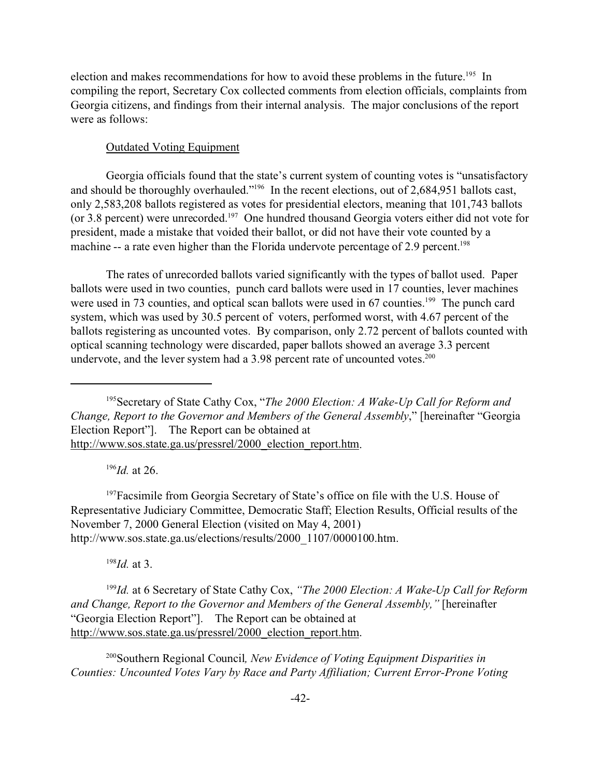election and makes recommendations for how to avoid these problems in the future.<sup>195</sup> In compiling the report, Secretary Cox collected comments from election officials, complaints from Georgia citizens, and findings from their internal analysis. The major conclusions of the report were as follows:

### Outdated Voting Equipment

Georgia officials found that the state's current system of counting votes is "unsatisfactory and should be thoroughly overhauled."<sup>196</sup> In the recent elections, out of 2,684,951 ballots cast, only 2,583,208 ballots registered as votes for presidential electors, meaning that 101,743 ballots (or 3.8 percent) were unrecorded.<sup>197</sup> One hundred thousand Georgia voters either did not vote for president, made a mistake that voided their ballot, or did not have their vote counted by a machine -- a rate even higher than the Florida undervote percentage of 2.9 percent.<sup>198</sup>

The rates of unrecorded ballots varied significantly with the types of ballot used. Paper ballots were used in two counties, punch card ballots were used in 17 counties, lever machines were used in 73 counties, and optical scan ballots were used in 67 counties.<sup>199</sup> The punch card system, which was used by 30.5 percent of voters, performed worst, with 4.67 percent of the ballots registering as uncounted votes. By comparison, only 2.72 percent of ballots counted with optical scanning technology were discarded, paper ballots showed an average 3.3 percent undervote, and the lever system had a  $3.98$  percent rate of uncounted votes.<sup>200</sup>

<sup>196</sup>*Id.* at 26.

<sup>197</sup>Facsimile from Georgia Secretary of State's office on file with the U.S. House of Representative Judiciary Committee, Democratic Staff; Election Results, Official results of the November 7, 2000 General Election (visited on May 4, 2001) http://www.sos.state.ga.us/elections/results/2000\_1107/0000100.htm.

<sup>198</sup>*Id.* at 3.

<sup>199</sup>*Id.* at 6 Secretary of State Cathy Cox, *"The 2000 Election: A Wake-Up Call for Reform and Change, Report to the Governor and Members of the General Assembly,"* [hereinafter "Georgia Election Report"]. The Report can be obtained at http://www.sos.state.ga.us/pressrel/2000\_election\_report.htm.

<sup>200</sup>Southern Regional Council*, New Evidence of Voting Equipment Disparities in Counties: Uncounted Votes Vary by Race and Party Affiliation; Current Error-Prone Voting*

<sup>195</sup>Secretary of State Cathy Cox, "*The 2000 Election: A Wake-Up Call for Reform and Change, Report to the Governor and Members of the General Assembly*," [hereinafter "Georgia Election Report"]. The Report can be obtained at http://www.sos.state.ga.us/pressrel/2000\_election\_report.htm.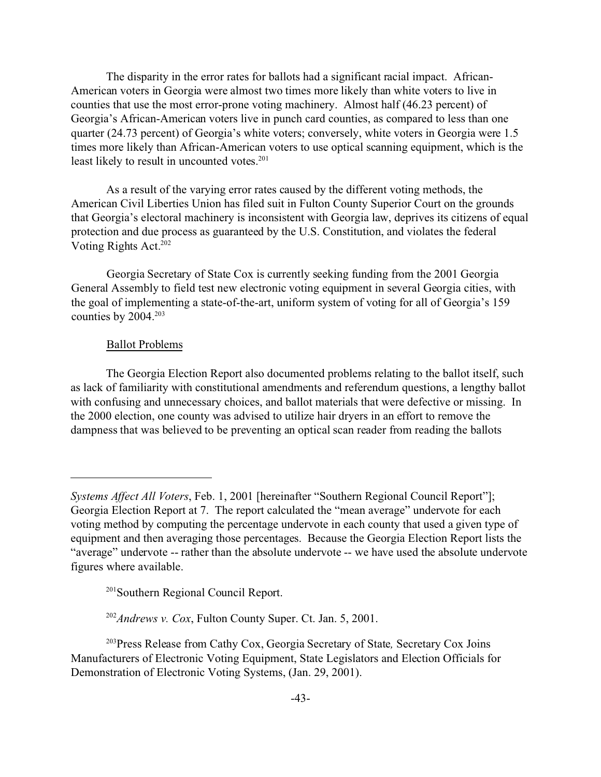The disparity in the error rates for ballots had a significant racial impact. African-American voters in Georgia were almost two times more likely than white voters to live in counties that use the most error-prone voting machinery. Almost half (46.23 percent) of Georgia's African-American voters live in punch card counties, as compared to less than one quarter (24.73 percent) of Georgia's white voters; conversely, white voters in Georgia were 1.5 times more likely than African-American voters to use optical scanning equipment, which is the least likely to result in uncounted votes.<sup>201</sup>

As a result of the varying error rates caused by the different voting methods, the American Civil Liberties Union has filed suit in Fulton County Superior Court on the grounds that Georgia's electoral machinery is inconsistent with Georgia law, deprives its citizens of equal protection and due process as guaranteed by the U.S. Constitution, and violates the federal Voting Rights Act.<sup>202</sup>

Georgia Secretary of State Cox is currently seeking funding from the 2001 Georgia General Assembly to field test new electronic voting equipment in several Georgia cities, with the goal of implementing a state-of-the-art, uniform system of voting for all of Georgia's 159 counties by  $2004.<sup>203</sup>$ 

## Ballot Problems

The Georgia Election Report also documented problems relating to the ballot itself, such as lack of familiarity with constitutional amendments and referendum questions, a lengthy ballot with confusing and unnecessary choices, and ballot materials that were defective or missing. In the 2000 election, one county was advised to utilize hair dryers in an effort to remove the dampness that was believed to be preventing an optical scan reader from reading the ballots

<sup>201</sup>Southern Regional Council Report.

<sup>202</sup>*Andrews v. Cox*, Fulton County Super. Ct. Jan. 5, 2001.

<sup>203</sup>Press Release from Cathy Cox, Georgia Secretary of State*,* Secretary Cox Joins Manufacturers of Electronic Voting Equipment, State Legislators and Election Officials for Demonstration of Electronic Voting Systems, (Jan. 29, 2001).

*Systems Affect All Voters*, Feb. 1, 2001 [hereinafter "Southern Regional Council Report"]; Georgia Election Report at 7. The report calculated the "mean average" undervote for each voting method by computing the percentage undervote in each county that used a given type of equipment and then averaging those percentages. Because the Georgia Election Report lists the "average" undervote -- rather than the absolute undervote -- we have used the absolute undervote figures where available.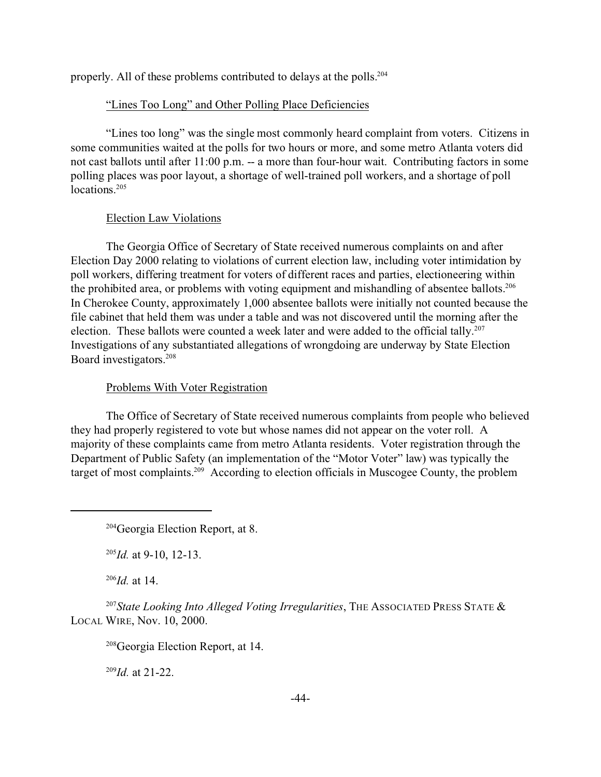properly. All of these problems contributed to delays at the polls.<sup>204</sup>

# "Lines Too Long" and Other Polling Place Deficiencies

"Lines too long" was the single most commonly heard complaint from voters. Citizens in some communities waited at the polls for two hours or more, and some metro Atlanta voters did not cast ballots until after 11:00 p.m. -- a more than four-hour wait. Contributing factors in some polling places was poor layout, a shortage of well-trained poll workers, and a shortage of poll locations<sup>205</sup>

# Election Law Violations

The Georgia Office of Secretary of State received numerous complaints on and after Election Day 2000 relating to violations of current election law, including voter intimidation by poll workers, differing treatment for voters of different races and parties, electioneering within the prohibited area, or problems with voting equipment and mishandling of absentee ballots.<sup>206</sup> In Cherokee County, approximately 1,000 absentee ballots were initially not counted because the file cabinet that held them was under a table and was not discovered until the morning after the election. These ballots were counted a week later and were added to the official tally.<sup>207</sup> Investigations of any substantiated allegations of wrongdoing are underway by State Election Board investigators.<sup>208</sup>

# Problems With Voter Registration

The Office of Secretary of State received numerous complaints from people who believed they had properly registered to vote but whose names did not appear on the voter roll. A majority of these complaints came from metro Atlanta residents. Voter registration through the Department of Public Safety (an implementation of the "Motor Voter" law) was typically the target of most complaints.209 According to election officials in Muscogee County, the problem

<sup>205</sup>*Id.* at 9-10, 12-13.

 $^{206}$ *Id.* at 14.

<sup>207</sup>*State Looking Into Alleged Voting Irregularities*, THE ASSOCIATED PRESS STATE & LOCAL WIRE, Nov. 10, 2000.

<sup>208</sup>Georgia Election Report, at 14.

<sup>209</sup>*Id.* at 21-22.

<sup>204</sup>Georgia Election Report, at 8.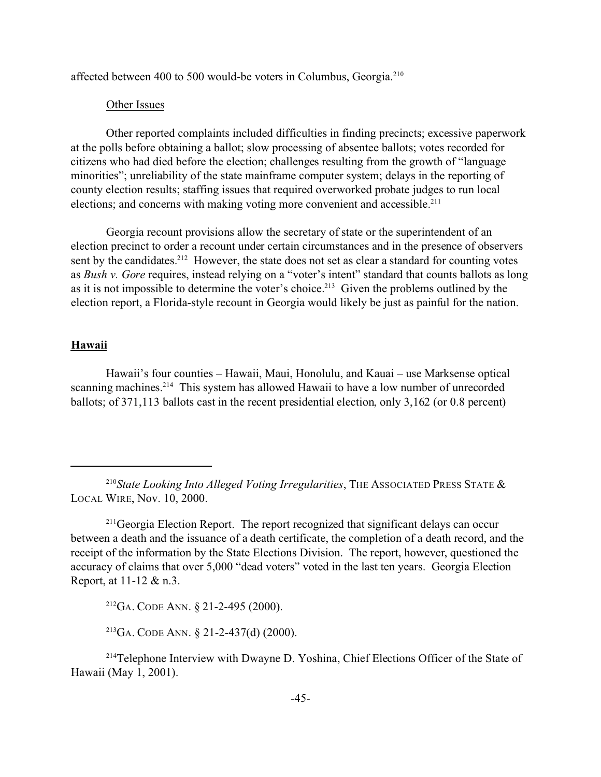affected between 400 to 500 would-be voters in Columbus, Georgia.<sup>210</sup>

#### Other Issues

Other reported complaints included difficulties in finding precincts; excessive paperwork at the polls before obtaining a ballot; slow processing of absentee ballots; votes recorded for citizens who had died before the election; challenges resulting from the growth of "language minorities"; unreliability of the state mainframe computer system; delays in the reporting of county election results; staffing issues that required overworked probate judges to run local elections; and concerns with making voting more convenient and accessible.<sup>211</sup>

Georgia recount provisions allow the secretary of state or the superintendent of an election precinct to order a recount under certain circumstances and in the presence of observers sent by the candidates.<sup>212</sup> However, the state does not set as clear a standard for counting votes as *Bush v. Gore* requires, instead relying on a "voter's intent" standard that counts ballots as long as it is not impossible to determine the voter's choice.<sup>213</sup> Given the problems outlined by the election report, a Florida-style recount in Georgia would likely be just as painful for the nation.

## **Hawaii**

Hawaii's four counties – Hawaii, Maui, Honolulu, and Kauai – use Marksense optical scanning machines.<sup>214</sup> This system has allowed Hawaii to have a low number of unrecorded ballots; of 371,113 ballots cast in the recent presidential election, only 3,162 (or 0.8 percent)

<sup>212</sup>GA. CODE ANN. § 21-2-495 (2000).

<sup>213</sup>GA. CODE ANN.  $\S$  21-2-437(d) (2000).

<sup>&</sup>lt;sup>210</sup>State Looking Into Alleged Voting Irregularities, THE ASSOCIATED PRESS STATE  $\&$ LOCAL WIRE, Nov. 10, 2000.

<sup>&</sup>lt;sup>211</sup>Georgia Election Report. The report recognized that significant delays can occur between a death and the issuance of a death certificate, the completion of a death record, and the receipt of the information by the State Elections Division. The report, however, questioned the accuracy of claims that over 5,000 "dead voters" voted in the last ten years. Georgia Election Report, at 11-12 & n.3.

<sup>&</sup>lt;sup>214</sup>Telephone Interview with Dwayne D. Yoshina, Chief Elections Officer of the State of Hawaii (May 1, 2001).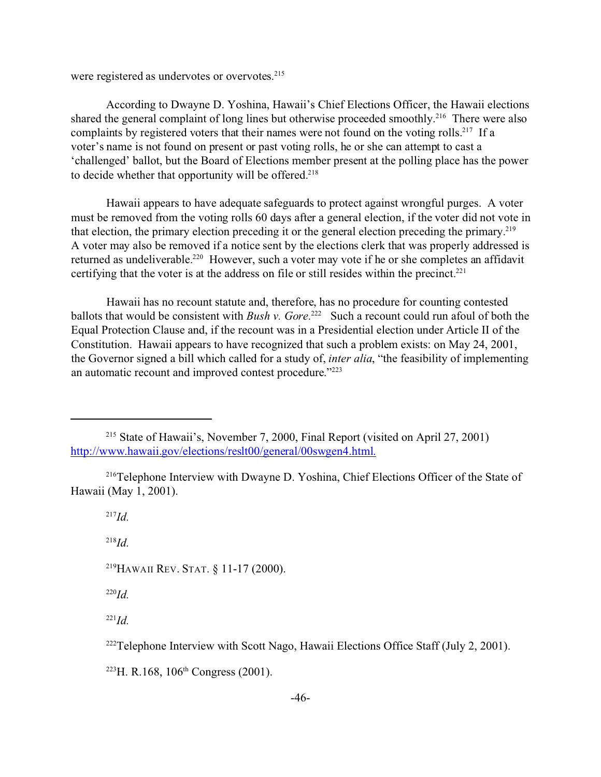were registered as undervotes or overvotes.<sup>215</sup>

According to Dwayne D. Yoshina, Hawaii's Chief Elections Officer, the Hawaii elections shared the general complaint of long lines but otherwise proceeded smoothly.<sup>216</sup> There were also complaints by registered voters that their names were not found on the voting rolls.<sup>217</sup> If a voter's name is not found on present or past voting rolls, he or she can attempt to cast a 'challenged' ballot, but the Board of Elections member present at the polling place has the power to decide whether that opportunity will be offered.<sup>218</sup>

Hawaii appears to have adequate safeguards to protect against wrongful purges. A voter must be removed from the voting rolls 60 days after a general election, if the voter did not vote in that election, the primary election preceding it or the general election preceding the primary.<sup>219</sup> A voter may also be removed if a notice sent by the elections clerk that was properly addressed is returned as undeliverable.<sup>220</sup> However, such a voter may vote if he or she completes an affidavit certifying that the voter is at the address on file or still resides within the precinct.<sup>221</sup>

Hawaii has no recount statute and, therefore, has no procedure for counting contested ballots that would be consistent with *Bush v. Gore*.<sup>222</sup> Such a recount could run afoul of both the Equal Protection Clause and, if the recount was in a Presidential election under Article II of the Constitution. Hawaii appears to have recognized that such a problem exists: on May 24, 2001, the Governor signed a bill which called for a study of, *inter alia*, "the feasibility of implementing an automatic recount and improved contest procedure."223

<sup>217</sup>*Id.*

<sup>218</sup>*Id.*

<sup>219</sup>HAWAII REV. STAT. § 11-17 (2000).

<sup>220</sup>*Id.*

 $^{221}Id$ 

<sup>222</sup>Telephone Interview with Scott Nago, Hawaii Elections Office Staff (July 2, 2001).

 $223$ H. R.168, 106<sup>th</sup> Congress (2001).

<sup>215</sup> State of Hawaii's, November 7, 2000, Final Report (visited on April 27, 2001) http://www.hawaii.gov/elections/reslt00/general/00swgen4.html.

<sup>216</sup>Telephone Interview with Dwayne D. Yoshina, Chief Elections Officer of the State of Hawaii (May 1, 2001).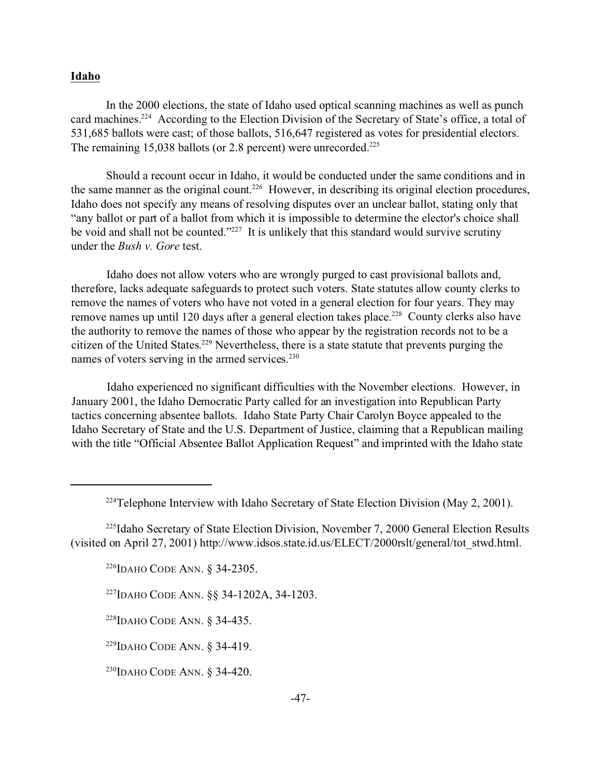### **Idaho**

In the 2000 elections, the state of Idaho used optical scanning machines as well as punch card machines.<sup>224</sup> According to the Election Division of the Secretary of State's office, a total of 531,685 ballots were cast; of those ballots, 516,647 registered as votes for presidential electors. The remaining 15,038 ballots (or 2.8 percent) were unrecorded.<sup>225</sup>

Should a recount occur in Idaho, it would be conducted under the same conditions and in the same manner as the original count.<sup>226</sup> However, in describing its original election procedures, Idaho does not specify any means of resolving disputes over an unclear ballot, stating only that "any ballot or part of a ballot from which it is impossible to determine the elector's choice shall be void and shall not be counted."<sup>227</sup> It is unlikely that this standard would survive scrutiny under the *Bush v. Gore* test.

Idaho does not allow voters who are wrongly purged to cast provisional ballots and, therefore, lacks adequate safeguards to protect such voters. State statutes allow county clerks to remove the names of voters who have not voted in a general election for four years. They may remove names up until 120 days after a general election takes place.<sup>228</sup> County clerks also have the authority to remove the names of those who appear by the registration records not to be a citizen of the United States. <sup>229</sup> Nevertheless, there is a state statute that prevents purging the names of voters serving in the armed services.<sup>230</sup>

Idaho experienced no significant difficulties with the November elections. However, in January 2001, the Idaho Democratic Party called for an investigation into Republican Party tactics concerning absentee ballots. Idaho State Party Chair Carolyn Boyce appealed to the Idaho Secretary of State and the U.S. Department of Justice, claiming that a Republican mailing with the title "Official Absentee Ballot Application Request" and imprinted with the Idaho state

<sup>226</sup>IDAHO CODE ANN. § 34-2305.

<sup>227</sup>IDAHO CODE ANN. §§ 34-1202A, 34-1203.

<sup>228</sup>IDAHO CODE ANN. § 34-435.

<sup>229</sup>IDAHO CODE ANN. § 34-419.

<sup>230</sup>IDAHO CODE ANN. § 34-420.

 $224$ Telephone Interview with Idaho Secretary of State Election Division (May 2, 2001).

<sup>&</sup>lt;sup>225</sup>Idaho Secretary of State Election Division, November 7, 2000 General Election Results (visited on April 27, 2001) http://www.idsos.state.id.us/ELECT/2000rslt/general/tot\_stwd.html.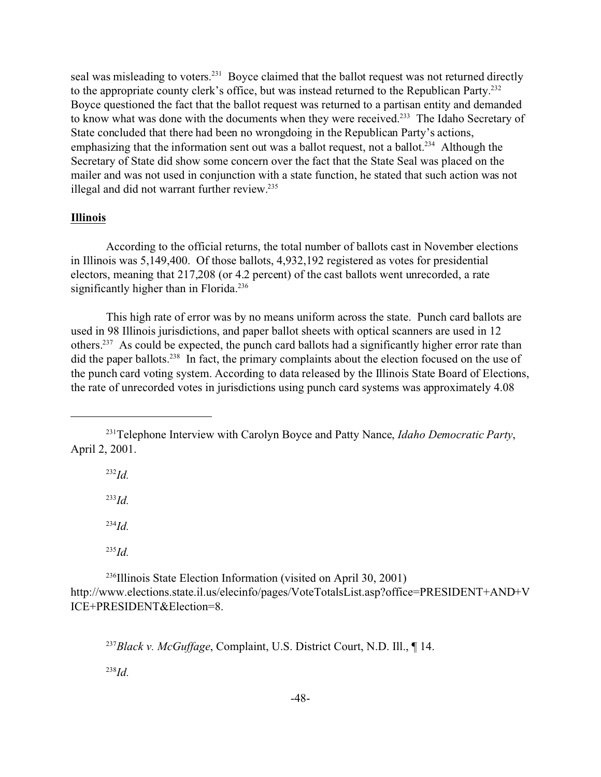seal was misleading to voters.<sup>231</sup> Boyce claimed that the ballot request was not returned directly to the appropriate county clerk's office, but was instead returned to the Republican Party.<sup>232</sup> Boyce questioned the fact that the ballot request was returned to a partisan entity and demanded to know what was done with the documents when they were received.<sup>233</sup> The Idaho Secretary of State concluded that there had been no wrongdoing in the Republican Party's actions, emphasizing that the information sent out was a ballot request, not a ballot.<sup>234</sup> Although the Secretary of State did show some concern over the fact that the State Seal was placed on the mailer and was not used in conjunction with a state function, he stated that such action was not illegal and did not warrant further review.<sup>235</sup>

# **Illinois**

According to the official returns, the total number of ballots cast in November elections in Illinois was 5,149,400. Of those ballots, 4,932,192 registered as votes for presidential electors, meaning that 217,208 (or 4.2 percent) of the cast ballots went unrecorded, a rate significantly higher than in Florida.<sup>236</sup>

This high rate of error was by no means uniform across the state. Punch card ballots are used in 98 Illinois jurisdictions, and paper ballot sheets with optical scanners are used in 12 others.<sup>237</sup> As could be expected, the punch card ballots had a significantly higher error rate than did the paper ballots.<sup>238</sup> In fact, the primary complaints about the election focused on the use of the punch card voting system. According to data released by the Illinois State Board of Elections, the rate of unrecorded votes in jurisdictions using punch card systems was approximately 4.08

<sup>232</sup>*Id.*

<sup>233</sup>*Id.*

<sup>234</sup>*Id.*

<sup>235</sup>*Id.*

<sup>236</sup>Illinois State Election Information (visited on April 30, 2001) http://www.elections.state.il.us/elecinfo/pages/VoteTotalsList.asp?office=PRESIDENT+AND+V ICE+PRESIDENT&Election=8.

<sup>237</sup>*Black v. McGuffage*, Complaint, U.S. District Court, N.D. Ill., ¶ 14.

<sup>238</sup>*Id.*

<sup>231</sup>Telephone Interview with Carolyn Boyce and Patty Nance, *Idaho Democratic Party*, April 2, 2001.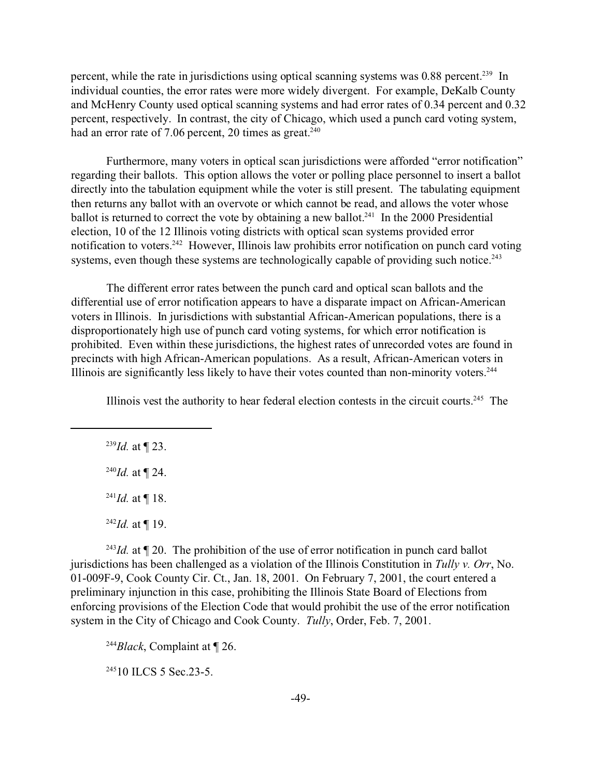percent, while the rate in jurisdictions using optical scanning systems was 0.88 percent.<sup>239</sup> In individual counties, the error rates were more widely divergent. For example, DeKalb County and McHenry County used optical scanning systems and had error rates of 0.34 percent and 0.32 percent, respectively. In contrast, the city of Chicago, which used a punch card voting system, had an error rate of 7.06 percent, 20 times as great. $240$ 

Furthermore, many voters in optical scan jurisdictions were afforded "error notification" regarding their ballots. This option allows the voter or polling place personnel to insert a ballot directly into the tabulation equipment while the voter is still present. The tabulating equipment then returns any ballot with an overvote or which cannot be read, and allows the voter whose ballot is returned to correct the vote by obtaining a new ballot.<sup>241</sup> In the 2000 Presidential election, 10 of the 12 Illinois voting districts with optical scan systems provided error notification to voters.<sup>242</sup> However, Illinois law prohibits error notification on punch card voting systems, even though these systems are technologically capable of providing such notice.<sup>243</sup>

The different error rates between the punch card and optical scan ballots and the differential use of error notification appears to have a disparate impact on African-American voters in Illinois. In jurisdictions with substantial African-American populations, there is a disproportionately high use of punch card voting systems, for which error notification is prohibited. Even within these jurisdictions, the highest rates of unrecorded votes are found in precincts with high African-American populations. As a result, African-American voters in Illinois are significantly less likely to have their votes counted than non-minority voters.<sup>244</sup>

Illinois vest the authority to hear federal election contests in the circuit courts.245 The

<sup>239</sup>*Id.* at ¶ 23.

 $^{240}Id.$  at ¶ 24.

 $^{241}Id$ . at ¶ 18.

 $^{242}Id.$  at ¶ 19.

<sup>243</sup>*Id.* at  $\P$  20. The prohibition of the use of error notification in punch card ballot jurisdictions has been challenged as a violation of the Illinois Constitution in *Tully v. Orr*, No. 01-009F-9, Cook County Cir. Ct., Jan. 18, 2001. On February 7, 2001, the court entered a preliminary injunction in this case, prohibiting the Illinois State Board of Elections from enforcing provisions of the Election Code that would prohibit the use of the error notification system in the City of Chicago and Cook County. *Tully*, Order, Feb. 7, 2001.

<sup>244</sup>*Black*, Complaint at ¶ 26.

<sup>245</sup>10 ILCS 5 Sec. 23-5.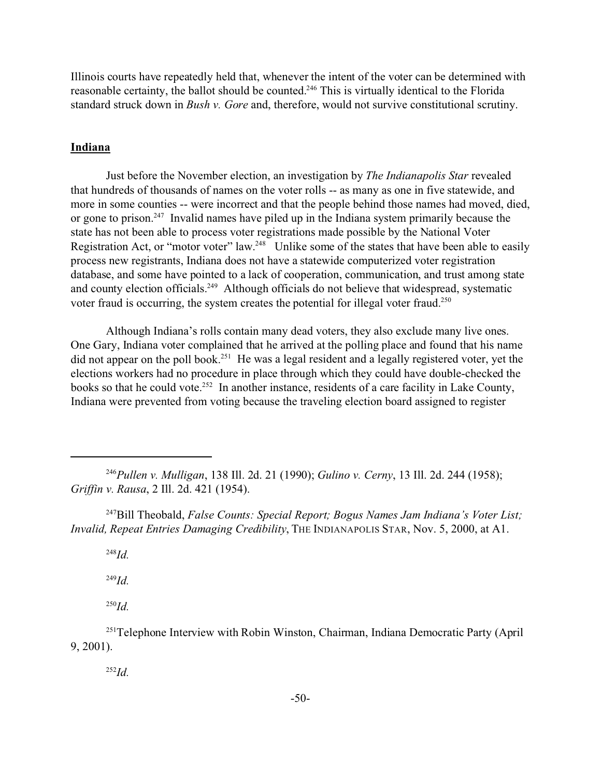Illinois courts have repeatedly held that, whenever the intent of the voter can be determined with reasonable certainty, the ballot should be counted.<sup>246</sup> This is virtually identical to the Florida standard struck down in *Bush v. Gore* and, therefore, would not survive constitutional scrutiny.

## **Indiana**

Just before the November election, an investigation by *The Indianapolis Star* revealed that hundreds of thousands of names on the voter rolls -- as many as one in five statewide, and more in some counties -- were incorrect and that the people behind those names had moved, died, or gone to prison.<sup>247</sup> Invalid names have piled up in the Indiana system primarily because the state has not been able to process voter registrations made possible by the National Voter Registration Act, or "motor voter" law.<sup>248</sup> Unlike some of the states that have been able to easily process new registrants, Indiana does not have a statewide computerized voter registration database, and some have pointed to a lack of cooperation, communication, and trust among state and county election officials.<sup>249</sup> Although officials do not believe that widespread, systematic voter fraud is occurring, the system creates the potential for illegal voter fraud.<sup>250</sup>

Although Indiana's rolls contain many dead voters, they also exclude many live ones. One Gary, Indiana voter complained that he arrived at the polling place and found that his name did not appear on the poll book.<sup>251</sup> He was a legal resident and a legally registered voter, yet the elections workers had no procedure in place through which they could have double-checked the books so that he could vote.<sup>252</sup> In another instance, residents of a care facility in Lake County, Indiana were prevented from voting because the traveling election board assigned to register

<sup>248</sup>*Id.*

<sup>249</sup>*Id.*

<sup>250</sup>*Id.*

<sup>252</sup>*Id.*

<sup>246</sup>*Pullen v. Mulligan*, 138 Ill. 2d. 21 (1990); *Gulino v. Cerny*, 13 Ill. 2d. 244 (1958); *Griffin v. Rausa*, 2 Ill. 2d. 421 (1954).

<sup>247</sup>Bill Theobald, *False Counts: Special Report; Bogus Names Jam Indiana's Voter List; Invalid, Repeat Entries Damaging Credibility*, THE INDIANAPOLIS STAR, Nov. 5, 2000, at A1.

<sup>&</sup>lt;sup>251</sup>Telephone Interview with Robin Winston, Chairman, Indiana Democratic Party (April) 9, 2001).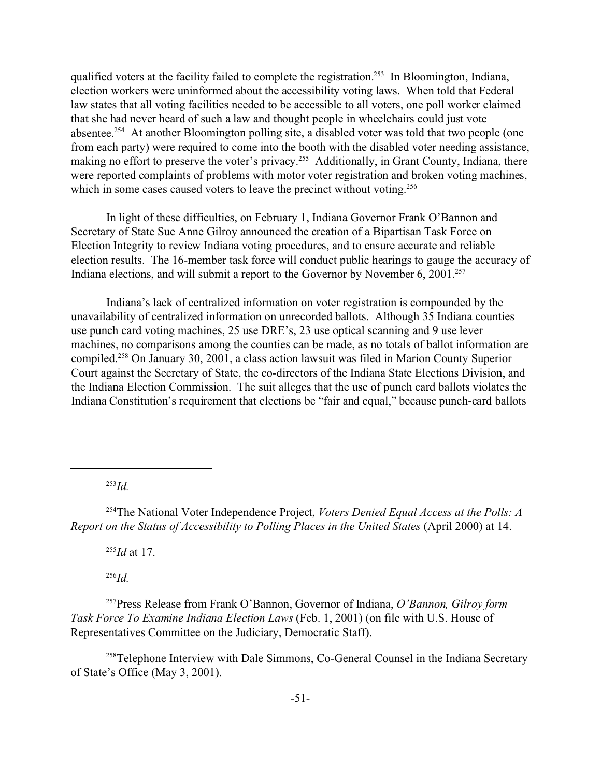qualified voters at the facility failed to complete the registration.<sup>253</sup> In Bloomington, Indiana, election workers were uninformed about the accessibility voting laws. When told that Federal law states that all voting facilities needed to be accessible to all voters, one poll worker claimed that she had never heard of such a law and thought people in wheelchairs could just vote absentee.<sup>254</sup> At another Bloomington polling site, a disabled voter was told that two people (one from each party) were required to come into the booth with the disabled voter needing assistance, making no effort to preserve the voter's privacy.<sup>255</sup> Additionally, in Grant County, Indiana, there were reported complaints of problems with motor voter registration and broken voting machines, which in some cases caused voters to leave the precinct without voting.<sup>256</sup>

In light of these difficulties, on February 1, Indiana Governor Frank O'Bannon and Secretary of State Sue Anne Gilroy announced the creation of a Bipartisan Task Force on Election Integrity to review Indiana voting procedures, and to ensure accurate and reliable election results. The 16-member task force will conduct public hearings to gauge the accuracy of Indiana elections, and will submit a report to the Governor by November 6, 2001.<sup>257</sup>

Indiana's lack of centralized information on voter registration is compounded by the unavailability of centralized information on unrecorded ballots. Although 35 Indiana counties use punch card voting machines, 25 use DRE's, 23 use optical scanning and 9 use lever machines, no comparisons among the counties can be made, as no totals of ballot information are compiled.<sup>258</sup> On January 30, 2001, a class action lawsuit was filed in Marion County Superior Court against the Secretary of State, the co-directors of the Indiana State Elections Division, and the Indiana Election Commission. The suit alleges that the use of punch card ballots violates the Indiana Constitution's requirement that elections be "fair and equal," because punch-card ballots

<sup>253</sup>*Id.*

<sup>254</sup>The National Voter Independence Project, *Voters Denied Equal Access at the Polls: A Report on the Status of Accessibility to Polling Places in the United States* (April 2000) at 14.

<sup>255</sup>*Id* at 17.

<sup>256</sup>*Id.*

<sup>257</sup>Press Release from Frank O'Bannon, Governor of Indiana, *O'Bannon, Gilroy form Task Force To Examine Indiana Election Laws* (Feb. 1, 2001) (on file with U.S. House of Representatives Committee on the Judiciary, Democratic Staff).

<sup>258</sup>Telephone Interview with Dale Simmons, Co-General Counsel in the Indiana Secretary of State's Office (May 3, 2001).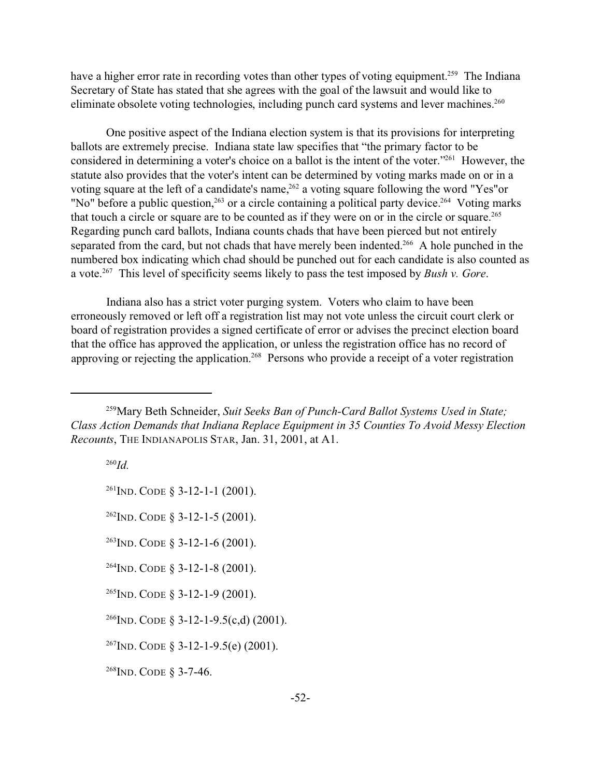have a higher error rate in recording votes than other types of voting equipment.<sup>259</sup> The Indiana Secretary of State has stated that she agrees with the goal of the lawsuit and would like to eliminate obsolete voting technologies, including punch card systems and lever machines.<sup>260</sup>

One positive aspect of the Indiana election system is that its provisions for interpreting ballots are extremely precise. Indiana state law specifies that "the primary factor to be considered in determining a voter's choice on a ballot is the intent of the voter."<sup>261</sup> However, the statute also provides that the voter's intent can be determined by voting marks made on or in a voting square at the left of a candidate's name,<sup>262</sup> a voting square following the word "Yes"or "No" before a public question,<sup>263</sup> or a circle containing a political party device.<sup>264</sup> Voting marks that touch a circle or square are to be counted as if they were on or in the circle or square.<sup>265</sup> Regarding punch card ballots, Indiana counts chads that have been pierced but not entirely separated from the card, but not chads that have merely been indented.<sup>266</sup> A hole punched in the numbered box indicating which chad should be punched out for each candidate is also counted as a vote.<sup>267</sup> This level of specificity seems likely to pass the test imposed by *Bush v. Gore*.

Indiana also has a strict voter purging system. Voters who claim to have been erroneously removed or left off a registration list may not vote unless the circuit court clerk or board of registration provides a signed certificate of error or advises the precinct election board that the office has approved the application, or unless the registration office has no record of approving or rejecting the application.<sup>268</sup> Persons who provide a receipt of a voter registration

<sup>260</sup>*Id.*

<sup>261</sup>IND. CODE § 3-12-1-1 (2001).

 $^{262}$ IND. CODE § 3-12-1-5 (2001).

 $^{263}$ IND. CODE § 3-12-1-6 (2001).

 $^{264}$ IND. CODE § 3-12-1-8 (2001).

 $^{265}$ IND. CODE § 3-12-1-9 (2001).

 $^{266}$ IND. CODE § 3-12-1-9.5(c,d) (2001).

<sup>267</sup>IND. CODE § 3-12-1-9.5(e) (2001).

<sup>268</sup>IND. CODE § 3-7-46.

<sup>259</sup>Mary Beth Schneider, *Suit Seeks Ban of Punch-Card Ballot Systems Used in State; Class Action Demands that Indiana Replace Equipment in 35 Counties To Avoid Messy Election Recounts*, THE INDIANAPOLIS STAR, Jan. 31, 2001, at A1.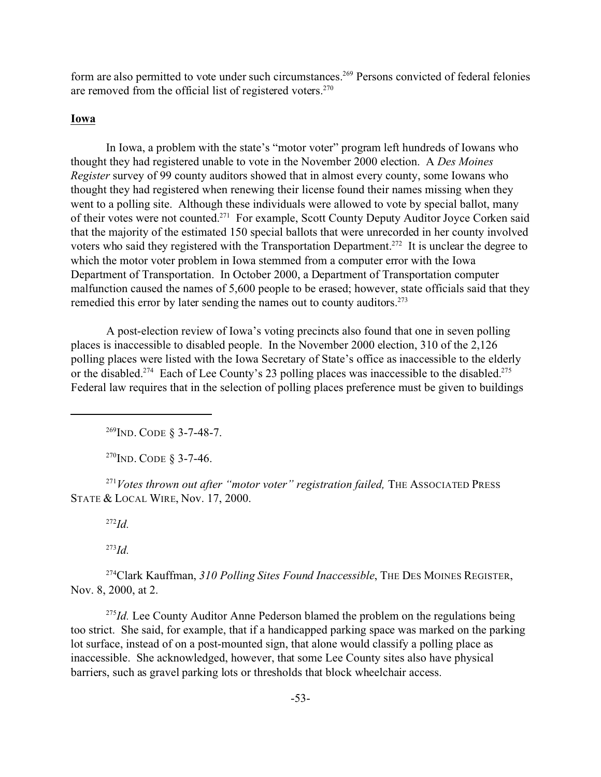form are also permitted to vote under such circumstances.<sup>269</sup> Persons convicted of federal felonies are removed from the official list of registered voters.<sup>270</sup>

# **Iowa**

In Iowa, a problem with the state's "motor voter" program left hundreds of Iowans who thought they had registered unable to vote in the November 2000 election. A *Des Moines Register* survey of 99 county auditors showed that in almost every county, some Iowans who thought they had registered when renewing their license found their names missing when they went to a polling site. Although these individuals were allowed to vote by special ballot, many of their votes were not counted.<sup>271</sup> For example, Scott County Deputy Auditor Joyce Corken said that the majority of the estimated 150 special ballots that were unrecorded in her county involved voters who said they registered with the Transportation Department.<sup>272</sup> It is unclear the degree to which the motor voter problem in Iowa stemmed from a computer error with the Iowa Department of Transportation. In October 2000, a Department of Transportation computer malfunction caused the names of 5,600 people to be erased; however, state officials said that they remedied this error by later sending the names out to county auditors.<sup>273</sup>

A post-election review of Iowa's voting precincts also found that one in seven polling places is inaccessible to disabled people. In the November 2000 election, 310 of the 2,126 polling places were listed with the Iowa Secretary of State's office as inaccessible to the elderly or the disabled.<sup>274</sup> Each of Lee County's 23 polling places was inaccessible to the disabled.<sup>275</sup> Federal law requires that in the selection of polling places preference must be given to buildings

<sup>269</sup>IND. CODE § 3-7-48-7.

 $^{270}$ IND. CODE § 3-7-46.

<sup>271</sup>*Votes thrown out after "motor voter" registration failed,* THE ASSOCIATED PRESS STATE & LOCAL WIRE, Nov. 17, 2000.

<sup>272</sup>*Id.*

<sup>273</sup>*Id.*

<sup>274</sup>Clark Kauffman, *310 Polling Sites Found Inaccessible*, THE DES MOINES REGISTER, Nov. 8, 2000, at 2.

<sup>275</sup>*Id.* Lee County Auditor Anne Pederson blamed the problem on the regulations being too strict. She said, for example, that if a handicapped parking space was marked on the parking lot surface, instead of on a post-mounted sign, that alone would classify a polling place as inaccessible. She acknowledged, however, that some Lee County sites also have physical barriers, such as gravel parking lots or thresholds that block wheelchair access.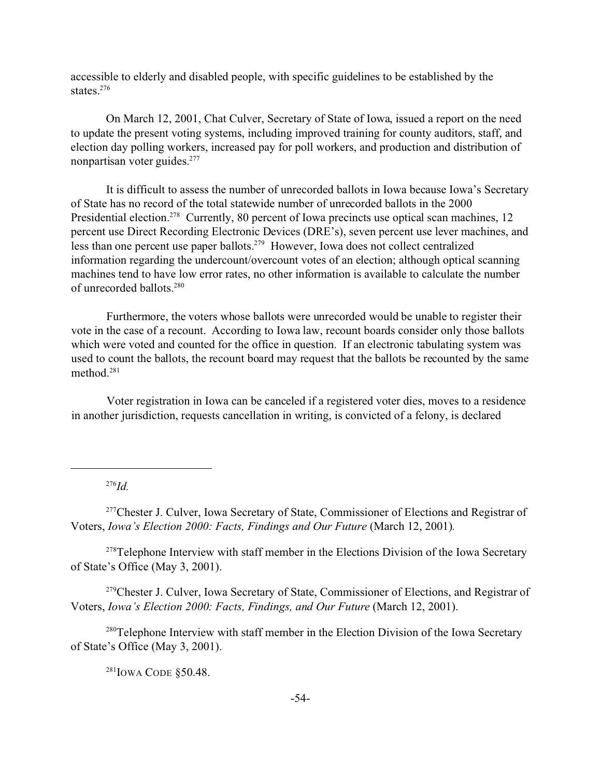accessible to elderly and disabled people, with specific guidelines to be established by the states $^{276}$ 

On March 12, 2001, Chat Culver, Secretary of State of Iowa, issued a report on the need to update the present voting systems, including improved training for county auditors, staff, and election day polling workers, increased pay for poll workers, and production and distribution of nonpartisan voter guides.<sup>277</sup>

It is difficult to assess the number of unrecorded ballots in Iowa because Iowa's Secretary of State has no record of the total statewide number of unrecorded ballots in the 2000 Presidential election.<sup>278</sup> Currently, 80 percent of Iowa precincts use optical scan machines, 12 percent use Direct Recording Electronic Devices (DRE's), seven percent use lever machines, and less than one percent use paper ballots.<sup>279</sup> However, Iowa does not collect centralized information regarding the undercount/overcount votes of an election; although optical scanning machines tend to have low error rates, no other information is available to calculate the number of unrecorded ballots.<sup>280</sup>

Furthermore, the voters whose ballots were unrecorded would be unable to register their vote in the case of a recount. According to Iowa law, recount boards consider only those ballots which were voted and counted for the office in question. If an electronic tabulating system was used to count the ballots, the recount board may request that the ballots be recounted by the same method.<sup>281</sup>

Voter registration in Iowa can be canceled if a registered voter dies, moves to a residence in another jurisdiction, requests cancellation in writing, is convicted of a felony, is declared

<sup>276</sup>*Id.*

<sup>277</sup>Chester J. Culver, Iowa Secretary of State, Commissioner of Elections and Registrar of Voters, *Iowa's Election 2000: Facts, Findings and Our Future* (March 12, 2001)*.* 

<sup>278</sup>Telephone Interview with staff member in the Elections Division of the Iowa Secretary of State's Office (May 3, 2001).

<sup>279</sup>Chester J. Culver, Iowa Secretary of State, Commissioner of Elections, and Registrar of Voters, *Iowa's Election 2000: Facts, Findings, and Our Future* (March 12, 2001).

<sup>280</sup>Telephone Interview with staff member in the Election Division of the Iowa Secretary of State's Office (May 3, 2001).

 $281$ IOWA CODE §50.48.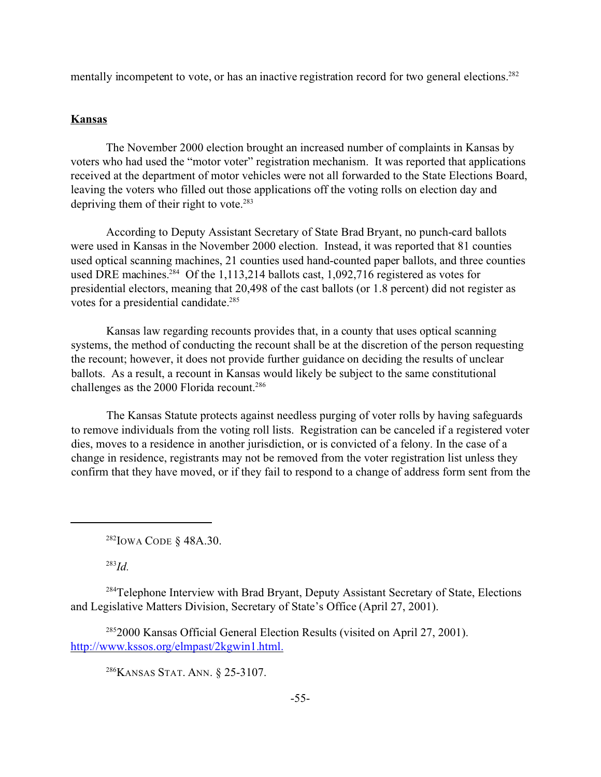mentally incompetent to vote, or has an inactive registration record for two general elections.<sup>282</sup>

# **Kansas**

The November 2000 election brought an increased number of complaints in Kansas by voters who had used the "motor voter" registration mechanism. It was reported that applications received at the department of motor vehicles were not all forwarded to the State Elections Board, leaving the voters who filled out those applications off the voting rolls on election day and depriving them of their right to vote. $283$ 

According to Deputy Assistant Secretary of State Brad Bryant, no punch-card ballots were used in Kansas in the November 2000 election. Instead, it was reported that 81 counties used optical scanning machines, 21 counties used hand-counted paper ballots, and three counties used DRE machines.<sup>284</sup> Of the 1,113,214 ballots cast, 1,092,716 registered as votes for presidential electors, meaning that 20,498 of the cast ballots (or 1.8 percent) did not register as votes for a presidential candidate.<sup>285</sup>

Kansas law regarding recounts provides that, in a county that uses optical scanning systems, the method of conducting the recount shall be at the discretion of the person requesting the recount; however, it does not provide further guidance on deciding the results of unclear ballots. As a result, a recount in Kansas would likely be subject to the same constitutional challenges as the 2000 Florida recount.<sup>286</sup>

The Kansas Statute protects against needless purging of voter rolls by having safeguards to remove individuals from the voting roll lists. Registration can be canceled if a registered voter dies, moves to a residence in another jurisdiction, or is convicted of a felony. In the case of a change in residence, registrants may not be removed from the voter registration list unless they confirm that they have moved, or if they fail to respond to a change of address form sent from the

<sup>282</sup>IOWA CODE § 48A.30.

<sup>283</sup>*Id.*

<sup>284</sup>Telephone Interview with Brad Bryant, Deputy Assistant Secretary of State, Elections and Legislative Matters Division, Secretary of State's Office (April 27, 2001).

<sup>285</sup>2000 Kansas Official General Election Results (visited on April 27, 2001). http://www.kssos.org/elmpast/2kgwin1.html.

<sup>286</sup>KANSAS STAT. ANN. § 25-3107.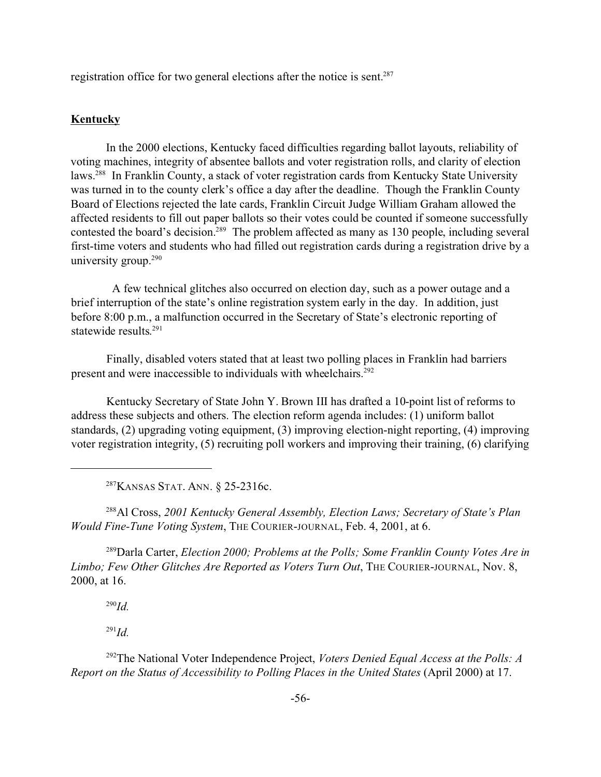registration office for two general elections after the notice is sent.<sup>287</sup>

# **Kentucky**

In the 2000 elections, Kentucky faced difficulties regarding ballot layouts, reliability of voting machines, integrity of absentee ballots and voter registration rolls, and clarity of election laws.<sup>288</sup> In Franklin County, a stack of voter registration cards from Kentucky State University was turned in to the county clerk's office a day after the deadline. Though the Franklin County Board of Elections rejected the late cards, Franklin Circuit Judge William Graham allowed the affected residents to fill out paper ballots so their votes could be counted if someone successfully contested the board's decision.<sup>289</sup> The problem affected as many as 130 people, including several first-time voters and students who had filled out registration cards during a registration drive by a university group.<sup>290</sup>

 A few technical glitches also occurred on election day, such as a power outage and a brief interruption of the state's online registration system early in the day. In addition, just before 8:00 p.m., a malfunction occurred in the Secretary of State's electronic reporting of statewide results. 291

Finally, disabled voters stated that at least two polling places in Franklin had barriers present and were inaccessible to individuals with wheelchairs.<sup>292</sup>

Kentucky Secretary of State John Y. Brown III has drafted a 10-point list of reforms to address these subjects and others. The election reform agenda includes: (1) uniform ballot standards, (2) upgrading voting equipment, (3) improving election-night reporting, (4) improving voter registration integrity, (5) recruiting poll workers and improving their training, (6) clarifying

<sup>287</sup>KANSAS STAT. ANN. § 25-2316c.

<sup>288</sup>Al Cross, *2001 Kentucky General Assembly, Election Laws; Secretary of State's Plan Would Fine-Tune Voting System*, THE COURIER-JOURNAL, Feb. 4, 2001, at 6.

<sup>289</sup>Darla Carter, *Election 2000; Problems at the Polls; Some Franklin County Votes Are in Limbo; Few Other Glitches Are Reported as Voters Turn Out*, THE COURIER-JOURNAL, Nov. 8, 2000, at 16.

<sup>290</sup>*Id.*

<sup>291</sup>*Id.*

<sup>292</sup>The National Voter Independence Project, *Voters Denied Equal Access at the Polls: A Report on the Status of Accessibility to Polling Places in the United States* (April 2000) at 17.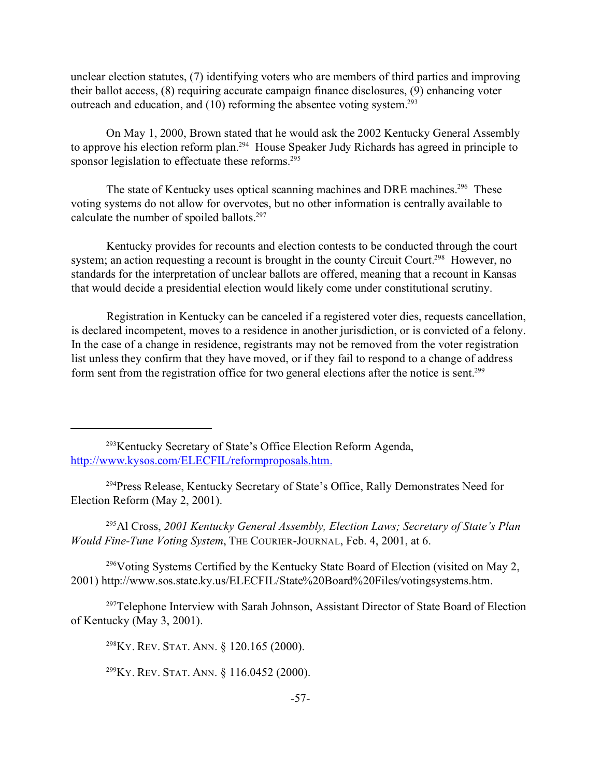unclear election statutes, (7) identifying voters who are members of third parties and improving their ballot access, (8) requiring accurate campaign finance disclosures, (9) enhancing voter outreach and education, and  $(10)$  reforming the absentee voting system.<sup>293</sup>

On May 1, 2000, Brown stated that he would ask the 2002 Kentucky General Assembly to approve his election reform plan.<sup>294</sup> House Speaker Judy Richards has agreed in principle to sponsor legislation to effectuate these reforms.<sup>295</sup>

The state of Kentucky uses optical scanning machines and DRE machines.<sup>296</sup> These voting systems do not allow for overvotes, but no other information is centrally available to calculate the number of spoiled ballots.<sup>297</sup>

Kentucky provides for recounts and election contests to be conducted through the court system; an action requesting a recount is brought in the county Circuit Court.<sup>298</sup> However, no standards for the interpretation of unclear ballots are offered, meaning that a recount in Kansas that would decide a presidential election would likely come under constitutional scrutiny.

Registration in Kentucky can be canceled if a registered voter dies, requests cancellation, is declared incompetent, moves to a residence in another jurisdiction, or is convicted of a felony. In the case of a change in residence, registrants may not be removed from the voter registration list unless they confirm that they have moved, or if they fail to respond to a change of address form sent from the registration office for two general elections after the notice is sent.<sup>299</sup>

<sup>295</sup>Al Cross, *2001 Kentucky General Assembly, Election Laws; Secretary of State's Plan Would Fine-Tune Voting System*, THE COURIER-JOURNAL, Feb. 4, 2001, at 6.

<sup>296</sup>Voting Systems Certified by the Kentucky State Board of Election (visited on May 2, 2001) http://www.sos.state.ky.us/ELECFIL/State%20Board%20Files/votingsystems.htm.

<sup>297</sup>Telephone Interview with Sarah Johnson, Assistant Director of State Board of Election of Kentucky (May 3, 2001).

<sup>298</sup>KY. REV. STAT. ANN. § 120.165 (2000).

<sup>299</sup>KY. REV. STAT. ANN. § 116.0452 (2000).

<sup>293</sup>Kentucky Secretary of State's Office Election Reform Agenda, http://www.kysos.com/ELECFIL/reformproposals.htm.

<sup>&</sup>lt;sup>294</sup> Press Release, Kentucky Secretary of State's Office, Rally Demonstrates Need for Election Reform (May 2, 2001).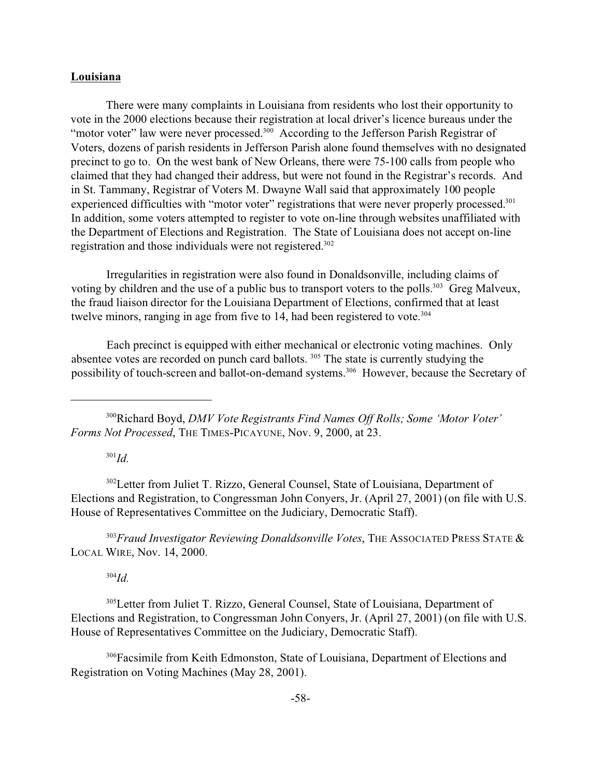## **Louisiana**

There were many complaints in Louisiana from residents who lost their opportunity to vote in the 2000 elections because their registration at local driver's licence bureaus under the "motor voter" law were never processed.<sup>300</sup> According to the Jefferson Parish Registrar of Voters, dozens of parish residents in Jefferson Parish alone found themselves with no designated precinct to go to. On the west bank of New Orleans, there were 75-100 calls from people who claimed that they had changed their address, but were not found in the Registrar's records. And in St. Tammany, Registrar of Voters M. Dwayne Wall said that approximately 100 people experienced difficulties with "motor voter" registrations that were never properly processed.<sup>301</sup> In addition, some voters attempted to register to vote on-line through websites unaffiliated with the Department of Elections and Registration. The State of Louisiana does not accept on-line registration and those individuals were not registered.<sup>302</sup>

Irregularities in registration were also found in Donaldsonville, including claims of voting by children and the use of a public bus to transport voters to the polls.<sup>303</sup> Greg Malveux, the fraud liaison director for the Louisiana Department of Elections, confirmed that at least twelve minors, ranging in age from five to 14, had been registered to vote.<sup>304</sup>

Each precinct is equipped with either mechanical or electronic voting machines. Only absentee votes are recorded on punch card ballots. <sup>305</sup> The state is currently studying the possibility of touch-screen and ballot-on-demand systems.306 However, because the Secretary of

<sup>301</sup>*Id.*

<sup>302</sup>Letter from Juliet T. Rizzo, General Counsel, State of Louisiana, Department of Elections and Registration, to Congressman John Conyers, Jr. (April 27, 2001) (on file with U.S. House of Representatives Committee on the Judiciary, Democratic Staff).

<sup>303</sup>*Fraud Investigator Reviewing Donaldsonville Votes*, THE ASSOCIATED PRESS STATE & LOCAL WIRE, Nov. 14, 2000.

<sup>304</sup>*Id.*

<sup>305</sup>Letter from Juliet T. Rizzo, General Counsel, State of Louisiana, Department of Elections and Registration, to Congressman John Conyers, Jr. (April 27, 2001) (on file with U.S. House of Representatives Committee on the Judiciary, Democratic Staff).

<sup>306</sup>Facsimile from Keith Edmonston, State of Louisiana, Department of Elections and Registration on Voting Machines (May 28, 2001).

<sup>300</sup>Richard Boyd, *DMV Vote Registrants Find Names Off Rolls; Some 'Motor Voter' Forms Not Processed*, THE TIMES-PICAYUNE, Nov. 9, 2000, at 23.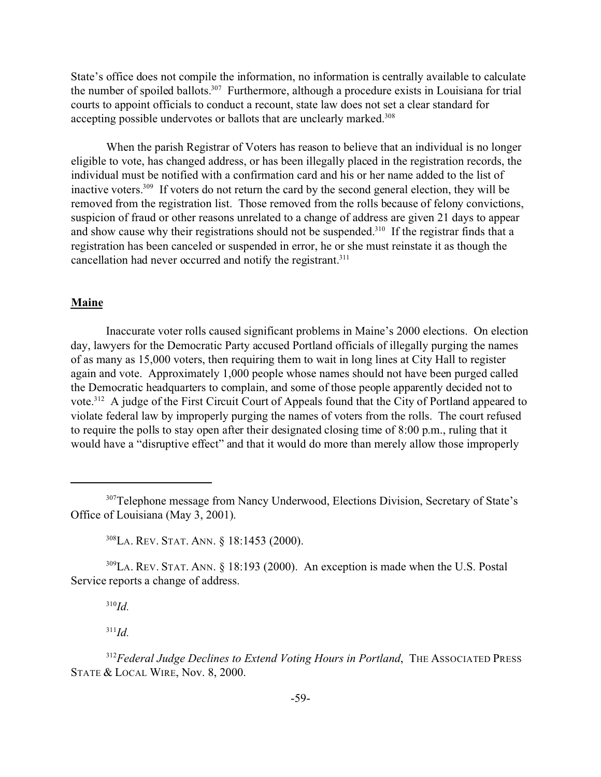State's office does not compile the information, no information is centrally available to calculate the number of spoiled ballots.<sup>307</sup> Furthermore, although a procedure exists in Louisiana for trial courts to appoint officials to conduct a recount, state law does not set a clear standard for accepting possible undervotes or ballots that are unclearly marked.<sup>308</sup>

When the parish Registrar of Voters has reason to believe that an individual is no longer eligible to vote, has changed address, or has been illegally placed in the registration records, the individual must be notified with a confirmation card and his or her name added to the list of inactive voters.<sup>309</sup> If voters do not return the card by the second general election, they will be removed from the registration list. Those removed from the rolls because of felony convictions, suspicion of fraud or other reasons unrelated to a change of address are given 21 days to appear and show cause why their registrations should not be suspended.<sup>310</sup> If the registrar finds that a registration has been canceled or suspended in error, he or she must reinstate it as though the cancellation had never occurred and notify the registrant.<sup>311</sup>

# **Maine**

Inaccurate voter rolls caused significant problems in Maine's 2000 elections. On election day, lawyers for the Democratic Party accused Portland officials of illegally purging the names of as many as 15,000 voters, then requiring them to wait in long lines at City Hall to register again and vote. Approximately 1,000 people whose names should not have been purged called the Democratic headquarters to complain, and some of those people apparently decided not to vote.<sup>312</sup> A judge of the First Circuit Court of Appeals found that the City of Portland appeared to violate federal law by improperly purging the names of voters from the rolls. The court refused to require the polls to stay open after their designated closing time of 8:00 p.m., ruling that it would have a "disruptive effect" and that it would do more than merely allow those improperly

<sup>308</sup>LA. REV. STAT. ANN. § 18:1453 (2000).

<sup>309</sup>LA. REV. STAT. ANN. § 18:193 (2000). An exception is made when the U.S. Postal Service reports a change of address.

<sup>310</sup>*Id.*

<sup>311</sup>*Id.*

<sup>312</sup>*Federal Judge Declines to Extend Voting Hours in Portland*, THE ASSOCIATED PRESS STATE & LOCAL WIRE, Nov. 8, 2000.

<sup>&</sup>lt;sup>307</sup>Telephone message from Nancy Underwood, Elections Division, Secretary of State's Office of Louisiana (May 3, 2001).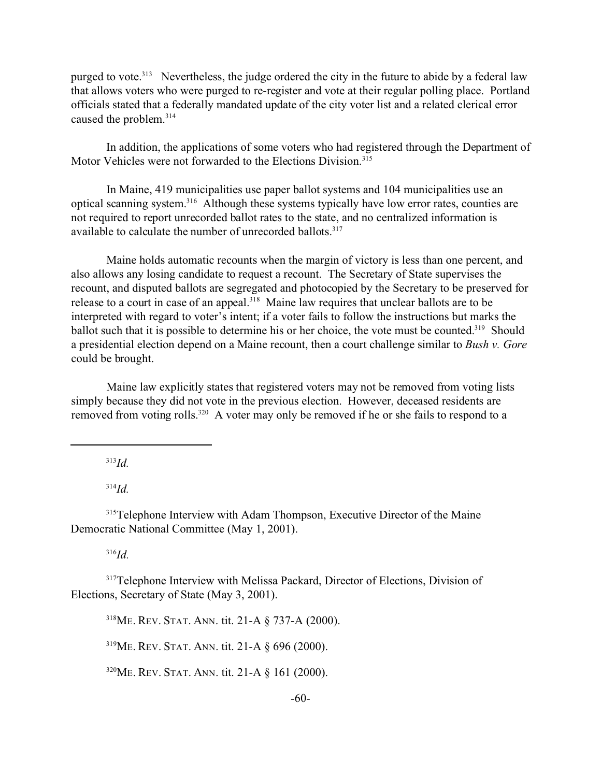purged to vote.<sup>313</sup> Nevertheless, the judge ordered the city in the future to abide by a federal law that allows voters who were purged to re-register and vote at their regular polling place. Portland officials stated that a federally mandated update of the city voter list and a related clerical error caused the problem.<sup>314</sup>

In addition, the applications of some voters who had registered through the Department of Motor Vehicles were not forwarded to the Elections Division.<sup>315</sup>

In Maine, 419 municipalities use paper ballot systems and 104 municipalities use an optical scanning system.<sup>316</sup> Although these systems typically have low error rates, counties are not required to report unrecorded ballot rates to the state, and no centralized information is available to calculate the number of unrecorded ballots.<sup>317</sup>

Maine holds automatic recounts when the margin of victory is less than one percent, and also allows any losing candidate to request a recount. The Secretary of State supervises the recount, and disputed ballots are segregated and photocopied by the Secretary to be preserved for release to a court in case of an appeal.<sup>318</sup> Maine law requires that unclear ballots are to be interpreted with regard to voter's intent; if a voter fails to follow the instructions but marks the ballot such that it is possible to determine his or her choice, the vote must be counted.<sup>319</sup> Should a presidential election depend on a Maine recount, then a court challenge similar to *Bush v. Gore* could be brought.

Maine law explicitly states that registered voters may not be removed from voting lists simply because they did not vote in the previous election. However, deceased residents are removed from voting rolls.<sup>320</sup> A voter may only be removed if he or she fails to respond to a

<sup>313</sup>*Id.*

<sup>314</sup>*Id.*

<sup>315</sup>Telephone Interview with Adam Thompson, Executive Director of the Maine Democratic National Committee (May 1, 2001).

<sup>316</sup>*Id.*

<sup>317</sup>Telephone Interview with Melissa Packard, Director of Elections, Division of Elections, Secretary of State (May 3, 2001).

<sup>318</sup>ME. REV. STAT. ANN. tit. 21-A § 737-A (2000).

<sup>319</sup>ME. REV. STAT. ANN. tit. 21-A § 696 (2000).

<sup>320</sup>ME. REV. STAT. ANN. tit. 21-A § 161 (2000).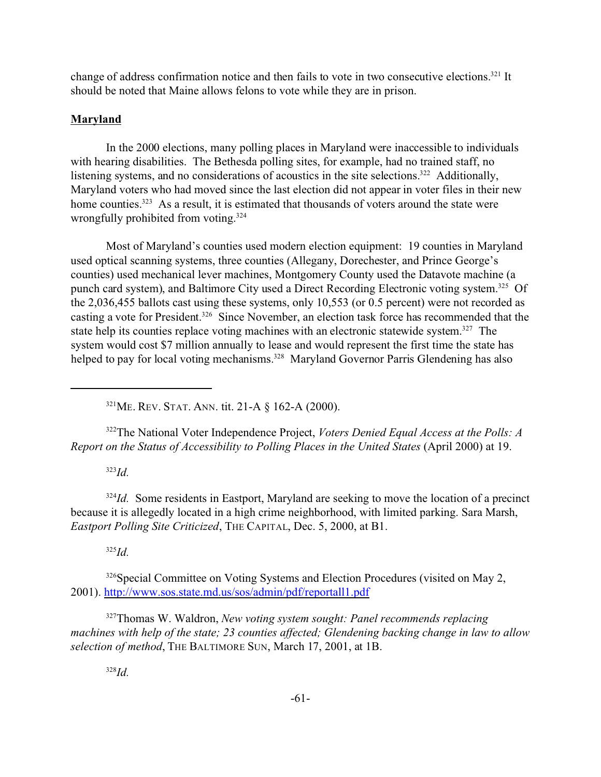change of address confirmation notice and then fails to vote in two consecutive elections.<sup>321</sup> It should be noted that Maine allows felons to vote while they are in prison.

# **Maryland**

In the 2000 elections, many polling places in Maryland were inaccessible to individuals with hearing disabilities. The Bethesda polling sites, for example, had no trained staff, no listening systems, and no considerations of acoustics in the site selections.<sup>322</sup> Additionally, Maryland voters who had moved since the last election did not appear in voter files in their new home counties.<sup>323</sup> As a result, it is estimated that thousands of voters around the state were wrongfully prohibited from voting.<sup>324</sup>

Most of Maryland's counties used modern election equipment: 19 counties in Maryland used optical scanning systems, three counties (Allegany, Dorechester, and Prince George's counties) used mechanical lever machines, Montgomery County used the Datavote machine (a punch card system), and Baltimore City used a Direct Recording Electronic voting system.<sup>325</sup> Of the 2,036,455 ballots cast using these systems, only 10,553 (or 0.5 percent) were not recorded as casting a vote for President.<sup>326</sup> Since November, an election task force has recommended that the state help its counties replace voting machines with an electronic statewide system.<sup>327</sup> The system would cost \$7 million annually to lease and would represent the first time the state has helped to pay for local voting mechanisms.<sup>328</sup> Maryland Governor Parris Glendening has also

<sup>321</sup>ME. REV. STAT. ANN. tit. 21-A § 162-A (2000).

<sup>322</sup>The National Voter Independence Project, *Voters Denied Equal Access at the Polls: A Report on the Status of Accessibility to Polling Places in the United States* (April 2000) at 19.

<sup>323</sup>*Id.*

<sup>324</sup>*Id.* Some residents in Eastport, Maryland are seeking to move the location of a precinct because it is allegedly located in a high crime neighborhood, with limited parking. Sara Marsh, *Eastport Polling Site Criticized*, THE CAPITAL, Dec. 5, 2000, at B1.

<sup>325</sup>*Id.*

<sup>326</sup>Special Committee on Voting Systems and Election Procedures (visited on May 2, 2001). http://www.sos.state.md.us/sos/admin/pdf/reportall1.pdf

<sup>327</sup>Thomas W. Waldron, *New voting system sought: Panel recommends replacing machines with help of the state; 23 counties affected; Glendening backing change in law to allow selection of method*, THE BALTIMORE SUN, March 17, 2001, at 1B.

<sup>328</sup>*Id.*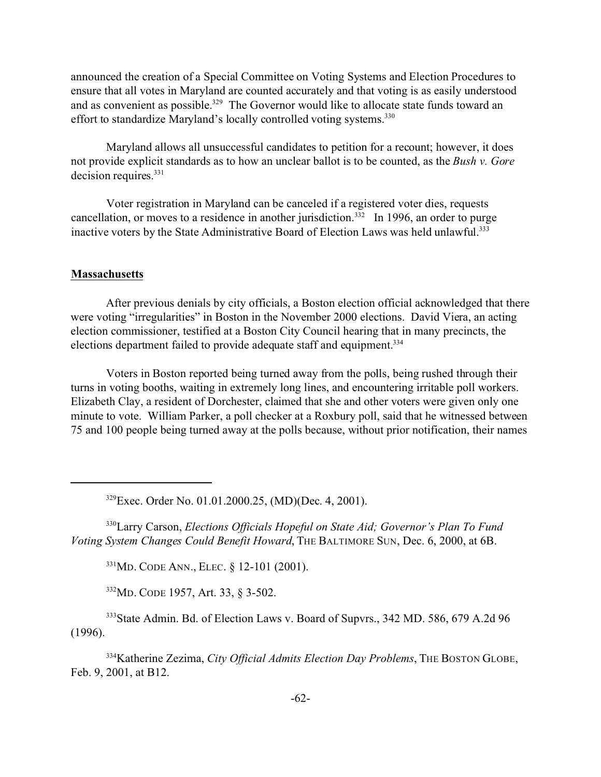announced the creation of a Special Committee on Voting Systems and Election Procedures to ensure that all votes in Maryland are counted accurately and that voting is as easily understood and as convenient as possible.<sup>329</sup> The Governor would like to allocate state funds toward an effort to standardize Maryland's locally controlled voting systems.<sup>330</sup>

Maryland allows all unsuccessful candidates to petition for a recount; however, it does not provide explicit standards as to how an unclear ballot is to be counted, as the *Bush v. Gore* decision requires.<sup>331</sup>

Voter registration in Maryland can be canceled if a registered voter dies, requests cancellation, or moves to a residence in another jurisdiction.<sup>332</sup> In 1996, an order to purge inactive voters by the State Administrative Board of Election Laws was held unlawful.<sup>333</sup>

### **Massachusetts**

After previous denials by city officials, a Boston election official acknowledged that there were voting "irregularities" in Boston in the November 2000 elections. David Viera, an acting election commissioner, testified at a Boston City Council hearing that in many precincts, the elections department failed to provide adequate staff and equipment.<sup>334</sup>

Voters in Boston reported being turned away from the polls, being rushed through their turns in voting booths, waiting in extremely long lines, and encountering irritable poll workers. Elizabeth Clay, a resident of Dorchester, claimed that she and other voters were given only one minute to vote. William Parker, a poll checker at a Roxbury poll, said that he witnessed between 75 and 100 people being turned away at the polls because, without prior notification, their names

<sup>329</sup>Exec. Order No. 01.01.2000.25, (MD)(Dec. 4, 2001).

<sup>330</sup>Larry Carson, *Elections Officials Hopeful on State Aid; Governor's Plan To Fund Voting System Changes Could Benefit Howard*, THE BALTIMORE SUN, Dec. 6, 2000, at 6B.

<sup>331</sup>MD. CODE ANN., ELEC. § 12-101 (2001).

<sup>332</sup>MD. CODE 1957, Art. 33, § 3-502.

<sup>333</sup>State Admin. Bd. of Election Laws v. Board of Supvrs., 342 MD. 586, 679 A.2d 96 (1996).

<sup>334</sup>Katherine Zezima, *City Official Admits Election Day Problems*, THE BOSTON GLOBE, Feb. 9, 2001, at B12.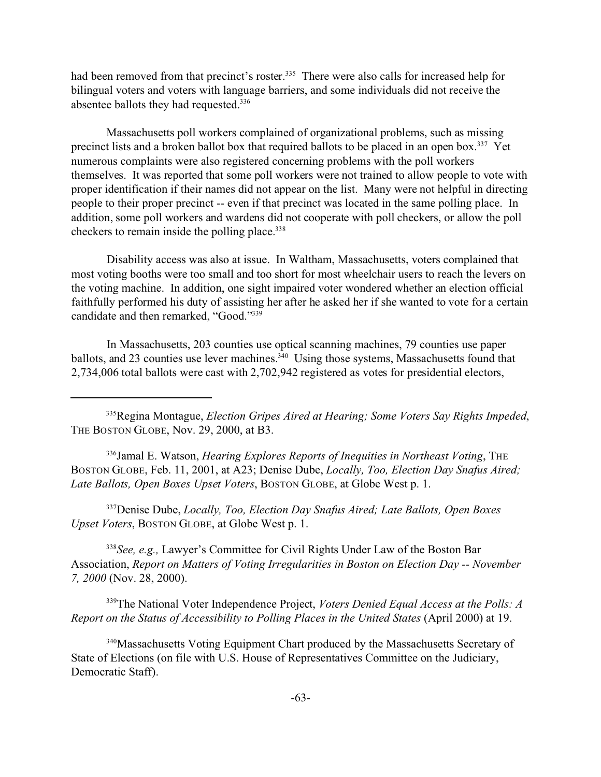had been removed from that precinct's roster.<sup>335</sup> There were also calls for increased help for bilingual voters and voters with language barriers, and some individuals did not receive the absentee ballots they had requested.<sup>336</sup>

Massachusetts poll workers complained of organizational problems, such as missing precinct lists and a broken ballot box that required ballots to be placed in an open box.<sup>337</sup> Yet numerous complaints were also registered concerning problems with the poll workers themselves. It was reported that some poll workers were not trained to allow people to vote with proper identification if their names did not appear on the list. Many were not helpful in directing people to their proper precinct -- even if that precinct was located in the same polling place. In addition, some poll workers and wardens did not cooperate with poll checkers, or allow the poll checkers to remain inside the polling place.<sup>338</sup>

Disability access was also at issue. In Waltham, Massachusetts, voters complained that most voting booths were too small and too short for most wheelchair users to reach the levers on the voting machine. In addition, one sight impaired voter wondered whether an election official faithfully performed his duty of assisting her after he asked her if she wanted to vote for a certain candidate and then remarked, "Good."<sup>339</sup>

In Massachusetts, 203 counties use optical scanning machines, 79 counties use paper ballots, and 23 counties use lever machines.<sup>340</sup> Using those systems, Massachusetts found that 2,734,006 total ballots were cast with 2,702,942 registered as votes for presidential electors,

<sup>335</sup>Regina Montague, *Election Gripes Aired at Hearing; Some Voters Say Rights Impeded*, THE BOSTON GLOBE, Nov. 29, 2000, at B3.

<sup>336</sup>Jamal E. Watson, *Hearing Explores Reports of Inequities in Northeast Voting*, THE BOSTON GLOBE, Feb. 11, 2001, at A23; Denise Dube, *Locally, Too, Election Day Snafus Aired; Late Ballots, Open Boxes Upset Voters*, BOSTON GLOBE, at Globe West p. 1.

<sup>337</sup>Denise Dube, *Locally, Too, Election Day Snafus Aired; Late Ballots, Open Boxes Upset Voters*, BOSTON GLOBE, at Globe West p. 1.

<sup>338</sup>*See, e.g.,* Lawyer's Committee for Civil Rights Under Law of the Boston Bar Association, *Report on Matters of Voting Irregularities in Boston on Election Day -- November 7, 2000* (Nov. 28, 2000).

<sup>339</sup>The National Voter Independence Project, *Voters Denied Equal Access at the Polls: A Report on the Status of Accessibility to Polling Places in the United States* (April 2000) at 19.

<sup>340</sup>Massachusetts Voting Equipment Chart produced by the Massachusetts Secretary of State of Elections (on file with U.S. House of Representatives Committee on the Judiciary, Democratic Staff).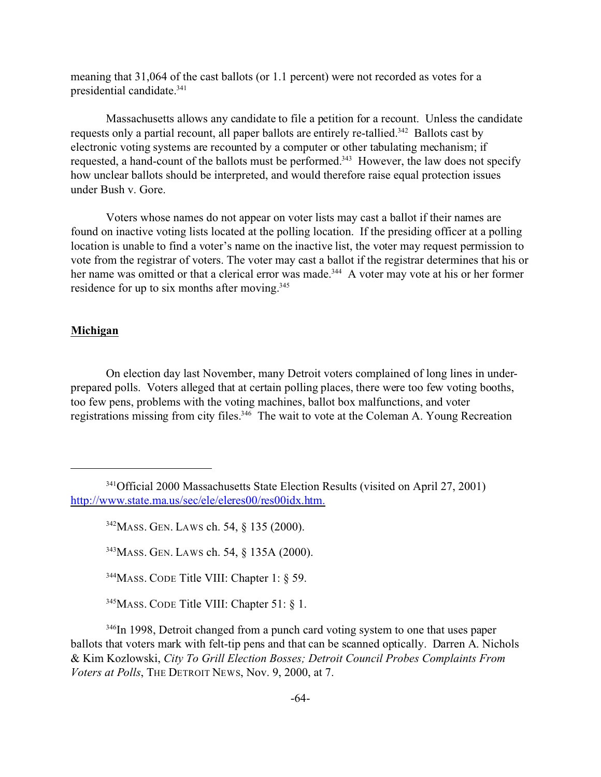meaning that 31,064 of the cast ballots (or 1.1 percent) were not recorded as votes for a presidential candidate.<sup>341</sup>

Massachusetts allows any candidate to file a petition for a recount. Unless the candidate requests only a partial recount, all paper ballots are entirely re-tallied.<sup>342</sup> Ballots cast by electronic voting systems are recounted by a computer or other tabulating mechanism; if requested, a hand-count of the ballots must be performed.<sup>343</sup> However, the law does not specify how unclear ballots should be interpreted, and would therefore raise equal protection issues under Bush v. Gore.

Voters whose names do not appear on voter lists may cast a ballot if their names are found on inactive voting lists located at the polling location. If the presiding officer at a polling location is unable to find a voter's name on the inactive list, the voter may request permission to vote from the registrar of voters. The voter may cast a ballot if the registrar determines that his or her name was omitted or that a clerical error was made.<sup>344</sup> A voter may vote at his or her former residence for up to six months after moving.<sup>345</sup>

## **Michigan**

On election day last November, many Detroit voters complained of long lines in underprepared polls. Voters alleged that at certain polling places, there were too few voting booths, too few pens, problems with the voting machines, ballot box malfunctions, and voter registrations missing from city files.<sup>346</sup> The wait to vote at the Coleman A. Young Recreation

<sup>341</sup>Official 2000 Massachusetts State Election Results (visited on April 27, 2001) http://www.state.ma.us/sec/ele/eleres00/res00idx.htm.

<sup>342</sup>MASS. GEN. LAWS ch. 54, § 135 (2000).

<sup>343</sup>MASS. GEN. LAWS ch. 54, § 135A (2000).

<sup>344</sup>MASS. CODE Title VIII: Chapter 1: § 59.

<sup>&</sup>lt;sup>345</sup>MASS. CODE Title VIII: Chapter 51: § 1.

<sup>&</sup>lt;sup>346</sup>In 1998, Detroit changed from a punch card voting system to one that uses paper ballots that voters mark with felt-tip pens and that can be scanned optically. Darren A. Nichols & Kim Kozlowski, *City To Grill Election Bosses; Detroit Council Probes Complaints From Voters at Polls*, THE DETROIT NEWS, Nov. 9, 2000, at 7.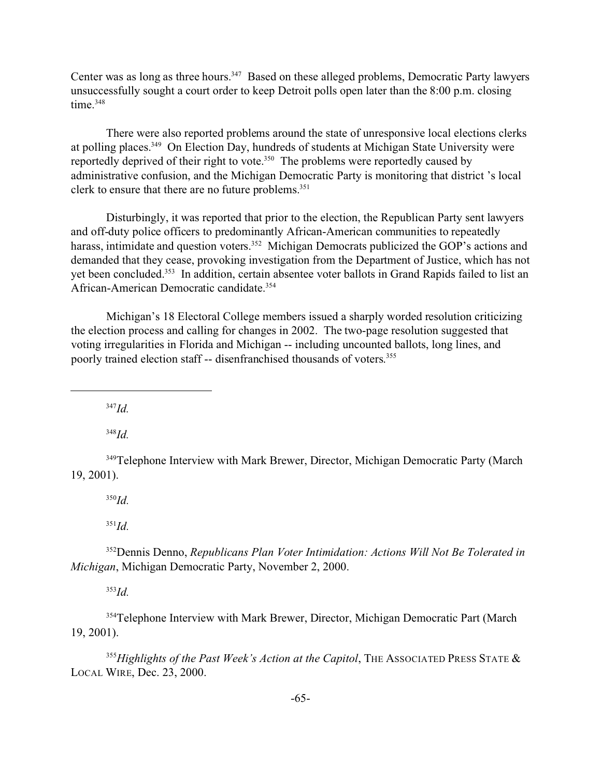Center was as long as three hours.<sup>347</sup> Based on these alleged problems, Democratic Party lawyers unsuccessfully sought a court order to keep Detroit polls open later than the 8:00 p.m. closing time.<sup>348</sup>

There were also reported problems around the state of unresponsive local elections clerks at polling places.<sup>349</sup> On Election Day, hundreds of students at Michigan State University were reportedly deprived of their right to vote.<sup>350</sup> The problems were reportedly caused by administrative confusion, and the Michigan Democratic Party is monitoring that district 's local clerk to ensure that there are no future problems.<sup>351</sup>

Disturbingly, it was reported that prior to the election, the Republican Party sent lawyers and off-duty police officers to predominantly African-American communities to repeatedly harass, intimidate and question voters.<sup>352</sup> Michigan Democrats publicized the GOP's actions and demanded that they cease, provoking investigation from the Department of Justice, which has not yet been concluded.<sup>353</sup> In addition, certain absentee voter ballots in Grand Rapids failed to list an African-American Democratic candidate.<sup>354</sup>

Michigan's 18 Electoral College members issued a sharply worded resolution criticizing the election process and calling for changes in 2002. The two-page resolution suggested that voting irregularities in Florida and Michigan -- including uncounted ballots, long lines, and poorly trained election staff -- disenfranchised thousands of voters.<sup>355</sup>

<sup>347</sup>*Id.*

<sup>348</sup>*Id.*

<sup>349</sup>Telephone Interview with Mark Brewer, Director, Michigan Democratic Party (March 19, 2001).

<sup>350</sup>*Id.*

<sup>351</sup>*Id.*

<sup>352</sup>Dennis Denno, *Republicans Plan Voter Intimidation: Actions Will Not Be Tolerated in Michigan*, Michigan Democratic Party, November 2, 2000.

<sup>353</sup>*Id.*

<sup>354</sup>Telephone Interview with Mark Brewer, Director, Michigan Democratic Part (March 19, 2001).

<sup>355</sup>Highlights of the Past Week's Action at the Capitol, THE ASSOCIATED PRESS STATE & LOCAL WIRE, Dec. 23, 2000.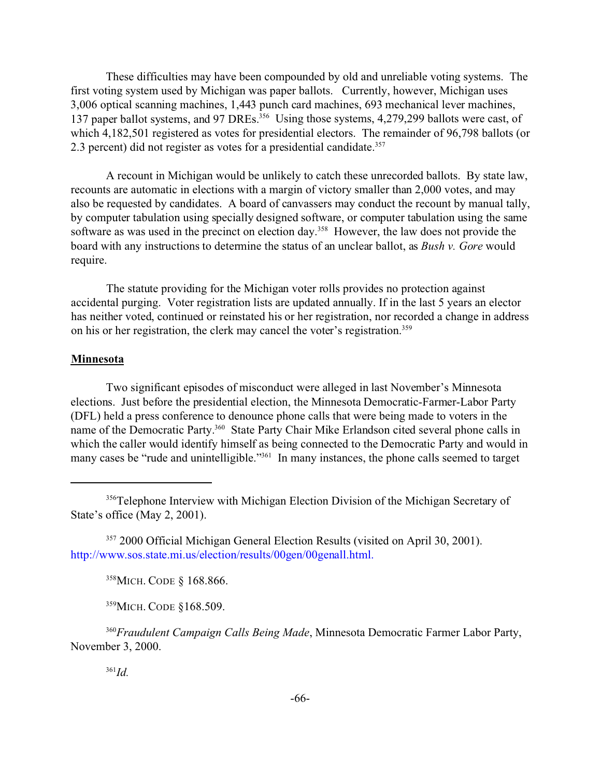These difficulties may have been compounded by old and unreliable voting systems. The first voting system used by Michigan was paper ballots. Currently, however, Michigan uses 3,006 optical scanning machines, 1,443 punch card machines, 693 mechanical lever machines, 137 paper ballot systems, and 97 DREs.<sup>356</sup> Using those systems, 4,279,299 ballots were cast, of which 4,182,501 registered as votes for presidential electors. The remainder of 96,798 ballots (or 2.3 percent) did not register as votes for a presidential candidate.<sup>357</sup>

A recount in Michigan would be unlikely to catch these unrecorded ballots. By state law, recounts are automatic in elections with a margin of victory smaller than 2,000 votes, and may also be requested by candidates. A board of canvassers may conduct the recount by manual tally, by computer tabulation using specially designed software, or computer tabulation using the same software as was used in the precinct on election day.<sup>358</sup> However, the law does not provide the board with any instructions to determine the status of an unclear ballot, as *Bush v. Gore* would require.

The statute providing for the Michigan voter rolls provides no protection against accidental purging. Voter registration lists are updated annually. If in the last 5 years an elector has neither voted, continued or reinstated his or her registration, nor recorded a change in address on his or her registration, the clerk may cancel the voter's registration.<sup>359</sup>

### **Minnesota**

Two significant episodes of misconduct were alleged in last November's Minnesota elections. Just before the presidential election, the Minnesota Democratic-Farmer-Labor Party (DFL) held a press conference to denounce phone calls that were being made to voters in the name of the Democratic Party.<sup>360</sup> State Party Chair Mike Erlandson cited several phone calls in which the caller would identify himself as being connected to the Democratic Party and would in many cases be "rude and unintelligible."<sup>361</sup> In many instances, the phone calls seemed to target

<sup>358</sup>MICH. CODE § 168.866.

<sup>359</sup>MICH. CODE §168.509.

<sup>360</sup>*Fraudulent Campaign Calls Being Made*, Minnesota Democratic Farmer Labor Party, November 3, 2000.

<sup>361</sup>*Id.*

<sup>356</sup>Telephone Interview with Michigan Election Division of the Michigan Secretary of State's office (May 2, 2001).

<sup>357</sup> 2000 Official Michigan General Election Results (visited on April 30, 2001). http://www.sos.state.mi.us/election/results/00gen/00genall.html.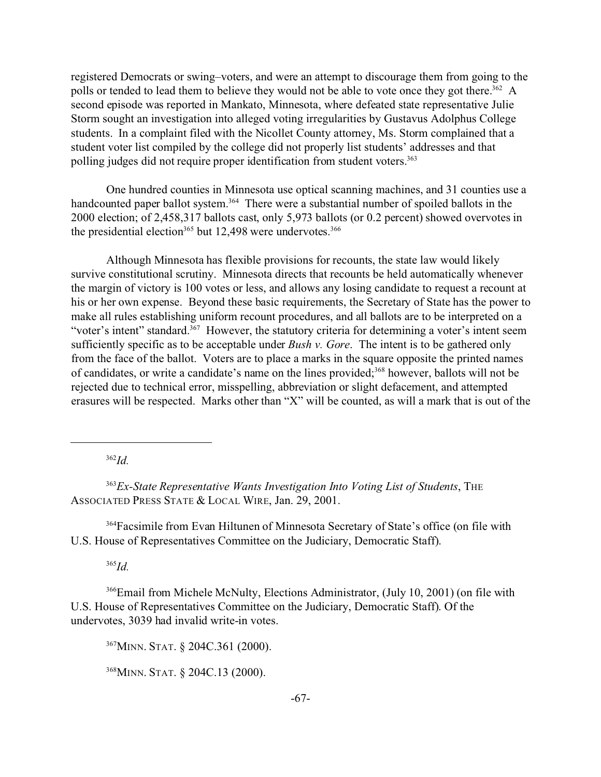registered Democrats or swing–voters, and were an attempt to discourage them from going to the polls or tended to lead them to believe they would not be able to vote once they got there.<sup>362</sup> A second episode was reported in Mankato, Minnesota, where defeated state representative Julie Storm sought an investigation into alleged voting irregularities by Gustavus Adolphus College students. In a complaint filed with the Nicollet County attorney, Ms. Storm complained that a student voter list compiled by the college did not properly list students' addresses and that polling judges did not require proper identification from student voters.<sup>363</sup>

One hundred counties in Minnesota use optical scanning machines, and 31 counties use a handcounted paper ballot system.<sup>364</sup> There were a substantial number of spoiled ballots in the 2000 election; of 2,458,317 ballots cast, only 5,973 ballots (or 0.2 percent) showed overvotes in the presidential election<sup>365</sup> but 12,498 were undervotes.<sup>366</sup>

Although Minnesota has flexible provisions for recounts, the state law would likely survive constitutional scrutiny. Minnesota directs that recounts be held automatically whenever the margin of victory is 100 votes or less, and allows any losing candidate to request a recount at his or her own expense. Beyond these basic requirements, the Secretary of State has the power to make all rules establishing uniform recount procedures, and all ballots are to be interpreted on a "voter's intent" standard.<sup>367</sup> However, the statutory criteria for determining a voter's intent seem sufficiently specific as to be acceptable under *Bush v. Gore*. The intent is to be gathered only from the face of the ballot. Voters are to place a marks in the square opposite the printed names of candidates, or write a candidate's name on the lines provided;<sup>368</sup> however, ballots will not be rejected due to technical error, misspelling, abbreviation or slight defacement, and attempted erasures will be respected. Marks other than "X" will be counted, as will a mark that is out of the

<sup>362</sup>*Id.*

<sup>363</sup>*Ex-State Representative Wants Investigation Into Voting List of Students*, THE ASSOCIATED PRESS STATE & LOCAL WIRE, Jan. 29, 2001.

<sup>364</sup>Facsimile from Evan Hiltunen of Minnesota Secretary of State's office (on file with U.S. House of Representatives Committee on the Judiciary, Democratic Staff).

<sup>365</sup>*Id.*

<sup>366</sup>Email from Michele McNulty, Elections Administrator, (July 10, 2001) (on file with U.S. House of Representatives Committee on the Judiciary, Democratic Staff). Of the undervotes, 3039 had invalid write-in votes.

<sup>367</sup>MINN. STAT. § 204C.361 (2000).

<sup>368</sup>MINN. STAT. § 204C.13 (2000).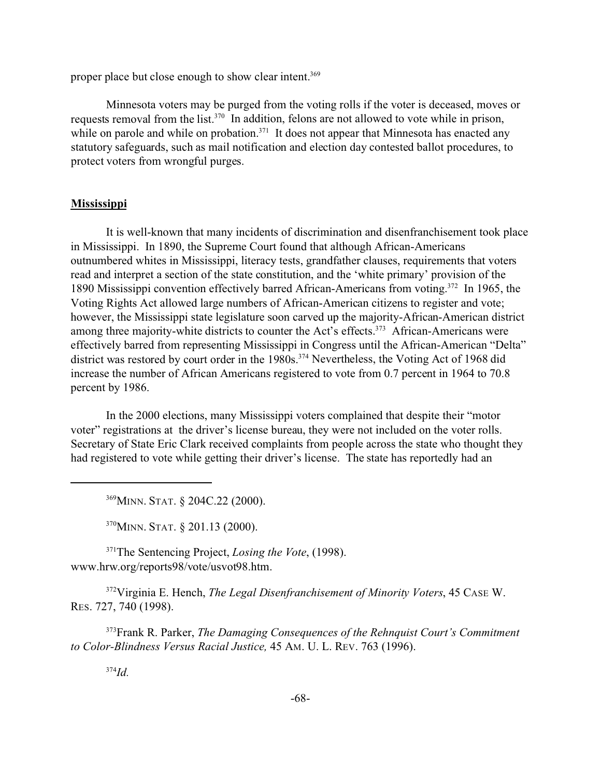proper place but close enough to show clear intent.<sup>369</sup>

Minnesota voters may be purged from the voting rolls if the voter is deceased, moves or requests removal from the list.<sup>370</sup> In addition, felons are not allowed to vote while in prison, while on parole and while on probation.<sup>371</sup> It does not appear that Minnesota has enacted any statutory safeguards, such as mail notification and election day contested ballot procedures, to protect voters from wrongful purges.

#### **Mississippi**

It is well-known that many incidents of discrimination and disenfranchisement took place in Mississippi. In 1890, the Supreme Court found that although African-Americans outnumbered whites in Mississippi, literacy tests, grandfather clauses, requirements that voters read and interpret a section of the state constitution, and the 'white primary' provision of the 1890 Mississippi convention effectively barred African-Americans from voting.<sup>372</sup> In 1965, the Voting Rights Act allowed large numbers of African-American citizens to register and vote; however, the Mississippi state legislature soon carved up the majority-African-American district among three majority-white districts to counter the Act's effects.<sup>373</sup> African-Americans were effectively barred from representing Mississippi in Congress until the African-American "Delta" district was restored by court order in the 1980s.<sup>374</sup> Nevertheless, the Voting Act of 1968 did increase the number of African Americans registered to vote from 0.7 percent in 1964 to 70.8 percent by 1986.

In the 2000 elections, many Mississippi voters complained that despite their "motor voter" registrations at the driver's license bureau, they were not included on the voter rolls. Secretary of State Eric Clark received complaints from people across the state who thought they had registered to vote while getting their driver's license. The state has reportedly had an

<sup>369</sup>MINN. STAT. § 204C.22 (2000).

<sup>370</sup>MINN. STAT. § 201.13 (2000).

<sup>371</sup>The Sentencing Project, *Losing the Vote*, (1998). www.hrw.org/reports98/vote/usvot98.htm.

<sup>372</sup>Virginia E. Hench, *The Legal Disenfranchisement of Minority Voters*, 45 CASE W. RES. 727, 740 (1998).

<sup>373</sup>Frank R. Parker, *The Damaging Consequences of the Rehnquist Court's Commitment to Color-Blindness Versus Racial Justice,* 45 AM. U. L. REV. 763 (1996).

<sup>374</sup>*Id.*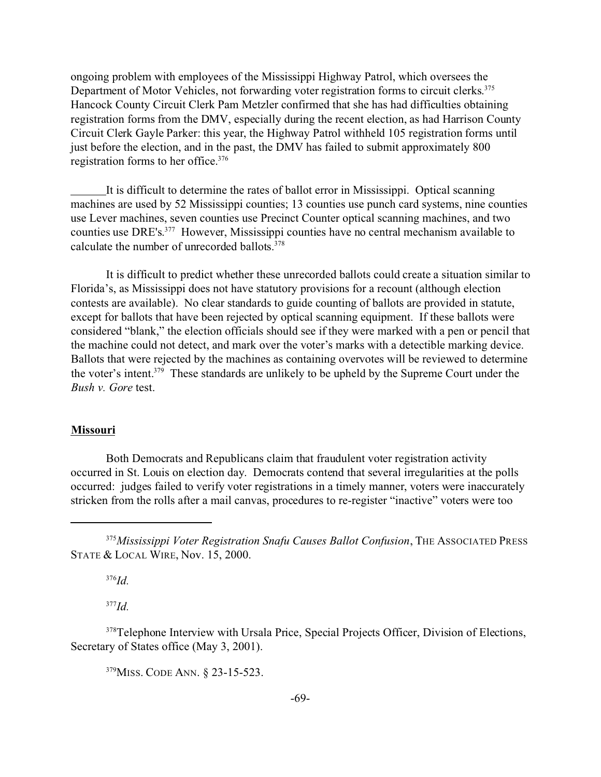ongoing problem with employees of the Mississippi Highway Patrol, which oversees the Department of Motor Vehicles, not forwarding voter registration forms to circuit clerks.<sup>375</sup> Hancock County Circuit Clerk Pam Metzler confirmed that she has had difficulties obtaining registration forms from the DMV, especially during the recent election, as had Harrison County Circuit Clerk Gayle Parker: this year, the Highway Patrol withheld 105 registration forms until just before the election, and in the past, the DMV has failed to submit approximately 800 registration forms to her office.<sup>376</sup>

It is difficult to determine the rates of ballot error in Mississippi. Optical scanning machines are used by 52 Mississippi counties; 13 counties use punch card systems, nine counties use Lever machines, seven counties use Precinct Counter optical scanning machines, and two counties use DRE's. <sup>377</sup> However, Mississippi counties have no central mechanism available to calculate the number of unrecorded ballots.<sup>378</sup>

It is difficult to predict whether these unrecorded ballots could create a situation similar to Florida's, as Mississippi does not have statutory provisions for a recount (although election contests are available). No clear standards to guide counting of ballots are provided in statute, except for ballots that have been rejected by optical scanning equipment. If these ballots were considered "blank," the election officials should see if they were marked with a pen or pencil that the machine could not detect, and mark over the voter's marks with a detectible marking device. Ballots that were rejected by the machines as containing overvotes will be reviewed to determine the voter's intent.<sup>379</sup> These standards are unlikely to be upheld by the Supreme Court under the *Bush v. Gore* test.

#### **Missouri**

Both Democrats and Republicans claim that fraudulent voter registration activity occurred in St. Louis on election day. Democrats contend that several irregularities at the polls occurred: judges failed to verify voter registrations in a timely manner, voters were inaccurately stricken from the rolls after a mail canvas, procedures to re-register "inactive" voters were too

<sup>376</sup>*Id.*

<sup>377</sup>*Id.*

<sup>378</sup>Telephone Interview with Ursala Price, Special Projects Officer, Division of Elections, Secretary of States office (May 3, 2001).

<sup>379</sup>MISS. CODE ANN. § 23-15-523.

<sup>375</sup>*Mississippi Voter Registration Snafu Causes Ballot Confusion*, THE ASSOCIATED PRESS STATE & LOCAL WIRE, Nov. 15, 2000.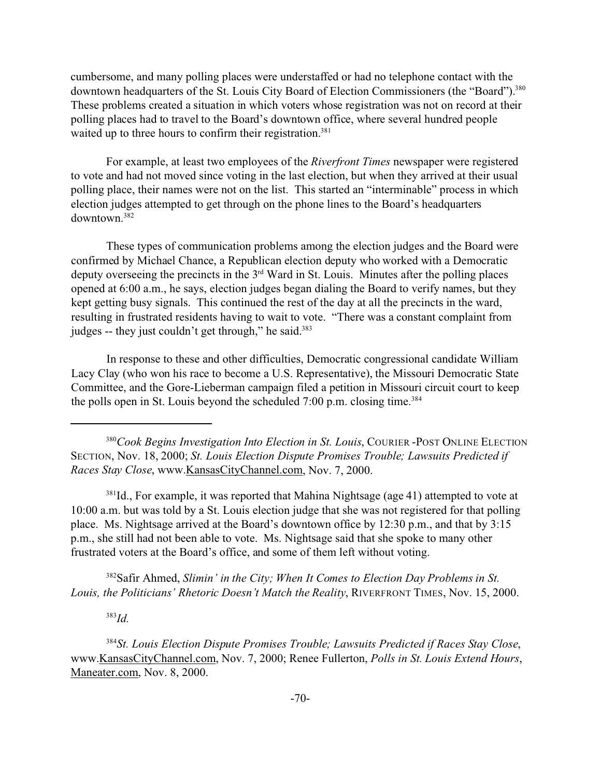cumbersome, and many polling places were understaffed or had no telephone contact with the downtown headquarters of the St. Louis City Board of Election Commissioners (the "Board").<sup>380</sup> These problems created a situation in which voters whose registration was not on record at their polling places had to travel to the Board's downtown office, where several hundred people waited up to three hours to confirm their registration.<sup>381</sup>

For example, at least two employees of the *Riverfront Times* newspaper were registered to vote and had not moved since voting in the last election, but when they arrived at their usual polling place, their names were not on the list. This started an "interminable" process in which election judges attempted to get through on the phone lines to the Board's headquarters downtown.<sup>382</sup>

These types of communication problems among the election judges and the Board were confirmed by Michael Chance, a Republican election deputy who worked with a Democratic deputy overseeing the precincts in the  $3<sup>rd</sup>$  Ward in St. Louis. Minutes after the polling places opened at 6:00 a.m., he says, election judges began dialing the Board to verify names, but they kept getting busy signals. This continued the rest of the day at all the precincts in the ward, resulting in frustrated residents having to wait to vote. "There was a constant complaint from judges -- they just couldn't get through," he said.<sup>383</sup>

In response to these and other difficulties, Democratic congressional candidate William Lacy Clay (who won his race to become a U.S. Representative), the Missouri Democratic State Committee, and the Gore-Lieberman campaign filed a petition in Missouri circuit court to keep the polls open in St. Louis beyond the scheduled  $7:00$  p.m. closing time.<sup>384</sup>

<sup>381</sup>Id., For example, it was reported that Mahina Nightsage (age 41) attempted to vote at 10:00 a.m. but was told by a St. Louis election judge that she was not registered for that polling place. Ms. Nightsage arrived at the Board's downtown office by 12:30 p.m., and that by 3:15 p.m., she still had not been able to vote. Ms. Nightsage said that she spoke to many other frustrated voters at the Board's office, and some of them left without voting.

<sup>382</sup>Safir Ahmed, *Slimin' in the City; When It Comes to Election Day Problems in St. Louis, the Politicians' Rhetoric Doesn't Match the Reality*, RIVERFRONT TIMES, Nov. 15, 2000.

<sup>383</sup>*Id.*

<sup>384</sup>*St. Louis Election Dispute Promises Trouble; Lawsuits Predicted if Races Stay Close*, www.KansasCityChannel.com, Nov. 7, 2000; Renee Fullerton, *Polls in St. Louis Extend Hours*, Maneater.com, Nov. 8, 2000.

<sup>380</sup>*Cook Begins Investigation Into Election in St. Louis*, COURIER -POST ONLINE ELECTION SECTION, Nov. 18, 2000; *St. Louis Election Dispute Promises Trouble; Lawsuits Predicted if Races Stay Close*, www.KansasCityChannel.com, Nov. 7, 2000.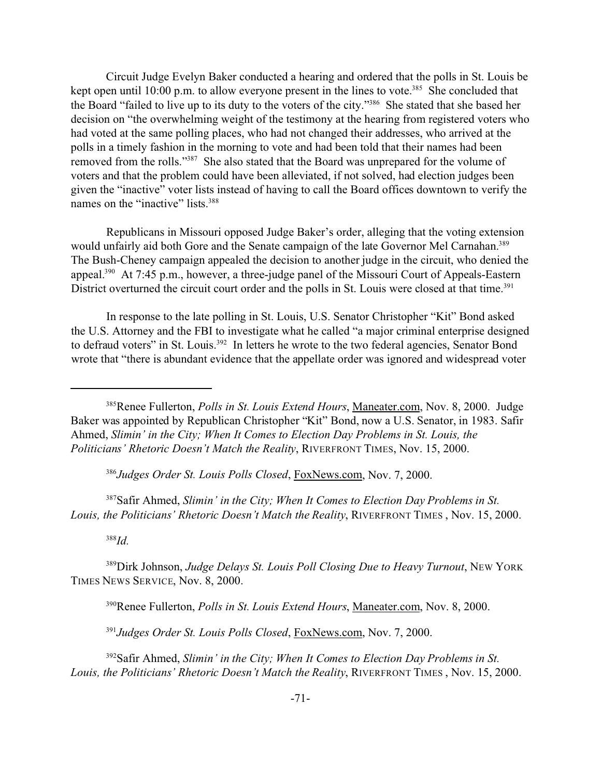Circuit Judge Evelyn Baker conducted a hearing and ordered that the polls in St. Louis be kept open until 10:00 p.m. to allow everyone present in the lines to vote.<sup>385</sup> She concluded that the Board "failed to live up to its duty to the voters of the city."<sup>386</sup> She stated that she based her decision on "the overwhelming weight of the testimony at the hearing from registered voters who had voted at the same polling places, who had not changed their addresses, who arrived at the polls in a timely fashion in the morning to vote and had been told that their names had been removed from the rolls."<sup>387</sup> She also stated that the Board was unprepared for the volume of voters and that the problem could have been alleviated, if not solved, had election judges been given the "inactive" voter lists instead of having to call the Board offices downtown to verify the names on the "inactive" lists.<sup>388</sup>

Republicans in Missouri opposed Judge Baker's order, alleging that the voting extension would unfairly aid both Gore and the Senate campaign of the late Governor Mel Carnahan.<sup>389</sup> The Bush-Cheney campaign appealed the decision to another judge in the circuit, who denied the appeal.<sup>390</sup> At 7:45 p.m., however, a three-judge panel of the Missouri Court of Appeals-Eastern District overturned the circuit court order and the polls in St. Louis were closed at that time.<sup>391</sup>

In response to the late polling in St. Louis, U.S. Senator Christopher "Kit" Bond asked the U.S. Attorney and the FBI to investigate what he called "a major criminal enterprise designed to defraud voters" in St. Louis.<sup>392</sup> In letters he wrote to the two federal agencies, Senator Bond wrote that "there is abundant evidence that the appellate order was ignored and widespread voter

<sup>386</sup>*Judges Order St. Louis Polls Closed*, FoxNews.com, Nov. 7, 2000.

<sup>387</sup>Safir Ahmed, *Slimin' in the City; When It Comes to Election Day Problems in St. Louis, the Politicians' Rhetoric Doesn't Match the Reality*, RIVERFRONT TIMES , Nov. 15, 2000.

<sup>388</sup>*Id.*

<sup>389</sup>Dirk Johnson, *Judge Delays St. Louis Poll Closing Due to Heavy Turnout*, NEW YORK TIMES NEWS SERVICE, Nov. 8, 2000.

<sup>390</sup>Renee Fullerton, *Polls in St. Louis Extend Hours*, Maneater.com, Nov. 8, 2000.

<sup>391</sup>*Judges Order St. Louis Polls Closed*, FoxNews.com, Nov. 7, 2000.

<sup>392</sup>Safir Ahmed, *Slimin' in the City; When It Comes to Election Day Problems in St. Louis, the Politicians' Rhetoric Doesn't Match the Reality*, RIVERFRONT TIMES , Nov. 15, 2000.

<sup>385</sup>Renee Fullerton, *Polls in St. Louis Extend Hours*, Maneater.com, Nov. 8, 2000. Judge Baker was appointed by Republican Christopher "Kit" Bond, now a U.S. Senator, in 1983. Safir Ahmed, *Slimin' in the City; When It Comes to Election Day Problems in St. Louis, the Politicians' Rhetoric Doesn't Match the Reality*, RIVERFRONT TIMES, Nov. 15, 2000.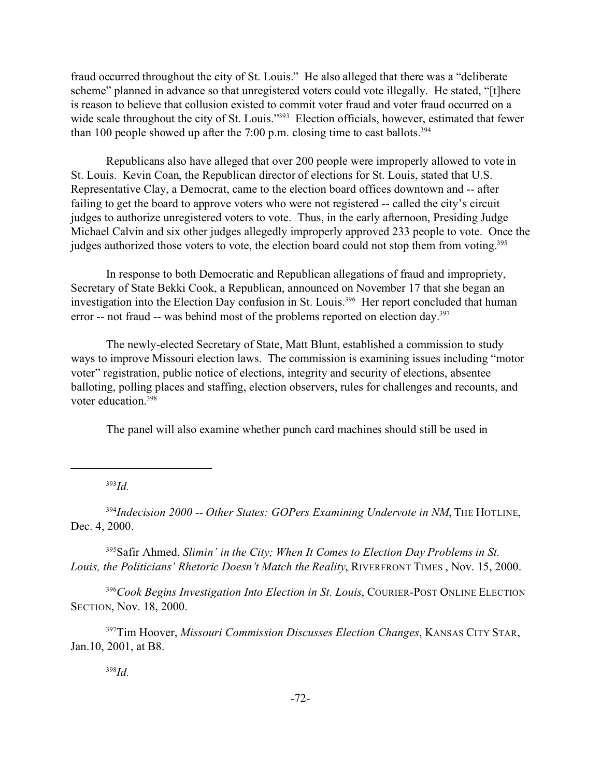fraud occurred throughout the city of St. Louis." He also alleged that there was a "deliberate scheme" planned in advance so that unregistered voters could vote illegally. He stated, "[t]here is reason to believe that collusion existed to commit voter fraud and voter fraud occurred on a wide scale throughout the city of St. Louis."<sup>393</sup> Election officials, however, estimated that fewer than 100 people showed up after the 7:00 p.m. closing time to cast ballots.<sup>394</sup>

Republicans also have alleged that over 200 people were improperly allowed to vote in St. Louis. Kevin Coan, the Republican director of elections for St. Louis, stated that U.S. Representative Clay, a Democrat, came to the election board offices downtown and -- after failing to get the board to approve voters who were not registered -- called the city's circuit judges to authorize unregistered voters to vote. Thus, in the early afternoon, Presiding Judge Michael Calvin and six other judges allegedly improperly approved 233 people to vote. Once the judges authorized those voters to vote, the election board could not stop them from voting.<sup>395</sup>

In response to both Democratic and Republican allegations of fraud and impropriety, Secretary of State Bekki Cook, a Republican, announced on November 17 that she began an investigation into the Election Day confusion in St. Louis.<sup>396</sup> Her report concluded that human error -- not fraud -- was behind most of the problems reported on election day.<sup>397</sup>

The newly-elected Secretary of State, Matt Blunt, established a commission to study ways to improve Missouri election laws. The commission is examining issues including "motor voter" registration, public notice of elections, integrity and security of elections, absentee balloting, polling places and staffing, election observers, rules for challenges and recounts, and voter education.<sup>398</sup>

The panel will also examine whether punch card machines should still be used in

<sup>393</sup>*Id.*

<sup>394</sup>Indecision 2000 -- Other States: GOPers Examining Undervote in NM, THE HOTLINE, Dec. 4, 2000.

<sup>395</sup>Safir Ahmed, *Slimin' in the City; When It Comes to Election Day Problems in St. Louis, the Politicians' Rhetoric Doesn't Match the Reality*, RIVERFRONT TIMES , Nov. 15, 2000.

<sup>396</sup>*Cook Begins Investigation Into Election in St. Louis*, COURIER-POST ONLINE ELECTION SECTION, Nov. 18, 2000.

<sup>397</sup>Tim Hoover, *Missouri Commission Discusses Election Changes*, KANSAS CITY STAR, Jan.10, 2001, at B8.

<sup>398</sup>*Id.*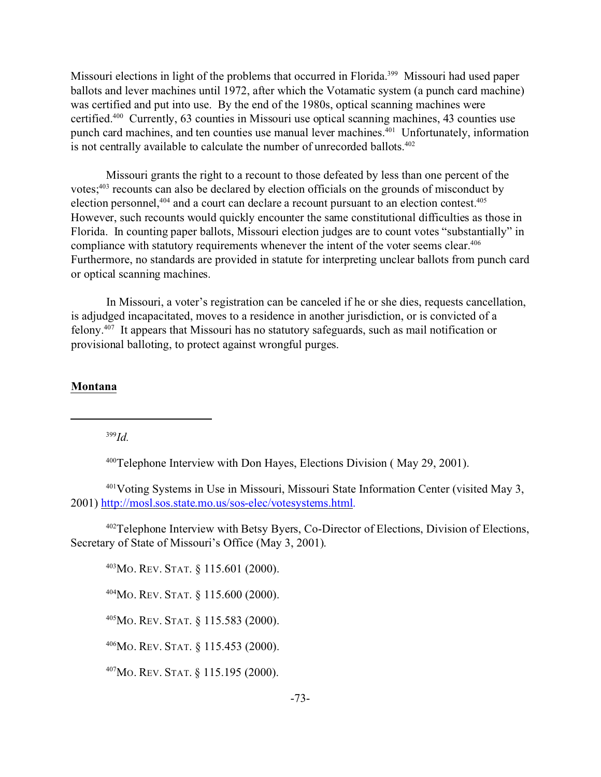Missouri elections in light of the problems that occurred in Florida.<sup>399</sup> Missouri had used paper ballots and lever machines until 1972, after which the Votamatic system (a punch card machine) was certified and put into use. By the end of the 1980s, optical scanning machines were certified.<sup>400</sup> Currently, 63 counties in Missouri use optical scanning machines, 43 counties use punch card machines, and ten counties use manual lever machines.<sup>401</sup> Unfortunately, information is not centrally available to calculate the number of unrecorded ballots. $402$ 

Missouri grants the right to a recount to those defeated by less than one percent of the votes;<sup>403</sup> recounts can also be declared by election officials on the grounds of misconduct by election personnel,<sup>404</sup> and a court can declare a recount pursuant to an election contest.<sup>405</sup> However, such recounts would quickly encounter the same constitutional difficulties as those in Florida. In counting paper ballots, Missouri election judges are to count votes "substantially" in compliance with statutory requirements whenever the intent of the voter seems clear.<sup>406</sup> Furthermore, no standards are provided in statute for interpreting unclear ballots from punch card or optical scanning machines.

In Missouri, a voter's registration can be canceled if he or she dies, requests cancellation, is adjudged incapacitated, moves to a residence in another jurisdiction, or is convicted of a felony.<sup>407</sup> It appears that Missouri has no statutory safeguards, such as mail notification or provisional balloting, to protect against wrongful purges.

#### **Montana**

<sup>399</sup>*Id.*

<sup>400</sup>Telephone Interview with Don Hayes, Elections Division ( May 29, 2001).

<sup>401</sup>Voting Systems in Use in Missouri, Missouri State Information Center (visited May 3, 2001) http://mosl.sos.state.mo.us/sos-elec/votesystems.html.

<sup>402</sup>Telephone Interview with Betsy Byers, Co-Director of Elections, Division of Elections, Secretary of State of Missouri's Office (May 3, 2001).

<sup>403</sup>MO. REV. STAT. § 115.601 (2000).

<sup>404</sup>MO. REV. STAT. § 115.600 (2000).

<sup>405</sup>MO. REV. STAT. § 115.583 (2000).

<sup>406</sup>MO. REV. STAT. § 115.453 (2000).

<sup>407</sup>MO. REV. STAT. § 115.195 (2000).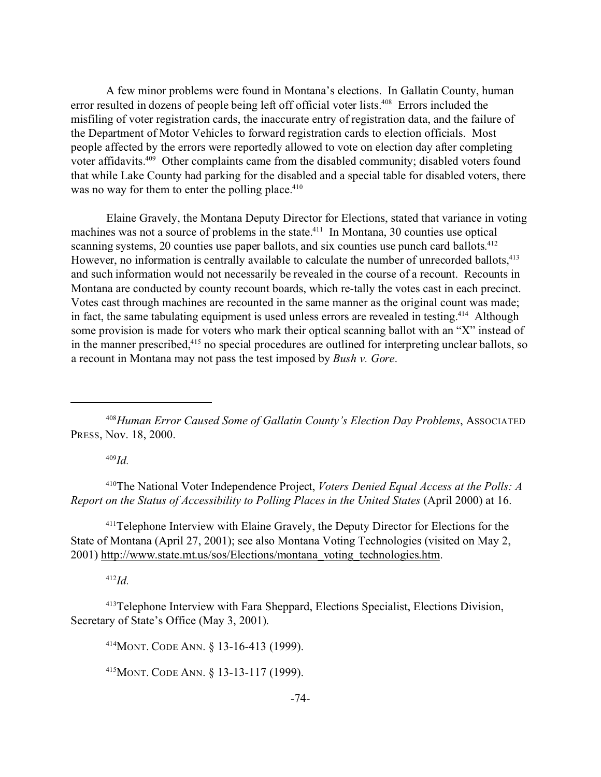A few minor problems were found in Montana's elections. In Gallatin County, human error resulted in dozens of people being left off official voter lists.<sup>408</sup> Errors included the misfiling of voter registration cards, the inaccurate entry of registration data, and the failure of the Department of Motor Vehicles to forward registration cards to election officials. Most people affected by the errors were reportedly allowed to vote on election day after completing voter affidavits.<sup>409</sup> Other complaints came from the disabled community; disabled voters found that while Lake County had parking for the disabled and a special table for disabled voters, there was no way for them to enter the polling place. $410$ 

Elaine Gravely, the Montana Deputy Director for Elections, stated that variance in voting machines was not a source of problems in the state.<sup>411</sup> In Montana, 30 counties use optical scanning systems, 20 counties use paper ballots, and six counties use punch card ballots.<sup>412</sup> However, no information is centrally available to calculate the number of unrecorded ballots,<sup>413</sup> and such information would not necessarily be revealed in the course of a recount. Recounts in Montana are conducted by county recount boards, which re-tally the votes cast in each precinct. Votes cast through machines are recounted in the same manner as the original count was made; in fact, the same tabulating equipment is used unless errors are revealed in testing.<sup>414</sup> Although some provision is made for voters who mark their optical scanning ballot with an "X" instead of in the manner prescribed,<sup>415</sup> no special procedures are outlined for interpreting unclear ballots, so a recount in Montana may not pass the test imposed by *Bush v. Gore*.

<sup>408</sup>*Human Error Caused Some of Gallatin County's Election Day Problems*, ASSOCIATED PRESS, Nov. 18, 2000.

<sup>409</sup>*Id.*

<sup>410</sup>The National Voter Independence Project, *Voters Denied Equal Access at the Polls: A Report on the Status of Accessibility to Polling Places in the United States* (April 2000) at 16.

<sup>411</sup>Telephone Interview with Elaine Gravely, the Deputy Director for Elections for the State of Montana (April 27, 2001); see also Montana Voting Technologies (visited on May 2, 2001) http://www.state.mt.us/sos/Elections/montana\_voting\_technologies.htm.

<sup>412</sup>*Id.*

<sup>413</sup>Telephone Interview with Fara Sheppard, Elections Specialist, Elections Division, Secretary of State's Office (May 3, 2001).

<sup>414</sup>MONT. CODE ANN. § 13-16-413 (1999).

<sup>415</sup>MONT. CODE ANN. § 13-13-117 (1999).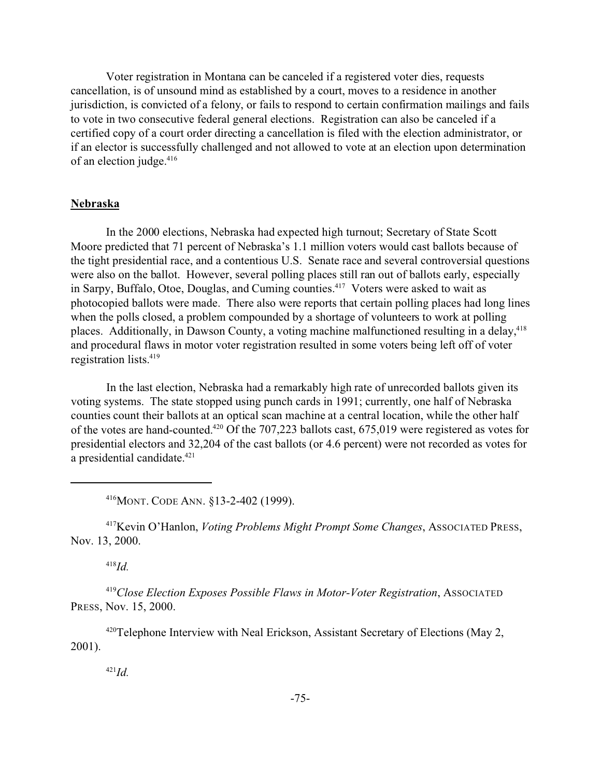Voter registration in Montana can be canceled if a registered voter dies, requests cancellation, is of unsound mind as established by a court, moves to a residence in another jurisdiction, is convicted of a felony, or fails to respond to certain confirmation mailings and fails to vote in two consecutive federal general elections. Registration can also be canceled if a certified copy of a court order directing a cancellation is filed with the election administrator, or if an elector is successfully challenged and not allowed to vote at an election upon determination of an election judge.<sup>416</sup>

## **Nebraska**

In the 2000 elections, Nebraska had expected high turnout; Secretary of State Scott Moore predicted that 71 percent of Nebraska's 1.1 million voters would cast ballots because of the tight presidential race, and a contentious U.S. Senate race and several controversial questions were also on the ballot. However, several polling places still ran out of ballots early, especially in Sarpy, Buffalo, Otoe, Douglas, and Cuming counties.<sup>417</sup> Voters were asked to wait as photocopied ballots were made. There also were reports that certain polling places had long lines when the polls closed, a problem compounded by a shortage of volunteers to work at polling places. Additionally, in Dawson County, a voting machine malfunctioned resulting in a delay,<sup>418</sup> and procedural flaws in motor voter registration resulted in some voters being left off of voter registration lists.<sup>419</sup>

In the last election, Nebraska had a remarkably high rate of unrecorded ballots given its voting systems. The state stopped using punch cards in 1991; currently, one half of Nebraska counties count their ballots at an optical scan machine at a central location, while the other half of the votes are hand-counted.<sup>420</sup> Of the 707,223 ballots cast, 675,019 were registered as votes for presidential electors and 32,204 of the cast ballots (or 4.6 percent) were not recorded as votes for a presidential candidate.421

<sup>416</sup>MONT. CODE ANN. §13-2-402 (1999).

<sup>417</sup>Kevin O'Hanlon, *Voting Problems Might Prompt Some Changes*, ASSOCIATED PRESS, Nov. 13, 2000.

<sup>418</sup>*Id.*

<sup>419</sup>*Close Election Exposes Possible Flaws in Motor-Voter Registration*, ASSOCIATED PRESS, Nov. 15, 2000.

<sup>420</sup>Telephone Interview with Neal Erickson, Assistant Secretary of Elections (May 2, 2001).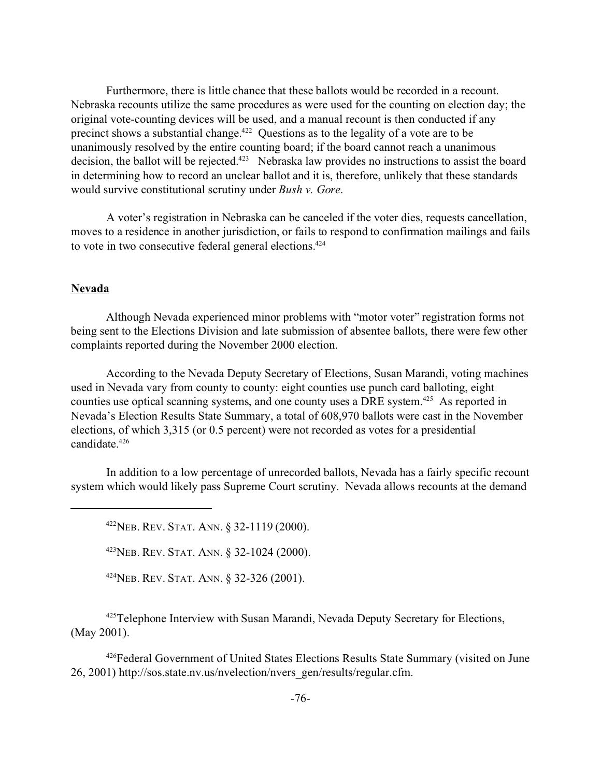Furthermore, there is little chance that these ballots would be recorded in a recount. Nebraska recounts utilize the same procedures as were used for the counting on election day; the original vote-counting devices will be used, and a manual recount is then conducted if any precinct shows a substantial change.<sup>422</sup> Questions as to the legality of a vote are to be unanimously resolved by the entire counting board; if the board cannot reach a unanimous decision, the ballot will be rejected.<sup>423</sup> Nebraska law provides no instructions to assist the board in determining how to record an unclear ballot and it is, therefore, unlikely that these standards would survive constitutional scrutiny under *Bush v. Gore*.

A voter's registration in Nebraska can be canceled if the voter dies, requests cancellation, moves to a residence in another jurisdiction, or fails to respond to confirmation mailings and fails to vote in two consecutive federal general elections.<sup>424</sup>

## **Nevada**

Although Nevada experienced minor problems with "motor voter" registration forms not being sent to the Elections Division and late submission of absentee ballots, there were few other complaints reported during the November 2000 election.

According to the Nevada Deputy Secretary of Elections, Susan Marandi, voting machines used in Nevada vary from county to county: eight counties use punch card balloting, eight counties use optical scanning systems, and one county uses a DRE system.<sup>425</sup> As reported in Nevada's Election Results State Summary, a total of 608,970 ballots were cast in the November elections, of which 3,315 (or 0.5 percent) were not recorded as votes for a presidential candidate.<sup>426</sup>

In addition to a low percentage of unrecorded ballots, Nevada has a fairly specific recount system which would likely pass Supreme Court scrutiny. Nevada allows recounts at the demand

<sup>422</sup>NEB. REV. STAT. ANN. § 32-1119 (2000).

<sup>423</sup>NEB. REV. STAT. ANN. § 32-1024 (2000).

<sup>424</sup>NEB. REV. STAT. ANN. § 32-326 (2001).

425Telephone Interview with Susan Marandi, Nevada Deputy Secretary for Elections, (May 2001).

<sup>426</sup>Federal Government of United States Elections Results State Summary (visited on June 26, 2001) http://sos.state.nv.us/nvelection/nvers\_gen/results/regular.cfm.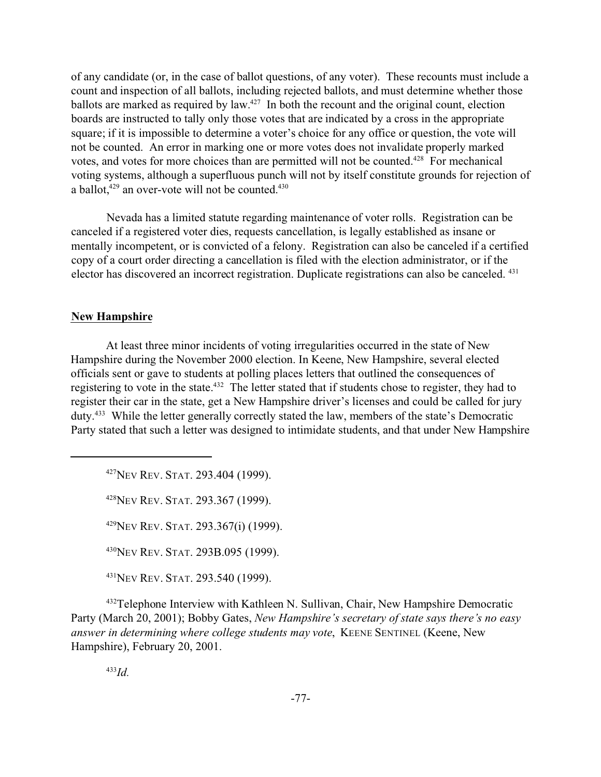of any candidate (or, in the case of ballot questions, of any voter). These recounts must include a count and inspection of all ballots, including rejected ballots, and must determine whether those ballots are marked as required by law.<sup>427</sup> In both the recount and the original count, election boards are instructed to tally only those votes that are indicated by a cross in the appropriate square; if it is impossible to determine a voter's choice for any office or question, the vote will not be counted. An error in marking one or more votes does not invalidate properly marked votes, and votes for more choices than are permitted will not be counted.<sup>428</sup> For mechanical voting systems, although a superfluous punch will not by itself constitute grounds for rejection of a ballot, $429$  an over-vote will not be counted. $430$ 

Nevada has a limited statute regarding maintenance of voter rolls. Registration can be canceled if a registered voter dies, requests cancellation, is legally established as insane or mentally incompetent, or is convicted of a felony. Registration can also be canceled if a certified copy of a court order directing a cancellation is filed with the election administrator, or if the elector has discovered an incorrect registration. Duplicate registrations can also be canceled. <sup>431</sup>

## **New Hampshire**

At least three minor incidents of voting irregularities occurred in the state of New Hampshire during the November 2000 election. In Keene, New Hampshire, several elected officials sent or gave to students at polling places letters that outlined the consequences of registering to vote in the state.<sup>432</sup> The letter stated that if students chose to register, they had to register their car in the state, get a New Hampshire driver's licenses and could be called for jury duty.<sup>433</sup> While the letter generally correctly stated the law, members of the state's Democratic Party stated that such a letter was designed to intimidate students, and that under New Hampshire

<sup>427</sup>NEV REV. STAT. 293.404 (1999).

<sup>428</sup>NEV REV. STAT. 293.367 (1999).

 $^{429}$ NEV REV. STAT. 293.367(i) (1999).

<sup>430</sup>NEV REV. STAT. 293B.095 (1999).

<sup>431</sup>NEV REV. STAT. 293.540 (1999).

<sup>432</sup>Telephone Interview with Kathleen N. Sullivan, Chair, New Hampshire Democratic Party (March 20, 2001); Bobby Gates, *New Hampshire's secretary of state says there's no easy answer in determining where college students may vote*, KEENE SENTINEL (Keene, New Hampshire), February 20, 2001.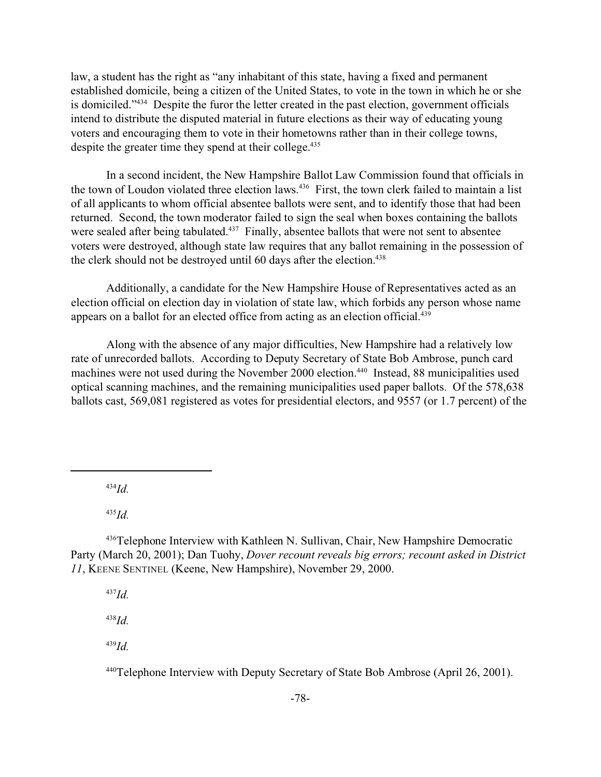law, a student has the right as "any inhabitant of this state, having a fixed and permanent established domicile, being a citizen of the United States, to vote in the town in which he or she is domiciled."<sup>434</sup> Despite the furor the letter created in the past election, government officials intend to distribute the disputed material in future elections as their way of educating young voters and encouraging them to vote in their hometowns rather than in their college towns, despite the greater time they spend at their college.<sup>435</sup>

In a second incident, the New Hampshire Ballot Law Commission found that officials in the town of Loudon violated three election laws.<sup>436</sup> First, the town clerk failed to maintain a list of all applicants to whom official absentee ballots were sent, and to identify those that had been returned. Second, the town moderator failed to sign the seal when boxes containing the ballots were sealed after being tabulated.<sup>437</sup> Finally, absentee ballots that were not sent to absentee voters were destroyed, although state law requires that any ballot remaining in the possession of the clerk should not be destroyed until 60 days after the election.<sup>438</sup>

Additionally, a candidate for the New Hampshire House of Representatives acted as an election official on election day in violation of state law, which forbids any person whose name appears on a ballot for an elected office from acting as an election official.<sup>439</sup>

Along with the absence of any major difficulties, New Hampshire had a relatively low rate of unrecorded ballots. According to Deputy Secretary of State Bob Ambrose, punch card machines were not used during the November 2000 election.<sup>440</sup> Instead, 88 municipalities used optical scanning machines, and the remaining municipalities used paper ballots. Of the 578,638 ballots cast, 569,081 registered as votes for presidential electors, and 9557 (or 1.7 percent) of the

<sup>434</sup>*Id.*

<sup>435</sup>*Id.*

<sup>436</sup>Telephone Interview with Kathleen N. Sullivan, Chair, New Hampshire Democratic Party (March 20, 2001); Dan Tuohy, *Dover recount reveals big errors; recount asked in District 11*, KEENE SENTINEL (Keene, New Hampshire), November 29, 2000.

<sup>437</sup>*Id.*

<sup>438</sup>*Id.*

<sup>439</sup>*Id.*

<sup>440</sup>Telephone Interview with Deputy Secretary of State Bob Ambrose (April 26, 2001).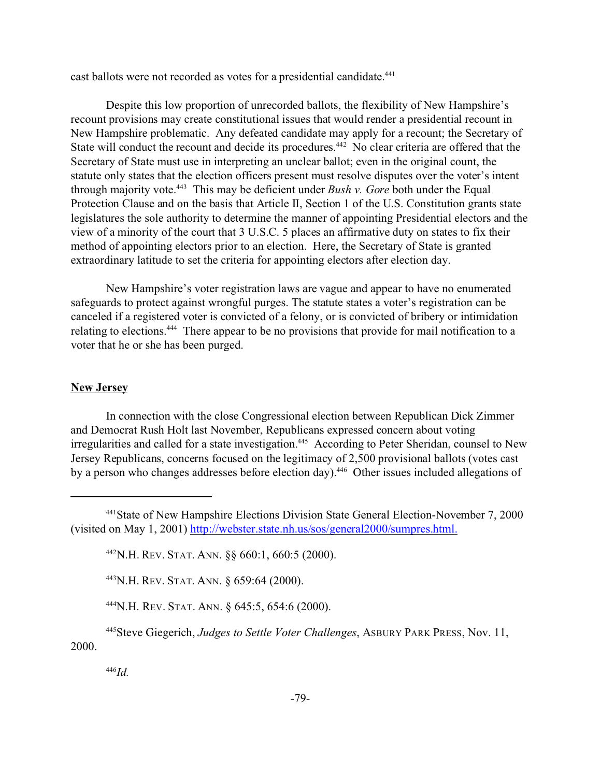cast ballots were not recorded as votes for a presidential candidate.<sup>441</sup>

Despite this low proportion of unrecorded ballots, the flexibility of New Hampshire's recount provisions may create constitutional issues that would render a presidential recount in New Hampshire problematic. Any defeated candidate may apply for a recount; the Secretary of State will conduct the recount and decide its procedures.<sup>442</sup> No clear criteria are offered that the Secretary of State must use in interpreting an unclear ballot; even in the original count, the statute only states that the election officers present must resolve disputes over the voter's intent through majority vote.<sup>443</sup> This may be deficient under *Bush v. Gore* both under the Equal Protection Clause and on the basis that Article II, Section 1 of the U.S. Constitution grants state legislatures the sole authority to determine the manner of appointing Presidential electors and the view of a minority of the court that 3 U.S.C. 5 places an affirmative duty on states to fix their method of appointing electors prior to an election. Here, the Secretary of State is granted extraordinary latitude to set the criteria for appointing electors after election day.

New Hampshire's voter registration laws are vague and appear to have no enumerated safeguards to protect against wrongful purges. The statute states a voter's registration can be canceled if a registered voter is convicted of a felony, or is convicted of bribery or intimidation relating to elections.<sup>444</sup> There appear to be no provisions that provide for mail notification to a voter that he or she has been purged.

#### **New Jersey**

In connection with the close Congressional election between Republican Dick Zimmer and Democrat Rush Holt last November, Republicans expressed concern about voting irregularities and called for a state investigation.<sup>445</sup> According to Peter Sheridan, counsel to New Jersey Republicans, concerns focused on the legitimacy of 2,500 provisional ballots (votes cast by a person who changes addresses before election day).<sup>446</sup> Other issues included allegations of

<sup>443</sup>N.H. REV. STAT. ANN. § 659:64 (2000).

<sup>444</sup>N.H. REV. STAT. ANN. § 645:5, 654:6 (2000).

<sup>445</sup>Steve Giegerich, *Judges to Settle Voter Challenges*, ASBURY PARK PRESS, Nov. 11, 2000.

<sup>441</sup>State of New Hampshire Elections Division State General Election-November 7, 2000 (visited on May 1, 2001) http://webster.state.nh.us/sos/general2000/sumpres.html.

<sup>442</sup>N.H. REV. STAT. ANN. §§ 660:1, 660:5 (2000).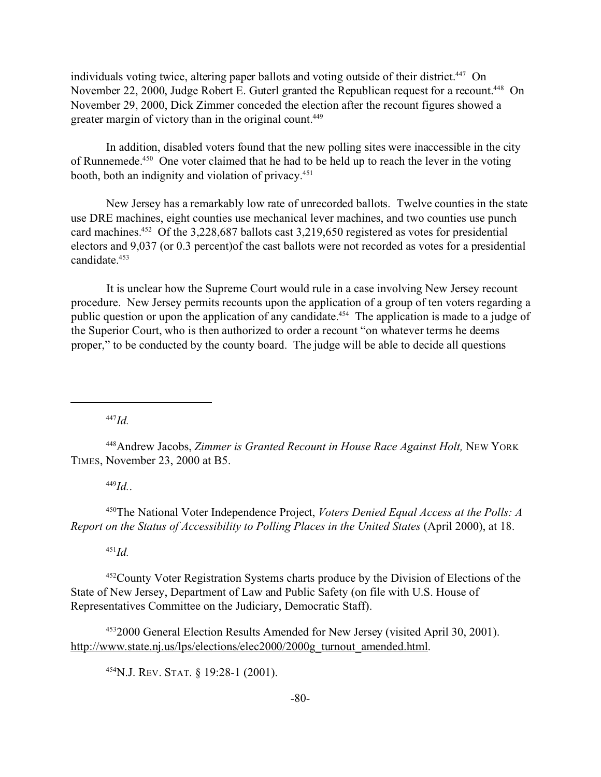individuals voting twice, altering paper ballots and voting outside of their district.<sup>447</sup> On November 22, 2000, Judge Robert E. Guterl granted the Republican request for a recount.<sup>448</sup> On November 29, 2000, Dick Zimmer conceded the election after the recount figures showed a greater margin of victory than in the original count.<sup>449</sup>

In addition, disabled voters found that the new polling sites were inaccessible in the city of Runnemede.<sup>450</sup> One voter claimed that he had to be held up to reach the lever in the voting booth, both an indignity and violation of privacy.<sup>451</sup>

New Jersey has a remarkably low rate of unrecorded ballots. Twelve counties in the state use DRE machines, eight counties use mechanical lever machines, and two counties use punch card machines.<sup>452</sup> Of the 3,228,687 ballots cast 3,219,650 registered as votes for presidential electors and 9,037 (or 0.3 percent)of the cast ballots were not recorded as votes for a presidential candidate.<sup>453</sup>

It is unclear how the Supreme Court would rule in a case involving New Jersey recount procedure. New Jersey permits recounts upon the application of a group of ten voters regarding a public question or upon the application of any candidate.<sup>454</sup> The application is made to a judge of the Superior Court, who is then authorized to order a recount "on whatever terms he deems proper," to be conducted by the county board. The judge will be able to decide all questions

<sup>447</sup>*Id.*

<sup>448</sup>Andrew Jacobs, *Zimmer is Granted Recount in House Race Against Holt,* NEW YORK TIMES, November 23, 2000 at B5.

<sup>449</sup>*Id.*.

<sup>450</sup>The National Voter Independence Project, *Voters Denied Equal Access at the Polls: A Report on the Status of Accessibility to Polling Places in the United States* (April 2000), at 18.

<sup>451</sup>*Id.*

<sup>452</sup>County Voter Registration Systems charts produce by the Division of Elections of the State of New Jersey, Department of Law and Public Safety (on file with U.S. House of Representatives Committee on the Judiciary, Democratic Staff).

<sup>453</sup>2000 General Election Results Amended for New Jersey (visited April 30, 2001). http://www.state.nj.us/lps/elections/elec2000/2000g\_turnout\_amended.html.

<sup>454</sup>N.J. REV. STAT. § 19:28-1 (2001).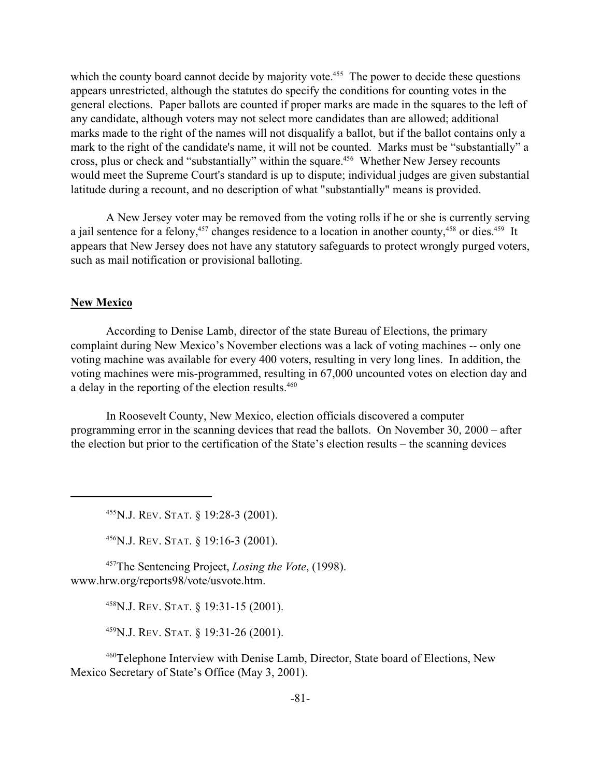which the county board cannot decide by majority vote.<sup>455</sup> The power to decide these questions appears unrestricted, although the statutes do specify the conditions for counting votes in the general elections. Paper ballots are counted if proper marks are made in the squares to the left of any candidate, although voters may not select more candidates than are allowed; additional marks made to the right of the names will not disqualify a ballot, but if the ballot contains only a mark to the right of the candidate's name, it will not be counted. Marks must be "substantially" a cross, plus or check and "substantially" within the square.<sup>456</sup> Whether New Jersey recounts would meet the Supreme Court's standard is up to dispute; individual judges are given substantial latitude during a recount, and no description of what "substantially" means is provided.

A New Jersey voter may be removed from the voting rolls if he or she is currently serving a jail sentence for a felony,<sup>457</sup> changes residence to a location in another county,<sup>458</sup> or dies.<sup>459</sup> It appears that New Jersey does not have any statutory safeguards to protect wrongly purged voters, such as mail notification or provisional balloting.

## **New Mexico**

According to Denise Lamb, director of the state Bureau of Elections, the primary complaint during New Mexico's November elections was a lack of voting machines -- only one voting machine was available for every 400 voters, resulting in very long lines. In addition, the voting machines were mis-programmed, resulting in 67,000 uncounted votes on election day and a delay in the reporting of the election results.<sup>460</sup>

In Roosevelt County, New Mexico, election officials discovered a computer programming error in the scanning devices that read the ballots. On November 30, 2000 – after the election but prior to the certification of the State's election results – the scanning devices

<sup>455</sup>N.J. REV. STAT. § 19:28-3 (2001).

<sup>456</sup>N.J. REV. STAT. § 19:16-3 (2001).

<sup>457</sup>The Sentencing Project, *Losing the Vote*, (1998). www.hrw.org/reports98/vote/usvote.htm.

<sup>458</sup>N.J. REV. STAT. § 19:31-15 (2001).

<sup>459</sup>N.J. REV. STAT. § 19:31-26 (2001).

<sup>460</sup>Telephone Interview with Denise Lamb, Director, State board of Elections, New Mexico Secretary of State's Office (May 3, 2001).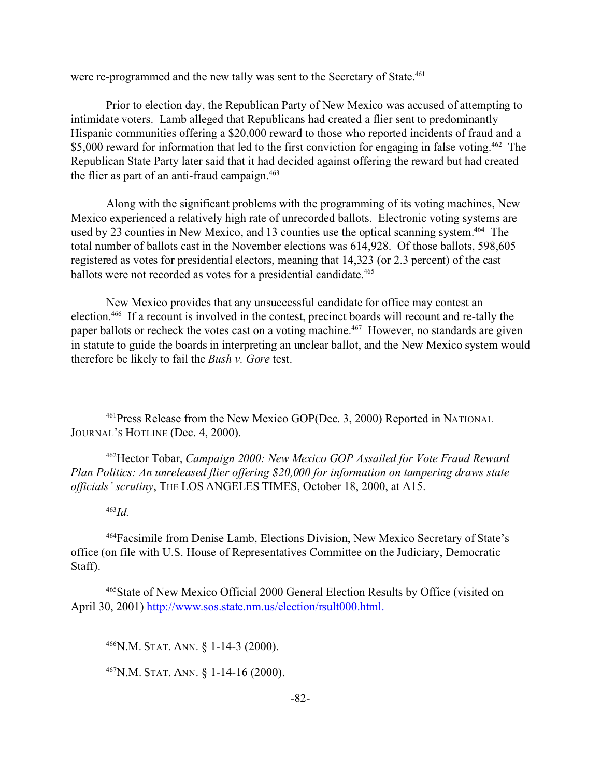were re-programmed and the new tally was sent to the Secretary of State.<sup>461</sup>

Prior to election day, the Republican Party of New Mexico was accused of attempting to intimidate voters. Lamb alleged that Republicans had created a flier sent to predominantly Hispanic communities offering a \$20,000 reward to those who reported incidents of fraud and a \$5,000 reward for information that led to the first conviction for engaging in false voting.<sup>462</sup> The Republican State Party later said that it had decided against offering the reward but had created the flier as part of an anti-fraud campaign. $463$ 

Along with the significant problems with the programming of its voting machines, New Mexico experienced a relatively high rate of unrecorded ballots. Electronic voting systems are used by 23 counties in New Mexico, and 13 counties use the optical scanning system.<sup>464</sup> The total number of ballots cast in the November elections was 614,928. Of those ballots, 598,605 registered as votes for presidential electors, meaning that 14,323 (or 2.3 percent) of the cast ballots were not recorded as votes for a presidential candidate.<sup>465</sup>

New Mexico provides that any unsuccessful candidate for office may contest an election.<sup>466</sup> If a recount is involved in the contest, precinct boards will recount and re-tally the paper ballots or recheck the votes cast on a voting machine.<sup>467</sup> However, no standards are given in statute to guide the boards in interpreting an unclear ballot, and the New Mexico system would therefore be likely to fail the *Bush v. Gore* test.

<sup>462</sup>Hector Tobar, *Campaign 2000: New Mexico GOP Assailed for Vote Fraud Reward Plan Politics: An unreleased flier offering \$20,000 for information on tampering draws state officials' scrutiny*, THE LOS ANGELES TIMES, October 18, 2000, at A15.

## <sup>463</sup>*Id.*

<sup>464</sup>Facsimile from Denise Lamb, Elections Division, New Mexico Secretary of State's office (on file with U.S. House of Representatives Committee on the Judiciary, Democratic Staff).

<sup>465</sup>State of New Mexico Official 2000 General Election Results by Office (visited on April 30, 2001) http://www.sos.state.nm.us/election/rsult000.html.

<sup>466</sup>N.M. STAT. ANN. § 1-14-3 (2000).

<sup>467</sup>N.M. STAT. ANN. § 1-14-16 (2000).

<sup>461</sup>Press Release from the New Mexico GOP(Dec. 3, 2000) Reported in NATIONAL JOURNAL'S HOTLINE (Dec. 4, 2000).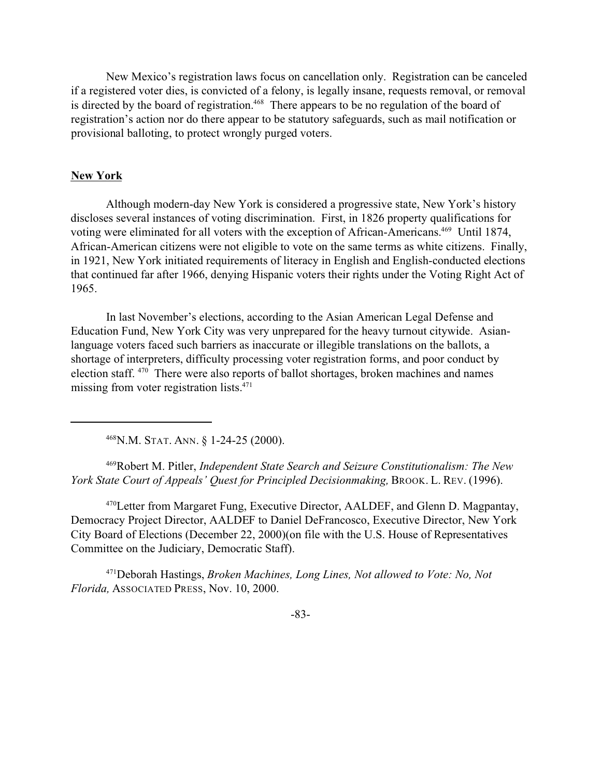New Mexico's registration laws focus on cancellation only. Registration can be canceled if a registered voter dies, is convicted of a felony, is legally insane, requests removal, or removal is directed by the board of registration.<sup>468</sup> There appears to be no regulation of the board of registration's action nor do there appear to be statutory safeguards, such as mail notification or provisional balloting, to protect wrongly purged voters.

#### **New York**

Although modern-day New York is considered a progressive state, New York's history discloses several instances of voting discrimination. First, in 1826 property qualifications for voting were eliminated for all voters with the exception of African-Americans.<sup>469</sup> Until 1874, African-American citizens were not eligible to vote on the same terms as white citizens. Finally, in 1921, New York initiated requirements of literacy in English and English-conducted elections that continued far after 1966, denying Hispanic voters their rights under the Voting Right Act of 1965.

In last November's elections, according to the Asian American Legal Defense and Education Fund, New York City was very unprepared for the heavy turnout citywide. Asianlanguage voters faced such barriers as inaccurate or illegible translations on the ballots, a shortage of interpreters, difficulty processing voter registration forms, and poor conduct by election staff. <sup>470</sup> There were also reports of ballot shortages, broken machines and names missing from voter registration lists.<sup>471</sup>

<sup>468</sup>N.M. STAT. ANN. § 1-24-25 (2000).

<sup>469</sup>Robert M. Pitler, *Independent State Search and Seizure Constitutionalism: The New York State Court of Appeals' Quest for Principled Decisionmaking,* BROOK. L. REV. (1996).

<sup>470</sup>Letter from Margaret Fung, Executive Director, AALDEF, and Glenn D. Magpantay, Democracy Project Director, AALDEF to Daniel DeFrancosco, Executive Director, New York City Board of Elections (December 22, 2000)(on file with the U.S. House of Representatives Committee on the Judiciary, Democratic Staff).

<sup>471</sup>Deborah Hastings, *Broken Machines, Long Lines, Not allowed to Vote: No, Not Florida,* ASSOCIATED PRESS, Nov. 10, 2000.

-83-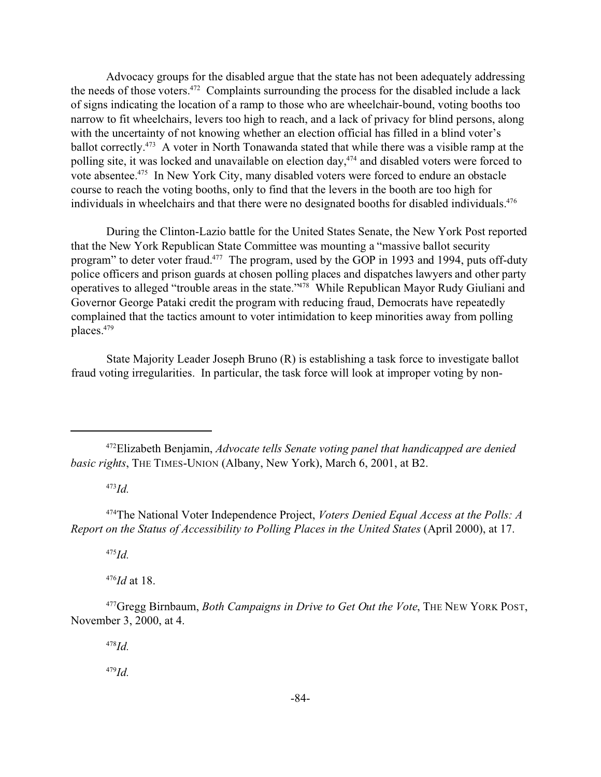Advocacy groups for the disabled argue that the state has not been adequately addressing the needs of those voters.<sup>472</sup> Complaints surrounding the process for the disabled include a lack of signs indicating the location of a ramp to those who are wheelchair-bound, voting booths too narrow to fit wheelchairs, levers too high to reach, and a lack of privacy for blind persons, along with the uncertainty of not knowing whether an election official has filled in a blind voter's ballot correctly.<sup>473</sup> A voter in North Tonawanda stated that while there was a visible ramp at the polling site, it was locked and unavailable on election day,<sup>474</sup> and disabled voters were forced to vote absentee.<sup>475</sup> In New York City, many disabled voters were forced to endure an obstacle course to reach the voting booths, only to find that the levers in the booth are too high for individuals in wheelchairs and that there were no designated booths for disabled individuals.<sup>476</sup>

During the Clinton-Lazio battle for the United States Senate, the New York Post reported that the New York Republican State Committee was mounting a "massive ballot security program" to deter voter fraud.<sup>477</sup> The program, used by the GOP in 1993 and 1994, puts off-duty police officers and prison guards at chosen polling places and dispatches lawyers and other party operatives to alleged "trouble areas in the state."<sup>478</sup> While Republican Mayor Rudy Giuliani and Governor George Pataki credit the program with reducing fraud, Democrats have repeatedly complained that the tactics amount to voter intimidation to keep minorities away from polling places.<sup>479</sup>

State Majority Leader Joseph Bruno (R) is establishing a task force to investigate ballot fraud voting irregularities. In particular, the task force will look at improper voting by non-

<sup>473</sup>*Id.*

<sup>475</sup>*Id.*

<sup>476</sup>*Id* at 18.

<sup>478</sup>*Id.*

<sup>472</sup>Elizabeth Benjamin, *Advocate tells Senate voting panel that handicapped are denied basic rights*, THE TIMES-UNION (Albany, New York), March 6, 2001, at B2.

<sup>474</sup>The National Voter Independence Project, *Voters Denied Equal Access at the Polls: A Report on the Status of Accessibility to Polling Places in the United States* (April 2000), at 17.

<sup>477</sup>Gregg Birnbaum, *Both Campaigns in Drive to Get Out the Vote*, THE NEW YORK POST, November 3, 2000, at 4.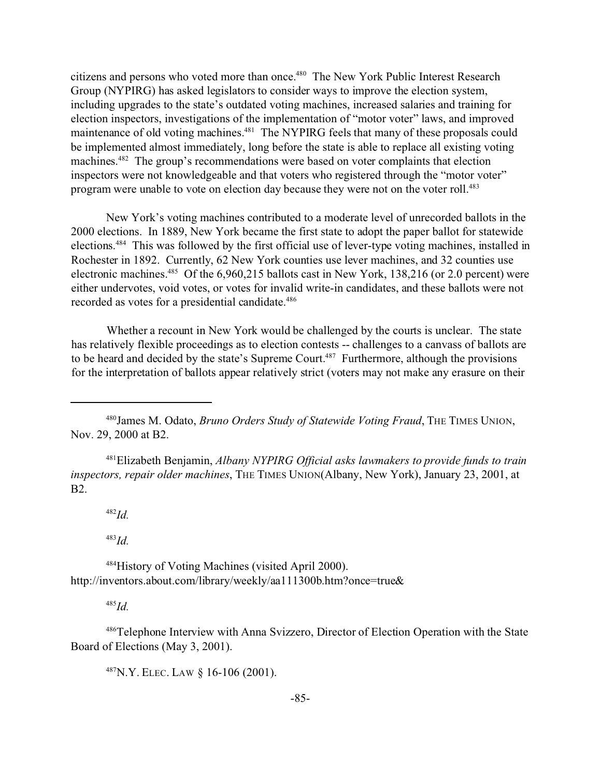citizens and persons who voted more than once.<sup>480</sup> The New York Public Interest Research Group (NYPIRG) has asked legislators to consider ways to improve the election system, including upgrades to the state's outdated voting machines, increased salaries and training for election inspectors, investigations of the implementation of "motor voter" laws, and improved maintenance of old voting machines.<sup>481</sup> The NYPIRG feels that many of these proposals could be implemented almost immediately, long before the state is able to replace all existing voting machines.<sup>482</sup> The group's recommendations were based on voter complaints that election inspectors were not knowledgeable and that voters who registered through the "motor voter" program were unable to vote on election day because they were not on the voter roll.<sup>483</sup>

New York's voting machines contributed to a moderate level of unrecorded ballots in the 2000 elections. In 1889, New York became the first state to adopt the paper ballot for statewide elections.<sup>484</sup> This was followed by the first official use of lever-type voting machines, installed in Rochester in 1892. Currently, 62 New York counties use lever machines, and 32 counties use electronic machines.<sup>485</sup> Of the 6,960,215 ballots cast in New York, 138,216 (or 2.0 percent) were either undervotes, void votes, or votes for invalid write-in candidates, and these ballots were not recorded as votes for a presidential candidate.<sup>486</sup>

Whether a recount in New York would be challenged by the courts is unclear. The state has relatively flexible proceedings as to election contests -- challenges to a canvass of ballots are to be heard and decided by the state's Supreme Court.<sup>487</sup> Furthermore, although the provisions for the interpretation of ballots appear relatively strict (voters may not make any erasure on their

<sup>481</sup>Elizabeth Benjamin, *Albany NYPIRG Official asks lawmakers to provide funds to train inspectors, repair older machines*, THE TIMES UNION(Albany, New York), January 23, 2001, at B2.

<sup>482</sup>*Id.*

<sup>483</sup>*Id.*

<sup>484</sup>History of Voting Machines (visited April 2000). http://inventors.about.com/library/weekly/aa111300b.htm?once=true&

<sup>485</sup>*Id.*

<sup>486</sup>Telephone Interview with Anna Svizzero, Director of Election Operation with the State Board of Elections (May 3, 2001).

<sup>487</sup>N.Y. ELEC. LAW § 16-106 (2001).

<sup>480</sup>James M. Odato, *Bruno Orders Study of Statewide Voting Fraud*, THE TIMES UNION, Nov. 29, 2000 at B2.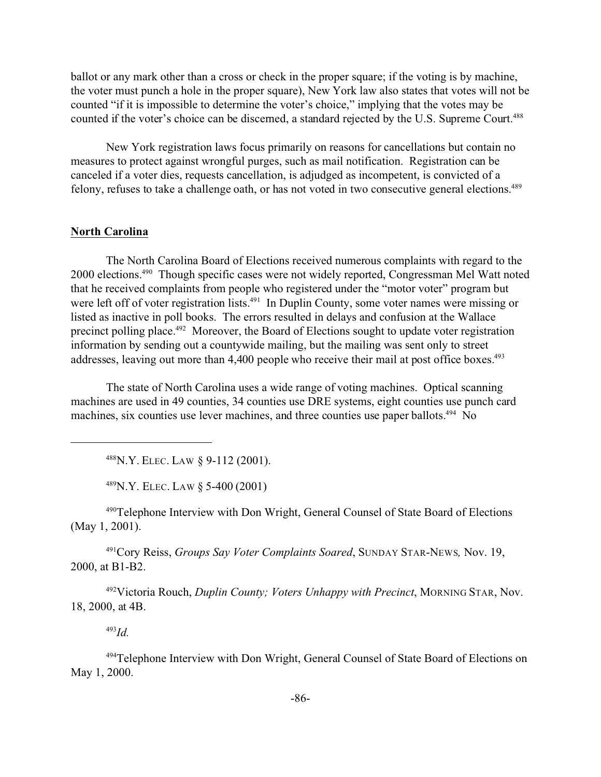ballot or any mark other than a cross or check in the proper square; if the voting is by machine, the voter must punch a hole in the proper square), New York law also states that votes will not be counted "if it is impossible to determine the voter's choice," implying that the votes may be counted if the voter's choice can be discerned, a standard rejected by the U.S. Supreme Court.<sup>488</sup>

New York registration laws focus primarily on reasons for cancellations but contain no measures to protect against wrongful purges, such as mail notification. Registration can be canceled if a voter dies, requests cancellation, is adjudged as incompetent, is convicted of a felony, refuses to take a challenge oath, or has not voted in two consecutive general elections.<sup>489</sup>

## **North Carolina**

The North Carolina Board of Elections received numerous complaints with regard to the 2000 elections.<sup>490</sup> Though specific cases were not widely reported, Congressman Mel Watt noted that he received complaints from people who registered under the "motor voter" program but were left off of voter registration lists.<sup>491</sup> In Duplin County, some voter names were missing or listed as inactive in poll books. The errors resulted in delays and confusion at the Wallace precinct polling place.<sup>492</sup> Moreover, the Board of Elections sought to update voter registration information by sending out a countywide mailing, but the mailing was sent only to street addresses, leaving out more than 4,400 people who receive their mail at post office boxes.<sup>493</sup>

The state of North Carolina uses a wide range of voting machines. Optical scanning machines are used in 49 counties, 34 counties use DRE systems, eight counties use punch card machines, six counties use lever machines, and three counties use paper ballots.<sup>494</sup> No

<sup>488</sup>N.Y. ELEC. LAW § 9-112 (2001).

<sup>489</sup>N.Y. ELEC. LAW § 5-400 (2001)

<sup>490</sup>Telephone Interview with Don Wright, General Counsel of State Board of Elections (May 1, 2001).

<sup>491</sup>Cory Reiss, *Groups Say Voter Complaints Soared*, SUNDAY STAR-NEWS*,* Nov. 19, 2000, at B1-B2.

<sup>492</sup>Victoria Rouch, *Duplin County; Voters Unhappy with Precinct*, MORNING STAR, Nov. 18, 2000, at 4B.

<sup>493</sup>*Id.*

<sup>494</sup>Telephone Interview with Don Wright, General Counsel of State Board of Elections on May 1, 2000.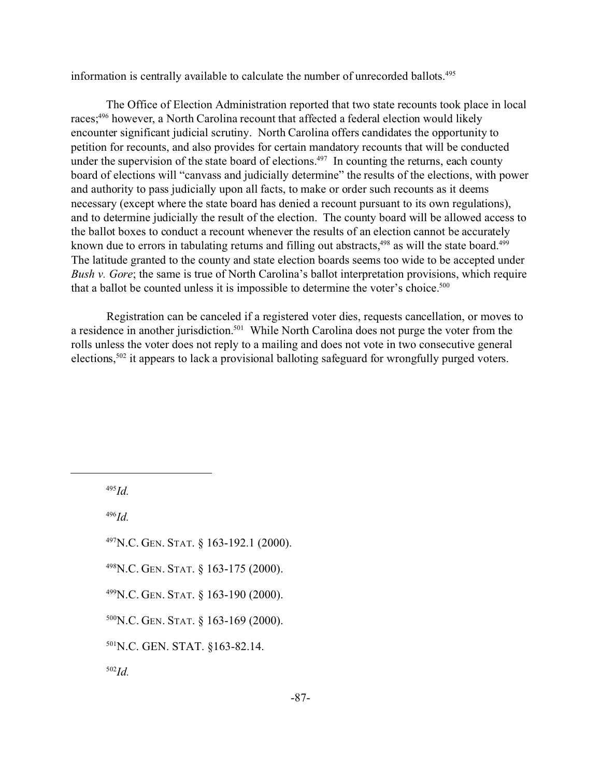information is centrally available to calculate the number of unrecorded ballots.<sup>495</sup>

The Office of Election Administration reported that two state recounts took place in local races;<sup>496</sup> however, a North Carolina recount that affected a federal election would likely encounter significant judicial scrutiny. North Carolina offers candidates the opportunity to petition for recounts, and also provides for certain mandatory recounts that will be conducted under the supervision of the state board of elections.<sup>497</sup> In counting the returns, each county board of elections will "canvass and judicially determine" the results of the elections, with power and authority to pass judicially upon all facts, to make or order such recounts as it deems necessary (except where the state board has denied a recount pursuant to its own regulations), and to determine judicially the result of the election. The county board will be allowed access to the ballot boxes to conduct a recount whenever the results of an election cannot be accurately known due to errors in tabulating returns and filling out abstracts,<sup>498</sup> as will the state board.<sup>499</sup> The latitude granted to the county and state election boards seems too wide to be accepted under *Bush v. Gore*; the same is true of North Carolina's ballot interpretation provisions, which require that a ballot be counted unless it is impossible to determine the voter's choice.<sup>500</sup>

Registration can be canceled if a registered voter dies, requests cancellation, or moves to a residence in another jurisdiction.<sup>501</sup> While North Carolina does not purge the voter from the rolls unless the voter does not reply to a mailing and does not vote in two consecutive general elections,502 it appears to lack a provisional balloting safeguard for wrongfully purged voters.

<sup>495</sup>*Id.*

<sup>496</sup>*Id.*

<sup>497</sup>N.C. GEN. STAT. § 163-192.1 (2000).

<sup>498</sup>N.C. GEN. STAT. § 163-175 (2000).

<sup>499</sup>N.C. GEN. STAT. § 163-190 (2000).

<sup>500</sup>N.C. GEN. STAT. § 163-169 (2000).

<sup>501</sup>N.C. GEN. STAT. §163-82.14.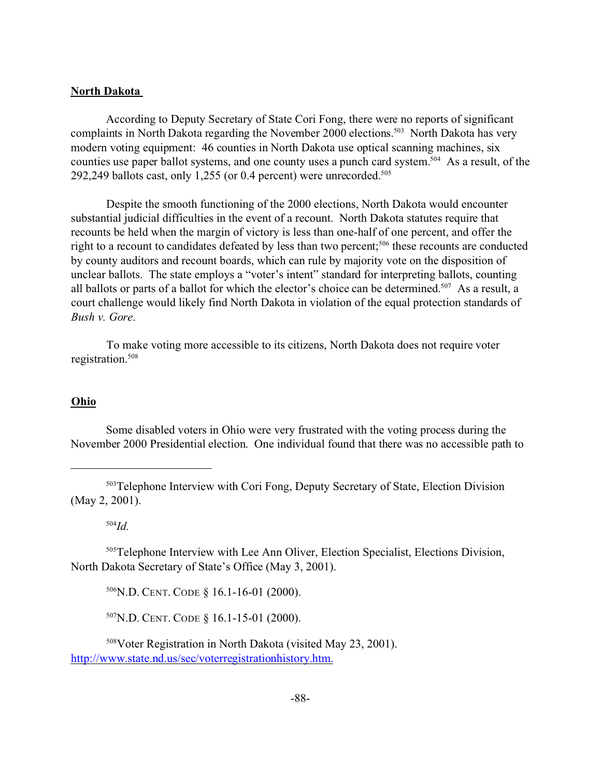## **North Dakota**

According to Deputy Secretary of State Cori Fong, there were no reports of significant complaints in North Dakota regarding the November 2000 elections.<sup>503</sup> North Dakota has very modern voting equipment: 46 counties in North Dakota use optical scanning machines, six counties use paper ballot systems, and one county uses a punch card system.<sup>504</sup> As a result, of the 292,249 ballots cast, only 1,255 (or 0.4 percent) were unrecorded.<sup>505</sup>

Despite the smooth functioning of the 2000 elections, North Dakota would encounter substantial judicial difficulties in the event of a recount. North Dakota statutes require that recounts be held when the margin of victory is less than one-half of one percent, and offer the right to a recount to candidates defeated by less than two percent;<sup>506</sup> these recounts are conducted by county auditors and recount boards, which can rule by majority vote on the disposition of unclear ballots. The state employs a "voter's intent" standard for interpreting ballots, counting all ballots or parts of a ballot for which the elector's choice can be determined.<sup>507</sup> As a result, a court challenge would likely find North Dakota in violation of the equal protection standards of *Bush v. Gore*.

To make voting more accessible to its citizens, North Dakota does not require voter registration.<sup>508</sup>

#### **Ohio**

Some disabled voters in Ohio were very frustrated with the voting process during the November 2000 Presidential election. One individual found that there was no accessible path to

<sup>504</sup>*Id.*

<sup>505</sup>Telephone Interview with Lee Ann Oliver, Election Specialist, Elections Division, North Dakota Secretary of State's Office (May 3, 2001).

<sup>506</sup>N.D. CENT. CODE § 16.1-16-01 (2000).

<sup>507</sup>N.D. CENT. CODE § 16.1-15-01 (2000).

<sup>508</sup>Voter Registration in North Dakota (visited May 23, 2001). http://www.state.nd.us/sec/voterregistrationhistory.htm.

<sup>503</sup>Telephone Interview with Cori Fong, Deputy Secretary of State, Election Division (May 2, 2001).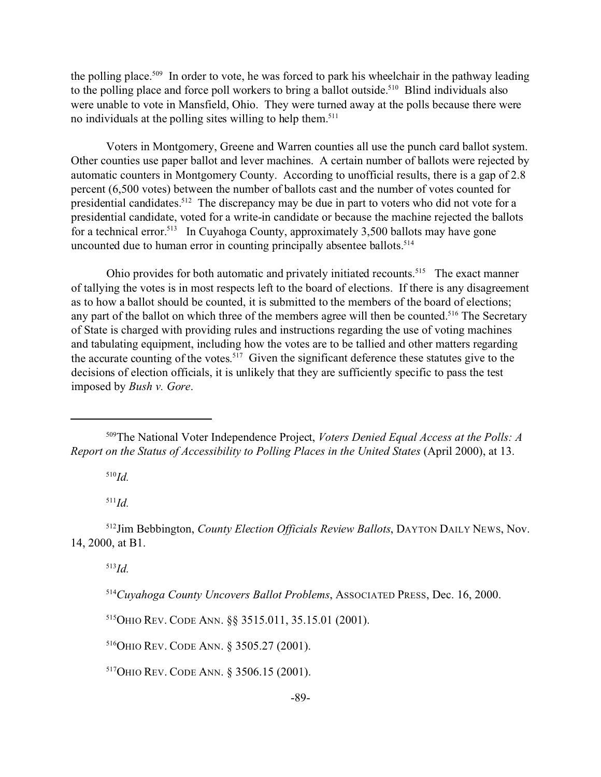the polling place.<sup>509</sup> In order to vote, he was forced to park his wheelchair in the pathway leading to the polling place and force poll workers to bring a ballot outside.<sup>510</sup> Blind individuals also were unable to vote in Mansfield, Ohio. They were turned away at the polls because there were no individuals at the polling sites willing to help them.<sup>511</sup>

Voters in Montgomery, Greene and Warren counties all use the punch card ballot system. Other counties use paper ballot and lever machines. A certain number of ballots were rejected by automatic counters in Montgomery County. According to unofficial results, there is a gap of 2.8 percent (6,500 votes) between the number of ballots cast and the number of votes counted for presidential candidates.<sup>512</sup> The discrepancy may be due in part to voters who did not vote for a presidential candidate, voted for a write-in candidate or because the machine rejected the ballots for a technical error.<sup>513</sup> In Cuyahoga County, approximately 3,500 ballots may have gone uncounted due to human error in counting principally absentee ballots.<sup>514</sup>

Ohio provides for both automatic and privately initiated recounts.<sup>515</sup> The exact manner of tallying the votes is in most respects left to the board of elections. If there is any disagreement as to how a ballot should be counted, it is submitted to the members of the board of elections; any part of the ballot on which three of the members agree will then be counted.<sup>516</sup> The Secretary of State is charged with providing rules and instructions regarding the use of voting machines and tabulating equipment, including how the votes are to be tallied and other matters regarding the accurate counting of the votes. <sup>517</sup> Given the significant deference these statutes give to the decisions of election officials, it is unlikely that they are sufficiently specific to pass the test imposed by *Bush v. Gore*.

<sup>510</sup>*Id.*

<sup>511</sup>*Id.*

<sup>512</sup>Jim Bebbington, *County Election Officials Review Ballots*, DAYTON DAILY NEWS, Nov. 14, 2000, at B1.

<sup>513</sup>*Id.*

<sup>514</sup>*Cuyahoga County Uncovers Ballot Problems*, ASSOCIATED PRESS, Dec. 16, 2000.

<sup>515</sup>OHIO REV. CODE ANN. §§ 3515.011, 35.15.01 (2001).

<sup>516</sup>OHIO REV. CODE ANN. § 3505.27 (2001).

<sup>517</sup>OHIO REV. CODE ANN. § 3506.15 (2001).

<sup>509</sup>The National Voter Independence Project, *Voters Denied Equal Access at the Polls: A Report on the Status of Accessibility to Polling Places in the United States* (April 2000), at 13.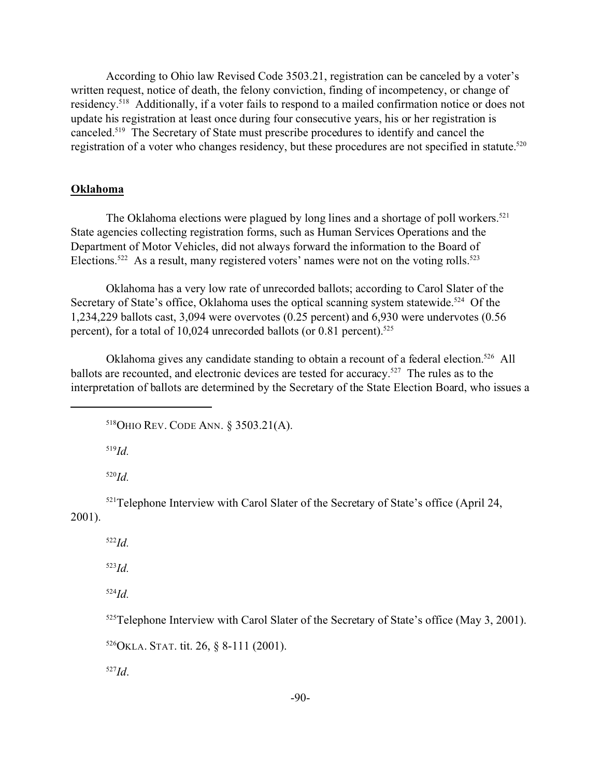According to Ohio law Revised Code 3503.21, registration can be canceled by a voter's written request, notice of death, the felony conviction, finding of incompetency, or change of residency.<sup>518</sup> Additionally, if a voter fails to respond to a mailed confirmation notice or does not update his registration at least once during four consecutive years, his or her registration is canceled.<sup>519</sup> The Secretary of State must prescribe procedures to identify and cancel the registration of a voter who changes residency, but these procedures are not specified in statute.<sup>520</sup>

## **Oklahoma**

The Oklahoma elections were plagued by long lines and a shortage of poll workers.<sup>521</sup> State agencies collecting registration forms, such as Human Services Operations and the Department of Motor Vehicles, did not always forward the information to the Board of Elections.<sup>522</sup> As a result, many registered voters' names were not on the voting rolls.<sup>523</sup>

Oklahoma has a very low rate of unrecorded ballots; according to Carol Slater of the Secretary of State's office, Oklahoma uses the optical scanning system statewide.<sup>524</sup> Of the 1,234,229 ballots cast, 3,094 were overvotes (0.25 percent) and 6,930 were undervotes (0.56 percent), for a total of 10,024 unrecorded ballots (or 0.81 percent).<sup>525</sup>

Oklahoma gives any candidate standing to obtain a recount of a federal election.<sup>526</sup> All ballots are recounted, and electronic devices are tested for accuracy.<sup>527</sup> The rules as to the interpretation of ballots are determined by the Secretary of the State Election Board, who issues a

<sup>518</sup>OHIO REV. CODE ANN. § 3503.21(A).

<sup>519</sup>*Id.*

<sup>520</sup>*Id.*

<sup>521</sup>Telephone Interview with Carol Slater of the Secretary of State's office (April 24, 2001).

<sup>522</sup>*Id.*

<sup>523</sup>*Id.*

<sup>524</sup>*Id.*

<sup>525</sup>Telephone Interview with Carol Slater of the Secretary of State's office (May 3, 2001).

 $526$ OKLA. STAT. tit. 26, § 8-111 (2001).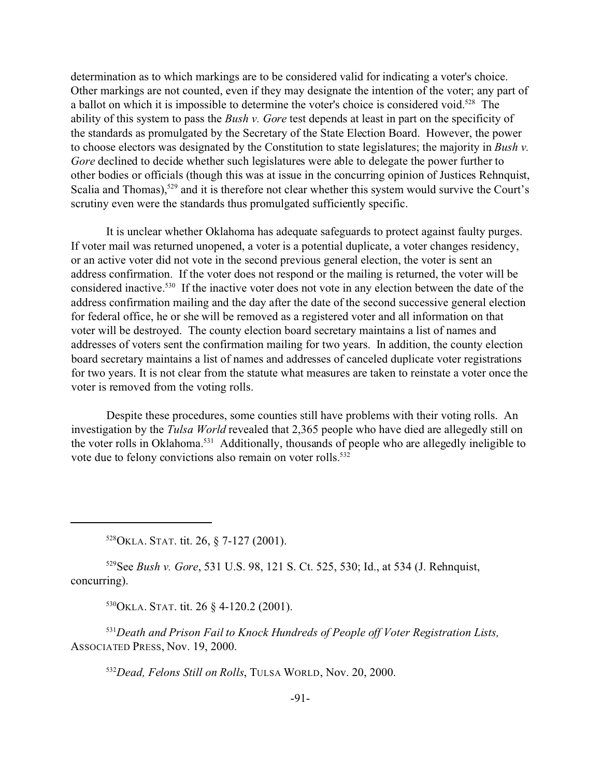determination as to which markings are to be considered valid for indicating a voter's choice. Other markings are not counted, even if they may designate the intention of the voter; any part of a ballot on which it is impossible to determine the voter's choice is considered void.<sup>528</sup> The ability of this system to pass the *Bush v. Gore* test depends at least in part on the specificity of the standards as promulgated by the Secretary of the State Election Board. However, the power to choose electors was designated by the Constitution to state legislatures; the majority in *Bush v. Gore* declined to decide whether such legislatures were able to delegate the power further to other bodies or officials (though this was at issue in the concurring opinion of Justices Rehnquist, Scalia and Thomas),<sup>529</sup> and it is therefore not clear whether this system would survive the Court's scrutiny even were the standards thus promulgated sufficiently specific.

It is unclear whether Oklahoma has adequate safeguards to protect against faulty purges. If voter mail was returned unopened, a voter is a potential duplicate, a voter changes residency, or an active voter did not vote in the second previous general election, the voter is sent an address confirmation. If the voter does not respond or the mailing is returned, the voter will be considered inactive.<sup>530</sup> If the inactive voter does not vote in any election between the date of the address confirmation mailing and the day after the date of the second successive general election for federal office, he or she will be removed as a registered voter and all information on that voter will be destroyed. The county election board secretary maintains a list of names and addresses of voters sent the confirmation mailing for two years. In addition, the county election board secretary maintains a list of names and addresses of canceled duplicate voter registrations for two years. It is not clear from the statute what measures are taken to reinstate a voter once the voter is removed from the voting rolls.

Despite these procedures, some counties still have problems with their voting rolls. An investigation by the *Tulsa World* revealed that 2,365 people who have died are allegedly still on the voter rolls in Oklahoma.<sup>531</sup> Additionally, thousands of people who are allegedly ineligible to vote due to felony convictions also remain on voter rolls.<sup>532</sup>

<sup>528</sup>OKLA. STAT. tit. 26, § 7-127 (2001).

<sup>529</sup>See *Bush v. Gore*, 531 U.S. 98, 121 S. Ct. 525, 530; Id., at 534 (J. Rehnquist, concurring).

<sup>530</sup>OKLA. STAT. tit. 26 § 4-120.2 (2001).

<sup>531</sup>*Death and Prison Fail to Knock Hundreds of People off Voter Registration Lists,* ASSOCIATED PRESS, Nov. 19, 2000.

<sup>532</sup>*Dead, Felons Still on Rolls*, TULSA WORLD, Nov. 20, 2000.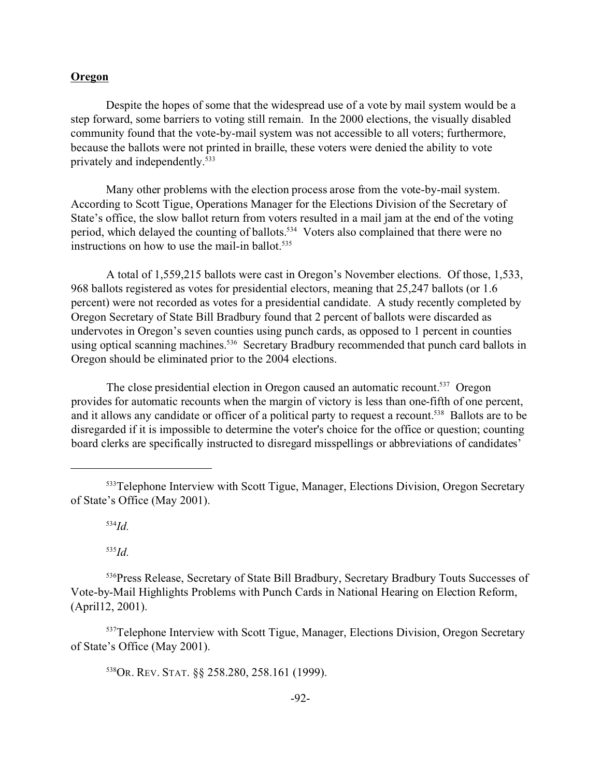## **Oregon**

Despite the hopes of some that the widespread use of a vote by mail system would be a step forward, some barriers to voting still remain. In the 2000 elections, the visually disabled community found that the vote-by-mail system was not accessible to all voters; furthermore, because the ballots were not printed in braille, these voters were denied the ability to vote privately and independently.<sup>533</sup>

Many other problems with the election process arose from the vote-by-mail system. According to Scott Tigue, Operations Manager for the Elections Division of the Secretary of State's office, the slow ballot return from voters resulted in a mail jam at the end of the voting period, which delayed the counting of ballots.<sup>534</sup> Voters also complained that there were no instructions on how to use the mail-in ballot. $535$ 

A total of 1,559,215 ballots were cast in Oregon's November elections. Of those, 1,533, 968 ballots registered as votes for presidential electors, meaning that 25,247 ballots (or 1.6 percent) were not recorded as votes for a presidential candidate. A study recently completed by Oregon Secretary of State Bill Bradbury found that 2 percent of ballots were discarded as undervotes in Oregon's seven counties using punch cards, as opposed to 1 percent in counties using optical scanning machines.<sup>536</sup> Secretary Bradbury recommended that punch card ballots in Oregon should be eliminated prior to the 2004 elections.

The close presidential election in Oregon caused an automatic recount.<sup>537</sup> Oregon provides for automatic recounts when the margin of victory is less than one-fifth of one percent, and it allows any candidate or officer of a political party to request a recount.<sup>538</sup> Ballots are to be disregarded if it is impossible to determine the voter's choice for the office or question; counting board clerks are specifically instructed to disregard misspellings or abbreviations of candidates'

<sup>534</sup>*Id.*

<sup>535</sup>*Id.*

<sup>536</sup>Press Release, Secretary of State Bill Bradbury, Secretary Bradbury Touts Successes of Vote-by-Mail Highlights Problems with Punch Cards in National Hearing on Election Reform, (April12, 2001).

<sup>537</sup>Telephone Interview with Scott Tigue, Manager, Elections Division, Oregon Secretary of State's Office (May 2001).

<sup>538</sup>OR. REV. STAT. §§ 258.280, 258.161 (1999).

<sup>533</sup>Telephone Interview with Scott Tigue, Manager, Elections Division, Oregon Secretary of State's Office (May 2001).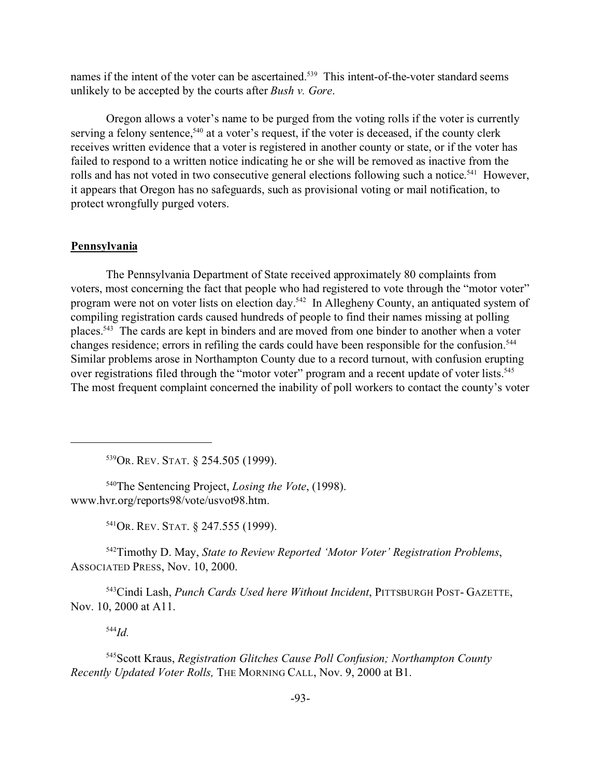names if the intent of the voter can be ascertained.<sup>539</sup> This intent-of-the-voter standard seems unlikely to be accepted by the courts after *Bush v. Gore*.

Oregon allows a voter's name to be purged from the voting rolls if the voter is currently serving a felony sentence,<sup>540</sup> at a voter's request, if the voter is deceased, if the county clerk receives written evidence that a voter is registered in another county or state, or if the voter has failed to respond to a written notice indicating he or she will be removed as inactive from the rolls and has not voted in two consecutive general elections following such a notice.<sup>541</sup> However, it appears that Oregon has no safeguards, such as provisional voting or mail notification, to protect wrongfully purged voters.

## **Pennsylvania**

The Pennsylvania Department of State received approximately 80 complaints from voters, most concerning the fact that people who had registered to vote through the "motor voter" program were not on voter lists on election day.<sup>542</sup> In Allegheny County, an antiquated system of compiling registration cards caused hundreds of people to find their names missing at polling places.<sup>543</sup> The cards are kept in binders and are moved from one binder to another when a voter changes residence; errors in refiling the cards could have been responsible for the confusion.<sup>544</sup> Similar problems arose in Northampton County due to a record turnout, with confusion erupting over registrations filed through the "motor voter" program and a recent update of voter lists.<sup>545</sup> The most frequent complaint concerned the inability of poll workers to contact the county's voter

<sup>539</sup>OR. REV. STAT. § 254.505 (1999).

<sup>540</sup>The Sentencing Project, *Losing the Vote*, (1998). www.hvr.org/reports98/vote/usvot98.htm.

<sup>541</sup>OR. REV. STAT. § 247.555 (1999).

<sup>542</sup>Timothy D. May, *State to Review Reported 'Motor Voter' Registration Problems*, ASSOCIATED PRESS, Nov. 10, 2000.

<sup>543</sup>Cindi Lash, *Punch Cards Used here Without Incident*, PITTSBURGH POST- GAZETTE, Nov. 10, 2000 at A11.

<sup>544</sup>*Id.*

<sup>545</sup>Scott Kraus, *Registration Glitches Cause Poll Confusion; Northampton County Recently Updated Voter Rolls,* THE MORNING CALL, Nov. 9, 2000 at B1.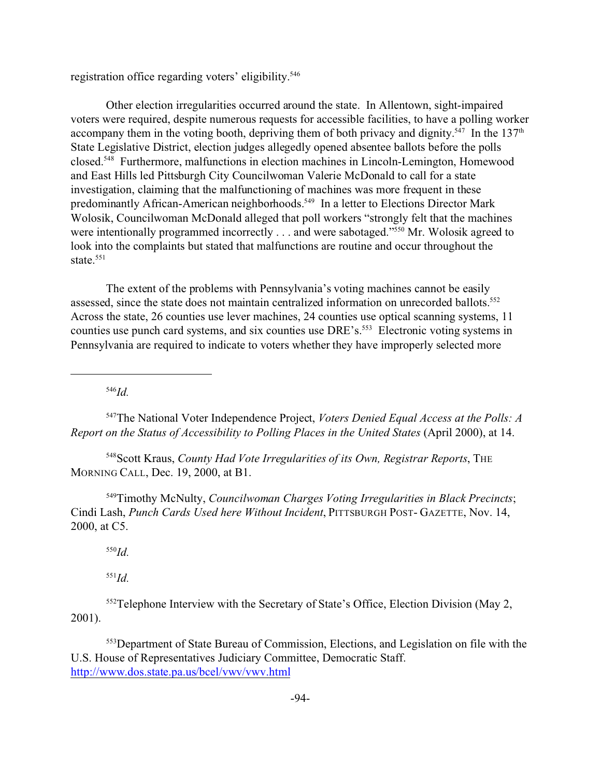registration office regarding voters' eligibility.<sup>546</sup>

Other election irregularities occurred around the state. In Allentown, sight-impaired voters were required, despite numerous requests for accessible facilities, to have a polling worker accompany them in the voting booth, depriving them of both privacy and dignity.<sup>547</sup> In the 137<sup>th</sup> State Legislative District, election judges allegedly opened absentee ballots before the polls closed.<sup>548</sup> Furthermore, malfunctions in election machines in Lincoln-Lemington, Homewood and East Hills led Pittsburgh City Councilwoman Valerie McDonald to call for a state investigation, claiming that the malfunctioning of machines was more frequent in these predominantly African-American neighborhoods.<sup>549</sup> In a letter to Elections Director Mark Wolosik, Councilwoman McDonald alleged that poll workers "strongly felt that the machines were intentionally programmed incorrectly . . . and were sabotaged."<sup>550</sup> Mr. Wolosik agreed to look into the complaints but stated that malfunctions are routine and occur throughout the state.<sup>551</sup>

The extent of the problems with Pennsylvania's voting machines cannot be easily assessed, since the state does not maintain centralized information on unrecorded ballots.<sup>552</sup> Across the state, 26 counties use lever machines, 24 counties use optical scanning systems, 11 counties use punch card systems, and six counties use DRE's.<sup>553</sup> Electronic voting systems in Pennsylvania are required to indicate to voters whether they have improperly selected more

<sup>546</sup>*Id.*

<sup>547</sup>The National Voter Independence Project, *Voters Denied Equal Access at the Polls: A Report on the Status of Accessibility to Polling Places in the United States* (April 2000), at 14.

<sup>548</sup>Scott Kraus, *County Had Vote Irregularities of its Own, Registrar Reports*, THE MORNING CALL, Dec. 19, 2000, at B1.

<sup>549</sup>Timothy McNulty, *Councilwoman Charges Voting Irregularities in Black Precincts*; Cindi Lash, *Punch Cards Used here Without Incident*, PITTSBURGH POST- GAZETTE, Nov. 14, 2000, at C5.

<sup>550</sup>*Id.*

<sup>551</sup>*Id.*

<sup>552</sup>Telephone Interview with the Secretary of State's Office, Election Division (May 2, 2001).

<sup>553</sup>Department of State Bureau of Commission, Elections, and Legislation on file with the U.S. House of Representatives Judiciary Committee, Democratic Staff. http://www.dos.state.pa.us/bcel/vwv/vwv.html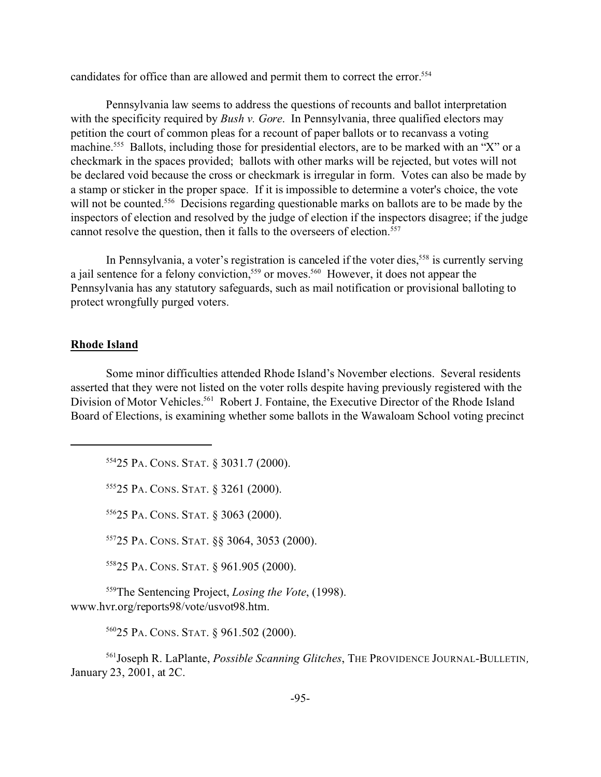candidates for office than are allowed and permit them to correct the error.<sup>554</sup>

Pennsylvania law seems to address the questions of recounts and ballot interpretation with the specificity required by *Bush v. Gore*. In Pennsylvania, three qualified electors may petition the court of common pleas for a recount of paper ballots or to recanvass a voting machine.<sup>555</sup> Ballots, including those for presidential electors, are to be marked with an "X" or a checkmark in the spaces provided; ballots with other marks will be rejected, but votes will not be declared void because the cross or checkmark is irregular in form. Votes can also be made by a stamp or sticker in the proper space. If it is impossible to determine a voter's choice, the vote will not be counted.<sup>556</sup> Decisions regarding questionable marks on ballots are to be made by the inspectors of election and resolved by the judge of election if the inspectors disagree; if the judge cannot resolve the question, then it falls to the overseers of election.<sup>557</sup>

In Pennsylvania, a voter's registration is canceled if the voter dies,<sup>558</sup> is currently serving a jail sentence for a felony conviction,<sup>559</sup> or moves.<sup>560</sup> However, it does not appear the Pennsylvania has any statutory safeguards, such as mail notification or provisional balloting to protect wrongfully purged voters.

## **Rhode Island**

Some minor difficulties attended Rhode Island's November elections. Several residents asserted that they were not listed on the voter rolls despite having previously registered with the Division of Motor Vehicles.<sup>561</sup> Robert J. Fontaine, the Executive Director of the Rhode Island Board of Elections, is examining whether some ballots in the Wawaloam School voting precinct

<sup>554</sup>25 PA. CONS. STAT. § 3031.7 (2000).

<sup>555</sup>25 PA. CONS. STAT. § 3261 (2000).

<sup>556</sup>25 PA. CONS. STAT. § 3063 (2000).

<sup>557</sup>25 PA. CONS. STAT. §§ 3064, 3053 (2000).

<sup>558</sup>25 PA. CONS. STAT. § 961.905 (2000).

<sup>559</sup>The Sentencing Project, *Losing the Vote*, (1998). www.hvr.org/reports98/vote/usvot98.htm.

<sup>560</sup>25 PA. CONS. STAT. § 961.502 (2000).

<sup>561</sup>Joseph R. LaPlante, *Possible Scanning Glitches*, THE PROVIDENCE JOURNAL-BULLETIN*,* January 23, 2001, at 2C.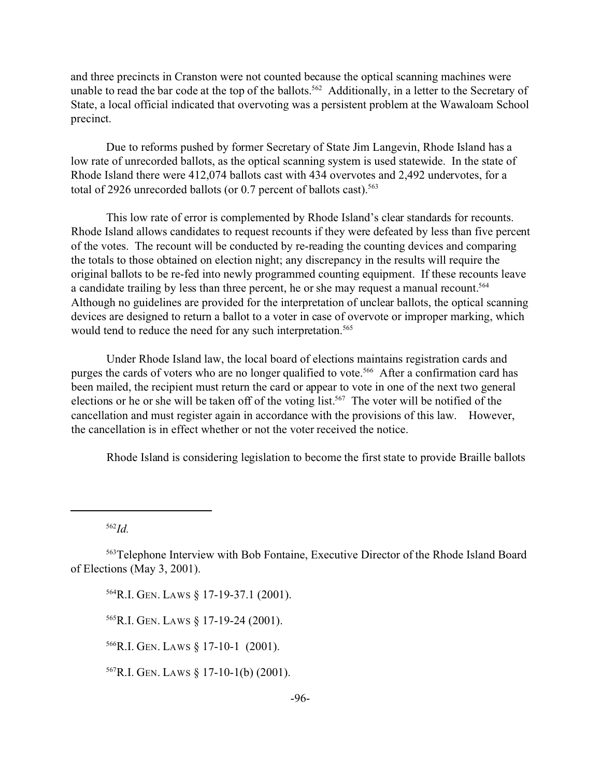and three precincts in Cranston were not counted because the optical scanning machines were unable to read the bar code at the top of the ballots.<sup>562</sup> Additionally, in a letter to the Secretary of State, a local official indicated that overvoting was a persistent problem at the Wawaloam School precinct.

Due to reforms pushed by former Secretary of State Jim Langevin, Rhode Island has a low rate of unrecorded ballots, as the optical scanning system is used statewide. In the state of Rhode Island there were 412,074 ballots cast with 434 overvotes and 2,492 undervotes, for a total of 2926 unrecorded ballots (or 0.7 percent of ballots cast).<sup>563</sup>

This low rate of error is complemented by Rhode Island's clear standards for recounts. Rhode Island allows candidates to request recounts if they were defeated by less than five percent of the votes. The recount will be conducted by re-reading the counting devices and comparing the totals to those obtained on election night; any discrepancy in the results will require the original ballots to be re-fed into newly programmed counting equipment. If these recounts leave a candidate trailing by less than three percent, he or she may request a manual recount.<sup>564</sup> Although no guidelines are provided for the interpretation of unclear ballots, the optical scanning devices are designed to return a ballot to a voter in case of overvote or improper marking, which would tend to reduce the need for any such interpretation.<sup>565</sup>

Under Rhode Island law, the local board of elections maintains registration cards and purges the cards of voters who are no longer qualified to vote.<sup>566</sup> After a confirmation card has been mailed, the recipient must return the card or appear to vote in one of the next two general elections or he or she will be taken off of the voting list.<sup>567</sup> The voter will be notified of the cancellation and must register again in accordance with the provisions of this law. However, the cancellation is in effect whether or not the voter received the notice.

Rhode Island is considering legislation to become the first state to provide Braille ballots

<sup>562</sup>*Id.*

<sup>564</sup>R.I. GEN. LAWS § 17-19-37.1 (2001).

<sup>565</sup>R.I. GEN. LAWS § 17-19-24 (2001).

<sup>566</sup>R.I. GEN. LAWS § 17-10-1 (2001).

 $567$ R.I. GEN. LAWS § 17-10-1(b) (2001).

<sup>563</sup>Telephone Interview with Bob Fontaine, Executive Director of the Rhode Island Board of Elections (May 3, 2001).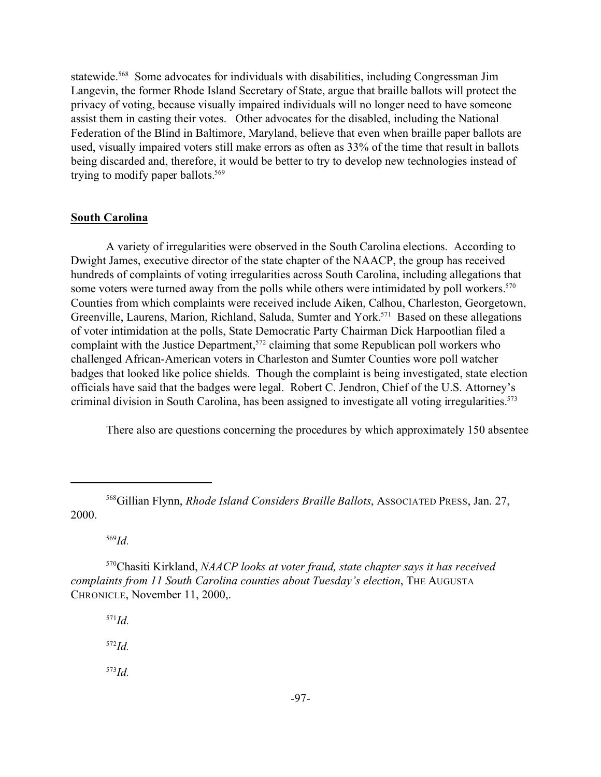statewide.<sup>568</sup> Some advocates for individuals with disabilities, including Congressman Jim Langevin, the former Rhode Island Secretary of State, argue that braille ballots will protect the privacy of voting, because visually impaired individuals will no longer need to have someone assist them in casting their votes. Other advocates for the disabled, including the National Federation of the Blind in Baltimore, Maryland, believe that even when braille paper ballots are used, visually impaired voters still make errors as often as 33% of the time that result in ballots being discarded and, therefore, it would be better to try to develop new technologies instead of trying to modify paper ballots.<sup>569</sup>

#### **South Carolina**

A variety of irregularities were observed in the South Carolina elections. According to Dwight James, executive director of the state chapter of the NAACP, the group has received hundreds of complaints of voting irregularities across South Carolina, including allegations that some voters were turned away from the polls while others were intimidated by poll workers.<sup>570</sup> Counties from which complaints were received include Aiken, Calhou, Charleston, Georgetown, Greenville, Laurens, Marion, Richland, Saluda, Sumter and York.<sup>571</sup> Based on these allegations of voter intimidation at the polls, State Democratic Party Chairman Dick Harpootlian filed a complaint with the Justice Department,<sup>572</sup> claiming that some Republican poll workers who challenged African-American voters in Charleston and Sumter Counties wore poll watcher badges that looked like police shields. Though the complaint is being investigated, state election officials have said that the badges were legal. Robert C. Jendron, Chief of the U.S. Attorney's criminal division in South Carolina, has been assigned to investigate all voting irregularities.<sup>573</sup>

There also are questions concerning the procedures by which approximately 150 absentee

<sup>569</sup>*Id.*

<sup>571</sup>*Id.*

<sup>572</sup>*Id.*

<sup>568</sup>Gillian Flynn, *Rhode Island Considers Braille Ballots*, ASSOCIATED PRESS, Jan. 27, 2000.

<sup>570</sup>Chasiti Kirkland, *NAACP looks at voter fraud, state chapter says it has received complaints from 11 South Carolina counties about Tuesday's election*, THE AUGUSTA CHRONICLE, November 11, 2000,.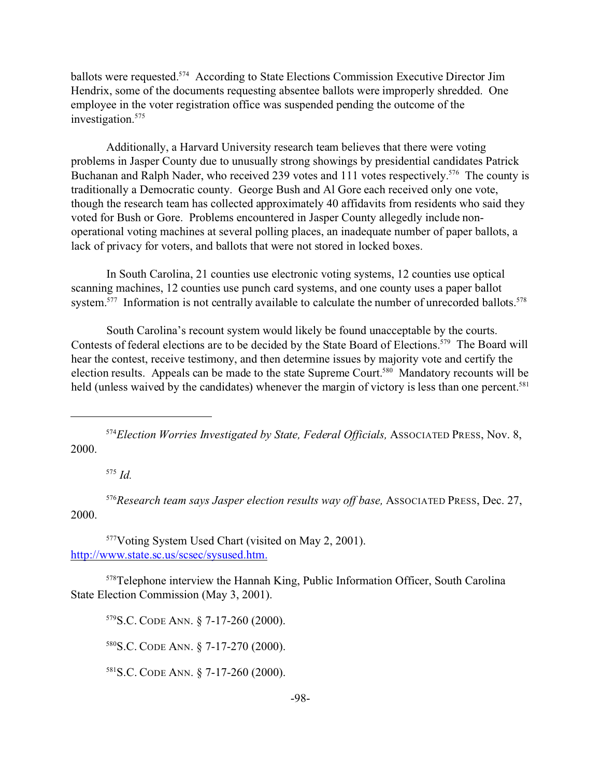ballots were requested.<sup>574</sup> According to State Elections Commission Executive Director Jim Hendrix, some of the documents requesting absentee ballots were improperly shredded. One employee in the voter registration office was suspended pending the outcome of the investigation.<sup>575</sup>

Additionally, a Harvard University research team believes that there were voting problems in Jasper County due to unusually strong showings by presidential candidates Patrick Buchanan and Ralph Nader, who received 239 votes and 111 votes respectively.<sup>576</sup> The county is traditionally a Democratic county. George Bush and Al Gore each received only one vote, though the research team has collected approximately 40 affidavits from residents who said they voted for Bush or Gore. Problems encountered in Jasper County allegedly include nonoperational voting machines at several polling places, an inadequate number of paper ballots, a lack of privacy for voters, and ballots that were not stored in locked boxes.

In South Carolina, 21 counties use electronic voting systems, 12 counties use optical scanning machines, 12 counties use punch card systems, and one county uses a paper ballot system.<sup>577</sup> Information is not centrally available to calculate the number of unrecorded ballots.<sup>578</sup>

South Carolina's recount system would likely be found unacceptable by the courts. Contests of federal elections are to be decided by the State Board of Elections.<sup>579</sup> The Board will hear the contest, receive testimony, and then determine issues by majority vote and certify the election results. Appeals can be made to the state Supreme Court.<sup>580</sup> Mandatory recounts will be held (unless waived by the candidates) whenever the margin of victory is less than one percent.<sup>581</sup>

<sup>574</sup>*Election Worries Investigated by State, Federal Officials,* ASSOCIATED PRESS, Nov. 8, 2000.

<sup>575</sup> *Id.*

<sup>576</sup>*Research team says Jasper election results way off base,* ASSOCIATED PRESS, Dec. 27, 2000.

<sup>577</sup>Voting System Used Chart (visited on May 2, 2001). http://www.state.sc.us/scsec/sysused.htm.

<sup>578</sup>Telephone interview the Hannah King, Public Information Officer, South Carolina State Election Commission (May 3, 2001).

<sup>579</sup>S.C. CODE ANN. § 7-17-260 (2000).

<sup>580</sup>S.C. CODE ANN. § 7-17-270 (2000).

<sup>581</sup>S.C. CODE ANN. § 7-17-260 (2000).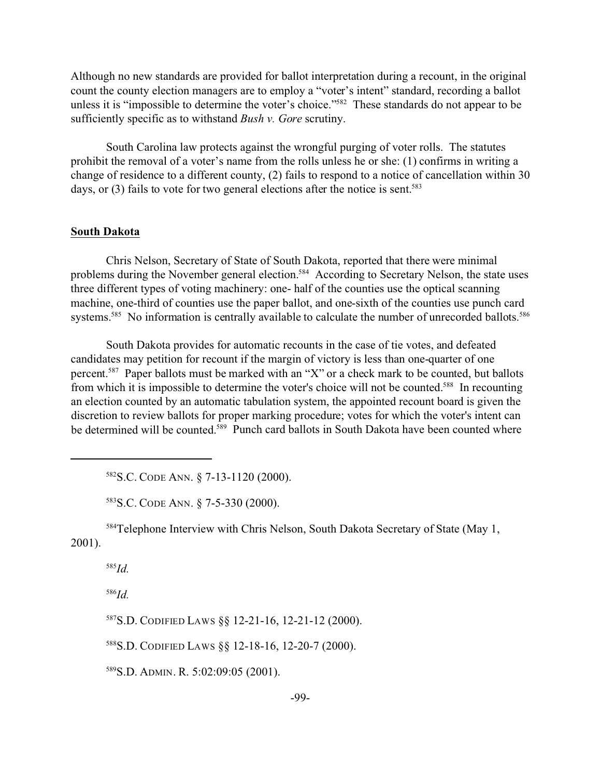Although no new standards are provided for ballot interpretation during a recount, in the original count the county election managers are to employ a "voter's intent" standard, recording a ballot unless it is "impossible to determine the voter's choice."<sup>582</sup> These standards do not appear to be sufficiently specific as to withstand *Bush v. Gore* scrutiny.

South Carolina law protects against the wrongful purging of voter rolls. The statutes prohibit the removal of a voter's name from the rolls unless he or she: (1) confirms in writing a change of residence to a different county, (2) fails to respond to a notice of cancellation within 30 days, or  $(3)$  fails to vote for two general elections after the notice is sent.<sup>583</sup>

## **South Dakota**

Chris Nelson, Secretary of State of South Dakota, reported that there were minimal problems during the November general election.<sup>584</sup> According to Secretary Nelson, the state uses three different types of voting machinery: one- half of the counties use the optical scanning machine, one-third of counties use the paper ballot, and one-sixth of the counties use punch card systems.<sup>585</sup> No information is centrally available to calculate the number of unrecorded ballots.<sup>586</sup>

South Dakota provides for automatic recounts in the case of tie votes, and defeated candidates may petition for recount if the margin of victory is less than one-quarter of one percent.<sup>587</sup> Paper ballots must be marked with an "X" or a check mark to be counted, but ballots from which it is impossible to determine the voter's choice will not be counted.<sup>588</sup> In recounting an election counted by an automatic tabulation system, the appointed recount board is given the discretion to review ballots for proper marking procedure; votes for which the voter's intent can be determined will be counted.<sup>589</sup> Punch card ballots in South Dakota have been counted where

<sup>582</sup>S.C. CODE ANN. § 7-13-1120 (2000).

<sup>583</sup>S.C. CODE ANN. § 7-5-330 (2000).

<sup>584</sup>Telephone Interview with Chris Nelson, South Dakota Secretary of State (May 1, 2001).

<sup>585</sup>*Id.*

<sup>586</sup>*Id.*

<sup>587</sup>S.D. CODIFIED LAWS §§ 12-21-16, 12-21-12 (2000).

<sup>588</sup>S.D. CODIFIED LAWS §§ 12-18-16, 12-20-7 (2000).

<sup>589</sup>S.D. ADMIN. R. 5:02:09:05 (2001).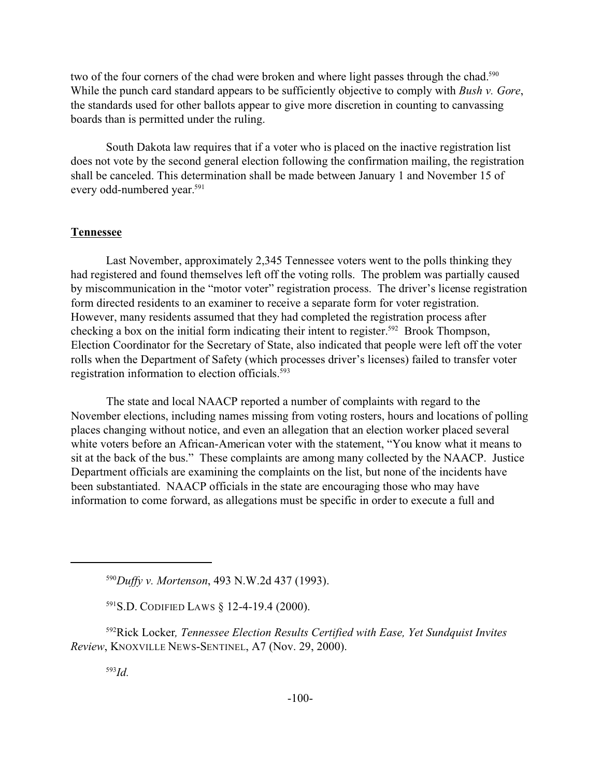two of the four corners of the chad were broken and where light passes through the chad.<sup>590</sup> While the punch card standard appears to be sufficiently objective to comply with *Bush v. Gore*, the standards used for other ballots appear to give more discretion in counting to canvassing boards than is permitted under the ruling.

South Dakota law requires that if a voter who is placed on the inactive registration list does not vote by the second general election following the confirmation mailing, the registration shall be canceled. This determination shall be made between January 1 and November 15 of every odd-numbered year.<sup>591</sup>

#### **Tennessee**

Last November, approximately 2,345 Tennessee voters went to the polls thinking they had registered and found themselves left off the voting rolls. The problem was partially caused by miscommunication in the "motor voter" registration process. The driver's license registration form directed residents to an examiner to receive a separate form for voter registration. However, many residents assumed that they had completed the registration process after checking a box on the initial form indicating their intent to register.<sup>592</sup> Brook Thompson, Election Coordinator for the Secretary of State, also indicated that people were left off the voter rolls when the Department of Safety (which processes driver's licenses) failed to transfer voter registration information to election officials.<sup>593</sup>

The state and local NAACP reported a number of complaints with regard to the November elections, including names missing from voting rosters, hours and locations of polling places changing without notice, and even an allegation that an election worker placed several white voters before an African-American voter with the statement, "You know what it means to sit at the back of the bus." These complaints are among many collected by the NAACP. Justice Department officials are examining the complaints on the list, but none of the incidents have been substantiated. NAACP officials in the state are encouraging those who may have information to come forward, as allegations must be specific in order to execute a full and

<sup>591</sup>S.D. CODIFIED LAWS § 12-4-19.4 (2000).

<sup>592</sup>Rick Locker*, Tennessee Election Results Certified with Ease, Yet Sundquist Invites Review*, KNOXVILLE NEWS-SENTINEL, A7 (Nov. 29, 2000).

<sup>590</sup>*Duffy v. Mortenson*, 493 N.W.2d 437 (1993).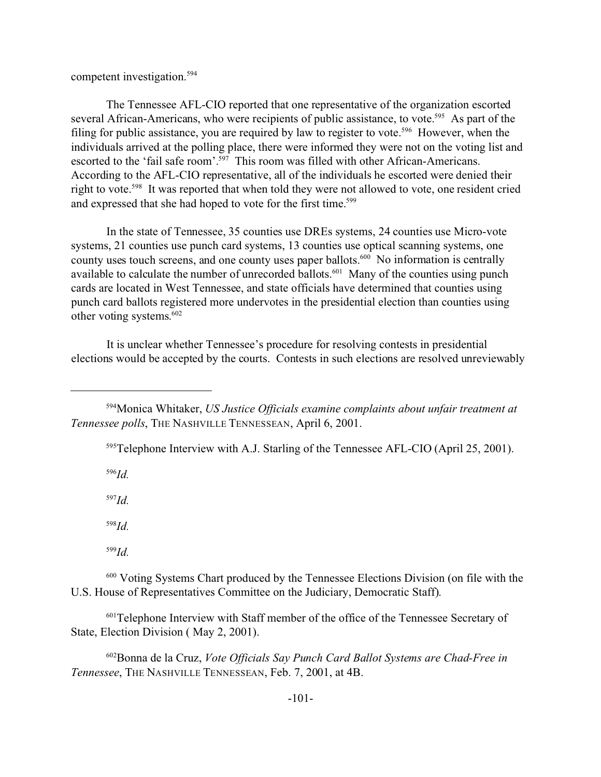competent investigation.<sup>594</sup>

The Tennessee AFL-CIO reported that one representative of the organization escorted several African-Americans, who were recipients of public assistance, to vote.<sup>595</sup> As part of the filing for public assistance, you are required by law to register to vote.<sup>596</sup> However, when the individuals arrived at the polling place, there were informed they were not on the voting list and escorted to the 'fail safe room'.<sup>597</sup> This room was filled with other African-Americans. According to the AFL-CIO representative, all of the individuals he escorted were denied their right to vote.<sup>598</sup> It was reported that when told they were not allowed to vote, one resident cried and expressed that she had hoped to vote for the first time.<sup>599</sup>

In the state of Tennessee, 35 counties use DREs systems, 24 counties use Micro-vote systems, 21 counties use punch card systems, 13 counties use optical scanning systems, one county uses touch screens, and one county uses paper ballots.<sup>600</sup> No information is centrally available to calculate the number of unrecorded ballots.<sup>601</sup> Many of the counties using punch cards are located in West Tennessee, and state officials have determined that counties using punch card ballots registered more undervotes in the presidential election than counties using other voting systems. 602

It is unclear whether Tennessee's procedure for resolving contests in presidential elections would be accepted by the courts. Contests in such elections are resolved unreviewably

<sup>595</sup>Telephone Interview with A.J. Starling of the Tennessee AFL-CIO (April 25, 2001).

<sup>596</sup>*Id.*

<sup>597</sup>*Id.*

<sup>598</sup>*Id.*

<sup>599</sup>*Id.*

<sup>600</sup> Voting Systems Chart produced by the Tennessee Elections Division (on file with the U.S. House of Representatives Committee on the Judiciary, Democratic Staff).

<sup>601</sup>Telephone Interview with Staff member of the office of the Tennessee Secretary of State, Election Division ( May 2, 2001).

<sup>602</sup>Bonna de la Cruz, *Vote Officials Say Punch Card Ballot Systems are Chad-Free in Tennessee*, THE NASHVILLE TENNESSEAN, Feb. 7, 2001, at 4B.

<sup>594</sup>Monica Whitaker, *US Justice Officials examine complaints about unfair treatment at Tennessee polls*, THE NASHVILLE TENNESSEAN, April 6, 2001.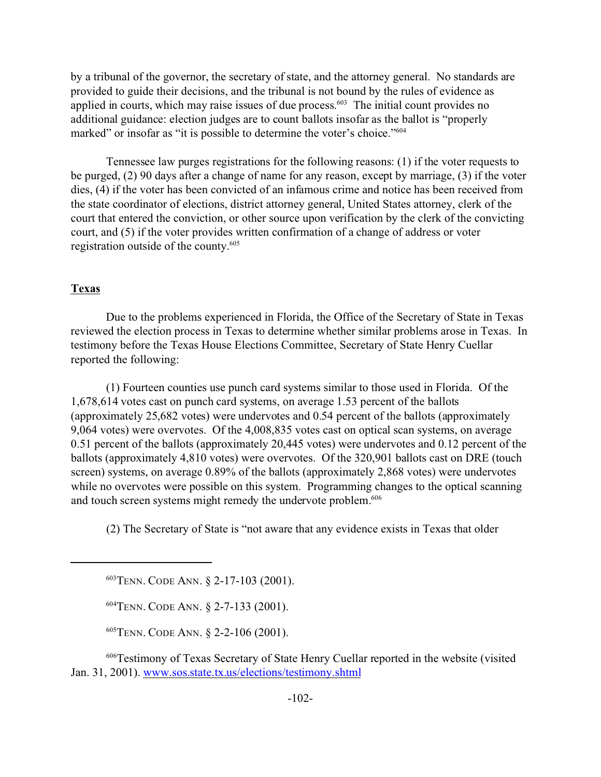by a tribunal of the governor, the secretary of state, and the attorney general. No standards are provided to guide their decisions, and the tribunal is not bound by the rules of evidence as applied in courts, which may raise issues of due process.<sup>603</sup> The initial count provides no additional guidance: election judges are to count ballots insofar as the ballot is "properly marked" or insofar as "it is possible to determine the voter's choice."<sup>604</sup>

Tennessee law purges registrations for the following reasons: (1) if the voter requests to be purged, (2) 90 days after a change of name for any reason, except by marriage, (3) if the voter dies, (4) if the voter has been convicted of an infamous crime and notice has been received from the state coordinator of elections, district attorney general, United States attorney, clerk of the court that entered the conviction, or other source upon verification by the clerk of the convicting court, and (5) if the voter provides written confirmation of a change of address or voter registration outside of the county.<sup>605</sup>

## **Texas**

Due to the problems experienced in Florida, the Office of the Secretary of State in Texas reviewed the election process in Texas to determine whether similar problems arose in Texas. In testimony before the Texas House Elections Committee, Secretary of State Henry Cuellar reported the following:

(1) Fourteen counties use punch card systems similar to those used in Florida. Of the 1,678,614 votes cast on punch card systems, on average 1.53 percent of the ballots (approximately 25,682 votes) were undervotes and 0.54 percent of the ballots (approximately 9,064 votes) were overvotes. Of the 4,008,835 votes cast on optical scan systems, on average 0.51 percent of the ballots (approximately 20,445 votes) were undervotes and 0.12 percent of the ballots (approximately 4,810 votes) were overvotes. Of the 320,901 ballots cast on DRE (touch screen) systems, on average 0.89% of the ballots (approximately 2,868 votes) were undervotes while no overvotes were possible on this system. Programming changes to the optical scanning and touch screen systems might remedy the undervote problem.<sup>606</sup>

(2) The Secretary of State is "not aware that any evidence exists in Texas that older

<sup>603</sup>TENN. CODE ANN. § 2-17-103 (2001).

<sup>604</sup>TENN. CODE ANN. § 2-7-133 (2001).

<sup>605</sup>TENN. CODE ANN. § 2-2-106 (2001).

<sup>606</sup>Testimony of Texas Secretary of State Henry Cuellar reported in the website (visited Jan. 31, 2001). www.sos.state.tx.us/elections/testimony.shtml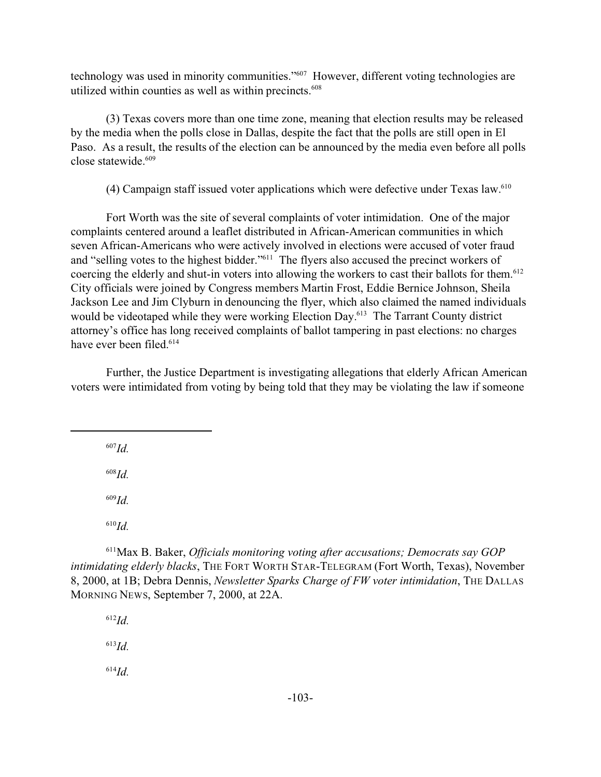technology was used in minority communities."<sup>607</sup> However, different voting technologies are utilized within counties as well as within precincts.<sup>608</sup>

(3) Texas covers more than one time zone, meaning that election results may be released by the media when the polls close in Dallas, despite the fact that the polls are still open in El Paso. As a result, the results of the election can be announced by the media even before all polls close statewide.<sup>609</sup>

(4) Campaign staff issued voter applications which were defective under Texas law. $610$ 

Fort Worth was the site of several complaints of voter intimidation. One of the major complaints centered around a leaflet distributed in African-American communities in which seven African-Americans who were actively involved in elections were accused of voter fraud and "selling votes to the highest bidder."<sup>611</sup> The flyers also accused the precinct workers of coercing the elderly and shut-in voters into allowing the workers to cast their ballots for them.<sup>612</sup> City officials were joined by Congress members Martin Frost, Eddie Bernice Johnson, Sheila Jackson Lee and Jim Clyburn in denouncing the flyer, which also claimed the named individuals would be videotaped while they were working Election Day.<sup>613</sup> The Tarrant County district attorney's office has long received complaints of ballot tampering in past elections: no charges have ever been filed.<sup>614</sup>

Further, the Justice Department is investigating allegations that elderly African American voters were intimidated from voting by being told that they may be violating the law if someone

<sup>607</sup>*Id.*

<sup>608</sup>*Id.*

<sup>609</sup>*Id.*

<sup>610</sup>*Id.*

<sup>611</sup>Max B. Baker, *Officials monitoring voting after accusations; Democrats say GOP intimidating elderly blacks*, THE FORT WORTH STAR-TELEGRAM (Fort Worth, Texas), November 8, 2000, at 1B; Debra Dennis, *Newsletter Sparks Charge of FW voter intimidation*, THE DALLAS MORNING NEWS, September 7, 2000, at 22A.

<sup>612</sup>*Id.* <sup>613</sup>*Id.*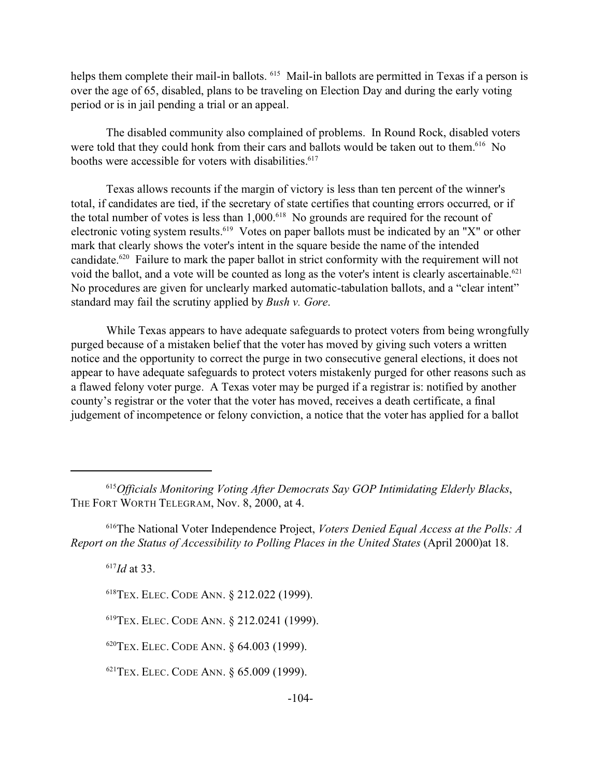helps them complete their mail-in ballots. <sup>615</sup> Mail-in ballots are permitted in Texas if a person is over the age of 65, disabled, plans to be traveling on Election Day and during the early voting period or is in jail pending a trial or an appeal.

The disabled community also complained of problems. In Round Rock, disabled voters were told that they could honk from their cars and ballots would be taken out to them.<sup>616</sup> No booths were accessible for voters with disabilities.<sup>617</sup>

Texas allows recounts if the margin of victory is less than ten percent of the winner's total, if candidates are tied, if the secretary of state certifies that counting errors occurred, or if the total number of votes is less than  $1,000$ .<sup>618</sup> No grounds are required for the recount of electronic voting system results.<sup>619</sup> Votes on paper ballots must be indicated by an "X" or other mark that clearly shows the voter's intent in the square beside the name of the intended candidate.<sup>620</sup> Failure to mark the paper ballot in strict conformity with the requirement will not void the ballot, and a vote will be counted as long as the voter's intent is clearly ascertainable.<sup>621</sup> No procedures are given for unclearly marked automatic-tabulation ballots, and a "clear intent" standard may fail the scrutiny applied by *Bush v. Gore*.

While Texas appears to have adequate safeguards to protect voters from being wrongfully purged because of a mistaken belief that the voter has moved by giving such voters a written notice and the opportunity to correct the purge in two consecutive general elections, it does not appear to have adequate safeguards to protect voters mistakenly purged for other reasons such as a flawed felony voter purge. A Texas voter may be purged if a registrar is: notified by another county's registrar or the voter that the voter has moved, receives a death certificate, a final judgement of incompetence or felony conviction, a notice that the voter has applied for a ballot

<sup>617</sup>*Id* at 33.

<sup>620</sup>TEX. ELEC. CODE ANN. § 64.003 (1999).

<sup>621</sup>TEX. ELEC. CODE ANN. § 65.009 (1999).

<sup>615</sup>*Officials Monitoring Voting After Democrats Say GOP Intimidating Elderly Blacks*, THE FORT WORTH TELEGRAM, Nov. 8, 2000, at 4.

<sup>616</sup>The National Voter Independence Project, *Voters Denied Equal Access at the Polls: A Report on the Status of Accessibility to Polling Places in the United States* (April 2000)at 18.

<sup>618</sup>TEX. ELEC. CODE ANN. § 212.022 (1999).

<sup>619</sup>TEX. ELEC. CODE ANN. § 212.0241 (1999).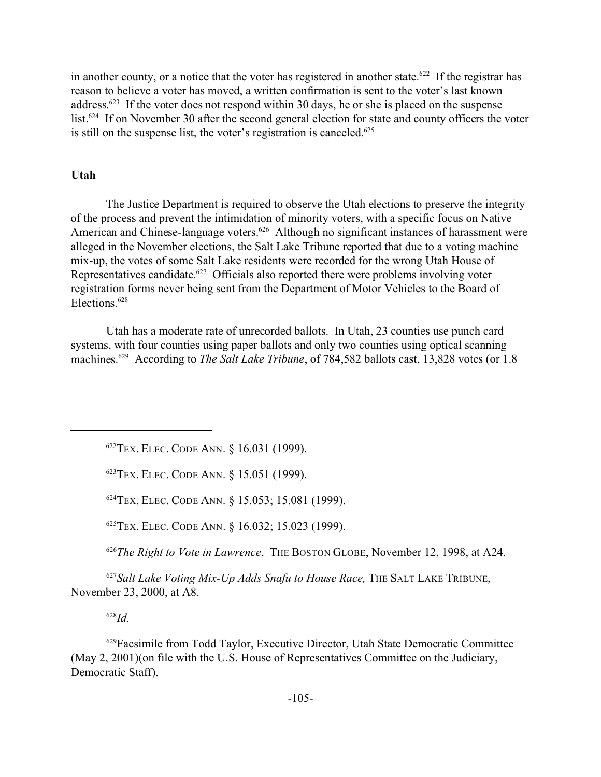in another county, or a notice that the voter has registered in another state.<sup>622</sup> If the registrar has reason to believe a voter has moved, a written confirmation is sent to the voter's last known address.<sup>623</sup> If the voter does not respond within 30 days, he or she is placed on the suspense list.<sup>624</sup> If on November 30 after the second general election for state and county officers the voter is still on the suspense list, the voter's registration is canceled.<sup>625</sup>

# **Utah**

The Justice Department is required to observe the Utah elections to preserve the integrity of the process and prevent the intimidation of minority voters, with a specific focus on Native American and Chinese-language voters.<sup>626</sup> Although no significant instances of harassment were alleged in the November elections, the Salt Lake Tribune reported that due to a voting machine mix-up, the votes of some Salt Lake residents were recorded for the wrong Utah House of Representatives candidate.<sup>627</sup> Officials also reported there were problems involving voter registration forms never being sent from the Department of Motor Vehicles to the Board of Elections.<sup>628</sup>

Utah has a moderate rate of unrecorded ballots. In Utah, 23 counties use punch card systems, with four counties using paper ballots and only two counties using optical scanning machines.<sup>629</sup> According to *The Salt Lake Tribune*, of 784,582 ballots cast, 13,828 votes (or 1.8

<sup>622</sup>TEX. ELEC. CODE ANN. § 16.031 (1999).

<sup>623</sup>TEX. ELEC. CODE ANN. § 15.051 (1999).

<sup>624</sup>TEX. ELEC. CODE ANN. § 15.053; 15.081 (1999).

<sup>625</sup>TEX. ELEC. CODE ANN. § 16.032; 15.023 (1999).

<sup>626</sup>*The Right to Vote in Lawrence*, THE BOSTON GLOBE, November 12, 1998, at A24.

<sup>627</sup>*Salt Lake Voting Mix-Up Adds Snafu to House Race,* THE SALT LAKE TRIBUNE, November 23, 2000, at A8.

<sup>628</sup>*Id.*

<sup>629</sup>Facsimile from Todd Taylor, Executive Director, Utah State Democratic Committee (May 2, 2001)(on file with the U.S. House of Representatives Committee on the Judiciary, Democratic Staff).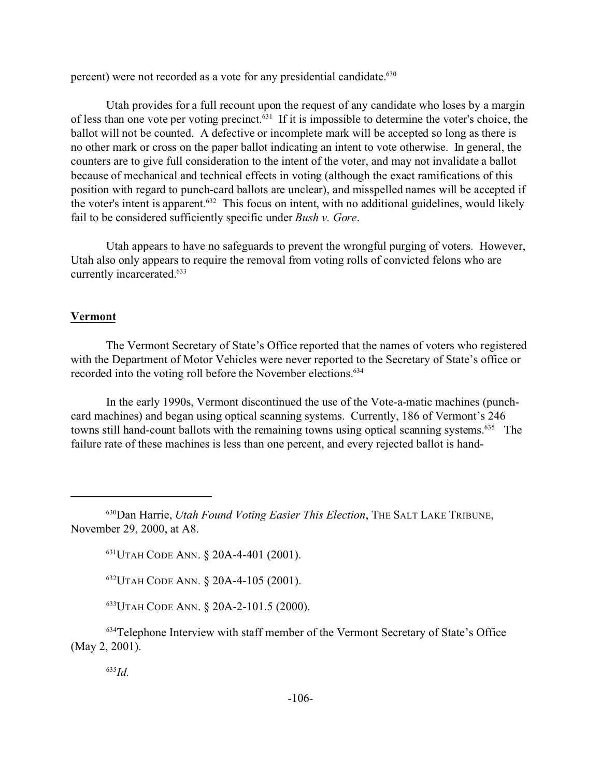percent) were not recorded as a vote for any presidential candidate.<sup>630</sup>

Utah provides for a full recount upon the request of any candidate who loses by a margin of less than one vote per voting precinct.<sup>631</sup> If it is impossible to determine the voter's choice, the ballot will not be counted. A defective or incomplete mark will be accepted so long as there is no other mark or cross on the paper ballot indicating an intent to vote otherwise. In general, the counters are to give full consideration to the intent of the voter, and may not invalidate a ballot because of mechanical and technical effects in voting (although the exact ramifications of this position with regard to punch-card ballots are unclear), and misspelled names will be accepted if the voter's intent is apparent.<sup>632</sup> This focus on intent, with no additional guidelines, would likely fail to be considered sufficiently specific under *Bush v. Gore*.

Utah appears to have no safeguards to prevent the wrongful purging of voters. However, Utah also only appears to require the removal from voting rolls of convicted felons who are currently incarcerated.<sup>633</sup>

#### **Vermont**

The Vermont Secretary of State's Office reported that the names of voters who registered with the Department of Motor Vehicles were never reported to the Secretary of State's office or recorded into the voting roll before the November elections.<sup>634</sup>

In the early 1990s, Vermont discontinued the use of the Vote-a-matic machines (punchcard machines) and began using optical scanning systems. Currently, 186 of Vermont's 246 towns still hand-count ballots with the remaining towns using optical scanning systems.<sup>635</sup> The failure rate of these machines is less than one percent, and every rejected ballot is hand-

<sup>633</sup>UTAH CODE ANN. § 20A-2-101.5 (2000).

<sup>634</sup>Telephone Interview with staff member of the Vermont Secretary of State's Office (May 2, 2001).

<sup>630</sup>Dan Harrie, *Utah Found Voting Easier This Election*, THE SALT LAKE TRIBUNE, November 29, 2000, at A8.

<sup>631</sup>UTAH CODE ANN. § 20A-4-401 (2001).

<sup>632</sup>UTAH CODE ANN. § 20A-4-105 (2001).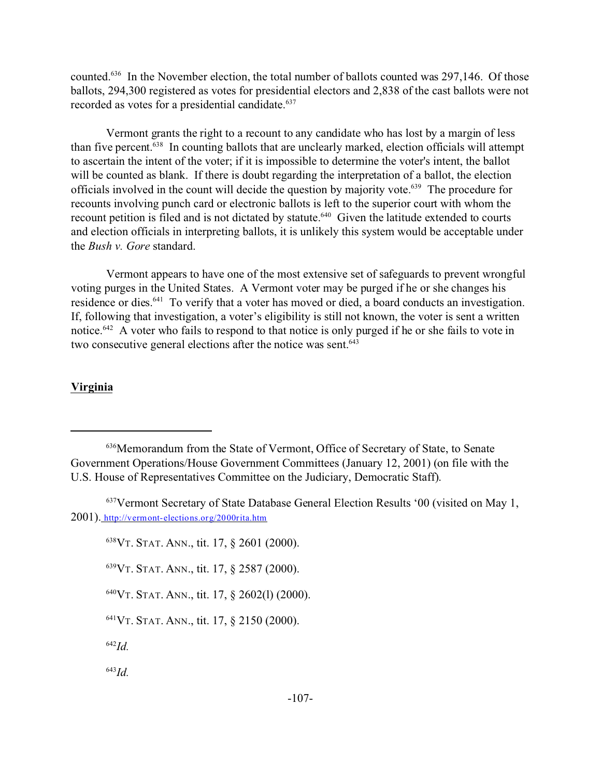counted.<sup>636</sup> In the November election, the total number of ballots counted was 297,146. Of those ballots, 294,300 registered as votes for presidential electors and 2,838 of the cast ballots were not recorded as votes for a presidential candidate.<sup>637</sup>

Vermont grants the right to a recount to any candidate who has lost by a margin of less than five percent.<sup>638</sup> In counting ballots that are unclearly marked, election officials will attempt to ascertain the intent of the voter; if it is impossible to determine the voter's intent, the ballot will be counted as blank. If there is doubt regarding the interpretation of a ballot, the election officials involved in the count will decide the question by majority vote.<sup>639</sup> The procedure for recounts involving punch card or electronic ballots is left to the superior court with whom the recount petition is filed and is not dictated by statute.<sup>640</sup> Given the latitude extended to courts and election officials in interpreting ballots, it is unlikely this system would be acceptable under the *Bush v. Gore* standard.

Vermont appears to have one of the most extensive set of safeguards to prevent wrongful voting purges in the United States. A Vermont voter may be purged if he or she changes his residence or dies.<sup>641</sup> To verify that a voter has moved or died, a board conducts an investigation. If, following that investigation, a voter's eligibility is still not known, the voter is sent a written notice.<sup>642</sup> A voter who fails to respond to that notice is only purged if he or she fails to vote in two consecutive general elections after the notice was sent.<sup>643</sup>

#### **Virginia**

VT. STAT. ANN., tit. 17, § 2601 (2000). VT. STAT. ANN., tit. 17, § 2587 (2000). VT. STAT. ANN., tit. 17,  $\frac{2602(1)}{2000}$ . VT. STAT. ANN., tit. 17, § 2150 (2000). <sup>642</sup>*Id.* <sup>643</sup>*Id.*

<sup>636</sup>Memorandum from the State of Vermont, Office of Secretary of State, to Senate Government Operations/House Government Committees (January 12, 2001) (on file with the U.S. House of Representatives Committee on the Judiciary, Democratic Staff).

<sup>637</sup>Vermont Secretary of State Database General Election Results '00 (visited on May 1, 2001). http://vermont-elections.org/2000rita.htm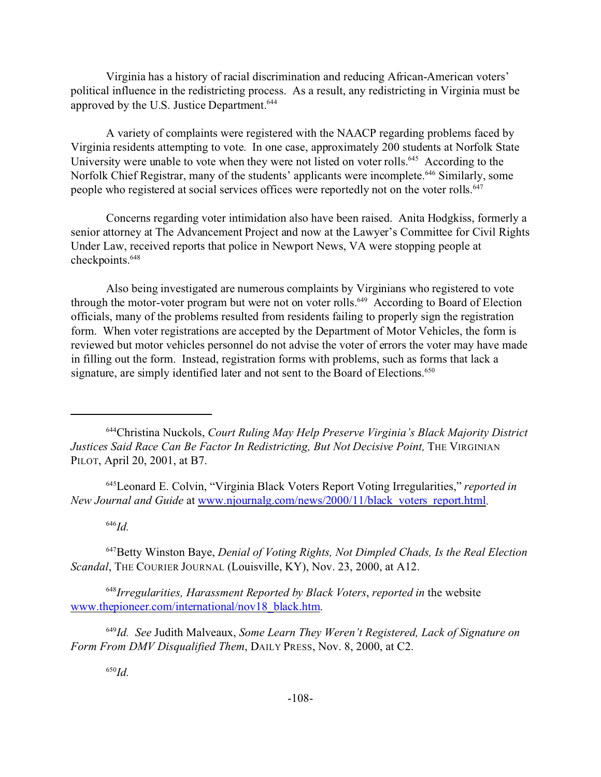Virginia has a history of racial discrimination and reducing African-American voters' political influence in the redistricting process. As a result, any redistricting in Virginia must be approved by the U.S. Justice Department.<sup>644</sup>

A variety of complaints were registered with the NAACP regarding problems faced by Virginia residents attempting to vote. In one case, approximately 200 students at Norfolk State University were unable to vote when they were not listed on voter rolls.<sup>645</sup> According to the Norfolk Chief Registrar, many of the students' applicants were incomplete.<sup>646</sup> Similarly, some people who registered at social services offices were reportedly not on the voter rolls.<sup>647</sup>

Concerns regarding voter intimidation also have been raised. Anita Hodgkiss, formerly a senior attorney at The Advancement Project and now at the Lawyer's Committee for Civil Rights Under Law, received reports that police in Newport News, VA were stopping people at checkpoints.<sup>648</sup>

Also being investigated are numerous complaints by Virginians who registered to vote through the motor-voter program but were not on voter rolls.<sup>649</sup> According to Board of Election officials, many of the problems resulted from residents failing to properly sign the registration form. When voter registrations are accepted by the Department of Motor Vehicles, the form is reviewed but motor vehicles personnel do not advise the voter of errors the voter may have made in filling out the form. Instead, registration forms with problems, such as forms that lack a signature, are simply identified later and not sent to the Board of Elections.<sup>650</sup>

<sup>645</sup>Leonard E. Colvin, "Virginia Black Voters Report Voting Irregularities," *reported in New Journal and Guide* at www.njournalg.com/news/2000/11/black\_voters\_report.html.

<sup>646</sup>*Id.*

<sup>647</sup>Betty Winston Baye, *Denial of Voting Rights, Not Dimpled Chads, Is the Real Election Scandal*, THE COURIER JOURNAL (Louisville, KY), Nov. 23, 2000, at A12.

<sup>648</sup>*Irregularities, Harassment Reported by Black Voters*, *reported in* the website www.thepioneer.com/international/nov18\_black.htm.

<sup>649</sup>*Id. See* Judith Malveaux, *Some Learn They Weren't Registered, Lack of Signature on Form From DMV Disqualified Them*, DAILY PRESS, Nov. 8, 2000, at C2.

<sup>644</sup>Christina Nuckols, *Court Ruling May Help Preserve Virginia's Black Majority District Justices Said Race Can Be Factor In Redistricting, But Not Decisive Point,* THE VIRGINIAN PILOT, April 20, 2001, at B7.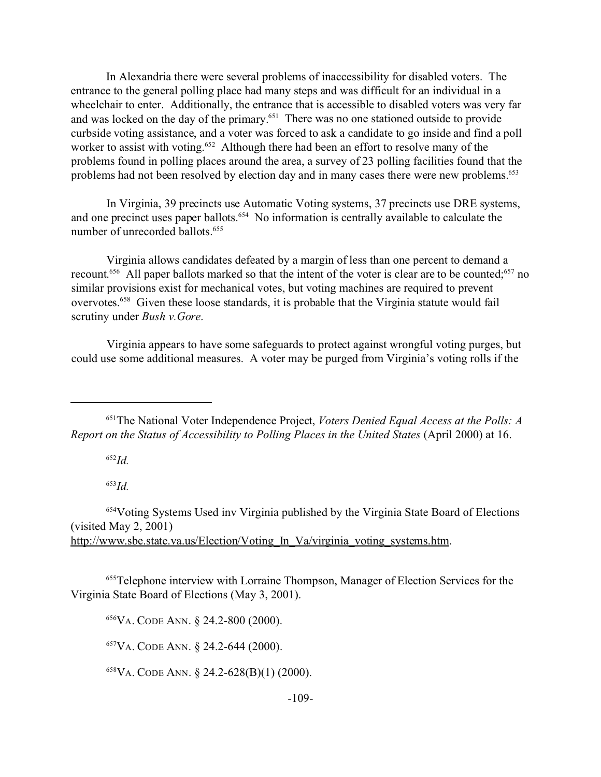In Alexandria there were several problems of inaccessibility for disabled voters. The entrance to the general polling place had many steps and was difficult for an individual in a wheelchair to enter. Additionally, the entrance that is accessible to disabled voters was very far and was locked on the day of the primary.<sup>651</sup> There was no one stationed outside to provide curbside voting assistance, and a voter was forced to ask a candidate to go inside and find a poll worker to assist with voting.<sup>652</sup> Although there had been an effort to resolve many of the problems found in polling places around the area, a survey of 23 polling facilities found that the problems had not been resolved by election day and in many cases there were new problems.<sup>653</sup>

In Virginia, 39 precincts use Automatic Voting systems, 37 precincts use DRE systems, and one precinct uses paper ballots.<sup>654</sup> No information is centrally available to calculate the number of unrecorded ballots.<sup>655</sup>

Virginia allows candidates defeated by a margin of less than one percent to demand a recount.<sup>656</sup> All paper ballots marked so that the intent of the voter is clear are to be counted;<sup>657</sup> no similar provisions exist for mechanical votes, but voting machines are required to prevent overvotes.<sup>658</sup> Given these loose standards, it is probable that the Virginia statute would fail scrutiny under *Bush v.Gore*.

Virginia appears to have some safeguards to protect against wrongful voting purges, but could use some additional measures. A voter may be purged from Virginia's voting rolls if the

<sup>652</sup>*Id.*

<sup>653</sup>*Id.*

<sup>654</sup>Voting Systems Used inv Virginia published by the Virginia State Board of Elections (visited May 2, 2001) http://www.sbe.state.va.us/Election/Voting In Va/virginia voting systems.htm.

<sup>655</sup>Telephone interview with Lorraine Thompson, Manager of Election Services for the Virginia State Board of Elections (May 3, 2001).

<sup>656</sup>VA. CODE ANN. § 24.2-800 (2000).

<sup>657</sup>VA. CODE ANN. § 24.2-644 (2000).

<sup>658</sup>VA. CODE ANN. § 24.2-628(B)(1) (2000).

<sup>651</sup>The National Voter Independence Project, *Voters Denied Equal Access at the Polls: A Report on the Status of Accessibility to Polling Places in the United States* (April 2000) at 16.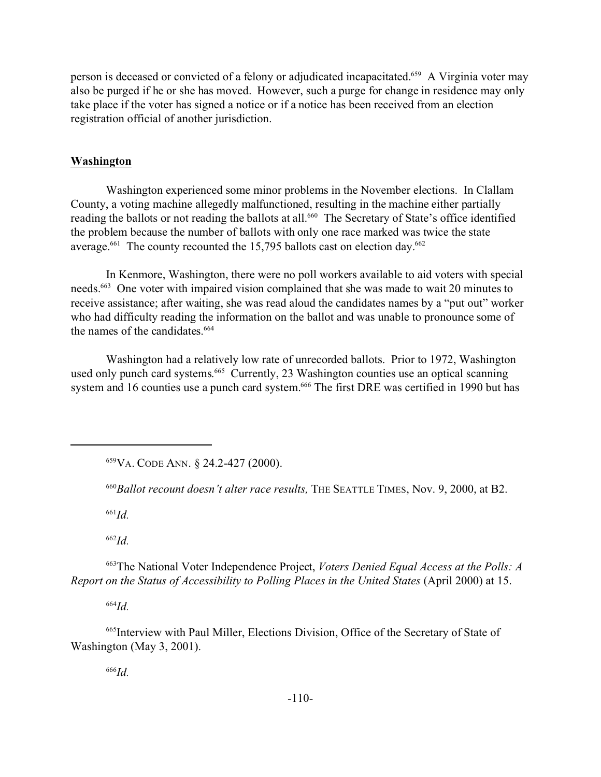person is deceased or convicted of a felony or adjudicated incapacitated.<sup>659</sup> A Virginia voter may also be purged if he or she has moved. However, such a purge for change in residence may only take place if the voter has signed a notice or if a notice has been received from an election registration official of another jurisdiction.

# **Washington**

Washington experienced some minor problems in the November elections. In Clallam County, a voting machine allegedly malfunctioned, resulting in the machine either partially reading the ballots or not reading the ballots at all.<sup>660</sup> The Secretary of State's office identified the problem because the number of ballots with only one race marked was twice the state average.<sup>661</sup> The county recounted the 15,795 ballots cast on election day.<sup>662</sup>

In Kenmore, Washington, there were no poll workers available to aid voters with special needs.<sup>663</sup> One voter with impaired vision complained that she was made to wait 20 minutes to receive assistance; after waiting, she was read aloud the candidates names by a "put out" worker who had difficulty reading the information on the ballot and was unable to pronounce some of the names of the candidates.<sup>664</sup>

Washington had a relatively low rate of unrecorded ballots. Prior to 1972, Washington used only punch card systems. <sup>665</sup> Currently, 23 Washington counties use an optical scanning system and 16 counties use a punch card system.<sup>666</sup> The first DRE was certified in 1990 but has

<sup>659</sup>VA. CODE ANN. § 24.2-427 (2000).

<sup>660</sup>*Ballot recount doesn't alter race results,* THE SEATTLE TIMES, Nov. 9, 2000, at B2.

<sup>661</sup>*Id.*

<sup>662</sup>*Id.*

<sup>663</sup>The National Voter Independence Project, *Voters Denied Equal Access at the Polls: A Report on the Status of Accessibility to Polling Places in the United States* (April 2000) at 15.

<sup>664</sup>*Id.*

<sup>665</sup>Interview with Paul Miller, Elections Division, Office of the Secretary of State of Washington (May 3, 2001).

<sup>666</sup>*Id.*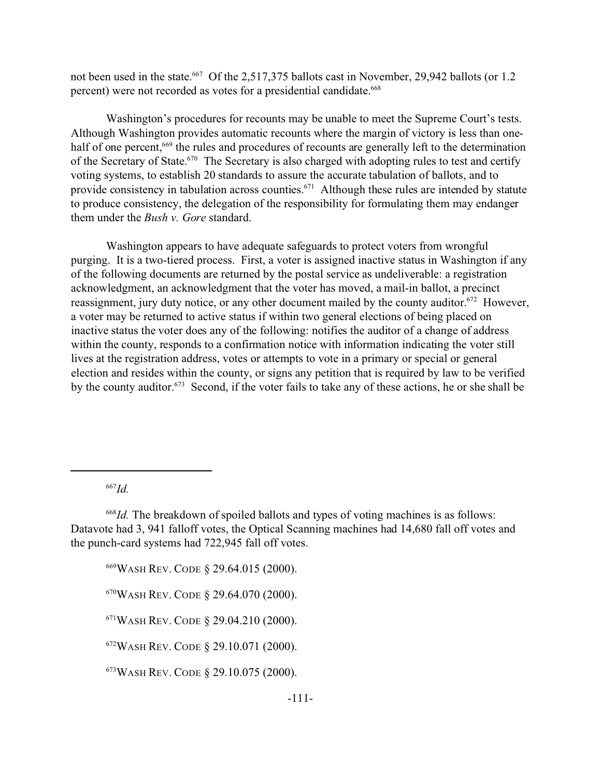not been used in the state.<sup>667</sup> Of the 2,517,375 ballots cast in November, 29,942 ballots (or 1.2) percent) were not recorded as votes for a presidential candidate.<sup>668</sup>

Washington's procedures for recounts may be unable to meet the Supreme Court's tests. Although Washington provides automatic recounts where the margin of victory is less than onehalf of one percent,<sup>669</sup> the rules and procedures of recounts are generally left to the determination of the Secretary of State.<sup>670</sup> The Secretary is also charged with adopting rules to test and certify voting systems, to establish 20 standards to assure the accurate tabulation of ballots, and to provide consistency in tabulation across counties.<sup>671</sup> Although these rules are intended by statute to produce consistency, the delegation of the responsibility for formulating them may endanger them under the *Bush v. Gore* standard.

Washington appears to have adequate safeguards to protect voters from wrongful purging. It is a two-tiered process. First, a voter is assigned inactive status in Washington if any of the following documents are returned by the postal service as undeliverable: a registration acknowledgment, an acknowledgment that the voter has moved, a mail-in ballot, a precinct reassignment, jury duty notice, or any other document mailed by the county auditor.<sup>672</sup> However, a voter may be returned to active status if within two general elections of being placed on inactive status the voter does any of the following: notifies the auditor of a change of address within the county, responds to a confirmation notice with information indicating the voter still lives at the registration address, votes or attempts to vote in a primary or special or general election and resides within the county, or signs any petition that is required by law to be verified by the county auditor.<sup>673</sup> Second, if the voter fails to take any of these actions, he or she shall be

<sup>667</sup>*Id.*

WASH REV. CODE § 29.64.015 (2000). WASH REV. CODE § 29.64.070 (2000). WASH REV. CODE § 29.04.210 (2000). WASH REV. CODE § 29.10.071 (2000). WASH REV. CODE § 29.10.075 (2000).

<sup>668</sup>*Id.* The breakdown of spoiled ballots and types of voting machines is as follows: Datavote had 3, 941 falloff votes, the Optical Scanning machines had 14,680 fall off votes and the punch-card systems had 722,945 fall off votes.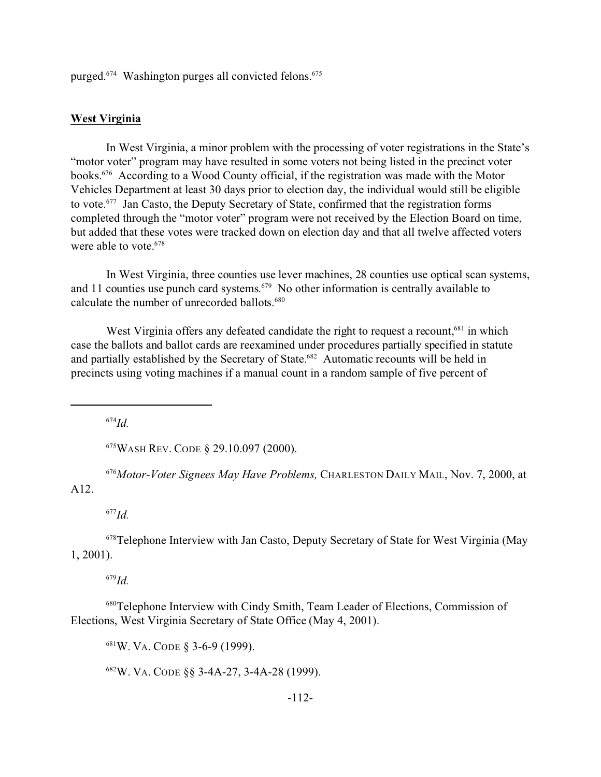purged.<sup>674</sup> Washington purges all convicted felons.<sup>675</sup>

### **West Virginia**

In West Virginia, a minor problem with the processing of voter registrations in the State's "motor voter" program may have resulted in some voters not being listed in the precinct voter books.<sup>676</sup> According to a Wood County official, if the registration was made with the Motor Vehicles Department at least 30 days prior to election day, the individual would still be eligible to vote.<sup>677</sup> Jan Casto, the Deputy Secretary of State, confirmed that the registration forms completed through the "motor voter" program were not received by the Election Board on time, but added that these votes were tracked down on election day and that all twelve affected voters were able to vote.<sup>678</sup>

In West Virginia, three counties use lever machines, 28 counties use optical scan systems, and 11 counties use punch card systems. <sup>679</sup> No other information is centrally available to calculate the number of unrecorded ballots.<sup>680</sup>

West Virginia offers any defeated candidate the right to request a recount,  $681$  in which case the ballots and ballot cards are reexamined under procedures partially specified in statute and partially established by the Secretary of State.<sup>682</sup> Automatic recounts will be held in precincts using voting machines if a manual count in a random sample of five percent of

<sup>674</sup>*Id.*

<sup>675</sup>WASH REV. CODE § 29.10.097 (2000).

<sup>676</sup>*Motor-Voter Signees May Have Problems,* CHARLESTON DAILY MAIL, Nov. 7, 2000, at A12.

<sup>677</sup>*Id.*

<sup>678</sup>Telephone Interview with Jan Casto, Deputy Secretary of State for West Virginia (May 1, 2001).

<sup>679</sup>*Id.*

<sup>680</sup>Telephone Interview with Cindy Smith, Team Leader of Elections, Commission of Elections, West Virginia Secretary of State Office (May 4, 2001).

<sup>681</sup>W. VA. CODE § 3-6-9 (1999).

<sup>682</sup>W. VA. CODE §§ 3-4A-27, 3-4A-28 (1999).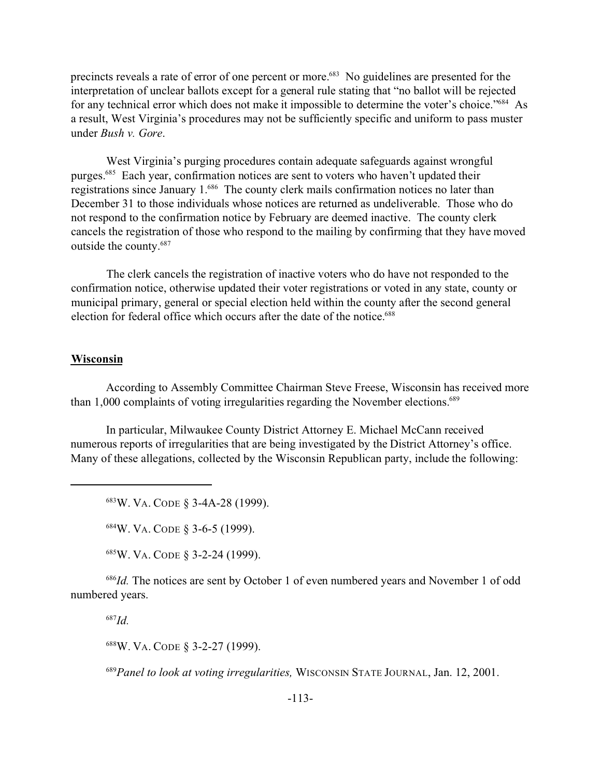precincts reveals a rate of error of one percent or more.<sup>683</sup> No guidelines are presented for the interpretation of unclear ballots except for a general rule stating that "no ballot will be rejected for any technical error which does not make it impossible to determine the voter's choice."<sup>684</sup> As a result, West Virginia's procedures may not be sufficiently specific and uniform to pass muster under *Bush v. Gore*.

West Virginia's purging procedures contain adequate safeguards against wrongful purges.<sup>685</sup> Each year, confirmation notices are sent to voters who haven't updated their registrations since January 1.<sup>686</sup> The county clerk mails confirmation notices no later than December 31 to those individuals whose notices are returned as undeliverable. Those who do not respond to the confirmation notice by February are deemed inactive. The county clerk cancels the registration of those who respond to the mailing by confirming that they have moved outside the county.<sup>687</sup>

The clerk cancels the registration of inactive voters who do have not responded to the confirmation notice, otherwise updated their voter registrations or voted in any state, county or municipal primary, general or special election held within the county after the second general election for federal office which occurs after the date of the notice.<sup>688</sup>

### **Wisconsin**

According to Assembly Committee Chairman Steve Freese, Wisconsin has received more than 1,000 complaints of voting irregularities regarding the November elections.<sup>689</sup>

In particular, Milwaukee County District Attorney E. Michael McCann received numerous reports of irregularities that are being investigated by the District Attorney's office. Many of these allegations, collected by the Wisconsin Republican party, include the following:

<sup>683</sup>W. VA. CODE § 3-4A-28 (1999).

<sup>684</sup>W. VA. CODE § 3-6-5 (1999).

<sup>685</sup>W. VA. CODE § 3-2-24 (1999).

<sup>686</sup>*Id.* The notices are sent by October 1 of even numbered years and November 1 of odd numbered years.

<sup>687</sup>*Id.*

<sup>688</sup>W. VA. CODE § 3-2-27 (1999).

<sup>689</sup>*Panel to look at voting irregularities,* WISCONSIN STATE JOURNAL, Jan. 12, 2001.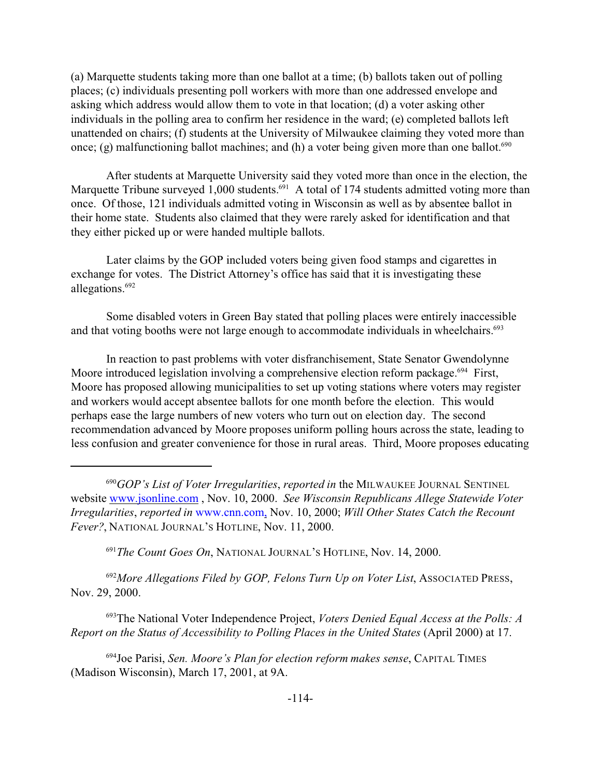(a) Marquette students taking more than one ballot at a time; (b) ballots taken out of polling places; (c) individuals presenting poll workers with more than one addressed envelope and asking which address would allow them to vote in that location; (d) a voter asking other individuals in the polling area to confirm her residence in the ward; (e) completed ballots left unattended on chairs; (f) students at the University of Milwaukee claiming they voted more than once; (g) malfunctioning ballot machines; and (h) a voter being given more than one ballot.<sup>690</sup>

After students at Marquette University said they voted more than once in the election, the Marquette Tribune surveyed 1,000 students.<sup>691</sup> A total of 174 students admitted voting more than once. Of those, 121 individuals admitted voting in Wisconsin as well as by absentee ballot in their home state. Students also claimed that they were rarely asked for identification and that they either picked up or were handed multiple ballots.

Later claims by the GOP included voters being given food stamps and cigarettes in exchange for votes. The District Attorney's office has said that it is investigating these allegations.<sup>692</sup>

Some disabled voters in Green Bay stated that polling places were entirely inaccessible and that voting booths were not large enough to accommodate individuals in wheelchairs.<sup>693</sup>

In reaction to past problems with voter disfranchisement, State Senator Gwendolynne Moore introduced legislation involving a comprehensive election reform package.<sup>694</sup> First, Moore has proposed allowing municipalities to set up voting stations where voters may register and workers would accept absentee ballots for one month before the election. This would perhaps ease the large numbers of new voters who turn out on election day. The second recommendation advanced by Moore proposes uniform polling hours across the state, leading to less confusion and greater convenience for those in rural areas. Third, Moore proposes educating

<sup>691</sup>*The Count Goes On*, NATIONAL JOURNAL'S HOTLINE, Nov. 14, 2000.

<sup>692</sup>*More Allegations Filed by GOP, Felons Turn Up on Voter List*, ASSOCIATED PRESS, Nov. 29, 2000.

<sup>693</sup>The National Voter Independence Project, *Voters Denied Equal Access at the Polls: A Report on the Status of Accessibility to Polling Places in the United States* (April 2000) at 17.

<sup>694</sup>Joe Parisi, *Sen. Moore's Plan for election reform makes sense*, CAPITAL TIMES (Madison Wisconsin), March 17, 2001, at 9A.

<sup>690</sup>*GOP's List of Voter Irregularities*, *reported in* the MILWAUKEE JOURNAL SENTINEL website www.jsonline.com , Nov. 10, 2000. *See Wisconsin Republicans Allege Statewide Voter Irregularities*, *reported in* www.cnn.com, Nov. 10, 2000; *Will Other States Catch the Recount Fever?*, NATIONAL JOURNAL'S HOTLINE, Nov. 11, 2000.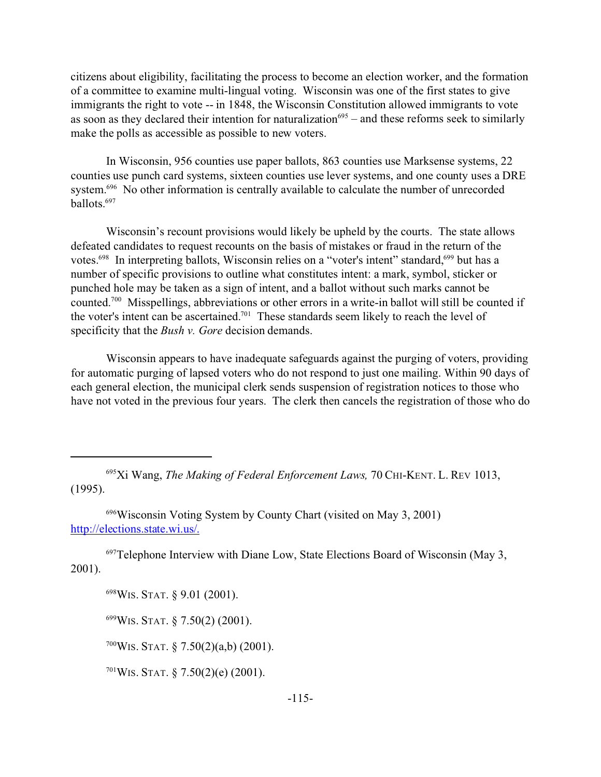citizens about eligibility, facilitating the process to become an election worker, and the formation of a committee to examine multi-lingual voting. Wisconsin was one of the first states to give immigrants the right to vote -- in 1848, the Wisconsin Constitution allowed immigrants to vote as soon as they declared their intention for naturalization<sup>695</sup> – and these reforms seek to similarly make the polls as accessible as possible to new voters.

In Wisconsin, 956 counties use paper ballots, 863 counties use Marksense systems, 22 counties use punch card systems, sixteen counties use lever systems, and one county uses a DRE system.<sup>696</sup> No other information is centrally available to calculate the number of unrecorded ballots.<sup>697</sup>

Wisconsin's recount provisions would likely be upheld by the courts. The state allows defeated candidates to request recounts on the basis of mistakes or fraud in the return of the votes.<sup>698</sup> In interpreting ballots, Wisconsin relies on a "voter's intent" standard,<sup>699</sup> but has a number of specific provisions to outline what constitutes intent: a mark, symbol, sticker or punched hole may be taken as a sign of intent, and a ballot without such marks cannot be counted.<sup>700</sup> Misspellings, abbreviations or other errors in a write-in ballot will still be counted if the voter's intent can be ascertained.<sup>701</sup> These standards seem likely to reach the level of specificity that the *Bush v. Gore* decision demands.

Wisconsin appears to have inadequate safeguards against the purging of voters, providing for automatic purging of lapsed voters who do not respond to just one mailing. Within 90 days of each general election, the municipal clerk sends suspension of registration notices to those who have not voted in the previous four years. The clerk then cancels the registration of those who do

<sup>695</sup>Xi Wang, *The Making of Federal Enforcement Laws,* 70 CHI-KENT. L. REV 1013, (1995).

<sup>696</sup>Wisconsin Voting System by County Chart (visited on May 3, 2001) http://elections.state.wi.us/.

 $697$ Telephone Interview with Diane Low, State Elections Board of Wisconsin (May 3, 2001).

<sup>698</sup>WIS. STAT. § 9.01 (2001).

 $699W$ IS. STAT. § 7.50(2) (2001).

 $700$ WIS. STAT. § 7.50(2)(a,b) (2001).

 $701W$ IS. STAT. § 7.50(2)(e) (2001).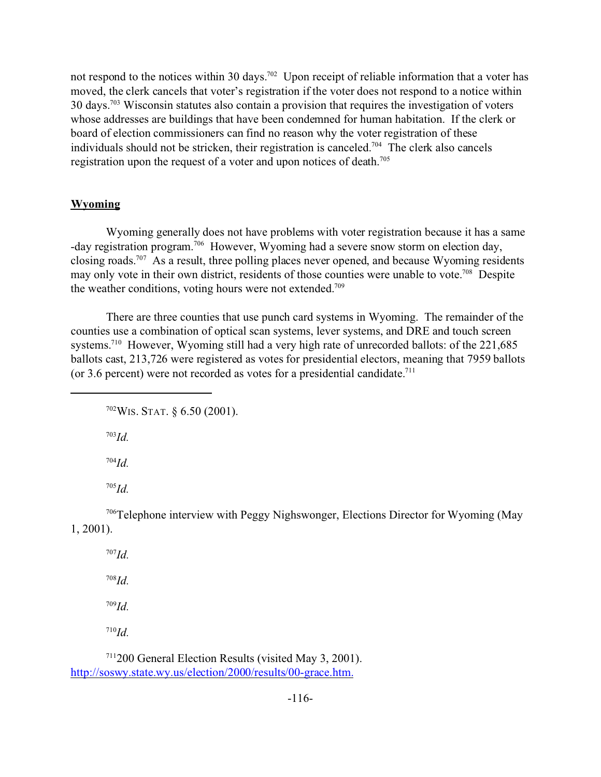not respond to the notices within 30 days.<sup>702</sup> Upon receipt of reliable information that a voter has moved, the clerk cancels that voter's registration if the voter does not respond to a notice within 30 days.<sup>703</sup> Wisconsin statutes also contain a provision that requires the investigation of voters whose addresses are buildings that have been condemned for human habitation. If the clerk or board of election commissioners can find no reason why the voter registration of these individuals should not be stricken, their registration is canceled.<sup>704</sup> The clerk also cancels registration upon the request of a voter and upon notices of death.<sup>705</sup>

#### **Wyoming**

Wyoming generally does not have problems with voter registration because it has a same -day registration program.<sup>706</sup> However, Wyoming had a severe snow storm on election day, closing roads.<sup>707</sup> As a result, three polling places never opened, and because Wyoming residents may only vote in their own district, residents of those counties were unable to vote.<sup>708</sup> Despite the weather conditions, voting hours were not extended.<sup>709</sup>

There are three counties that use punch card systems in Wyoming. The remainder of the counties use a combination of optical scan systems, lever systems, and DRE and touch screen systems.<sup>710</sup> However, Wyoming still had a very high rate of unrecorded ballots: of the 221,685 ballots cast, 213,726 were registered as votes for presidential electors, meaning that 7959 ballots (or 3.6 percent) were not recorded as votes for a presidential candidate.<sup>711</sup>

<sup>702</sup>WIS. STAT. § 6.50 (2001).

<sup>703</sup>*Id.*

<sup>704</sup>*Id.*

<sup>705</sup>*Id.*

<sup>706</sup>Telephone interview with Peggy Nighswonger, Elections Director for Wyoming (May 1, 2001).

<sup>707</sup>*Id.* <sup>708</sup>*Id.* <sup>709</sup>*Id.* <sup>710</sup>*Id.*

<sup>711</sup>200 General Election Results (visited May 3, 2001). http://soswy.state.wy.us/election/2000/results/00-grace.htm.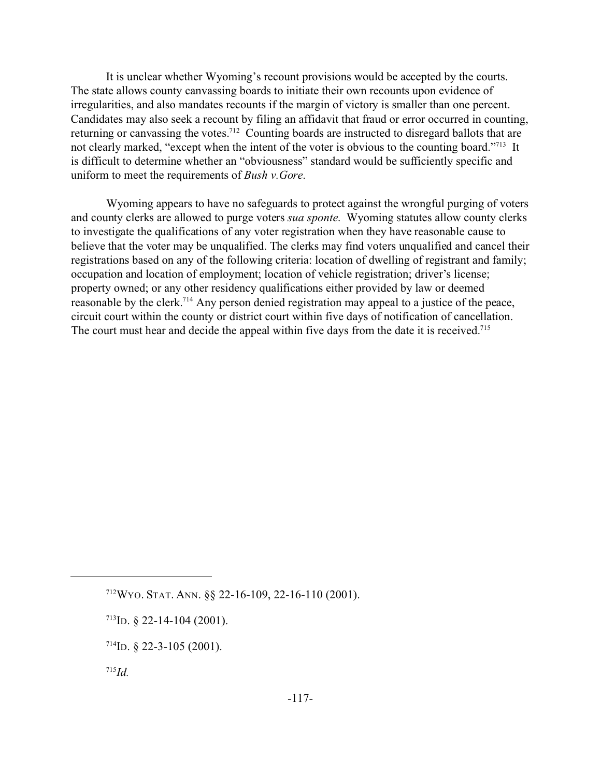It is unclear whether Wyoming's recount provisions would be accepted by the courts. The state allows county canvassing boards to initiate their own recounts upon evidence of irregularities, and also mandates recounts if the margin of victory is smaller than one percent. Candidates may also seek a recount by filing an affidavit that fraud or error occurred in counting, returning or canvassing the votes.<sup>712</sup> Counting boards are instructed to disregard ballots that are not clearly marked, "except when the intent of the voter is obvious to the counting board."<sup>713</sup> It is difficult to determine whether an "obviousness" standard would be sufficiently specific and uniform to meet the requirements of *Bush v.Gore*.

Wyoming appears to have no safeguards to protect against the wrongful purging of voters and county clerks are allowed to purge voters *sua sponte*. Wyoming statutes allow county clerks to investigate the qualifications of any voter registration when they have reasonable cause to believe that the voter may be unqualified. The clerks may find voters unqualified and cancel their registrations based on any of the following criteria: location of dwelling of registrant and family; occupation and location of employment; location of vehicle registration; driver's license; property owned; or any other residency qualifications either provided by law or deemed reasonable by the clerk.<sup>714</sup> Any person denied registration may appeal to a justice of the peace, circuit court within the county or district court within five days of notification of cancellation. The court must hear and decide the appeal within five days from the date it is received.<sup>715</sup>

<sup>712</sup>WYO. STAT. ANN. §§ 22-16-109, 22-16-110 (2001).

 $713$ ID. § 22-14-104 (2001).

 $714$ ID. § 22-3-105 (2001).

<sup>715</sup>*Id.*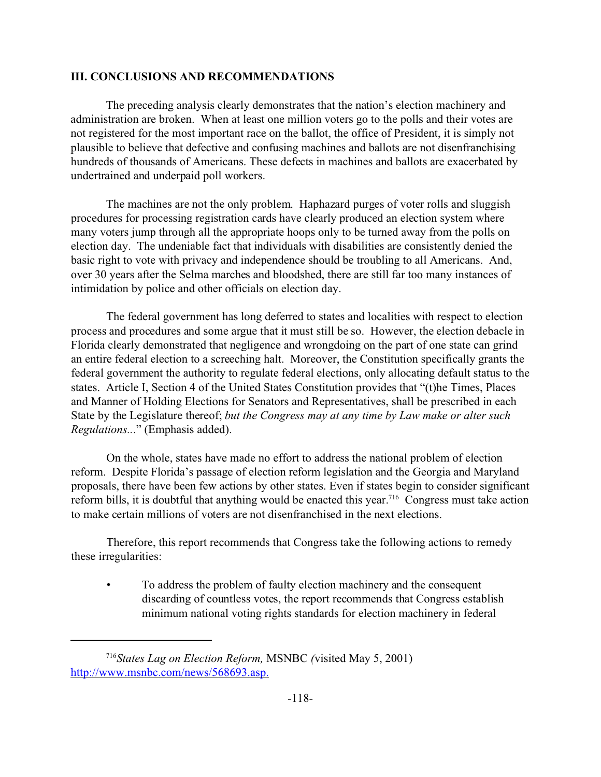## **III. CONCLUSIONS AND RECOMMENDATIONS**

The preceding analysis clearly demonstrates that the nation's election machinery and administration are broken. When at least one million voters go to the polls and their votes are not registered for the most important race on the ballot, the office of President, it is simply not plausible to believe that defective and confusing machines and ballots are not disenfranchising hundreds of thousands of Americans. These defects in machines and ballots are exacerbated by undertrained and underpaid poll workers.

The machines are not the only problem. Haphazard purges of voter rolls and sluggish procedures for processing registration cards have clearly produced an election system where many voters jump through all the appropriate hoops only to be turned away from the polls on election day. The undeniable fact that individuals with disabilities are consistently denied the basic right to vote with privacy and independence should be troubling to all Americans. And, over 30 years after the Selma marches and bloodshed, there are still far too many instances of intimidation by police and other officials on election day.

The federal government has long deferred to states and localities with respect to election process and procedures and some argue that it must still be so. However, the election debacle in Florida clearly demonstrated that negligence and wrongdoing on the part of one state can grind an entire federal election to a screeching halt. Moreover, the Constitution specifically grants the federal government the authority to regulate federal elections, only allocating default status to the states. Article I, Section 4 of the United States Constitution provides that "(t)he Times, Places and Manner of Holding Elections for Senators and Representatives, shall be prescribed in each State by the Legislature thereof; *but the Congress may at any time by Law make or alter such Regulations..*." (Emphasis added).

On the whole, states have made no effort to address the national problem of election reform. Despite Florida's passage of election reform legislation and the Georgia and Maryland proposals, there have been few actions by other states. Even if states begin to consider significant reform bills, it is doubtful that anything would be enacted this year.<sup>716</sup> Congress must take action to make certain millions of voters are not disenfranchised in the next elections.

Therefore, this report recommends that Congress take the following actions to remedy these irregularities:

• To address the problem of faulty election machinery and the consequent discarding of countless votes, the report recommends that Congress establish minimum national voting rights standards for election machinery in federal

<sup>716</sup>*States Lag on Election Reform,* MSNBC *(*visited May 5, 2001) http://www.msnbc.com/news/568693.asp.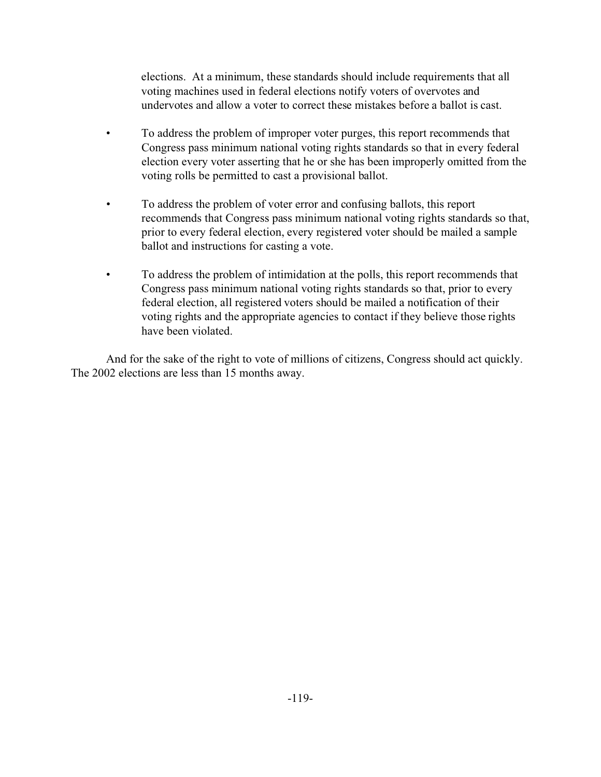elections. At a minimum, these standards should include requirements that all voting machines used in federal elections notify voters of overvotes and undervotes and allow a voter to correct these mistakes before a ballot is cast.

- To address the problem of improper voter purges, this report recommends that Congress pass minimum national voting rights standards so that in every federal election every voter asserting that he or she has been improperly omitted from the voting rolls be permitted to cast a provisional ballot.
- To address the problem of voter error and confusing ballots, this report recommends that Congress pass minimum national voting rights standards so that, prior to every federal election, every registered voter should be mailed a sample ballot and instructions for casting a vote.
- To address the problem of intimidation at the polls, this report recommends that Congress pass minimum national voting rights standards so that, prior to every federal election, all registered voters should be mailed a notification of their voting rights and the appropriate agencies to contact if they believe those rights have been violated.

And for the sake of the right to vote of millions of citizens, Congress should act quickly. The 2002 elections are less than 15 months away.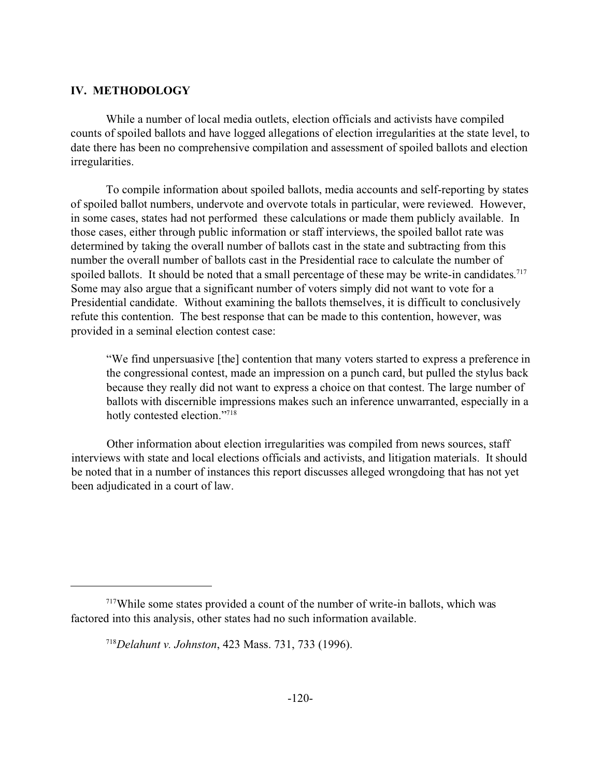### **IV. METHODOLOGY**

While a number of local media outlets, election officials and activists have compiled counts of spoiled ballots and have logged allegations of election irregularities at the state level, to date there has been no comprehensive compilation and assessment of spoiled ballots and election irregularities.

To compile information about spoiled ballots, media accounts and self-reporting by states of spoiled ballot numbers, undervote and overvote totals in particular, were reviewed. However, in some cases, states had not performed these calculations or made them publicly available. In those cases, either through public information or staff interviews, the spoiled ballot rate was determined by taking the overall number of ballots cast in the state and subtracting from this number the overall number of ballots cast in the Presidential race to calculate the number of spoiled ballots. It should be noted that a small percentage of these may be write-in candidates.<sup>717</sup> Some may also argue that a significant number of voters simply did not want to vote for a Presidential candidate. Without examining the ballots themselves, it is difficult to conclusively refute this contention. The best response that can be made to this contention, however, was provided in a seminal election contest case:

"We find unpersuasive [the] contention that many voters started to express a preference in the congressional contest, made an impression on a punch card, but pulled the stylus back because they really did not want to express a choice on that contest. The large number of ballots with discernible impressions makes such an inference unwarranted, especially in a hotly contested election."<sup>718</sup>

Other information about election irregularities was compiled from news sources, staff interviews with state and local elections officials and activists, and litigation materials. It should be noted that in a number of instances this report discusses alleged wrongdoing that has not yet been adjudicated in a court of law.

<sup>717</sup>While some states provided a count of the number of write-in ballots, which was factored into this analysis, other states had no such information available.

<sup>718</sup>*Delahunt v. Johnston*, 423 Mass. 731, 733 (1996).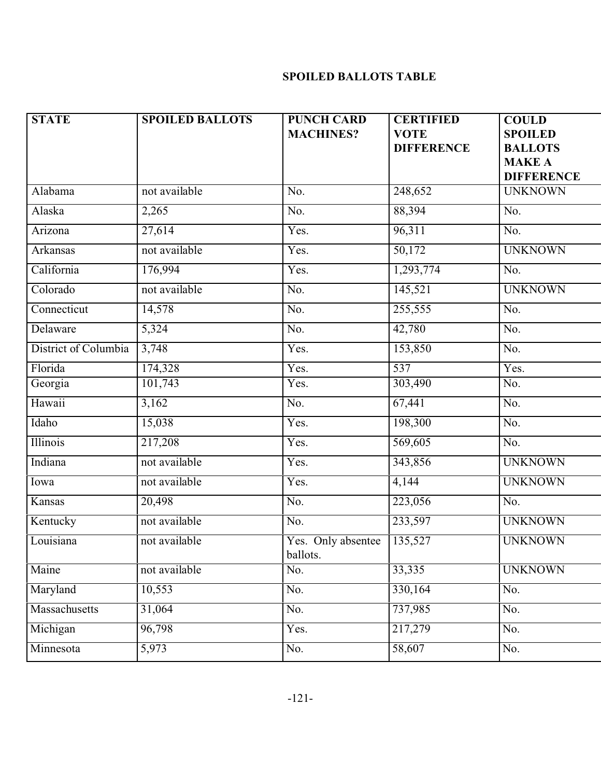# **SPOILED BALLOTS TABLE**

| <b>STATE</b>         | <b>SPOILED BALLOTS</b> | <b>PUNCH CARD</b><br><b>MACHINES?</b> | <b>CERTIFIED</b><br><b>VOTE</b><br><b>DIFFERENCE</b> | <b>COULD</b><br><b>SPOILED</b><br><b>BALLOTS</b><br><b>MAKE A</b><br><b>DIFFERENCE</b> |
|----------------------|------------------------|---------------------------------------|------------------------------------------------------|----------------------------------------------------------------------------------------|
| Alabama              | not available          | No.                                   | 248,652                                              | <b>UNKNOWN</b>                                                                         |
| Alaska               | 2,265                  | No.                                   | 88,394                                               | No.                                                                                    |
| Arizona              | 27,614                 | Yes.                                  | 96,311                                               | No.                                                                                    |
| Arkansas             | not available          | Yes.                                  | 50,172                                               | <b>UNKNOWN</b>                                                                         |
| California           | 176,994                | Yes.                                  | 1,293,774                                            | No.                                                                                    |
| Colorado             | not available          | No.                                   | 145,521                                              | <b>UNKNOWN</b>                                                                         |
| Connecticut          | 14,578                 | No.                                   | 255,555                                              | No.                                                                                    |
| Delaware             | 5,324                  | No.                                   | 42,780                                               | No.                                                                                    |
| District of Columbia | 3,748                  | Yes.                                  | 153,850                                              | No.                                                                                    |
| Florida              | 174,328                | Yes.                                  | $\overline{537}$                                     | Yes.                                                                                   |
| Georgia              | 101,743                | Yes.                                  | 303,490                                              | No.                                                                                    |
| Hawaii               | 3,162                  | No.                                   | 67,441                                               | No.                                                                                    |
| Idaho                | 15,038                 | Yes.                                  | 198,300                                              | No.                                                                                    |
| Illinois             | 217,208                | Yes.                                  | 569,605                                              | No.                                                                                    |
| Indiana              | not available          | Yes.                                  | 343,856                                              | <b>UNKNOWN</b>                                                                         |
| Iowa                 | not available          | Yes.                                  | 4,144                                                | <b>UNKNOWN</b>                                                                         |
| Kansas               | 20,498                 | No.                                   | 223,056                                              | No.                                                                                    |
| Kentucky             | not available          | No.                                   | 233,597                                              | <b>UNKNOWN</b>                                                                         |
| Louisiana            | not available          | Yes. Only absentee<br>ballots.        | 135,527                                              | <b>UNKNOWN</b>                                                                         |
| Maine                | not available          | No.                                   | 33,335                                               | <b>UNKNOWN</b>                                                                         |
| Maryland             | 10,553                 | No.                                   | 330,164                                              | No.                                                                                    |
| Massachusetts        | 31,064                 | No.                                   | 737,985                                              | No.                                                                                    |
| Michigan             | 96,798                 | Yes.                                  | 217,279                                              | No.                                                                                    |
| Minnesota            | 5,973                  | No.                                   | 58,607                                               | No.                                                                                    |